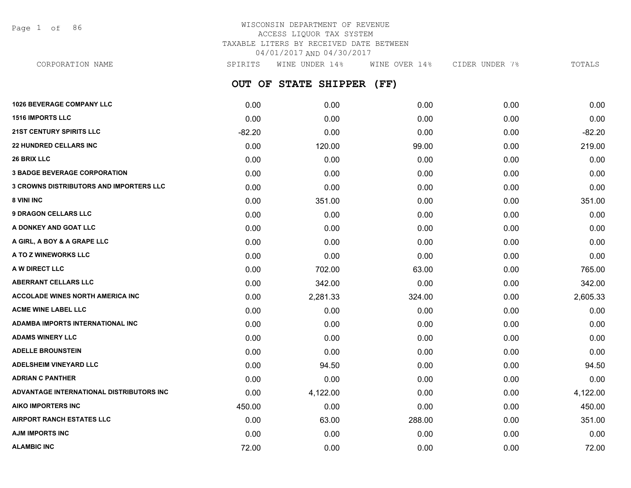Page 1 of 86

#### WISCONSIN DEPARTMENT OF REVENUE ACCESS LIQUOR TAX SYSTEM TAXABLE LITERS BY RECEIVED DATE BETWEEN 04/01/2017 AND 04/30/2017 CORPORATION NAME SPIRITS WINE UNDER 14% WINE OVER 14% CIDER UNDER 7% TOTALS

**OUT OF STATE SHIPPER (FF) 1026 BEVERAGE COMPANY LLC** 0.00 0.00 0.00 0.00 0.00 **1516 IMPORTS LLC** 0.00 0.00 0.00 0.00 0.00 **21ST CENTURY SPIRITS LLC** -82.20 0.00 0.00 0.00 -82.20 **22 HUNDRED CELLARS INC** 0.00 120.00 99.00 0.00 219.00 **26 BRIX LLC** 0.00 0.00 0.00 0.00 0.00 **3 BADGE BEVERAGE CORPORATION** 0.00 0.00 0.00 0.00 0.00 **3 CROWNS DISTRIBUTORS AND IMPORTERS LLC** 0.00 0.00 0.00 0.00 0.00 **8 VINI INC** 0.00 351.00 0.00 0.00 351.00 **9 DRAGON CELLARS LLC** 0.00 0.00 0.00 0.00 0.00 **A DONKEY AND GOAT LLC** 0.00 0.00 0.00 0.00 0.00 **A GIRL, A BOY & A GRAPE LLC** 0.00 0.00 0.00 0.00 0.00 **A TO Z WINEWORKS LLC** 0.00 0.00 0.00 0.00 0.00 **A W DIRECT LLC** 0.00 702.00 63.00 0.00 765.00 **ABERRANT CELLARS LLC** 0.00 342.00 0.00 0.00 342.00 **ACCOLADE WINES NORTH AMERICA INC 10.00 2.281.33** 24.00 **2.281.33** 324.00 **0.00** 2.605.33 **ACME WINE LABEL LLC** 0.00 0.00 0.00 0.00 0.00 **ADAMBA IMPORTS INTERNATIONAL INC** 0.00 0.00 0.00 0.00 0.00 **ADAMS WINERY LLC** 0.00 0.00 0.00 0.00 0.00 **ADELLE BROUNSTEIN** 0.00 0.00 0.00 0.00 0.00 **ADELSHEIM VINEYARD LLC** 0.00 94.50 0.00 0.00 94.50 **ADRIAN C PANTHER** 0.00 0.00 0.00 0.00 0.00 **ADVANTAGE INTERNATIONAL DISTRIBUTORS INC** 0.00 4,122.00 0.00 0.00 4,122.00 **AIKO IMPORTERS INC** 450.00 0.00 0.00 0.00 450.00 **AIRPORT RANCH ESTATES LLC** 0.00 63.00 288.00 0.00 351.00

**AJM IMPORTS INC** 0.00 0.00 0.00 0.00 0.00 **ALAMBIC INC** 72.00 0.00 0.00 0.00 72.00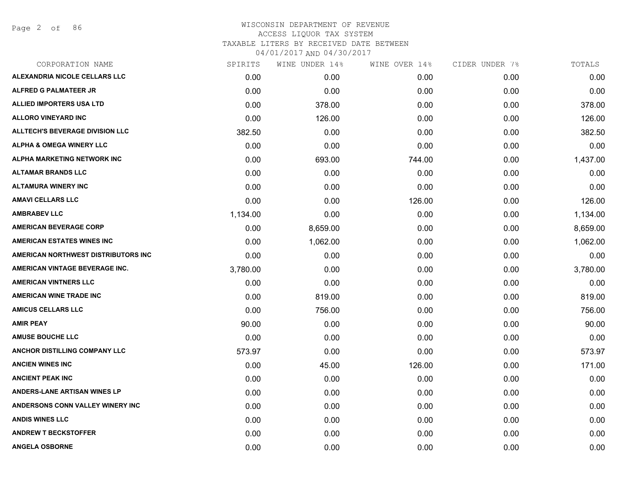Page 2 of 86

| SPIRITS  | WINE UNDER 14% | WINE OVER 14% | CIDER UNDER 7% | TOTALS   |
|----------|----------------|---------------|----------------|----------|
| 0.00     | 0.00           | 0.00          | 0.00           | 0.00     |
| 0.00     | 0.00           | 0.00          | 0.00           | 0.00     |
| 0.00     | 378.00         | 0.00          | 0.00           | 378.00   |
| 0.00     | 126.00         | 0.00          | 0.00           | 126.00   |
| 382.50   | 0.00           | 0.00          | 0.00           | 382.50   |
| 0.00     | 0.00           | 0.00          | 0.00           | 0.00     |
| 0.00     | 693.00         | 744.00        | 0.00           | 1,437.00 |
| 0.00     | 0.00           | 0.00          | 0.00           | 0.00     |
| 0.00     | 0.00           | 0.00          | 0.00           | 0.00     |
| 0.00     | 0.00           | 126.00        | 0.00           | 126.00   |
| 1,134.00 | 0.00           | 0.00          | 0.00           | 1,134.00 |
| 0.00     | 8,659.00       | 0.00          | 0.00           | 8,659.00 |
| 0.00     | 1,062.00       | 0.00          | 0.00           | 1,062.00 |
| 0.00     | 0.00           | 0.00          | 0.00           | 0.00     |
| 3,780.00 | 0.00           | 0.00          | 0.00           | 3,780.00 |
| 0.00     | 0.00           | 0.00          | 0.00           | 0.00     |
| 0.00     | 819.00         | 0.00          | 0.00           | 819.00   |
| 0.00     | 756.00         | 0.00          | 0.00           | 756.00   |
| 90.00    | 0.00           | 0.00          | 0.00           | 90.00    |
| 0.00     | 0.00           | 0.00          | 0.00           | 0.00     |
| 573.97   | 0.00           | 0.00          | 0.00           | 573.97   |
| 0.00     | 45.00          | 126.00        | 0.00           | 171.00   |
| 0.00     | 0.00           | 0.00          | 0.00           | 0.00     |
| 0.00     | 0.00           | 0.00          | 0.00           | 0.00     |
| 0.00     | 0.00           | 0.00          | 0.00           | 0.00     |
| 0.00     | 0.00           | 0.00          | 0.00           | 0.00     |
| 0.00     | 0.00           | 0.00          | 0.00           | 0.00     |
| 0.00     | 0.00           | 0.00          | 0.00           | 0.00     |
|          |                |               |                |          |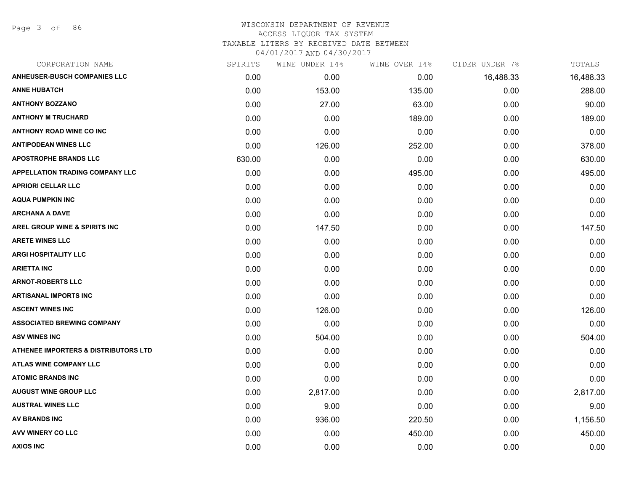Page 3 of 86

| CORPORATION NAME                                | SPIRITS | WINE UNDER 14% | WINE OVER 14% | CIDER UNDER 7% | TOTALS    |
|-------------------------------------------------|---------|----------------|---------------|----------------|-----------|
| <b>ANHEUSER-BUSCH COMPANIES LLC</b>             | 0.00    | 0.00           | 0.00          | 16,488.33      | 16,488.33 |
| <b>ANNE HUBATCH</b>                             | 0.00    | 153.00         | 135.00        | 0.00           | 288.00    |
| <b>ANTHONY BOZZANO</b>                          | 0.00    | 27.00          | 63.00         | 0.00           | 90.00     |
| <b>ANTHONY M TRUCHARD</b>                       | 0.00    | 0.00           | 189.00        | 0.00           | 189.00    |
| <b>ANTHONY ROAD WINE CO INC</b>                 | 0.00    | 0.00           | 0.00          | 0.00           | 0.00      |
| <b>ANTIPODEAN WINES LLC</b>                     | 0.00    | 126.00         | 252.00        | 0.00           | 378.00    |
| <b>APOSTROPHE BRANDS LLC</b>                    | 630.00  | 0.00           | 0.00          | 0.00           | 630.00    |
| APPELLATION TRADING COMPANY LLC                 | 0.00    | 0.00           | 495.00        | 0.00           | 495.00    |
| <b>APRIORI CELLAR LLC</b>                       | 0.00    | 0.00           | 0.00          | 0.00           | 0.00      |
| <b>AQUA PUMPKIN INC</b>                         | 0.00    | 0.00           | 0.00          | 0.00           | 0.00      |
| <b>ARCHANA A DAVE</b>                           | 0.00    | 0.00           | 0.00          | 0.00           | 0.00      |
| <b>AREL GROUP WINE &amp; SPIRITS INC</b>        | 0.00    | 147.50         | 0.00          | 0.00           | 147.50    |
| <b>ARETE WINES LLC</b>                          | 0.00    | 0.00           | 0.00          | 0.00           | 0.00      |
| <b>ARGI HOSPITALITY LLC</b>                     | 0.00    | 0.00           | 0.00          | 0.00           | 0.00      |
| <b>ARIETTA INC</b>                              | 0.00    | 0.00           | 0.00          | 0.00           | 0.00      |
| <b>ARNOT-ROBERTS LLC</b>                        | 0.00    | 0.00           | 0.00          | 0.00           | 0.00      |
| <b>ARTISANAL IMPORTS INC</b>                    | 0.00    | 0.00           | 0.00          | 0.00           | 0.00      |
| <b>ASCENT WINES INC</b>                         | 0.00    | 126.00         | 0.00          | 0.00           | 126.00    |
| <b>ASSOCIATED BREWING COMPANY</b>               | 0.00    | 0.00           | 0.00          | 0.00           | 0.00      |
| <b>ASV WINES INC</b>                            | 0.00    | 504.00         | 0.00          | 0.00           | 504.00    |
| <b>ATHENEE IMPORTERS &amp; DISTRIBUTORS LTD</b> | 0.00    | 0.00           | 0.00          | 0.00           | 0.00      |
| ATLAS WINE COMPANY LLC                          | 0.00    | 0.00           | 0.00          | 0.00           | 0.00      |
| <b>ATOMIC BRANDS INC</b>                        | 0.00    | 0.00           | 0.00          | 0.00           | 0.00      |
| <b>AUGUST WINE GROUP LLC</b>                    | 0.00    | 2,817.00       | 0.00          | 0.00           | 2,817.00  |
| <b>AUSTRAL WINES LLC</b>                        | 0.00    | 9.00           | 0.00          | 0.00           | 9.00      |
| AV BRANDS INC                                   | 0.00    | 936.00         | 220.50        | 0.00           | 1,156.50  |
| <b>AVV WINERY CO LLC</b>                        | 0.00    | 0.00           | 450.00        | 0.00           | 450.00    |
| <b>AXIOS INC</b>                                | 0.00    | 0.00           | 0.00          | 0.00           | 0.00      |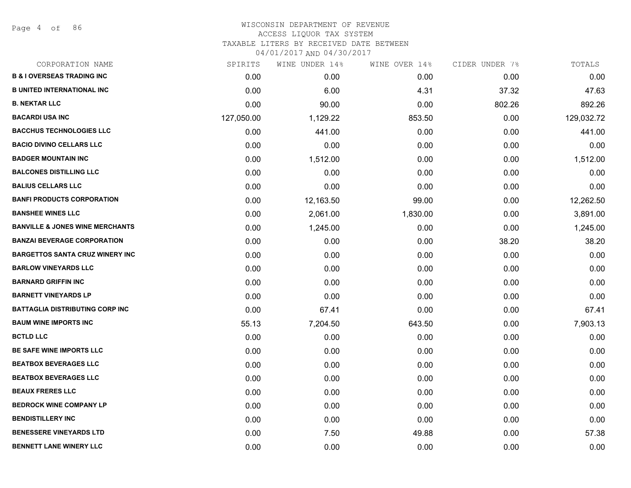Page 4 of 86

| CORPORATION NAME                           | SPIRITS    | WINE UNDER 14% | WINE OVER 14% | CIDER UNDER 7% | TOTALS     |
|--------------------------------------------|------------|----------------|---------------|----------------|------------|
| <b>B &amp; I OVERSEAS TRADING INC</b>      | 0.00       | 0.00           | 0.00          | 0.00           | 0.00       |
| <b>B UNITED INTERNATIONAL INC</b>          | 0.00       | 6.00           | 4.31          | 37.32          | 47.63      |
| <b>B. NEKTAR LLC</b>                       | 0.00       | 90.00          | 0.00          | 802.26         | 892.26     |
| <b>BACARDI USA INC</b>                     | 127,050.00 | 1,129.22       | 853.50        | 0.00           | 129,032.72 |
| <b>BACCHUS TECHNOLOGIES LLC</b>            | 0.00       | 441.00         | 0.00          | 0.00           | 441.00     |
| <b>BACIO DIVINO CELLARS LLC</b>            | 0.00       | 0.00           | 0.00          | 0.00           | 0.00       |
| <b>BADGER MOUNTAIN INC</b>                 | 0.00       | 1,512.00       | 0.00          | 0.00           | 1,512.00   |
| <b>BALCONES DISTILLING LLC</b>             | 0.00       | 0.00           | 0.00          | 0.00           | 0.00       |
| <b>BALIUS CELLARS LLC</b>                  | 0.00       | 0.00           | 0.00          | 0.00           | 0.00       |
| <b>BANFI PRODUCTS CORPORATION</b>          | 0.00       | 12,163.50      | 99.00         | 0.00           | 12,262.50  |
| <b>BANSHEE WINES LLC</b>                   | 0.00       | 2,061.00       | 1,830.00      | 0.00           | 3,891.00   |
| <b>BANVILLE &amp; JONES WINE MERCHANTS</b> | 0.00       | 1,245.00       | 0.00          | 0.00           | 1,245.00   |
| <b>BANZAI BEVERAGE CORPORATION</b>         | 0.00       | 0.00           | 0.00          | 38.20          | 38.20      |
| <b>BARGETTOS SANTA CRUZ WINERY INC</b>     | 0.00       | 0.00           | 0.00          | 0.00           | 0.00       |
| <b>BARLOW VINEYARDS LLC</b>                | 0.00       | 0.00           | 0.00          | 0.00           | 0.00       |
| <b>BARNARD GRIFFIN INC</b>                 | 0.00       | 0.00           | 0.00          | 0.00           | 0.00       |
| <b>BARNETT VINEYARDS LP</b>                | 0.00       | 0.00           | 0.00          | 0.00           | 0.00       |
| <b>BATTAGLIA DISTRIBUTING CORP INC</b>     | 0.00       | 67.41          | 0.00          | 0.00           | 67.41      |
| <b>BAUM WINE IMPORTS INC</b>               | 55.13      | 7,204.50       | 643.50        | 0.00           | 7,903.13   |
| <b>BCTLD LLC</b>                           | 0.00       | 0.00           | 0.00          | 0.00           | 0.00       |
| BE SAFE WINE IMPORTS LLC                   | 0.00       | 0.00           | 0.00          | 0.00           | 0.00       |
| <b>BEATBOX BEVERAGES LLC</b>               | 0.00       | 0.00           | 0.00          | 0.00           | 0.00       |
| <b>BEATBOX BEVERAGES LLC</b>               | 0.00       | 0.00           | 0.00          | 0.00           | 0.00       |
| <b>BEAUX FRERES LLC</b>                    | 0.00       | 0.00           | 0.00          | 0.00           | 0.00       |
| <b>BEDROCK WINE COMPANY LP</b>             | 0.00       | 0.00           | 0.00          | 0.00           | 0.00       |
| <b>BENDISTILLERY INC</b>                   | 0.00       | 0.00           | 0.00          | 0.00           | 0.00       |
| <b>BENESSERE VINEYARDS LTD</b>             | 0.00       | 7.50           | 49.88         | 0.00           | 57.38      |
| <b>BENNETT LANE WINERY LLC</b>             | 0.00       | 0.00           | 0.00          | 0.00           | 0.00       |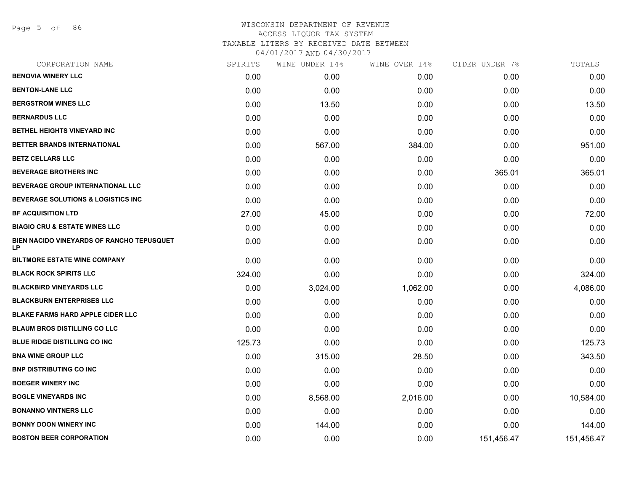Page 5 of 86

| CORPORATION NAME                                | SPIRITS | WINE UNDER 14% | WINE OVER 14% | CIDER UNDER 7% | TOTALS     |
|-------------------------------------------------|---------|----------------|---------------|----------------|------------|
| <b>BENOVIA WINERY LLC</b>                       | 0.00    | 0.00           | 0.00          | 0.00           | 0.00       |
| <b>BENTON-LANE LLC</b>                          | 0.00    | 0.00           | 0.00          | 0.00           | 0.00       |
| <b>BERGSTROM WINES LLC</b>                      | 0.00    | 13.50          | 0.00          | 0.00           | 13.50      |
| <b>BERNARDUS LLC</b>                            | 0.00    | 0.00           | 0.00          | 0.00           | 0.00       |
| BETHEL HEIGHTS VINEYARD INC                     | 0.00    | 0.00           | 0.00          | 0.00           | 0.00       |
| BETTER BRANDS INTERNATIONAL                     | 0.00    | 567.00         | 384.00        | 0.00           | 951.00     |
| <b>BETZ CELLARS LLC</b>                         | 0.00    | 0.00           | 0.00          | 0.00           | 0.00       |
| <b>BEVERAGE BROTHERS INC</b>                    | 0.00    | 0.00           | 0.00          | 365.01         | 365.01     |
| BEVERAGE GROUP INTERNATIONAL LLC                | 0.00    | 0.00           | 0.00          | 0.00           | 0.00       |
| <b>BEVERAGE SOLUTIONS &amp; LOGISTICS INC.</b>  | 0.00    | 0.00           | 0.00          | 0.00           | 0.00       |
| <b>BF ACQUISITION LTD</b>                       | 27.00   | 45.00          | 0.00          | 0.00           | 72.00      |
| <b>BIAGIO CRU &amp; ESTATE WINES LLC</b>        | 0.00    | 0.00           | 0.00          | 0.00           | 0.00       |
| BIEN NACIDO VINEYARDS OF RANCHO TEPUSQUET<br>LP | 0.00    | 0.00           | 0.00          | 0.00           | 0.00       |
| <b>BILTMORE ESTATE WINE COMPANY</b>             | 0.00    | 0.00           | 0.00          | 0.00           | 0.00       |
| <b>BLACK ROCK SPIRITS LLC</b>                   | 324.00  | 0.00           | 0.00          | 0.00           | 324.00     |
| <b>BLACKBIRD VINEYARDS LLC</b>                  | 0.00    | 3,024.00       | 1,062.00      | 0.00           | 4,086.00   |
| <b>BLACKBURN ENTERPRISES LLC</b>                | 0.00    | 0.00           | 0.00          | 0.00           | 0.00       |
| <b>BLAKE FARMS HARD APPLE CIDER LLC</b>         | 0.00    | 0.00           | 0.00          | 0.00           | 0.00       |
| <b>BLAUM BROS DISTILLING CO LLC</b>             | 0.00    | 0.00           | 0.00          | 0.00           | 0.00       |
| <b>BLUE RIDGE DISTILLING CO INC</b>             | 125.73  | 0.00           | 0.00          | 0.00           | 125.73     |
| <b>BNA WINE GROUP LLC</b>                       | 0.00    | 315.00         | 28.50         | 0.00           | 343.50     |
| <b>BNP DISTRIBUTING CO INC</b>                  | 0.00    | 0.00           | 0.00          | 0.00           | 0.00       |
| <b>BOEGER WINERY INC</b>                        | 0.00    | 0.00           | 0.00          | 0.00           | 0.00       |
| <b>BOGLE VINEYARDS INC</b>                      | 0.00    | 8,568.00       | 2,016.00      | 0.00           | 10,584.00  |
| <b>BONANNO VINTNERS LLC</b>                     | 0.00    | 0.00           | 0.00          | 0.00           | 0.00       |
| <b>BONNY DOON WINERY INC</b>                    | 0.00    | 144.00         | 0.00          | 0.00           | 144.00     |
| <b>BOSTON BEER CORPORATION</b>                  | 0.00    | 0.00           | 0.00          | 151,456.47     | 151,456.47 |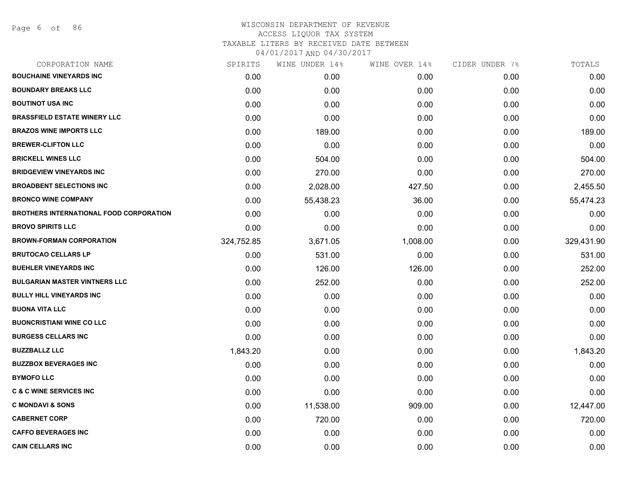| CORPORATION NAME                               | SPIRITS    | WINE UNDER 14% | WINE OVER 14% | CIDER UNDER 7% | TOTALS     |
|------------------------------------------------|------------|----------------|---------------|----------------|------------|
| <b>BOUCHAINE VINEYARDS INC</b>                 | 0.00       | 0.00           | 0.00          | 0.00           | 0.00       |
| <b>BOUNDARY BREAKS LLC</b>                     | 0.00       | 0.00           | 0.00          | 0.00           | 0.00       |
| <b>BOUTINOT USA INC</b>                        | 0.00       | 0.00           | 0.00          | 0.00           | 0.00       |
| <b>BRASSFIELD ESTATE WINERY LLC</b>            | 0.00       | 0.00           | 0.00          | 0.00           | 0.00       |
| <b>BRAZOS WINE IMPORTS LLC</b>                 | 0.00       | 189.00         | 0.00          | 0.00           | 189.00     |
| <b>BREWER-CLIFTON LLC</b>                      | 0.00       | 0.00           | 0.00          | 0.00           | 0.00       |
| <b>BRICKELL WINES LLC</b>                      | 0.00       | 504.00         | 0.00          | 0.00           | 504.00     |
| <b>BRIDGEVIEW VINEYARDS INC</b>                | 0.00       | 270.00         | 0.00          | 0.00           | 270.00     |
| <b>BROADBENT SELECTIONS INC</b>                | 0.00       | 2,028.00       | 427.50        | 0.00           | 2,455.50   |
| <b>BRONCO WINE COMPANY</b>                     | 0.00       | 55,438.23      | 36.00         | 0.00           | 55,474.23  |
| <b>BROTHERS INTERNATIONAL FOOD CORPORATION</b> | 0.00       | 0.00           | 0.00          | 0.00           | 0.00       |
| <b>BROVO SPIRITS LLC</b>                       | 0.00       | 0.00           | 0.00          | 0.00           | 0.00       |
| <b>BROWN-FORMAN CORPORATION</b>                | 324,752.85 | 3,671.05       | 1,008.00      | 0.00           | 329,431.90 |
| <b>BRUTOCAO CELLARS LP</b>                     | 0.00       | 531.00         | 0.00          | 0.00           | 531.00     |
| <b>BUEHLER VINEYARDS INC</b>                   | 0.00       | 126.00         | 126.00        | 0.00           | 252.00     |
| <b>BULGARIAN MASTER VINTNERS LLC</b>           | 0.00       | 252.00         | 0.00          | 0.00           | 252.00     |
| <b>BULLY HILL VINEYARDS INC</b>                | 0.00       | 0.00           | 0.00          | 0.00           | 0.00       |
| <b>BUONA VITA LLC</b>                          | 0.00       | 0.00           | 0.00          | 0.00           | 0.00       |
| <b>BUONCRISTIANI WINE CO LLC</b>               | 0.00       | 0.00           | 0.00          | 0.00           | 0.00       |
| <b>BURGESS CELLARS INC</b>                     | 0.00       | 0.00           | 0.00          | 0.00           | 0.00       |
| <b>BUZZBALLZ LLC</b>                           | 1,843.20   | 0.00           | 0.00          | 0.00           | 1,843.20   |
| <b>BUZZBOX BEVERAGES INC</b>                   | 0.00       | 0.00           | 0.00          | 0.00           | 0.00       |
| <b>BYMOFO LLC</b>                              | 0.00       | 0.00           | 0.00          | 0.00           | 0.00       |
| <b>C &amp; C WINE SERVICES INC</b>             | 0.00       | 0.00           | 0.00          | 0.00           | 0.00       |
| <b>C MONDAVI &amp; SONS</b>                    | 0.00       | 11,538.00      | 909.00        | 0.00           | 12,447.00  |
| <b>CABERNET CORP</b>                           | 0.00       | 720.00         | 0.00          | 0.00           | 720.00     |
| <b>CAFFO BEVERAGES INC</b>                     | 0.00       | 0.00           | 0.00          | 0.00           | 0.00       |
| <b>CAIN CELLARS INC</b>                        | 0.00       | 0.00           | 0.00          | 0.00           | 0.00       |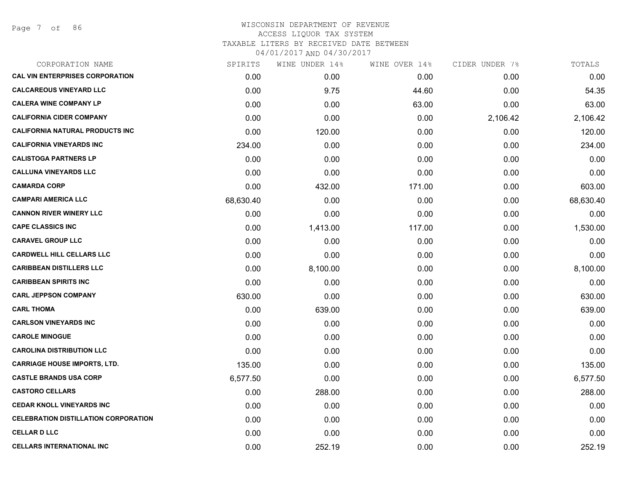Page 7 of 86

| SPIRITS   | WINE UNDER 14% | WINE OVER 14% |          | TOTALS         |
|-----------|----------------|---------------|----------|----------------|
| 0.00      | 0.00           | 0.00          | 0.00     | 0.00           |
| 0.00      | 9.75           | 44.60         | 0.00     | 54.35          |
| 0.00      | 0.00           | 63.00         | 0.00     | 63.00          |
| 0.00      | 0.00           | 0.00          | 2,106.42 | 2,106.42       |
| 0.00      | 120.00         | 0.00          | 0.00     | 120.00         |
| 234.00    | 0.00           | 0.00          | 0.00     | 234.00         |
| 0.00      | 0.00           | 0.00          | 0.00     | 0.00           |
| 0.00      | 0.00           | 0.00          | 0.00     | 0.00           |
| 0.00      | 432.00         | 171.00        | 0.00     | 603.00         |
| 68,630.40 | 0.00           | 0.00          | 0.00     | 68,630.40      |
| 0.00      | 0.00           | 0.00          | 0.00     | 0.00           |
| 0.00      | 1,413.00       | 117.00        | 0.00     | 1,530.00       |
| 0.00      | 0.00           | 0.00          | 0.00     | 0.00           |
| 0.00      | 0.00           | 0.00          | 0.00     | 0.00           |
| 0.00      | 8,100.00       | 0.00          | 0.00     | 8,100.00       |
| 0.00      | 0.00           | 0.00          | 0.00     | 0.00           |
| 630.00    | 0.00           | 0.00          | 0.00     | 630.00         |
| 0.00      | 639.00         | 0.00          | 0.00     | 639.00         |
| 0.00      | 0.00           | 0.00          | 0.00     | 0.00           |
| 0.00      | 0.00           | 0.00          | 0.00     | 0.00           |
| 0.00      | 0.00           | 0.00          | 0.00     | 0.00           |
| 135.00    | 0.00           | 0.00          | 0.00     | 135.00         |
| 6,577.50  | 0.00           | 0.00          | 0.00     | 6,577.50       |
| 0.00      | 288.00         | 0.00          | 0.00     | 288.00         |
| 0.00      | 0.00           | 0.00          | 0.00     | 0.00           |
| 0.00      | 0.00           | 0.00          | 0.00     | 0.00           |
| 0.00      | 0.00           | 0.00          | 0.00     | 0.00           |
| 0.00      | 252.19         | 0.00          | 0.00     | 252.19         |
|           |                |               |          | CIDER UNDER 7% |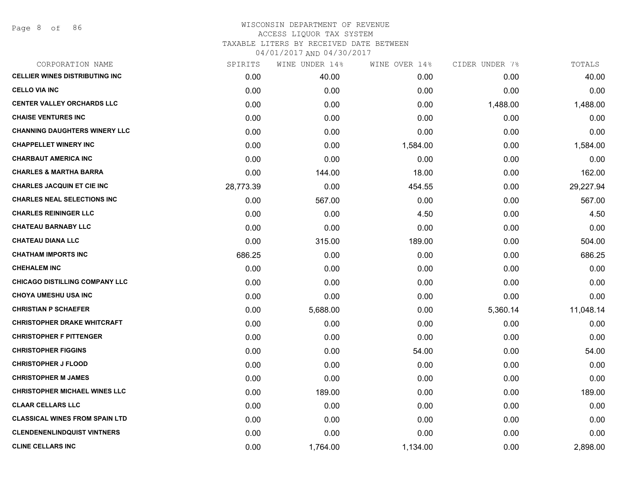| CORPORATION NAME                      | SPIRITS   | WINE UNDER 14% | WINE OVER 14% | CIDER UNDER 7% | TOTALS    |
|---------------------------------------|-----------|----------------|---------------|----------------|-----------|
| <b>CELLIER WINES DISTRIBUTING INC</b> | 0.00      | 40.00          | 0.00          | 0.00           | 40.00     |
| <b>CELLO VIA INC</b>                  | 0.00      | 0.00           | 0.00          | 0.00           | 0.00      |
| <b>CENTER VALLEY ORCHARDS LLC</b>     | 0.00      | 0.00           | 0.00          | 1,488.00       | 1,488.00  |
| <b>CHAISE VENTURES INC</b>            | 0.00      | 0.00           | 0.00          | 0.00           | 0.00      |
| <b>CHANNING DAUGHTERS WINERY LLC</b>  | 0.00      | 0.00           | 0.00          | 0.00           | 0.00      |
| <b>CHAPPELLET WINERY INC</b>          | 0.00      | 0.00           | 1,584.00      | 0.00           | 1,584.00  |
| <b>CHARBAUT AMERICA INC</b>           | 0.00      | 0.00           | 0.00          | 0.00           | 0.00      |
| <b>CHARLES &amp; MARTHA BARRA</b>     | 0.00      | 144.00         | 18.00         | 0.00           | 162.00    |
| <b>CHARLES JACQUIN ET CIE INC</b>     | 28,773.39 | 0.00           | 454.55        | 0.00           | 29,227.94 |
| <b>CHARLES NEAL SELECTIONS INC</b>    | 0.00      | 567.00         | 0.00          | 0.00           | 567.00    |
| <b>CHARLES REININGER LLC</b>          | 0.00      | 0.00           | 4.50          | 0.00           | 4.50      |
| <b>CHATEAU BARNABY LLC</b>            | 0.00      | 0.00           | 0.00          | 0.00           | 0.00      |
| <b>CHATEAU DIANA LLC</b>              | 0.00      | 315.00         | 189.00        | 0.00           | 504.00    |
| <b>CHATHAM IMPORTS INC</b>            | 686.25    | 0.00           | 0.00          | 0.00           | 686.25    |
| <b>CHEHALEM INC</b>                   | 0.00      | 0.00           | 0.00          | 0.00           | 0.00      |
| <b>CHICAGO DISTILLING COMPANY LLC</b> | 0.00      | 0.00           | 0.00          | 0.00           | 0.00      |
| <b>CHOYA UMESHU USA INC</b>           | 0.00      | 0.00           | 0.00          | 0.00           | 0.00      |
| <b>CHRISTIAN P SCHAEFER</b>           | 0.00      | 5,688.00       | 0.00          | 5,360.14       | 11,048.14 |
| <b>CHRISTOPHER DRAKE WHITCRAFT</b>    | 0.00      | 0.00           | 0.00          | 0.00           | 0.00      |
| <b>CHRISTOPHER F PITTENGER</b>        | 0.00      | 0.00           | 0.00          | 0.00           | 0.00      |
| <b>CHRISTOPHER FIGGINS</b>            | 0.00      | 0.00           | 54.00         | 0.00           | 54.00     |
| <b>CHRISTOPHER J FLOOD</b>            | 0.00      | 0.00           | 0.00          | 0.00           | 0.00      |
| <b>CHRISTOPHER M JAMES</b>            | 0.00      | 0.00           | 0.00          | 0.00           | 0.00      |
| <b>CHRISTOPHER MICHAEL WINES LLC</b>  | 0.00      | 189.00         | 0.00          | 0.00           | 189.00    |
| <b>CLAAR CELLARS LLC</b>              | 0.00      | 0.00           | 0.00          | 0.00           | 0.00      |
| <b>CLASSICAL WINES FROM SPAIN LTD</b> | 0.00      | 0.00           | 0.00          | 0.00           | 0.00      |
| <b>CLENDENENLINDQUIST VINTNERS</b>    | 0.00      | 0.00           | 0.00          | 0.00           | 0.00      |
| <b>CLINE CELLARS INC</b>              | 0.00      | 1,764.00       | 1,134.00      | 0.00           | 2,898.00  |
|                                       |           |                |               |                |           |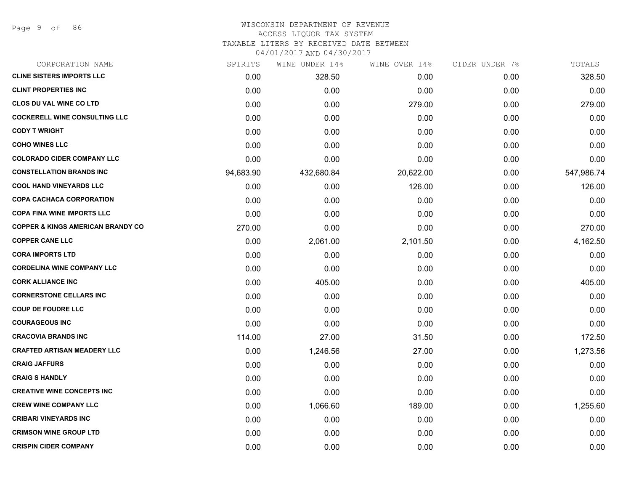#### WISCONSIN DEPARTMENT OF REVENUE ACCESS LIQUOR TAX SYSTEM TAXABLE LITERS BY RECEIVED DATE BETWEEN

| CORPORATION NAME                             | SPIRITS   | WINE UNDER 14% | WINE OVER 14% | CIDER UNDER 7% | TOTALS     |
|----------------------------------------------|-----------|----------------|---------------|----------------|------------|
| <b>CLINE SISTERS IMPORTS LLC</b>             | 0.00      | 328.50         | 0.00          | 0.00           | 328.50     |
| <b>CLINT PROPERTIES INC</b>                  | 0.00      | 0.00           | 0.00          | 0.00           | 0.00       |
| <b>CLOS DU VAL WINE CO LTD</b>               | 0.00      | 0.00           | 279.00        | 0.00           | 279.00     |
| <b>COCKERELL WINE CONSULTING LLC</b>         | 0.00      | 0.00           | 0.00          | 0.00           | 0.00       |
| <b>CODY T WRIGHT</b>                         | 0.00      | 0.00           | 0.00          | 0.00           | 0.00       |
| <b>COHO WINES LLC</b>                        | 0.00      | 0.00           | 0.00          | 0.00           | 0.00       |
| <b>COLORADO CIDER COMPANY LLC</b>            | 0.00      | 0.00           | 0.00          | 0.00           | 0.00       |
| <b>CONSTELLATION BRANDS INC</b>              | 94,683.90 | 432,680.84     | 20,622.00     | 0.00           | 547,986.74 |
| <b>COOL HAND VINEYARDS LLC</b>               | 0.00      | 0.00           | 126.00        | 0.00           | 126.00     |
| <b>COPA CACHACA CORPORATION</b>              | 0.00      | 0.00           | 0.00          | 0.00           | 0.00       |
| <b>COPA FINA WINE IMPORTS LLC</b>            | 0.00      | 0.00           | 0.00          | 0.00           | 0.00       |
| <b>COPPER &amp; KINGS AMERICAN BRANDY CO</b> | 270.00    | 0.00           | 0.00          | 0.00           | 270.00     |
| <b>COPPER CANE LLC</b>                       | 0.00      | 2,061.00       | 2,101.50      | 0.00           | 4,162.50   |
| <b>CORA IMPORTS LTD</b>                      | 0.00      | 0.00           | 0.00          | 0.00           | 0.00       |
| <b>CORDELINA WINE COMPANY LLC</b>            | 0.00      | 0.00           | 0.00          | 0.00           | 0.00       |
| <b>CORK ALLIANCE INC</b>                     | 0.00      | 405.00         | 0.00          | 0.00           | 405.00     |
| <b>CORNERSTONE CELLARS INC</b>               | 0.00      | 0.00           | 0.00          | 0.00           | 0.00       |
| <b>COUP DE FOUDRE LLC</b>                    | 0.00      | 0.00           | 0.00          | 0.00           | 0.00       |
| <b>COURAGEOUS INC</b>                        | 0.00      | 0.00           | 0.00          | 0.00           | 0.00       |
| <b>CRACOVIA BRANDS INC</b>                   | 114.00    | 27.00          | 31.50         | 0.00           | 172.50     |
| <b>CRAFTED ARTISAN MEADERY LLC</b>           | 0.00      | 1,246.56       | 27.00         | 0.00           | 1,273.56   |
| <b>CRAIG JAFFURS</b>                         | 0.00      | 0.00           | 0.00          | 0.00           | 0.00       |
| <b>CRAIG S HANDLY</b>                        | 0.00      | 0.00           | 0.00          | 0.00           | 0.00       |
| <b>CREATIVE WINE CONCEPTS INC</b>            | 0.00      | 0.00           | 0.00          | 0.00           | 0.00       |
| <b>CREW WINE COMPANY LLC</b>                 | 0.00      | 1,066.60       | 189.00        | 0.00           | 1,255.60   |
| <b>CRIBARI VINEYARDS INC</b>                 | 0.00      | 0.00           | 0.00          | 0.00           | 0.00       |
| <b>CRIMSON WINE GROUP LTD</b>                | 0.00      | 0.00           | 0.00          | 0.00           | 0.00       |
| <b>CRISPIN CIDER COMPANY</b>                 | 0.00      | 0.00           | 0.00          | 0.00           | 0.00       |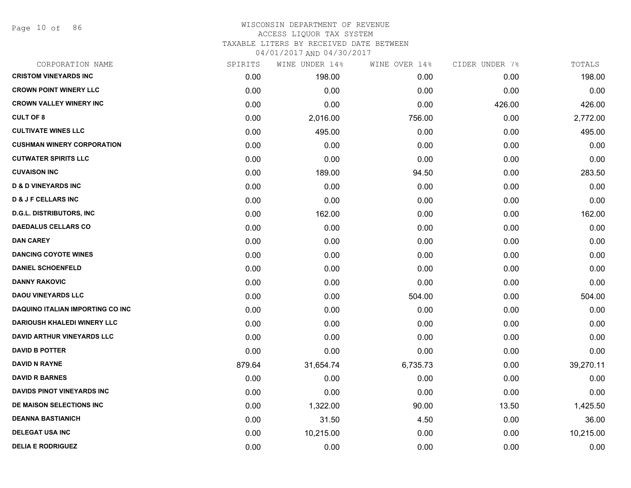Page 10 of 86

| CORPORATION NAME                        | SPIRITS | WINE UNDER 14% | WINE OVER 14% | CIDER UNDER 7% | TOTALS    |
|-----------------------------------------|---------|----------------|---------------|----------------|-----------|
| <b>CRISTOM VINEYARDS INC</b>            | 0.00    | 198.00         | 0.00          | 0.00           | 198.00    |
| <b>CROWN POINT WINERY LLC</b>           | 0.00    | 0.00           | 0.00          | 0.00           | 0.00      |
| <b>CROWN VALLEY WINERY INC</b>          | 0.00    | 0.00           | 0.00          | 426.00         | 426.00    |
| <b>CULT OF 8</b>                        | 0.00    | 2,016.00       | 756.00        | 0.00           | 2,772.00  |
| <b>CULTIVATE WINES LLC</b>              | 0.00    | 495.00         | 0.00          | 0.00           | 495.00    |
| <b>CUSHMAN WINERY CORPORATION</b>       | 0.00    | 0.00           | 0.00          | 0.00           | 0.00      |
| <b>CUTWATER SPIRITS LLC</b>             | 0.00    | 0.00           | 0.00          | 0.00           | 0.00      |
| <b>CUVAISON INC</b>                     | 0.00    | 189.00         | 94.50         | 0.00           | 283.50    |
| <b>D &amp; D VINEYARDS INC</b>          | 0.00    | 0.00           | 0.00          | 0.00           | 0.00      |
| <b>D &amp; J F CELLARS INC</b>          | 0.00    | 0.00           | 0.00          | 0.00           | 0.00      |
| <b>D.G.L. DISTRIBUTORS, INC</b>         | 0.00    | 162.00         | 0.00          | 0.00           | 162.00    |
| <b>DAEDALUS CELLARS CO</b>              | 0.00    | 0.00           | 0.00          | 0.00           | 0.00      |
| <b>DAN CAREY</b>                        | 0.00    | 0.00           | 0.00          | 0.00           | 0.00      |
| <b>DANCING COYOTE WINES</b>             | 0.00    | 0.00           | 0.00          | 0.00           | 0.00      |
| <b>DANIEL SCHOENFELD</b>                | 0.00    | 0.00           | 0.00          | 0.00           | 0.00      |
| <b>DANNY RAKOVIC</b>                    | 0.00    | 0.00           | 0.00          | 0.00           | 0.00      |
| <b>DAOU VINEYARDS LLC</b>               | 0.00    | 0.00           | 504.00        | 0.00           | 504.00    |
| <b>DAQUINO ITALIAN IMPORTING CO INC</b> | 0.00    | 0.00           | 0.00          | 0.00           | 0.00      |
| <b>DARIOUSH KHALEDI WINERY LLC</b>      | 0.00    | 0.00           | 0.00          | 0.00           | 0.00      |
| <b>DAVID ARTHUR VINEYARDS LLC</b>       | 0.00    | 0.00           | 0.00          | 0.00           | 0.00      |
| <b>DAVID B POTTER</b>                   | 0.00    | 0.00           | 0.00          | 0.00           | 0.00      |
| <b>DAVID N RAYNE</b>                    | 879.64  | 31,654.74      | 6,735.73      | 0.00           | 39,270.11 |
| <b>DAVID R BARNES</b>                   | 0.00    | 0.00           | 0.00          | 0.00           | 0.00      |
| DAVIDS PINOT VINEYARDS INC              | 0.00    | 0.00           | 0.00          | 0.00           | 0.00      |
| DE MAISON SELECTIONS INC                | 0.00    | 1,322.00       | 90.00         | 13.50          | 1,425.50  |
| <b>DEANNA BASTIANICH</b>                | 0.00    | 31.50          | 4.50          | 0.00           | 36.00     |
| <b>DELEGAT USA INC</b>                  | 0.00    | 10,215.00      | 0.00          | 0.00           | 10,215.00 |
| <b>DELIA E RODRIGUEZ</b>                | 0.00    | 0.00           | 0.00          | 0.00           | 0.00      |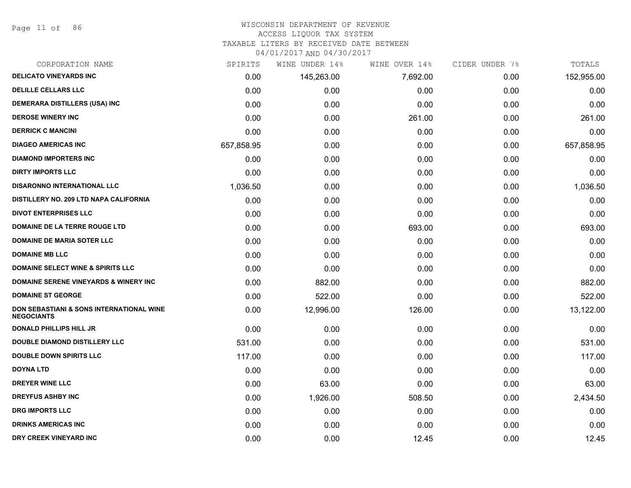Page 11 of 86

#### WISCONSIN DEPARTMENT OF REVENUE ACCESS LIQUOR TAX SYSTEM

TAXABLE LITERS BY RECEIVED DATE BETWEEN

| CORPORATION NAME                                                         | SPIRITS    | WINE UNDER 14% | WINE OVER 14% | CIDER UNDER 7% | TOTALS     |
|--------------------------------------------------------------------------|------------|----------------|---------------|----------------|------------|
| <b>DELICATO VINEYARDS INC</b>                                            | 0.00       | 145,263.00     | 7,692.00      | 0.00           | 152,955.00 |
| <b>DELILLE CELLARS LLC</b>                                               | 0.00       | 0.00           | 0.00          | 0.00           | 0.00       |
| DEMERARA DISTILLERS (USA) INC                                            | 0.00       | 0.00           | 0.00          | 0.00           | 0.00       |
| <b>DEROSE WINERY INC</b>                                                 | 0.00       | 0.00           | 261.00        | 0.00           | 261.00     |
| <b>DERRICK C MANCINI</b>                                                 | 0.00       | 0.00           | 0.00          | 0.00           | 0.00       |
| <b>DIAGEO AMERICAS INC</b>                                               | 657,858.95 | 0.00           | 0.00          | 0.00           | 657,858.95 |
| <b>DIAMOND IMPORTERS INC</b>                                             | 0.00       | 0.00           | 0.00          | 0.00           | 0.00       |
| <b>DIRTY IMPORTS LLC</b>                                                 | 0.00       | 0.00           | 0.00          | 0.00           | 0.00       |
| <b>DISARONNO INTERNATIONAL LLC</b>                                       | 1,036.50   | 0.00           | 0.00          | 0.00           | 1,036.50   |
| <b>DISTILLERY NO. 209 LTD NAPA CALIFORNIA</b>                            | 0.00       | 0.00           | 0.00          | 0.00           | 0.00       |
| <b>DIVOT ENTERPRISES LLC</b>                                             | 0.00       | 0.00           | 0.00          | 0.00           | 0.00       |
| <b>DOMAINE DE LA TERRE ROUGE LTD</b>                                     | 0.00       | 0.00           | 693.00        | 0.00           | 693.00     |
| <b>DOMAINE DE MARIA SOTER LLC</b>                                        | 0.00       | 0.00           | 0.00          | 0.00           | 0.00       |
| <b>DOMAINE MB LLC</b>                                                    | 0.00       | 0.00           | 0.00          | 0.00           | 0.00       |
| <b>DOMAINE SELECT WINE &amp; SPIRITS LLC</b>                             | 0.00       | 0.00           | 0.00          | 0.00           | 0.00       |
| <b>DOMAINE SERENE VINEYARDS &amp; WINERY INC</b>                         | 0.00       | 882.00         | 0.00          | 0.00           | 882.00     |
| <b>DOMAINE ST GEORGE</b>                                                 | 0.00       | 522.00         | 0.00          | 0.00           | 522.00     |
| <b>DON SEBASTIANI &amp; SONS INTERNATIONAL WINE</b><br><b>NEGOCIANTS</b> | 0.00       | 12,996.00      | 126.00        | 0.00           | 13,122.00  |
| <b>DONALD PHILLIPS HILL JR</b>                                           | 0.00       | 0.00           | 0.00          | 0.00           | 0.00       |
| <b>DOUBLE DIAMOND DISTILLERY LLC</b>                                     | 531.00     | 0.00           | 0.00          | 0.00           | 531.00     |
| <b>DOUBLE DOWN SPIRITS LLC</b>                                           | 117.00     | 0.00           | 0.00          | 0.00           | 117.00     |
| <b>DOYNA LTD</b>                                                         | 0.00       | 0.00           | 0.00          | 0.00           | 0.00       |
| <b>DREYER WINE LLC</b>                                                   | 0.00       | 63.00          | 0.00          | 0.00           | 63.00      |
| <b>DREYFUS ASHBY INC</b>                                                 | 0.00       | 1,926.00       | 508.50        | 0.00           | 2,434.50   |
| <b>DRG IMPORTS LLC</b>                                                   | 0.00       | 0.00           | 0.00          | 0.00           | 0.00       |
| <b>DRINKS AMERICAS INC</b>                                               | 0.00       | 0.00           | 0.00          | 0.00           | 0.00       |
| DRY CREEK VINEYARD INC                                                   | 0.00       | 0.00           | 12.45         | 0.00           | 12.45      |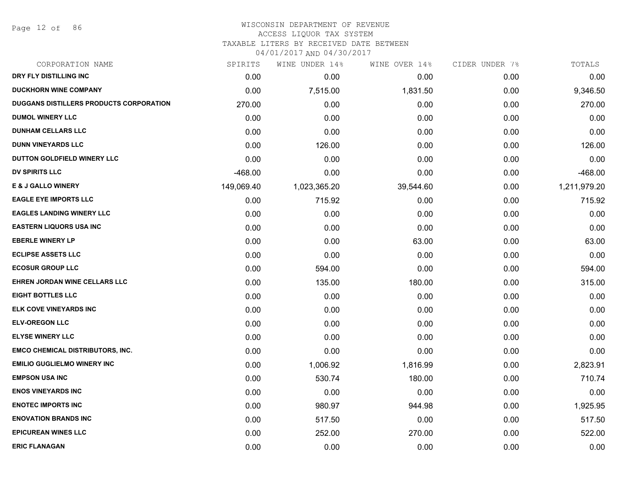Page 12 of 86

#### WISCONSIN DEPARTMENT OF REVENUE ACCESS LIQUOR TAX SYSTEM

TAXABLE LITERS BY RECEIVED DATE BETWEEN

| CORPORATION NAME                        | SPIRITS    | WINE UNDER 14% | WINE OVER 14% | CIDER UNDER 7% | TOTALS       |
|-----------------------------------------|------------|----------------|---------------|----------------|--------------|
| DRY FLY DISTILLING INC                  | 0.00       | 0.00           | 0.00          | 0.00           | 0.00         |
| <b>DUCKHORN WINE COMPANY</b>            | 0.00       | 7,515.00       | 1,831.50      | 0.00           | 9,346.50     |
| DUGGANS DISTILLERS PRODUCTS CORPORATION | 270.00     | 0.00           | 0.00          | 0.00           | 270.00       |
| <b>DUMOL WINERY LLC</b>                 | 0.00       | 0.00           | 0.00          | 0.00           | 0.00         |
| <b>DUNHAM CELLARS LLC</b>               | 0.00       | 0.00           | 0.00          | 0.00           | 0.00         |
| <b>DUNN VINEYARDS LLC</b>               | 0.00       | 126.00         | 0.00          | 0.00           | 126.00       |
| DUTTON GOLDFIELD WINERY LLC             | 0.00       | 0.00           | 0.00          | 0.00           | 0.00         |
| <b>DV SPIRITS LLC</b>                   | $-468.00$  | 0.00           | 0.00          | 0.00           | $-468.00$    |
| <b>E &amp; J GALLO WINERY</b>           | 149,069.40 | 1,023,365.20   | 39,544.60     | 0.00           | 1,211,979.20 |
| <b>EAGLE EYE IMPORTS LLC</b>            | 0.00       | 715.92         | 0.00          | 0.00           | 715.92       |
| <b>EAGLES LANDING WINERY LLC</b>        | 0.00       | 0.00           | 0.00          | 0.00           | 0.00         |
| <b>EASTERN LIQUORS USA INC</b>          | 0.00       | 0.00           | 0.00          | 0.00           | 0.00         |
| <b>EBERLE WINERY LP</b>                 | 0.00       | 0.00           | 63.00         | 0.00           | 63.00        |
| <b>ECLIPSE ASSETS LLC</b>               | 0.00       | 0.00           | 0.00          | 0.00           | 0.00         |
| <b>ECOSUR GROUP LLC</b>                 | 0.00       | 594.00         | 0.00          | 0.00           | 594.00       |
| <b>EHREN JORDAN WINE CELLARS LLC</b>    | 0.00       | 135.00         | 180.00        | 0.00           | 315.00       |
| <b>EIGHT BOTTLES LLC</b>                | 0.00       | 0.00           | 0.00          | 0.00           | 0.00         |
| ELK COVE VINEYARDS INC                  | 0.00       | 0.00           | 0.00          | 0.00           | 0.00         |
| <b>ELV-OREGON LLC</b>                   | 0.00       | 0.00           | 0.00          | 0.00           | 0.00         |
| <b>ELYSE WINERY LLC</b>                 | 0.00       | 0.00           | 0.00          | 0.00           | 0.00         |
| <b>EMCO CHEMICAL DISTRIBUTORS, INC.</b> | 0.00       | 0.00           | 0.00          | 0.00           | 0.00         |
| <b>EMILIO GUGLIELMO WINERY INC</b>      | 0.00       | 1,006.92       | 1,816.99      | 0.00           | 2,823.91     |
| <b>EMPSON USA INC</b>                   | 0.00       | 530.74         | 180.00        | 0.00           | 710.74       |
| <b>ENOS VINEYARDS INC</b>               | 0.00       | 0.00           | 0.00          | 0.00           | 0.00         |
| <b>ENOTEC IMPORTS INC</b>               | 0.00       | 980.97         | 944.98        | 0.00           | 1,925.95     |
| <b>ENOVATION BRANDS INC</b>             | 0.00       | 517.50         | 0.00          | 0.00           | 517.50       |
| <b>EPICUREAN WINES LLC</b>              | 0.00       | 252.00         | 270.00        | 0.00           | 522.00       |
| <b>ERIC FLANAGAN</b>                    | 0.00       | 0.00           | 0.00          | 0.00           | 0.00         |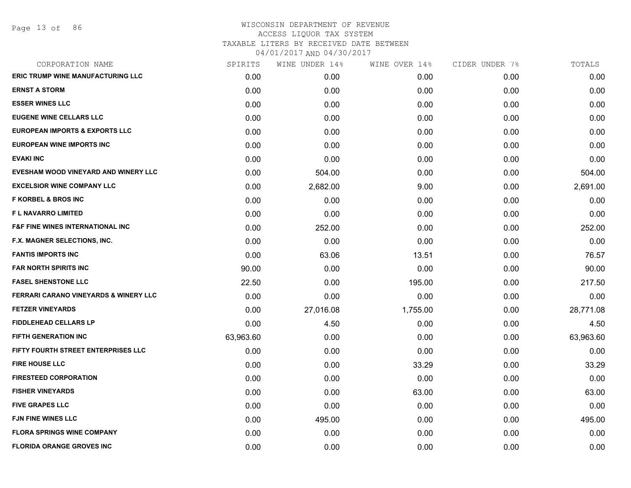Page 13 of 86

| CORPORATION NAME                                 | SPIRITS   | WINE UNDER 14% | WINE OVER 14% | CIDER UNDER 7% | TOTALS    |
|--------------------------------------------------|-----------|----------------|---------------|----------------|-----------|
| <b>ERIC TRUMP WINE MANUFACTURING LLC</b>         | 0.00      | 0.00           | 0.00          | 0.00           | 0.00      |
| <b>ERNST A STORM</b>                             | 0.00      | 0.00           | 0.00          | 0.00           | 0.00      |
| <b>ESSER WINES LLC</b>                           | 0.00      | 0.00           | 0.00          | 0.00           | 0.00      |
| <b>EUGENE WINE CELLARS LLC</b>                   | 0.00      | 0.00           | 0.00          | 0.00           | 0.00      |
| <b>EUROPEAN IMPORTS &amp; EXPORTS LLC</b>        | 0.00      | 0.00           | 0.00          | 0.00           | 0.00      |
| <b>EUROPEAN WINE IMPORTS INC</b>                 | 0.00      | 0.00           | 0.00          | 0.00           | 0.00      |
| <b>EVAKI INC</b>                                 | 0.00      | 0.00           | 0.00          | 0.00           | 0.00      |
| EVESHAM WOOD VINEYARD AND WINERY LLC             | 0.00      | 504.00         | 0.00          | 0.00           | 504.00    |
| <b>EXCELSIOR WINE COMPANY LLC</b>                | 0.00      | 2,682.00       | 9.00          | 0.00           | 2,691.00  |
| <b>F KORBEL &amp; BROS INC</b>                   | 0.00      | 0.00           | 0.00          | 0.00           | 0.00      |
| <b>FL NAVARRO LIMITED</b>                        | 0.00      | 0.00           | 0.00          | 0.00           | 0.00      |
| <b>F&amp;F FINE WINES INTERNATIONAL INC</b>      | 0.00      | 252.00         | 0.00          | 0.00           | 252.00    |
| F.X. MAGNER SELECTIONS, INC.                     | 0.00      | 0.00           | 0.00          | 0.00           | 0.00      |
| <b>FANTIS IMPORTS INC</b>                        | 0.00      | 63.06          | 13.51         | 0.00           | 76.57     |
| <b>FAR NORTH SPIRITS INC</b>                     | 90.00     | 0.00           | 0.00          | 0.00           | 90.00     |
| <b>FASEL SHENSTONE LLC</b>                       | 22.50     | 0.00           | 195.00        | 0.00           | 217.50    |
| <b>FERRARI CARANO VINEYARDS &amp; WINERY LLC</b> | 0.00      | 0.00           | 0.00          | 0.00           | 0.00      |
| <b>FETZER VINEYARDS</b>                          | 0.00      | 27,016.08      | 1,755.00      | 0.00           | 28,771.08 |
| <b>FIDDLEHEAD CELLARS LP</b>                     | 0.00      | 4.50           | 0.00          | 0.00           | 4.50      |
| FIFTH GENERATION INC                             | 63,963.60 | 0.00           | 0.00          | 0.00           | 63,963.60 |
| FIFTY FOURTH STREET ENTERPRISES LLC              | 0.00      | 0.00           | 0.00          | 0.00           | 0.00      |
| <b>FIRE HOUSE LLC</b>                            | 0.00      | 0.00           | 33.29         | 0.00           | 33.29     |
| <b>FIRESTEED CORPORATION</b>                     | 0.00      | 0.00           | 0.00          | 0.00           | 0.00      |
| <b>FISHER VINEYARDS</b>                          | 0.00      | 0.00           | 63.00         | 0.00           | 63.00     |
| <b>FIVE GRAPES LLC</b>                           | 0.00      | 0.00           | 0.00          | 0.00           | 0.00      |
| <b>FJN FINE WINES LLC</b>                        | 0.00      | 495.00         | 0.00          | 0.00           | 495.00    |
| <b>FLORA SPRINGS WINE COMPANY</b>                | 0.00      | 0.00           | 0.00          | 0.00           | 0.00      |
| <b>FLORIDA ORANGE GROVES INC</b>                 | 0.00      | 0.00           | 0.00          | 0.00           | 0.00      |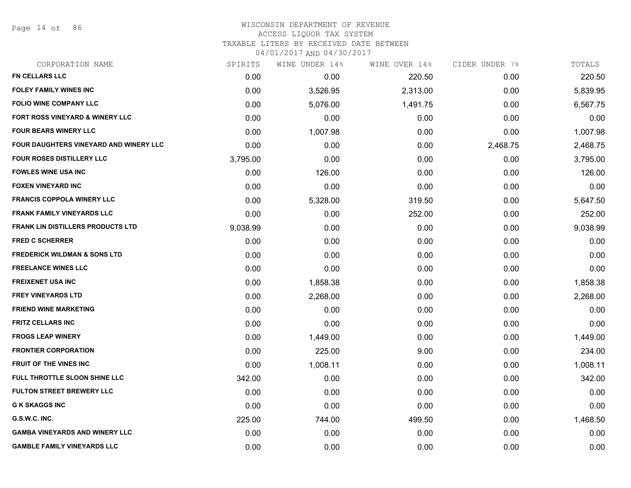Page 14 of 86

#### WISCONSIN DEPARTMENT OF REVENUE ACCESS LIQUOR TAX SYSTEM TAXABLE LITERS BY RECEIVED DATE BETWEEN

| CORPORATION NAME                              | SPIRITS  | WINE UNDER 14% | WINE OVER 14% | CIDER UNDER 7% | TOTALS   |
|-----------------------------------------------|----------|----------------|---------------|----------------|----------|
| <b>FN CELLARS LLC</b>                         | 0.00     | 0.00           | 220.50        | 0.00           | 220.50   |
| <b>FOLEY FAMILY WINES INC</b>                 | 0.00     | 3,526.95       | 2,313.00      | 0.00           | 5,839.95 |
| <b>FOLIO WINE COMPANY LLC</b>                 | 0.00     | 5,076.00       | 1,491.75      | 0.00           | 6,567.75 |
| FORT ROSS VINEYARD & WINERY LLC               | 0.00     | 0.00           | 0.00          | 0.00           | 0.00     |
| <b>FOUR BEARS WINERY LLC</b>                  | 0.00     | 1,007.98       | 0.00          | 0.00           | 1,007.98 |
| <b>FOUR DAUGHTERS VINEYARD AND WINERY LLC</b> | 0.00     | 0.00           | 0.00          | 2,468.75       | 2,468.75 |
| <b>FOUR ROSES DISTILLERY LLC</b>              | 3,795.00 | 0.00           | 0.00          | 0.00           | 3,795.00 |
| <b>FOWLES WINE USA INC</b>                    | 0.00     | 126.00         | 0.00          | 0.00           | 126.00   |
| <b>FOXEN VINEYARD INC</b>                     | 0.00     | 0.00           | 0.00          | 0.00           | 0.00     |
| <b>FRANCIS COPPOLA WINERY LLC</b>             | 0.00     | 5,328.00       | 319.50        | 0.00           | 5,647.50 |
| <b>FRANK FAMILY VINEYARDS LLC</b>             | 0.00     | 0.00           | 252.00        | 0.00           | 252.00   |
| <b>FRANK LIN DISTILLERS PRODUCTS LTD</b>      | 9,038.99 | 0.00           | 0.00          | 0.00           | 9,038.99 |
| <b>FRED C SCHERRER</b>                        | 0.00     | 0.00           | 0.00          | 0.00           | 0.00     |
| <b>FREDERICK WILDMAN &amp; SONS LTD</b>       | 0.00     | 0.00           | 0.00          | 0.00           | 0.00     |
| <b>FREELANCE WINES LLC</b>                    | 0.00     | 0.00           | 0.00          | 0.00           | 0.00     |
| <b>FREIXENET USA INC</b>                      | 0.00     | 1,858.38       | 0.00          | 0.00           | 1,858.38 |
| <b>FREY VINEYARDS LTD</b>                     | 0.00     | 2,268.00       | 0.00          | 0.00           | 2,268.00 |
| <b>FRIEND WINE MARKETING</b>                  | 0.00     | 0.00           | 0.00          | 0.00           | 0.00     |
| <b>FRITZ CELLARS INC</b>                      | 0.00     | 0.00           | 0.00          | 0.00           | 0.00     |
| <b>FROGS LEAP WINERY</b>                      | 0.00     | 1,449.00       | 0.00          | 0.00           | 1,449.00 |
| <b>FRONTIER CORPORATION</b>                   | 0.00     | 225.00         | 9.00          | 0.00           | 234.00   |
| <b>FRUIT OF THE VINES INC</b>                 | 0.00     | 1,008.11       | 0.00          | 0.00           | 1,008.11 |
| FULL THROTTLE SLOON SHINE LLC                 | 342.00   | 0.00           | 0.00          | 0.00           | 342.00   |
| <b>FULTON STREET BREWERY LLC</b>              | 0.00     | 0.00           | 0.00          | 0.00           | 0.00     |
| <b>G K SKAGGS INC</b>                         | 0.00     | 0.00           | 0.00          | 0.00           | 0.00     |
| G.S.W.C. INC.                                 | 225.00   | 744.00         | 499.50        | 0.00           | 1,468.50 |
| <b>GAMBA VINEYARDS AND WINERY LLC</b>         | 0.00     | 0.00           | 0.00          | 0.00           | 0.00     |
| <b>GAMBLE FAMILY VINEYARDS LLC</b>            | 0.00     | 0.00           | 0.00          | 0.00           | 0.00     |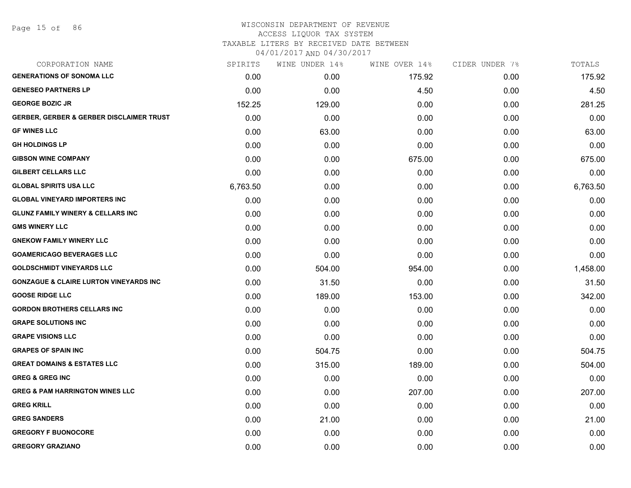| CORPORATION NAME                                    | SPIRITS  | WINE UNDER 14% | WINE OVER 14% | CIDER UNDER 7% | TOTALS   |
|-----------------------------------------------------|----------|----------------|---------------|----------------|----------|
| <b>GENERATIONS OF SONOMA LLC</b>                    | 0.00     | 0.00           | 175.92        | 0.00           | 175.92   |
| <b>GENESEO PARTNERS LP</b>                          | 0.00     | 0.00           | 4.50          | 0.00           | 4.50     |
| <b>GEORGE BOZIC JR</b>                              | 152.25   | 129.00         | 0.00          | 0.00           | 281.25   |
| <b>GERBER, GERBER &amp; GERBER DISCLAIMER TRUST</b> | 0.00     | 0.00           | 0.00          | 0.00           | 0.00     |
| <b>GF WINES LLC</b>                                 | 0.00     | 63.00          | 0.00          | 0.00           | 63.00    |
| <b>GH HOLDINGS LP</b>                               | 0.00     | 0.00           | 0.00          | 0.00           | 0.00     |
| <b>GIBSON WINE COMPANY</b>                          | 0.00     | 0.00           | 675.00        | 0.00           | 675.00   |
| <b>GILBERT CELLARS LLC</b>                          | 0.00     | 0.00           | 0.00          | 0.00           | 0.00     |
| <b>GLOBAL SPIRITS USA LLC</b>                       | 6,763.50 | 0.00           | 0.00          | 0.00           | 6,763.50 |
| <b>GLOBAL VINEYARD IMPORTERS INC</b>                | 0.00     | 0.00           | 0.00          | 0.00           | 0.00     |
| <b>GLUNZ FAMILY WINERY &amp; CELLARS INC</b>        | 0.00     | 0.00           | 0.00          | 0.00           | 0.00     |
| <b>GMS WINERY LLC</b>                               | 0.00     | 0.00           | 0.00          | 0.00           | 0.00     |
| <b>GNEKOW FAMILY WINERY LLC</b>                     | 0.00     | 0.00           | 0.00          | 0.00           | 0.00     |
| <b>GOAMERICAGO BEVERAGES LLC</b>                    | 0.00     | 0.00           | 0.00          | 0.00           | 0.00     |
| <b>GOLDSCHMIDT VINEYARDS LLC</b>                    | 0.00     | 504.00         | 954.00        | 0.00           | 1,458.00 |
| <b>GONZAGUE &amp; CLAIRE LURTON VINEYARDS INC</b>   | 0.00     | 31.50          | 0.00          | 0.00           | 31.50    |
| <b>GOOSE RIDGE LLC</b>                              | 0.00     | 189.00         | 153.00        | 0.00           | 342.00   |
| <b>GORDON BROTHERS CELLARS INC</b>                  | 0.00     | 0.00           | 0.00          | 0.00           | 0.00     |
| <b>GRAPE SOLUTIONS INC</b>                          | 0.00     | 0.00           | 0.00          | 0.00           | 0.00     |
| <b>GRAPE VISIONS LLC</b>                            | 0.00     | 0.00           | 0.00          | 0.00           | 0.00     |
| <b>GRAPES OF SPAIN INC</b>                          | 0.00     | 504.75         | 0.00          | 0.00           | 504.75   |
| <b>GREAT DOMAINS &amp; ESTATES LLC</b>              | 0.00     | 315.00         | 189.00        | 0.00           | 504.00   |
| <b>GREG &amp; GREG INC</b>                          | 0.00     | 0.00           | 0.00          | 0.00           | 0.00     |
| <b>GREG &amp; PAM HARRINGTON WINES LLC</b>          | 0.00     | 0.00           | 207.00        | 0.00           | 207.00   |
| <b>GREG KRILL</b>                                   | 0.00     | 0.00           | 0.00          | 0.00           | 0.00     |
| <b>GREG SANDERS</b>                                 | 0.00     | 21.00          | 0.00          | 0.00           | 21.00    |
| <b>GREGORY F BUONOCORE</b>                          | 0.00     | 0.00           | 0.00          | 0.00           | 0.00     |
| <b>GREGORY GRAZIANO</b>                             | 0.00     | 0.00           | 0.00          | 0.00           | 0.00     |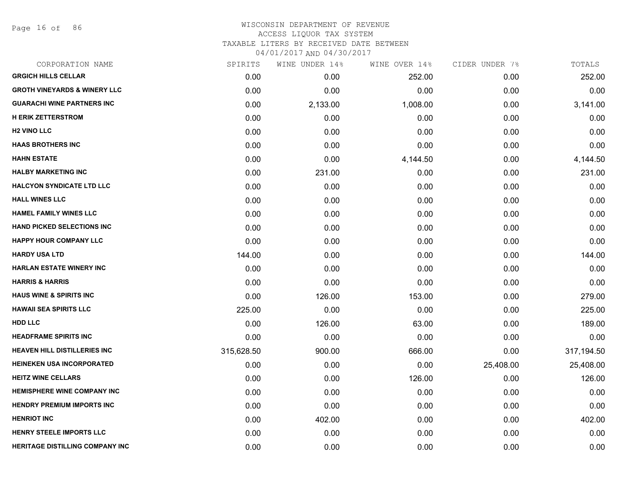Page 16 of 86

| CORPORATION NAME                        | SPIRITS    | WINE UNDER 14% | WINE OVER 14% | CIDER UNDER 7% | TOTALS     |
|-----------------------------------------|------------|----------------|---------------|----------------|------------|
| <b>GRGICH HILLS CELLAR</b>              | 0.00       | 0.00           | 252.00        | 0.00           | 252.00     |
| <b>GROTH VINEYARDS &amp; WINERY LLC</b> | 0.00       | 0.00           | 0.00          | 0.00           | 0.00       |
| <b>GUARACHI WINE PARTNERS INC</b>       | 0.00       | 2,133.00       | 1,008.00      | 0.00           | 3,141.00   |
| <b>H ERIK ZETTERSTROM</b>               | 0.00       | 0.00           | 0.00          | 0.00           | 0.00       |
| <b>H2 VINO LLC</b>                      | 0.00       | 0.00           | 0.00          | 0.00           | 0.00       |
| <b>HAAS BROTHERS INC</b>                | 0.00       | 0.00           | 0.00          | 0.00           | 0.00       |
| <b>HAHN ESTATE</b>                      | 0.00       | 0.00           | 4,144.50      | 0.00           | 4,144.50   |
| <b>HALBY MARKETING INC</b>              | 0.00       | 231.00         | 0.00          | 0.00           | 231.00     |
| <b>HALCYON SYNDICATE LTD LLC</b>        | 0.00       | 0.00           | 0.00          | 0.00           | 0.00       |
| <b>HALL WINES LLC</b>                   | 0.00       | 0.00           | 0.00          | 0.00           | 0.00       |
| <b>HAMEL FAMILY WINES LLC</b>           | 0.00       | 0.00           | 0.00          | 0.00           | 0.00       |
| <b>HAND PICKED SELECTIONS INC</b>       | 0.00       | 0.00           | 0.00          | 0.00           | 0.00       |
| <b>HAPPY HOUR COMPANY LLC</b>           | 0.00       | 0.00           | 0.00          | 0.00           | 0.00       |
| <b>HARDY USA LTD</b>                    | 144.00     | 0.00           | 0.00          | 0.00           | 144.00     |
| HARLAN ESTATE WINERY INC                | 0.00       | 0.00           | 0.00          | 0.00           | 0.00       |
| <b>HARRIS &amp; HARRIS</b>              | 0.00       | 0.00           | 0.00          | 0.00           | 0.00       |
| <b>HAUS WINE &amp; SPIRITS INC</b>      | 0.00       | 126.00         | 153.00        | 0.00           | 279.00     |
| <b>HAWAII SEA SPIRITS LLC</b>           | 225.00     | 0.00           | 0.00          | 0.00           | 225.00     |
| <b>HDD LLC</b>                          | 0.00       | 126.00         | 63.00         | 0.00           | 189.00     |
| <b>HEADFRAME SPIRITS INC</b>            | 0.00       | 0.00           | 0.00          | 0.00           | 0.00       |
| <b>HEAVEN HILL DISTILLERIES INC</b>     | 315,628.50 | 900.00         | 666.00        | 0.00           | 317,194.50 |
| <b>HEINEKEN USA INCORPORATED</b>        | 0.00       | 0.00           | 0.00          | 25,408.00      | 25,408.00  |
| <b>HEITZ WINE CELLARS</b>               | 0.00       | 0.00           | 126.00        | 0.00           | 126.00     |
| <b>HEMISPHERE WINE COMPANY INC</b>      | 0.00       | 0.00           | 0.00          | 0.00           | 0.00       |
| <b>HENDRY PREMIUM IMPORTS INC</b>       | 0.00       | 0.00           | 0.00          | 0.00           | 0.00       |
| <b>HENRIOT INC</b>                      | 0.00       | 402.00         | 0.00          | 0.00           | 402.00     |
| <b>HENRY STEELE IMPORTS LLC</b>         | 0.00       | 0.00           | 0.00          | 0.00           | 0.00       |
| <b>HERITAGE DISTILLING COMPANY INC</b>  | 0.00       | 0.00           | 0.00          | 0.00           | 0.00       |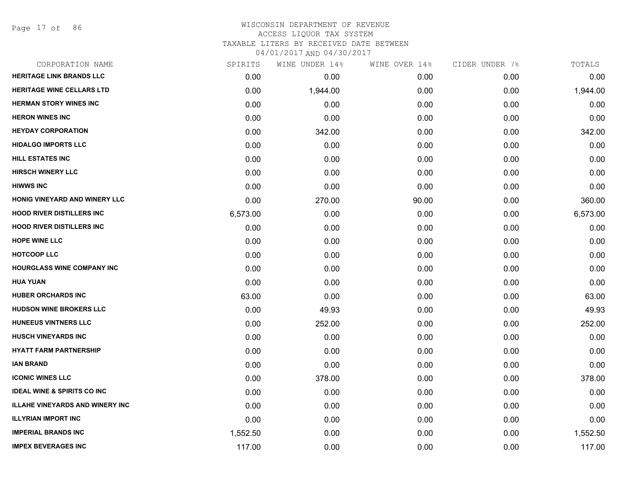Page 17 of 86

# WISCONSIN DEPARTMENT OF REVENUE ACCESS LIQUOR TAX SYSTEM TAXABLE LITERS BY RECEIVED DATE BETWEEN

| CORPORATION NAME                       | SPIRITS  | WINE UNDER 14% | WINE OVER 14% | CIDER UNDER 7% | TOTALS   |
|----------------------------------------|----------|----------------|---------------|----------------|----------|
| <b>HERITAGE LINK BRANDS LLC</b>        | 0.00     | 0.00           | 0.00          | 0.00           | 0.00     |
| HERITAGE WINE CELLARS LTD              | 0.00     | 1,944.00       | 0.00          | 0.00           | 1,944.00 |
| <b>HERMAN STORY WINES INC</b>          | 0.00     | 0.00           | 0.00          | 0.00           | 0.00     |
| <b>HERON WINES INC</b>                 | 0.00     | 0.00           | 0.00          | 0.00           | 0.00     |
| <b>HEYDAY CORPORATION</b>              | 0.00     | 342.00         | 0.00          | 0.00           | 342.00   |
| <b>HIDALGO IMPORTS LLC</b>             | 0.00     | 0.00           | 0.00          | 0.00           | 0.00     |
| <b>HILL ESTATES INC</b>                | 0.00     | 0.00           | 0.00          | 0.00           | 0.00     |
| <b>HIRSCH WINERY LLC</b>               | 0.00     | 0.00           | 0.00          | 0.00           | 0.00     |
| <b>HIWWS INC</b>                       | 0.00     | 0.00           | 0.00          | 0.00           | 0.00     |
| HONIG VINEYARD AND WINERY LLC          | 0.00     | 270.00         | 90.00         | 0.00           | 360.00   |
| <b>HOOD RIVER DISTILLERS INC</b>       | 6,573.00 | 0.00           | 0.00          | 0.00           | 6,573.00 |
| <b>HOOD RIVER DISTILLERS INC</b>       | 0.00     | 0.00           | 0.00          | 0.00           | 0.00     |
| <b>HOPE WINE LLC</b>                   | 0.00     | 0.00           | 0.00          | 0.00           | 0.00     |
| <b>HOTCOOP LLC</b>                     | 0.00     | 0.00           | 0.00          | 0.00           | 0.00     |
| <b>HOURGLASS WINE COMPANY INC</b>      | 0.00     | 0.00           | 0.00          | 0.00           | 0.00     |
| <b>HUA YUAN</b>                        | 0.00     | 0.00           | 0.00          | 0.00           | 0.00     |
| <b>HUBER ORCHARDS INC</b>              | 63.00    | 0.00           | 0.00          | 0.00           | 63.00    |
| <b>HUDSON WINE BROKERS LLC</b>         | 0.00     | 49.93          | 0.00          | 0.00           | 49.93    |
| <b>HUNEEUS VINTNERS LLC</b>            | 0.00     | 252.00         | 0.00          | 0.00           | 252.00   |
| <b>HUSCH VINEYARDS INC</b>             | 0.00     | 0.00           | 0.00          | 0.00           | 0.00     |
| <b>HYATT FARM PARTNERSHIP</b>          | 0.00     | 0.00           | 0.00          | 0.00           | 0.00     |
| <b>IAN BRAND</b>                       | 0.00     | 0.00           | 0.00          | 0.00           | 0.00     |
| <b>ICONIC WINES LLC</b>                | 0.00     | 378.00         | 0.00          | 0.00           | 378.00   |
| <b>IDEAL WINE &amp; SPIRITS CO INC</b> | 0.00     | 0.00           | 0.00          | 0.00           | 0.00     |
| <b>ILLAHE VINEYARDS AND WINERY INC</b> | 0.00     | 0.00           | 0.00          | 0.00           | 0.00     |
| <b>ILLYRIAN IMPORT INC</b>             | 0.00     | 0.00           | 0.00          | 0.00           | 0.00     |
| <b>IMPERIAL BRANDS INC</b>             | 1,552.50 | 0.00           | 0.00          | 0.00           | 1,552.50 |
| <b>IMPEX BEVERAGES INC</b>             | 117.00   | 0.00           | 0.00          | 0.00           | 117.00   |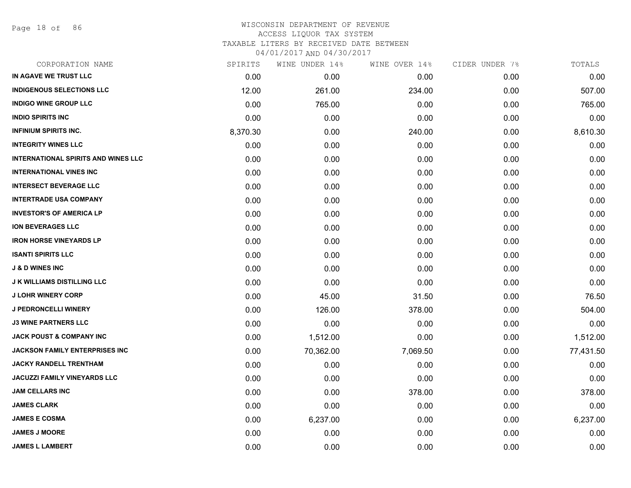Page 18 of 86

# WISCONSIN DEPARTMENT OF REVENUE ACCESS LIQUOR TAX SYSTEM TAXABLE LITERS BY RECEIVED DATE BETWEEN

| CORPORATION NAME                           | SPIRITS  | WINE UNDER 14% | WINE OVER 14% | CIDER UNDER 7% | TOTALS    |
|--------------------------------------------|----------|----------------|---------------|----------------|-----------|
| IN AGAVE WE TRUST LLC                      | 0.00     | 0.00           | 0.00          | 0.00           | 0.00      |
| <b>INDIGENOUS SELECTIONS LLC</b>           | 12.00    | 261.00         | 234.00        | 0.00           | 507.00    |
| <b>INDIGO WINE GROUP LLC</b>               | 0.00     | 765.00         | 0.00          | 0.00           | 765.00    |
| <b>INDIO SPIRITS INC</b>                   | 0.00     | 0.00           | 0.00          | 0.00           | 0.00      |
| <b>INFINIUM SPIRITS INC.</b>               | 8,370.30 | 0.00           | 240.00        | 0.00           | 8,610.30  |
| <b>INTEGRITY WINES LLC</b>                 | 0.00     | 0.00           | 0.00          | 0.00           | 0.00      |
| <b>INTERNATIONAL SPIRITS AND WINES LLC</b> | 0.00     | 0.00           | 0.00          | 0.00           | 0.00      |
| <b>INTERNATIONAL VINES INC</b>             | 0.00     | 0.00           | 0.00          | 0.00           | 0.00      |
| <b>INTERSECT BEVERAGE LLC</b>              | 0.00     | 0.00           | 0.00          | 0.00           | 0.00      |
| <b>INTERTRADE USA COMPANY</b>              | 0.00     | 0.00           | 0.00          | 0.00           | 0.00      |
| <b>INVESTOR'S OF AMERICA LP</b>            | 0.00     | 0.00           | 0.00          | 0.00           | 0.00      |
| ION BEVERAGES LLC                          | 0.00     | 0.00           | 0.00          | 0.00           | 0.00      |
| <b>IRON HORSE VINEYARDS LP</b>             | 0.00     | 0.00           | 0.00          | 0.00           | 0.00      |
| <b>ISANTI SPIRITS LLC</b>                  | 0.00     | 0.00           | 0.00          | 0.00           | 0.00      |
| <b>J &amp; D WINES INC</b>                 | 0.00     | 0.00           | 0.00          | 0.00           | 0.00      |
| <b>J K WILLIAMS DISTILLING LLC</b>         | 0.00     | 0.00           | 0.00          | 0.00           | 0.00      |
| <b>J LOHR WINERY CORP</b>                  | 0.00     | 45.00          | 31.50         | 0.00           | 76.50     |
| <b>J PEDRONCELLI WINERY</b>                | 0.00     | 126.00         | 378.00        | 0.00           | 504.00    |
| <b>J3 WINE PARTNERS LLC</b>                | 0.00     | 0.00           | 0.00          | 0.00           | 0.00      |
| <b>JACK POUST &amp; COMPANY INC</b>        | 0.00     | 1,512.00       | 0.00          | 0.00           | 1,512.00  |
| JACKSON FAMILY ENTERPRISES INC             | 0.00     | 70,362.00      | 7,069.50      | 0.00           | 77,431.50 |
| <b>JACKY RANDELL TRENTHAM</b>              | 0.00     | 0.00           | 0.00          | 0.00           | 0.00      |
| JACUZZI FAMILY VINEYARDS LLC               | 0.00     | 0.00           | 0.00          | 0.00           | 0.00      |
| <b>JAM CELLARS INC</b>                     | 0.00     | 0.00           | 378.00        | 0.00           | 378.00    |
| <b>JAMES CLARK</b>                         | 0.00     | 0.00           | 0.00          | 0.00           | 0.00      |
| <b>JAMES E COSMA</b>                       | 0.00     | 6,237.00       | 0.00          | 0.00           | 6,237.00  |
| <b>JAMES J MOORE</b>                       | 0.00     | 0.00           | 0.00          | 0.00           | 0.00      |
| <b>JAMES L LAMBERT</b>                     | 0.00     | 0.00           | 0.00          | 0.00           | 0.00      |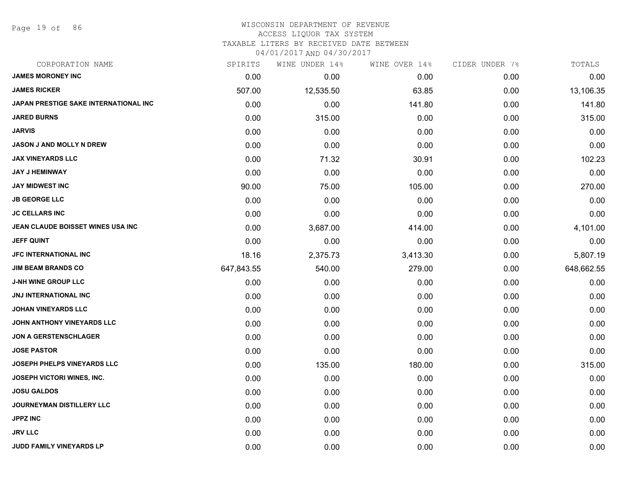Page 19 of 86

#### WISCONSIN DEPARTMENT OF REVENUE ACCESS LIQUOR TAX SYSTEM TAXABLE LITERS BY RECEIVED DATE BETWEEN

| CORPORATION NAME                      | SPIRITS    | WINE UNDER 14% | WINE OVER 14% | CIDER UNDER 7% | TOTALS     |
|---------------------------------------|------------|----------------|---------------|----------------|------------|
| <b>JAMES MORONEY INC</b>              | 0.00       | 0.00           | 0.00          | 0.00           | 0.00       |
| <b>JAMES RICKER</b>                   | 507.00     | 12,535.50      | 63.85         | 0.00           | 13,106.35  |
| JAPAN PRESTIGE SAKE INTERNATIONAL INC | 0.00       | 0.00           | 141.80        | 0.00           | 141.80     |
| <b>JARED BURNS</b>                    | 0.00       | 315.00         | 0.00          | 0.00           | 315.00     |
| <b>JARVIS</b>                         | 0.00       | 0.00           | 0.00          | 0.00           | 0.00       |
| <b>JASON J AND MOLLY N DREW</b>       | 0.00       | 0.00           | 0.00          | 0.00           | 0.00       |
| <b>JAX VINEYARDS LLC</b>              | 0.00       | 71.32          | 30.91         | 0.00           | 102.23     |
| <b>JAY J HEMINWAY</b>                 | 0.00       | 0.00           | 0.00          | 0.00           | 0.00       |
| <b>JAY MIDWEST INC</b>                | 90.00      | 75.00          | 105.00        | 0.00           | 270.00     |
| <b>JB GEORGE LLC</b>                  | 0.00       | 0.00           | 0.00          | 0.00           | 0.00       |
| <b>JC CELLARS INC</b>                 | 0.00       | 0.00           | 0.00          | 0.00           | 0.00       |
| JEAN CLAUDE BOISSET WINES USA INC     | 0.00       | 3,687.00       | 414.00        | 0.00           | 4,101.00   |
| <b>JEFF QUINT</b>                     | 0.00       | 0.00           | 0.00          | 0.00           | 0.00       |
| JFC INTERNATIONAL INC                 | 18.16      | 2,375.73       | 3,413.30      | 0.00           | 5,807.19   |
| <b>JIM BEAM BRANDS CO</b>             | 647,843.55 | 540.00         | 279.00        | 0.00           | 648,662.55 |
| <b>J-NH WINE GROUP LLC</b>            | 0.00       | 0.00           | 0.00          | 0.00           | 0.00       |
| <b>JNJ INTERNATIONAL INC</b>          | 0.00       | 0.00           | 0.00          | 0.00           | 0.00       |
| <b>JOHAN VINEYARDS LLC</b>            | 0.00       | 0.00           | 0.00          | 0.00           | 0.00       |
| JOHN ANTHONY VINEYARDS LLC            | 0.00       | 0.00           | 0.00          | 0.00           | 0.00       |
| <b>JON A GERSTENSCHLAGER</b>          | 0.00       | 0.00           | 0.00          | 0.00           | 0.00       |
| <b>JOSE PASTOR</b>                    | 0.00       | 0.00           | 0.00          | 0.00           | 0.00       |
| JOSEPH PHELPS VINEYARDS LLC           | 0.00       | 135.00         | 180.00        | 0.00           | 315.00     |
| <b>JOSEPH VICTORI WINES, INC.</b>     | 0.00       | 0.00           | 0.00          | 0.00           | 0.00       |
| <b>JOSU GALDOS</b>                    | 0.00       | 0.00           | 0.00          | 0.00           | 0.00       |
| JOURNEYMAN DISTILLERY LLC             | 0.00       | 0.00           | 0.00          | 0.00           | 0.00       |
| <b>JPPZ INC</b>                       | 0.00       | 0.00           | 0.00          | 0.00           | 0.00       |
| <b>JRV LLC</b>                        | 0.00       | 0.00           | 0.00          | 0.00           | 0.00       |
| <b>JUDD FAMILY VINEYARDS LP</b>       | 0.00       | 0.00           | 0.00          | 0.00           | 0.00       |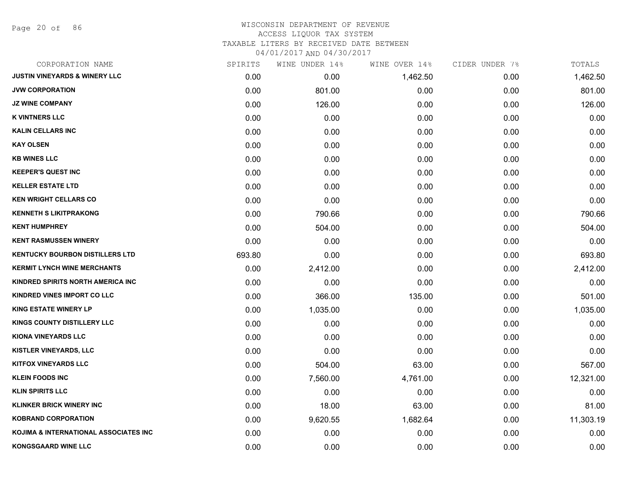Page 20 of 86

## WISCONSIN DEPARTMENT OF REVENUE ACCESS LIQUOR TAX SYSTEM TAXABLE LITERS BY RECEIVED DATE BETWEEN

| CORPORATION NAME                         | SPIRITS | WINE UNDER 14% | WINE OVER 14% | CIDER UNDER 7% | TOTALS    |
|------------------------------------------|---------|----------------|---------------|----------------|-----------|
| <b>JUSTIN VINEYARDS &amp; WINERY LLC</b> | 0.00    | 0.00           | 1,462.50      | 0.00           | 1,462.50  |
| <b>JVW CORPORATION</b>                   | 0.00    | 801.00         | 0.00          | 0.00           | 801.00    |
| <b>JZ WINE COMPANY</b>                   | 0.00    | 126.00         | 0.00          | 0.00           | 126.00    |
| <b>K VINTNERS LLC</b>                    | 0.00    | 0.00           | 0.00          | 0.00           | 0.00      |
| <b>KALIN CELLARS INC</b>                 | 0.00    | 0.00           | 0.00          | 0.00           | 0.00      |
| <b>KAY OLSEN</b>                         | 0.00    | 0.00           | 0.00          | 0.00           | 0.00      |
| <b>KB WINES LLC</b>                      | 0.00    | 0.00           | 0.00          | 0.00           | 0.00      |
| <b>KEEPER'S QUEST INC</b>                | 0.00    | 0.00           | 0.00          | 0.00           | 0.00      |
| <b>KELLER ESTATE LTD</b>                 | 0.00    | 0.00           | 0.00          | 0.00           | 0.00      |
| <b>KEN WRIGHT CELLARS CO</b>             | 0.00    | 0.00           | 0.00          | 0.00           | 0.00      |
| <b>KENNETH S LIKITPRAKONG</b>            | 0.00    | 790.66         | 0.00          | 0.00           | 790.66    |
| <b>KENT HUMPHREY</b>                     | 0.00    | 504.00         | 0.00          | 0.00           | 504.00    |
| <b>KENT RASMUSSEN WINERY</b>             | 0.00    | 0.00           | 0.00          | 0.00           | 0.00      |
| <b>KENTUCKY BOURBON DISTILLERS LTD</b>   | 693.80  | 0.00           | 0.00          | 0.00           | 693.80    |
| <b>KERMIT LYNCH WINE MERCHANTS</b>       | 0.00    | 2,412.00       | 0.00          | 0.00           | 2,412.00  |
| KINDRED SPIRITS NORTH AMERICA INC        | 0.00    | 0.00           | 0.00          | 0.00           | 0.00      |
| <b>KINDRED VINES IMPORT CO LLC</b>       | 0.00    | 366.00         | 135.00        | 0.00           | 501.00    |
| <b>KING ESTATE WINERY LP</b>             | 0.00    | 1,035.00       | 0.00          | 0.00           | 1,035.00  |
| KINGS COUNTY DISTILLERY LLC              | 0.00    | 0.00           | 0.00          | 0.00           | 0.00      |
| <b>KIONA VINEYARDS LLC</b>               | 0.00    | 0.00           | 0.00          | 0.00           | 0.00      |
| <b>KISTLER VINEYARDS, LLC</b>            | 0.00    | 0.00           | 0.00          | 0.00           | 0.00      |
| <b>KITFOX VINEYARDS LLC</b>              | 0.00    | 504.00         | 63.00         | 0.00           | 567.00    |
| <b>KLEIN FOODS INC</b>                   | 0.00    | 7,560.00       | 4,761.00      | 0.00           | 12,321.00 |
| <b>KLIN SPIRITS LLC</b>                  | 0.00    | 0.00           | 0.00          | 0.00           | 0.00      |
| <b>KLINKER BRICK WINERY INC</b>          | 0.00    | 18.00          | 63.00         | 0.00           | 81.00     |
| <b>KOBRAND CORPORATION</b>               | 0.00    | 9,620.55       | 1,682.64      | 0.00           | 11,303.19 |
| KOJIMA & INTERNATIONAL ASSOCIATES INC    | 0.00    | 0.00           | 0.00          | 0.00           | 0.00      |
| <b>KONGSGAARD WINE LLC</b>               | 0.00    | 0.00           | 0.00          | 0.00           | 0.00      |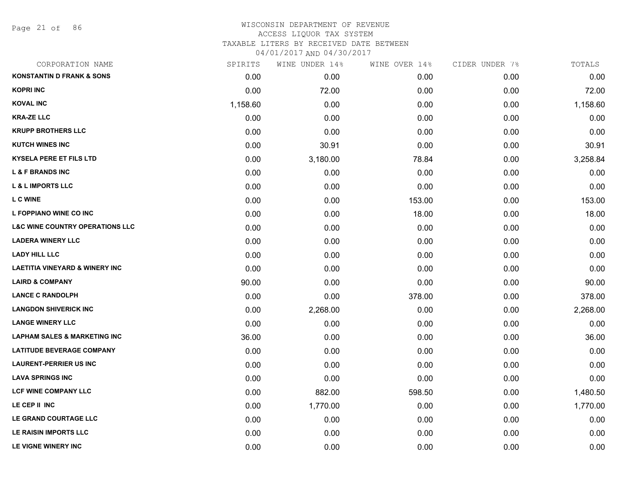Page 21 of 86

#### WISCONSIN DEPARTMENT OF REVENUE ACCESS LIQUOR TAX SYSTEM TAXABLE LITERS BY RECEIVED DATE BETWEEN

| CORPORATION NAME                           | SPIRITS  | WINE UNDER 14% | WINE OVER 14% | CIDER UNDER 7% | TOTALS   |
|--------------------------------------------|----------|----------------|---------------|----------------|----------|
| <b>KONSTANTIN D FRANK &amp; SONS</b>       | 0.00     | 0.00           | 0.00          | 0.00           | 0.00     |
| <b>KOPRI INC</b>                           | 0.00     | 72.00          | 0.00          | 0.00           | 72.00    |
| <b>KOVAL INC</b>                           | 1,158.60 | 0.00           | 0.00          | 0.00           | 1,158.60 |
| <b>KRA-ZE LLC</b>                          | 0.00     | 0.00           | 0.00          | 0.00           | 0.00     |
| <b>KRUPP BROTHERS LLC</b>                  | 0.00     | 0.00           | 0.00          | 0.00           | 0.00     |
| <b>KUTCH WINES INC</b>                     | 0.00     | 30.91          | 0.00          | 0.00           | 30.91    |
| <b>KYSELA PERE ET FILS LTD</b>             | 0.00     | 3,180.00       | 78.84         | 0.00           | 3,258.84 |
| <b>L &amp; F BRANDS INC</b>                | 0.00     | 0.00           | 0.00          | 0.00           | 0.00     |
| <b>L &amp; L IMPORTS LLC</b>               | 0.00     | 0.00           | 0.00          | 0.00           | 0.00     |
| <b>L C WINE</b>                            | 0.00     | 0.00           | 153.00        | 0.00           | 153.00   |
| L FOPPIANO WINE CO INC                     | 0.00     | 0.00           | 18.00         | 0.00           | 18.00    |
| <b>L&amp;C WINE COUNTRY OPERATIONS LLC</b> | 0.00     | 0.00           | 0.00          | 0.00           | 0.00     |
| <b>LADERA WINERY LLC</b>                   | 0.00     | 0.00           | 0.00          | 0.00           | 0.00     |
| <b>LADY HILL LLC</b>                       | 0.00     | 0.00           | 0.00          | 0.00           | 0.00     |
| <b>LAETITIA VINEYARD &amp; WINERY INC</b>  | 0.00     | 0.00           | 0.00          | 0.00           | 0.00     |
| <b>LAIRD &amp; COMPANY</b>                 | 90.00    | 0.00           | 0.00          | 0.00           | 90.00    |
| <b>LANCE C RANDOLPH</b>                    | 0.00     | 0.00           | 378.00        | 0.00           | 378.00   |
| <b>LANGDON SHIVERICK INC</b>               | 0.00     | 2,268.00       | 0.00          | 0.00           | 2,268.00 |
| <b>LANGE WINERY LLC</b>                    | 0.00     | 0.00           | 0.00          | 0.00           | 0.00     |
| <b>LAPHAM SALES &amp; MARKETING INC</b>    | 36.00    | 0.00           | 0.00          | 0.00           | 36.00    |
| <b>LATITUDE BEVERAGE COMPANY</b>           | 0.00     | 0.00           | 0.00          | 0.00           | 0.00     |
| <b>LAURENT-PERRIER US INC</b>              | 0.00     | 0.00           | 0.00          | 0.00           | 0.00     |
| <b>LAVA SPRINGS INC</b>                    | 0.00     | 0.00           | 0.00          | 0.00           | 0.00     |
| <b>LCF WINE COMPANY LLC</b>                | 0.00     | 882.00         | 598.50        | 0.00           | 1,480.50 |
| LE CEP II INC                              | 0.00     | 1,770.00       | 0.00          | 0.00           | 1,770.00 |
| LE GRAND COURTAGE LLC                      | 0.00     | 0.00           | 0.00          | 0.00           | 0.00     |
| LE RAISIN IMPORTS LLC                      | 0.00     | 0.00           | 0.00          | 0.00           | 0.00     |
| LE VIGNE WINERY INC                        | 0.00     | 0.00           | 0.00          | 0.00           | 0.00     |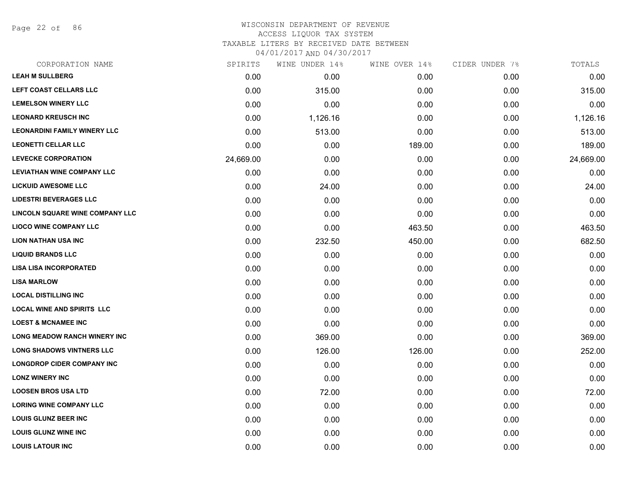Page 22 of 86

# WISCONSIN DEPARTMENT OF REVENUE ACCESS LIQUOR TAX SYSTEM TAXABLE LITERS BY RECEIVED DATE BETWEEN

| CORPORATION NAME                    | SPIRITS   | WINE UNDER 14% | WINE OVER 14% | CIDER UNDER 7% | TOTALS    |
|-------------------------------------|-----------|----------------|---------------|----------------|-----------|
| <b>LEAH M SULLBERG</b>              | 0.00      | 0.00           | 0.00          | 0.00           | 0.00      |
| <b>LEFT COAST CELLARS LLC</b>       | 0.00      | 315.00         | 0.00          | 0.00           | 315.00    |
| <b>LEMELSON WINERY LLC</b>          | 0.00      | 0.00           | 0.00          | 0.00           | 0.00      |
| <b>LEONARD KREUSCH INC</b>          | 0.00      | 1,126.16       | 0.00          | 0.00           | 1,126.16  |
| <b>LEONARDINI FAMILY WINERY LLC</b> | 0.00      | 513.00         | 0.00          | 0.00           | 513.00    |
| <b>LEONETTI CELLAR LLC</b>          | 0.00      | 0.00           | 189.00        | 0.00           | 189.00    |
| <b>LEVECKE CORPORATION</b>          | 24,669.00 | 0.00           | 0.00          | 0.00           | 24,669.00 |
| <b>LEVIATHAN WINE COMPANY LLC</b>   | 0.00      | 0.00           | 0.00          | 0.00           | 0.00      |
| <b>LICKUID AWESOME LLC</b>          | 0.00      | 24.00          | 0.00          | 0.00           | 24.00     |
| <b>LIDESTRI BEVERAGES LLC</b>       | 0.00      | 0.00           | 0.00          | 0.00           | 0.00      |
| LINCOLN SQUARE WINE COMPANY LLC     | 0.00      | 0.00           | 0.00          | 0.00           | 0.00      |
| <b>LIOCO WINE COMPANY LLC</b>       | 0.00      | 0.00           | 463.50        | 0.00           | 463.50    |
| <b>LION NATHAN USA INC</b>          | 0.00      | 232.50         | 450.00        | 0.00           | 682.50    |
| <b>LIQUID BRANDS LLC</b>            | 0.00      | 0.00           | 0.00          | 0.00           | 0.00      |
| <b>LISA LISA INCORPORATED</b>       | 0.00      | 0.00           | 0.00          | 0.00           | 0.00      |
| <b>LISA MARLOW</b>                  | 0.00      | 0.00           | 0.00          | 0.00           | 0.00      |
| <b>LOCAL DISTILLING INC</b>         | 0.00      | 0.00           | 0.00          | 0.00           | 0.00      |
| <b>LOCAL WINE AND SPIRITS LLC</b>   | 0.00      | 0.00           | 0.00          | 0.00           | 0.00      |
| <b>LOEST &amp; MCNAMEE INC</b>      | 0.00      | 0.00           | 0.00          | 0.00           | 0.00      |
| <b>LONG MEADOW RANCH WINERY INC</b> | 0.00      | 369.00         | 0.00          | 0.00           | 369.00    |
| <b>LONG SHADOWS VINTNERS LLC</b>    | 0.00      | 126.00         | 126.00        | 0.00           | 252.00    |
| <b>LONGDROP CIDER COMPANY INC</b>   | 0.00      | 0.00           | 0.00          | 0.00           | 0.00      |
| <b>LONZ WINERY INC</b>              | 0.00      | 0.00           | 0.00          | 0.00           | 0.00      |
| <b>LOOSEN BROS USA LTD</b>          | 0.00      | 72.00          | 0.00          | 0.00           | 72.00     |
| <b>LORING WINE COMPANY LLC</b>      | 0.00      | 0.00           | 0.00          | 0.00           | 0.00      |
| <b>LOUIS GLUNZ BEER INC</b>         | 0.00      | 0.00           | 0.00          | 0.00           | 0.00      |
| <b>LOUIS GLUNZ WINE INC</b>         | 0.00      | 0.00           | 0.00          | 0.00           | 0.00      |
| <b>LOUIS LATOUR INC</b>             | 0.00      | 0.00           | 0.00          | 0.00           | 0.00      |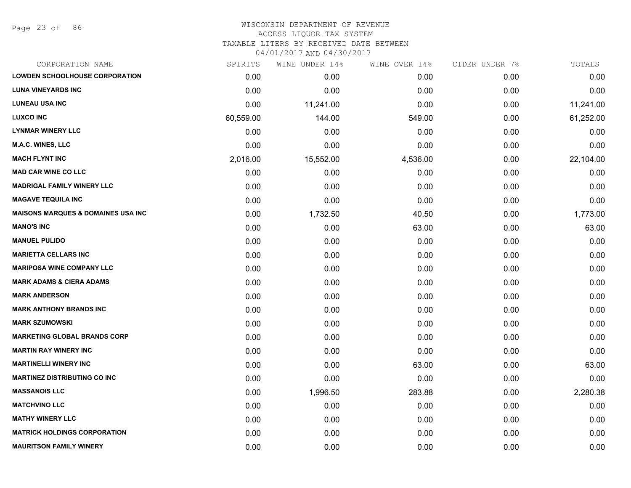Page 23 of 86

| CORPORATION NAME                              | SPIRITS   | WINE UNDER 14% | WINE OVER 14% | CIDER UNDER 7% | TOTALS    |
|-----------------------------------------------|-----------|----------------|---------------|----------------|-----------|
| <b>LOWDEN SCHOOLHOUSE CORPORATION</b>         | 0.00      | 0.00           | 0.00          | 0.00           | 0.00      |
| <b>LUNA VINEYARDS INC</b>                     | 0.00      | 0.00           | 0.00          | 0.00           | 0.00      |
| <b>LUNEAU USA INC</b>                         | 0.00      | 11,241.00      | 0.00          | 0.00           | 11,241.00 |
| <b>LUXCO INC</b>                              | 60,559.00 | 144.00         | 549.00        | 0.00           | 61,252.00 |
| <b>LYNMAR WINERY LLC</b>                      | 0.00      | 0.00           | 0.00          | 0.00           | 0.00      |
| <b>M.A.C. WINES, LLC</b>                      | 0.00      | 0.00           | 0.00          | 0.00           | 0.00      |
| <b>MACH FLYNT INC</b>                         | 2,016.00  | 15,552.00      | 4,536.00      | 0.00           | 22,104.00 |
| <b>MAD CAR WINE CO LLC</b>                    | 0.00      | 0.00           | 0.00          | 0.00           | 0.00      |
| <b>MADRIGAL FAMILY WINERY LLC</b>             | 0.00      | 0.00           | 0.00          | 0.00           | 0.00      |
| <b>MAGAVE TEQUILA INC</b>                     | 0.00      | 0.00           | 0.00          | 0.00           | 0.00      |
| <b>MAISONS MARQUES &amp; DOMAINES USA INC</b> | 0.00      | 1,732.50       | 40.50         | 0.00           | 1,773.00  |
| <b>MANO'S INC</b>                             | 0.00      | 0.00           | 63.00         | 0.00           | 63.00     |
| <b>MANUEL PULIDO</b>                          | 0.00      | 0.00           | 0.00          | 0.00           | 0.00      |
| <b>MARIETTA CELLARS INC</b>                   | 0.00      | 0.00           | 0.00          | 0.00           | 0.00      |
| <b>MARIPOSA WINE COMPANY LLC</b>              | 0.00      | 0.00           | 0.00          | 0.00           | 0.00      |
| <b>MARK ADAMS &amp; CIERA ADAMS</b>           | 0.00      | 0.00           | 0.00          | 0.00           | 0.00      |
| <b>MARK ANDERSON</b>                          | 0.00      | 0.00           | 0.00          | 0.00           | 0.00      |
| <b>MARK ANTHONY BRANDS INC</b>                | 0.00      | 0.00           | 0.00          | 0.00           | 0.00      |
| <b>MARK SZUMOWSKI</b>                         | 0.00      | 0.00           | 0.00          | 0.00           | 0.00      |
| <b>MARKETING GLOBAL BRANDS CORP</b>           | 0.00      | 0.00           | 0.00          | 0.00           | 0.00      |
| <b>MARTIN RAY WINERY INC</b>                  | 0.00      | 0.00           | 0.00          | 0.00           | 0.00      |
| <b>MARTINELLI WINERY INC</b>                  | 0.00      | 0.00           | 63.00         | 0.00           | 63.00     |
| <b>MARTINEZ DISTRIBUTING CO INC</b>           | 0.00      | 0.00           | 0.00          | 0.00           | 0.00      |
| <b>MASSANOIS LLC</b>                          | 0.00      | 1,996.50       | 283.88        | 0.00           | 2,280.38  |
| <b>MATCHVINO LLC</b>                          | 0.00      | 0.00           | 0.00          | 0.00           | 0.00      |
| <b>MATHY WINERY LLC</b>                       | 0.00      | 0.00           | 0.00          | 0.00           | 0.00      |
| <b>MATRICK HOLDINGS CORPORATION</b>           | 0.00      | 0.00           | 0.00          | 0.00           | 0.00      |
| <b>MAURITSON FAMILY WINERY</b>                | 0.00      | 0.00           | 0.00          | 0.00           | 0.00      |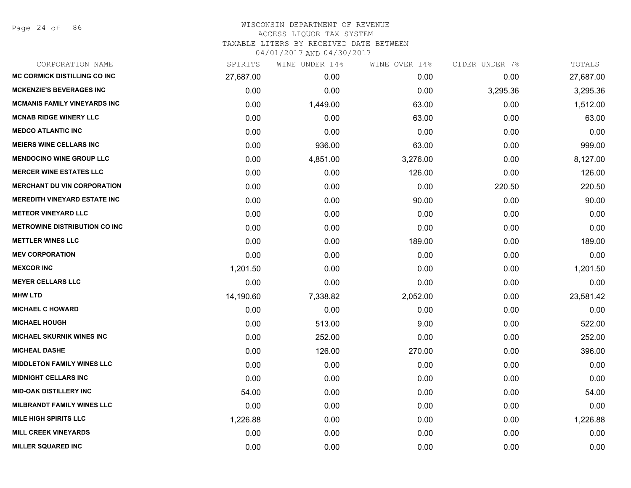Page 24 of 86

| CORPORATION NAME                     | SPIRITS   | WINE UNDER 14% | WINE OVER 14% | CIDER UNDER 7% | TOTALS    |
|--------------------------------------|-----------|----------------|---------------|----------------|-----------|
| <b>MC CORMICK DISTILLING CO INC</b>  | 27,687.00 | 0.00           | 0.00          | 0.00           | 27,687.00 |
| <b>MCKENZIE'S BEVERAGES INC</b>      | 0.00      | 0.00           | 0.00          | 3,295.36       | 3,295.36  |
| <b>MCMANIS FAMILY VINEYARDS INC</b>  | 0.00      | 1,449.00       | 63.00         | 0.00           | 1,512.00  |
| <b>MCNAB RIDGE WINERY LLC</b>        | 0.00      | 0.00           | 63.00         | 0.00           | 63.00     |
| <b>MEDCO ATLANTIC INC</b>            | 0.00      | 0.00           | 0.00          | 0.00           | 0.00      |
| <b>MEIERS WINE CELLARS INC</b>       | 0.00      | 936.00         | 63.00         | 0.00           | 999.00    |
| <b>MENDOCINO WINE GROUP LLC</b>      | 0.00      | 4,851.00       | 3,276.00      | 0.00           | 8,127.00  |
| <b>MERCER WINE ESTATES LLC</b>       | 0.00      | 0.00           | 126.00        | 0.00           | 126.00    |
| <b>MERCHANT DU VIN CORPORATION</b>   | 0.00      | 0.00           | 0.00          | 220.50         | 220.50    |
| <b>MEREDITH VINEYARD ESTATE INC</b>  | 0.00      | 0.00           | 90.00         | 0.00           | 90.00     |
| <b>METEOR VINEYARD LLC</b>           | 0.00      | 0.00           | 0.00          | 0.00           | 0.00      |
| <b>METROWINE DISTRIBUTION CO INC</b> | 0.00      | 0.00           | 0.00          | 0.00           | 0.00      |
| <b>METTLER WINES LLC</b>             | 0.00      | 0.00           | 189.00        | 0.00           | 189.00    |
| <b>MEV CORPORATION</b>               | 0.00      | 0.00           | 0.00          | 0.00           | 0.00      |
| <b>MEXCOR INC</b>                    | 1,201.50  | 0.00           | 0.00          | 0.00           | 1,201.50  |
| <b>MEYER CELLARS LLC</b>             | 0.00      | 0.00           | 0.00          | 0.00           | 0.00      |
| <b>MHW LTD</b>                       | 14,190.60 | 7,338.82       | 2,052.00      | 0.00           | 23,581.42 |
| <b>MICHAEL C HOWARD</b>              | 0.00      | 0.00           | 0.00          | 0.00           | 0.00      |
| <b>MICHAEL HOUGH</b>                 | 0.00      | 513.00         | 9.00          | 0.00           | 522.00    |
| <b>MICHAEL SKURNIK WINES INC</b>     | 0.00      | 252.00         | 0.00          | 0.00           | 252.00    |
| <b>MICHEAL DASHE</b>                 | 0.00      | 126.00         | 270.00        | 0.00           | 396.00    |
| <b>MIDDLETON FAMILY WINES LLC</b>    | 0.00      | 0.00           | 0.00          | 0.00           | 0.00      |
| <b>MIDNIGHT CELLARS INC</b>          | 0.00      | 0.00           | 0.00          | 0.00           | 0.00      |
| <b>MID-OAK DISTILLERY INC</b>        | 54.00     | 0.00           | 0.00          | 0.00           | 54.00     |
| <b>MILBRANDT FAMILY WINES LLC</b>    | 0.00      | 0.00           | 0.00          | 0.00           | 0.00      |
| <b>MILE HIGH SPIRITS LLC</b>         | 1,226.88  | 0.00           | 0.00          | 0.00           | 1,226.88  |
| <b>MILL CREEK VINEYARDS</b>          | 0.00      | 0.00           | 0.00          | 0.00           | 0.00      |
| <b>MILLER SQUARED INC</b>            | 0.00      | 0.00           | 0.00          | 0.00           | 0.00      |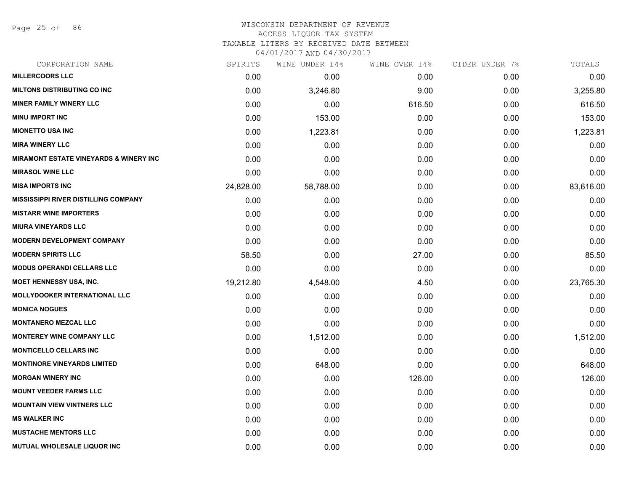Page 25 of 86

#### WISCONSIN DEPARTMENT OF REVENUE ACCESS LIQUOR TAX SYSTEM TAXABLE LITERS BY RECEIVED DATE BETWEEN

| CORPORATION NAME                                  | SPIRITS   | WINE UNDER 14% | WINE OVER 14% | CIDER UNDER 7% | TOTALS    |
|---------------------------------------------------|-----------|----------------|---------------|----------------|-----------|
| <b>MILLERCOORS LLC</b>                            | 0.00      | 0.00           | 0.00          | 0.00           | 0.00      |
| <b>MILTONS DISTRIBUTING CO INC</b>                | 0.00      | 3,246.80       | 9.00          | 0.00           | 3,255.80  |
| <b>MINER FAMILY WINERY LLC</b>                    | 0.00      | 0.00           | 616.50        | 0.00           | 616.50    |
| <b>MINU IMPORT INC</b>                            | 0.00      | 153.00         | 0.00          | 0.00           | 153.00    |
| <b>MIONETTO USA INC</b>                           | 0.00      | 1,223.81       | 0.00          | 0.00           | 1,223.81  |
| <b>MIRA WINERY LLC</b>                            | 0.00      | 0.00           | 0.00          | 0.00           | 0.00      |
| <b>MIRAMONT ESTATE VINEYARDS &amp; WINERY INC</b> | 0.00      | 0.00           | 0.00          | 0.00           | 0.00      |
| <b>MIRASOL WINE LLC</b>                           | 0.00      | 0.00           | 0.00          | 0.00           | 0.00      |
| <b>MISA IMPORTS INC</b>                           | 24,828.00 | 58,788.00      | 0.00          | 0.00           | 83,616.00 |
| <b>MISSISSIPPI RIVER DISTILLING COMPANY</b>       | 0.00      | 0.00           | 0.00          | 0.00           | 0.00      |
| <b>MISTARR WINE IMPORTERS</b>                     | 0.00      | 0.00           | 0.00          | 0.00           | 0.00      |
| <b>MIURA VINEYARDS LLC</b>                        | 0.00      | 0.00           | 0.00          | 0.00           | 0.00      |
| <b>MODERN DEVELOPMENT COMPANY</b>                 | 0.00      | 0.00           | 0.00          | 0.00           | 0.00      |
| <b>MODERN SPIRITS LLC</b>                         | 58.50     | 0.00           | 27.00         | 0.00           | 85.50     |
| <b>MODUS OPERANDI CELLARS LLC</b>                 | 0.00      | 0.00           | 0.00          | 0.00           | 0.00      |
| <b>MOET HENNESSY USA, INC.</b>                    | 19,212.80 | 4,548.00       | 4.50          | 0.00           | 23,765.30 |
| <b>MOLLYDOOKER INTERNATIONAL LLC</b>              | 0.00      | 0.00           | 0.00          | 0.00           | 0.00      |
| <b>MONICA NOGUES</b>                              | 0.00      | 0.00           | 0.00          | 0.00           | 0.00      |
| <b>MONTANERO MEZCAL LLC</b>                       | 0.00      | 0.00           | 0.00          | 0.00           | 0.00      |
| <b>MONTEREY WINE COMPANY LLC</b>                  | 0.00      | 1,512.00       | 0.00          | 0.00           | 1,512.00  |
| <b>MONTICELLO CELLARS INC</b>                     | 0.00      | 0.00           | 0.00          | 0.00           | 0.00      |
| <b>MONTINORE VINEYARDS LIMITED</b>                | 0.00      | 648.00         | 0.00          | 0.00           | 648.00    |
| <b>MORGAN WINERY INC</b>                          | 0.00      | 0.00           | 126.00        | 0.00           | 126.00    |
| <b>MOUNT VEEDER FARMS LLC</b>                     | 0.00      | 0.00           | 0.00          | 0.00           | 0.00      |
| <b>MOUNTAIN VIEW VINTNERS LLC</b>                 | 0.00      | 0.00           | 0.00          | 0.00           | 0.00      |
| <b>MS WALKER INC</b>                              | 0.00      | 0.00           | 0.00          | 0.00           | 0.00      |
| <b>MUSTACHE MENTORS LLC</b>                       | 0.00      | 0.00           | 0.00          | 0.00           | 0.00      |
| MUTUAL WHOLESALE LIQUOR INC                       | 0.00      | 0.00           | 0.00          | 0.00           | 0.00      |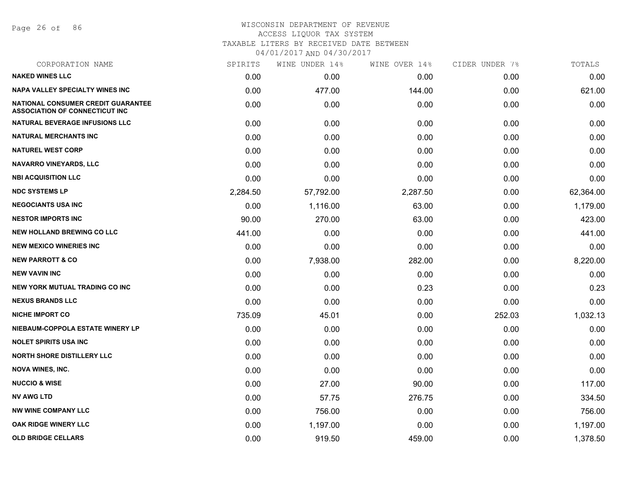Page 26 of 86

| CORPORATION NAME                                                            | SPIRITS  | WINE UNDER 14% | WINE OVER 14% | CIDER UNDER 7% | TOTALS    |
|-----------------------------------------------------------------------------|----------|----------------|---------------|----------------|-----------|
| <b>NAKED WINES LLC</b>                                                      | 0.00     | 0.00           | 0.00          | 0.00           | 0.00      |
| <b>NAPA VALLEY SPECIALTY WINES INC</b>                                      | 0.00     | 477.00         | 144.00        | 0.00           | 621.00    |
| NATIONAL CONSUMER CREDIT GUARANTEE<br><b>ASSOCIATION OF CONNECTICUT INC</b> | 0.00     | 0.00           | 0.00          | 0.00           | 0.00      |
| <b>NATURAL BEVERAGE INFUSIONS LLC</b>                                       | 0.00     | 0.00           | 0.00          | 0.00           | 0.00      |
| <b>NATURAL MERCHANTS INC</b>                                                | 0.00     | 0.00           | 0.00          | 0.00           | 0.00      |
| <b>NATUREL WEST CORP</b>                                                    | 0.00     | 0.00           | 0.00          | 0.00           | 0.00      |
| <b>NAVARRO VINEYARDS, LLC</b>                                               | 0.00     | 0.00           | 0.00          | 0.00           | 0.00      |
| <b>NBI ACQUISITION LLC</b>                                                  | 0.00     | 0.00           | 0.00          | 0.00           | 0.00      |
| <b>NDC SYSTEMS LP</b>                                                       | 2,284.50 | 57,792.00      | 2,287.50      | 0.00           | 62,364.00 |
| <b>NEGOCIANTS USA INC</b>                                                   | 0.00     | 1,116.00       | 63.00         | 0.00           | 1,179.00  |
| <b>NESTOR IMPORTS INC</b>                                                   | 90.00    | 270.00         | 63.00         | 0.00           | 423.00    |
| <b>NEW HOLLAND BREWING CO LLC</b>                                           | 441.00   | 0.00           | 0.00          | 0.00           | 441.00    |
| <b>NEW MEXICO WINERIES INC</b>                                              | 0.00     | 0.00           | 0.00          | 0.00           | 0.00      |
| <b>NEW PARROTT &amp; CO</b>                                                 | 0.00     | 7,938.00       | 282.00        | 0.00           | 8,220.00  |
| <b>NEW VAVIN INC</b>                                                        | 0.00     | 0.00           | 0.00          | 0.00           | 0.00      |
| <b>NEW YORK MUTUAL TRADING CO INC</b>                                       | 0.00     | 0.00           | 0.23          | 0.00           | 0.23      |
| <b>NEXUS BRANDS LLC</b>                                                     | 0.00     | 0.00           | 0.00          | 0.00           | 0.00      |
| <b>NICHE IMPORT CO</b>                                                      | 735.09   | 45.01          | 0.00          | 252.03         | 1,032.13  |
| NIEBAUM-COPPOLA ESTATE WINERY LP                                            | 0.00     | 0.00           | 0.00          | 0.00           | 0.00      |
| <b>NOLET SPIRITS USA INC</b>                                                | 0.00     | 0.00           | 0.00          | 0.00           | 0.00      |
| <b>NORTH SHORE DISTILLERY LLC</b>                                           | 0.00     | 0.00           | 0.00          | 0.00           | 0.00      |
| <b>NOVA WINES, INC.</b>                                                     | 0.00     | 0.00           | 0.00          | 0.00           | 0.00      |
| <b>NUCCIO &amp; WISE</b>                                                    | 0.00     | 27.00          | 90.00         | 0.00           | 117.00    |
| <b>NV AWG LTD</b>                                                           | 0.00     | 57.75          | 276.75        | 0.00           | 334.50    |
| <b>NW WINE COMPANY LLC</b>                                                  | 0.00     | 756.00         | 0.00          | 0.00           | 756.00    |
| OAK RIDGE WINERY LLC                                                        | 0.00     | 1,197.00       | 0.00          | 0.00           | 1,197.00  |
| <b>OLD BRIDGE CELLARS</b>                                                   | 0.00     | 919.50         | 459.00        | 0.00           | 1,378.50  |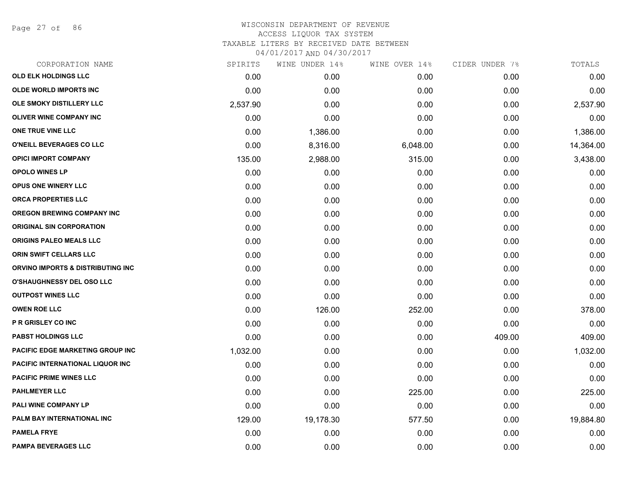Page 27 of 86

| SPIRITS  | WINE UNDER 14% | WINE OVER 14% | CIDER UNDER 7% | TOTALS    |
|----------|----------------|---------------|----------------|-----------|
| 0.00     | 0.00           | 0.00          | 0.00           | 0.00      |
| 0.00     | 0.00           | 0.00          | 0.00           | 0.00      |
| 2,537.90 | 0.00           | 0.00          | 0.00           | 2,537.90  |
| 0.00     | 0.00           | 0.00          | 0.00           | 0.00      |
| 0.00     | 1,386.00       | 0.00          | 0.00           | 1,386.00  |
| 0.00     | 8,316.00       | 6,048.00      | 0.00           | 14,364.00 |
| 135.00   | 2,988.00       | 315.00        | 0.00           | 3,438.00  |
| 0.00     | 0.00           | 0.00          | 0.00           | 0.00      |
| 0.00     | 0.00           | 0.00          | 0.00           | 0.00      |
| 0.00     | 0.00           | 0.00          | 0.00           | 0.00      |
| 0.00     | 0.00           | 0.00          | 0.00           | 0.00      |
| 0.00     | 0.00           | 0.00          | 0.00           | 0.00      |
| 0.00     | 0.00           | 0.00          | 0.00           | 0.00      |
| 0.00     | 0.00           | 0.00          | 0.00           | 0.00      |
| 0.00     | 0.00           | 0.00          | 0.00           | 0.00      |
| 0.00     | 0.00           | 0.00          | 0.00           | 0.00      |
| 0.00     | 0.00           | 0.00          | 0.00           | 0.00      |
| 0.00     | 126.00         | 252.00        | 0.00           | 378.00    |
| 0.00     | 0.00           | 0.00          | 0.00           | 0.00      |
| 0.00     | 0.00           | 0.00          | 409.00         | 409.00    |
| 1,032.00 | 0.00           | 0.00          | 0.00           | 1,032.00  |
| 0.00     | 0.00           | 0.00          | 0.00           | 0.00      |
| 0.00     | 0.00           | 0.00          | 0.00           | 0.00      |
| 0.00     | 0.00           | 225.00        | 0.00           | 225.00    |
| 0.00     | 0.00           | 0.00          | 0.00           | 0.00      |
| 129.00   | 19,178.30      | 577.50        | 0.00           | 19,884.80 |
| 0.00     | 0.00           | 0.00          | 0.00           | 0.00      |
| 0.00     | 0.00           | 0.00          | 0.00           | 0.00      |
|          |                |               |                |           |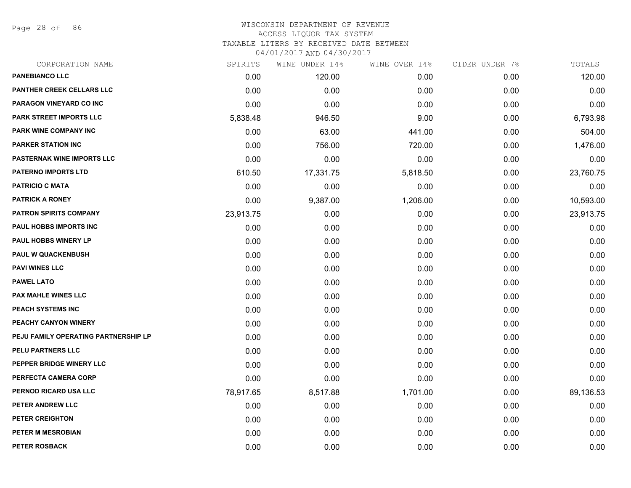Page 28 of 86

| CORPORATION NAME                     | SPIRITS   | WINE UNDER 14% | WINE OVER 14% | CIDER UNDER 7% | TOTALS    |
|--------------------------------------|-----------|----------------|---------------|----------------|-----------|
| <b>PANEBIANCO LLC</b>                | 0.00      | 120.00         | 0.00          | 0.00           | 120.00    |
| PANTHER CREEK CELLARS LLC            | 0.00      | 0.00           | 0.00          | 0.00           | 0.00      |
| PARAGON VINEYARD CO INC              | 0.00      | 0.00           | 0.00          | 0.00           | 0.00      |
| <b>PARK STREET IMPORTS LLC</b>       | 5,838.48  | 946.50         | 9.00          | 0.00           | 6,793.98  |
| PARK WINE COMPANY INC                | 0.00      | 63.00          | 441.00        | 0.00           | 504.00    |
| <b>PARKER STATION INC</b>            | 0.00      | 756.00         | 720.00        | 0.00           | 1,476.00  |
| <b>PASTERNAK WINE IMPORTS LLC</b>    | 0.00      | 0.00           | 0.00          | 0.00           | 0.00      |
| <b>PATERNO IMPORTS LTD</b>           | 610.50    | 17,331.75      | 5,818.50      | 0.00           | 23,760.75 |
| <b>PATRICIO C MATA</b>               | 0.00      | 0.00           | 0.00          | 0.00           | 0.00      |
| <b>PATRICK A RONEY</b>               | 0.00      | 9,387.00       | 1,206.00      | 0.00           | 10,593.00 |
| <b>PATRON SPIRITS COMPANY</b>        | 23,913.75 | 0.00           | 0.00          | 0.00           | 23,913.75 |
| PAUL HOBBS IMPORTS INC               | 0.00      | 0.00           | 0.00          | 0.00           | 0.00      |
| PAUL HOBBS WINERY LP                 | 0.00      | 0.00           | 0.00          | 0.00           | 0.00      |
| <b>PAUL W QUACKENBUSH</b>            | 0.00      | 0.00           | 0.00          | 0.00           | 0.00      |
| <b>PAVI WINES LLC</b>                | 0.00      | 0.00           | 0.00          | 0.00           | 0.00      |
| <b>PAWEL LATO</b>                    | 0.00      | 0.00           | 0.00          | 0.00           | 0.00      |
| PAX MAHLE WINES LLC                  | 0.00      | 0.00           | 0.00          | 0.00           | 0.00      |
| PEACH SYSTEMS INC                    | 0.00      | 0.00           | 0.00          | 0.00           | 0.00      |
| PEACHY CANYON WINERY                 | 0.00      | 0.00           | 0.00          | 0.00           | 0.00      |
| PEJU FAMILY OPERATING PARTNERSHIP LP | 0.00      | 0.00           | 0.00          | 0.00           | 0.00      |
| PELU PARTNERS LLC                    | 0.00      | 0.00           | 0.00          | 0.00           | 0.00      |
| PEPPER BRIDGE WINERY LLC             | 0.00      | 0.00           | 0.00          | 0.00           | 0.00      |
| PERFECTA CAMERA CORP                 | 0.00      | 0.00           | 0.00          | 0.00           | 0.00      |
| PERNOD RICARD USA LLC                | 78,917.65 | 8,517.88       | 1,701.00      | 0.00           | 89,136.53 |
| PETER ANDREW LLC                     | 0.00      | 0.00           | 0.00          | 0.00           | 0.00      |
| PETER CREIGHTON                      | 0.00      | 0.00           | 0.00          | 0.00           | 0.00      |
| PETER M MESROBIAN                    | 0.00      | 0.00           | 0.00          | 0.00           | 0.00      |
| PETER ROSBACK                        | 0.00      | 0.00           | 0.00          | 0.00           | 0.00      |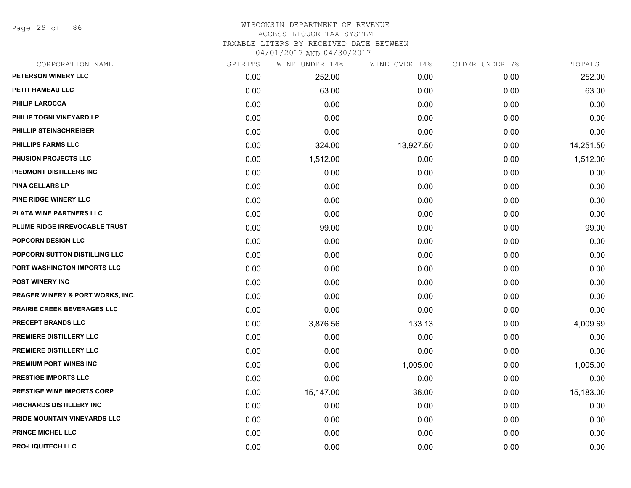Page 29 of 86

| CORPORATION NAME                            | SPIRITS | WINE UNDER 14% | WINE OVER 14% | CIDER UNDER 7% | TOTALS    |
|---------------------------------------------|---------|----------------|---------------|----------------|-----------|
| PETERSON WINERY LLC                         | 0.00    | 252.00         | 0.00          | 0.00           | 252.00    |
| PETIT HAMEAU LLC                            | 0.00    | 63.00          | 0.00          | 0.00           | 63.00     |
| PHILIP LAROCCA                              | 0.00    | 0.00           | 0.00          | 0.00           | 0.00      |
| PHILIP TOGNI VINEYARD LP                    | 0.00    | 0.00           | 0.00          | 0.00           | 0.00      |
| PHILLIP STEINSCHREIBER                      | 0.00    | 0.00           | 0.00          | 0.00           | 0.00      |
| <b>PHILLIPS FARMS LLC</b>                   | 0.00    | 324.00         | 13,927.50     | 0.00           | 14,251.50 |
| PHUSION PROJECTS LLC                        | 0.00    | 1,512.00       | 0.00          | 0.00           | 1,512.00  |
| PIEDMONT DISTILLERS INC                     | 0.00    | 0.00           | 0.00          | 0.00           | 0.00      |
| <b>PINA CELLARS LP</b>                      | 0.00    | 0.00           | 0.00          | 0.00           | 0.00      |
| <b>PINE RIDGE WINERY LLC</b>                | 0.00    | 0.00           | 0.00          | 0.00           | 0.00      |
| PLATA WINE PARTNERS LLC                     | 0.00    | 0.00           | 0.00          | 0.00           | 0.00      |
| PLUME RIDGE IRREVOCABLE TRUST               | 0.00    | 99.00          | 0.00          | 0.00           | 99.00     |
| POPCORN DESIGN LLC                          | 0.00    | 0.00           | 0.00          | 0.00           | 0.00      |
| POPCORN SUTTON DISTILLING LLC               | 0.00    | 0.00           | 0.00          | 0.00           | 0.00      |
| PORT WASHINGTON IMPORTS LLC                 | 0.00    | 0.00           | 0.00          | 0.00           | 0.00      |
| <b>POST WINERY INC</b>                      | 0.00    | 0.00           | 0.00          | 0.00           | 0.00      |
| <b>PRAGER WINERY &amp; PORT WORKS, INC.</b> | 0.00    | 0.00           | 0.00          | 0.00           | 0.00      |
| PRAIRIE CREEK BEVERAGES LLC                 | 0.00    | 0.00           | 0.00          | 0.00           | 0.00      |
| <b>PRECEPT BRANDS LLC</b>                   | 0.00    | 3,876.56       | 133.13        | 0.00           | 4,009.69  |
| PREMIERE DISTILLERY LLC                     | 0.00    | 0.00           | 0.00          | 0.00           | 0.00      |
| PREMIERE DISTILLERY LLC                     | 0.00    | 0.00           | 0.00          | 0.00           | 0.00      |
| PREMIUM PORT WINES INC                      | 0.00    | 0.00           | 1,005.00      | 0.00           | 1,005.00  |
| PRESTIGE IMPORTS LLC                        | 0.00    | 0.00           | 0.00          | 0.00           | 0.00      |
| <b>PRESTIGE WINE IMPORTS CORP</b>           | 0.00    | 15,147.00      | 36.00         | 0.00           | 15,183.00 |
| PRICHARDS DISTILLERY INC                    | 0.00    | 0.00           | 0.00          | 0.00           | 0.00      |
| PRIDE MOUNTAIN VINEYARDS LLC                | 0.00    | 0.00           | 0.00          | 0.00           | 0.00      |
| <b>PRINCE MICHEL LLC</b>                    | 0.00    | 0.00           | 0.00          | 0.00           | 0.00      |
| <b>PRO-LIQUITECH LLC</b>                    | 0.00    | 0.00           | 0.00          | 0.00           | 0.00      |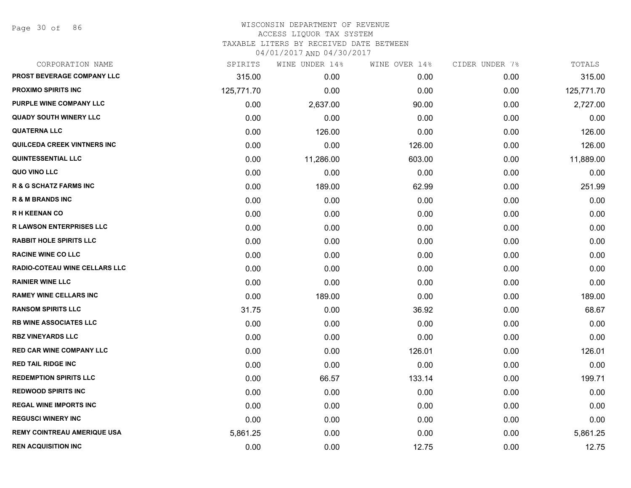Page 30 of 86

# WISCONSIN DEPARTMENT OF REVENUE ACCESS LIQUOR TAX SYSTEM

TAXABLE LITERS BY RECEIVED DATE BETWEEN

| CORPORATION NAME                     | SPIRITS    | WINE UNDER 14% | WINE OVER 14% | CIDER UNDER 7% | TOTALS     |
|--------------------------------------|------------|----------------|---------------|----------------|------------|
| PROST BEVERAGE COMPANY LLC           | 315.00     | 0.00           | 0.00          | 0.00           | 315.00     |
| <b>PROXIMO SPIRITS INC</b>           | 125,771.70 | 0.00           | 0.00          | 0.00           | 125,771.70 |
| PURPLE WINE COMPANY LLC              | 0.00       | 2,637.00       | 90.00         | 0.00           | 2,727.00   |
| <b>QUADY SOUTH WINERY LLC</b>        | 0.00       | 0.00           | 0.00          | 0.00           | 0.00       |
| <b>QUATERNA LLC</b>                  | 0.00       | 126.00         | 0.00          | 0.00           | 126.00     |
| QUILCEDA CREEK VINTNERS INC          | 0.00       | 0.00           | 126.00        | 0.00           | 126.00     |
| <b>QUINTESSENTIAL LLC</b>            | 0.00       | 11,286.00      | 603.00        | 0.00           | 11,889.00  |
| QUO VINO LLC                         | 0.00       | 0.00           | 0.00          | 0.00           | 0.00       |
| <b>R &amp; G SCHATZ FARMS INC</b>    | 0.00       | 189.00         | 62.99         | 0.00           | 251.99     |
| <b>R &amp; M BRANDS INC</b>          | 0.00       | 0.00           | 0.00          | 0.00           | 0.00       |
| <b>RH KEENAN CO</b>                  | 0.00       | 0.00           | 0.00          | 0.00           | 0.00       |
| <b>R LAWSON ENTERPRISES LLC</b>      | 0.00       | 0.00           | 0.00          | 0.00           | 0.00       |
| <b>RABBIT HOLE SPIRITS LLC</b>       | 0.00       | 0.00           | 0.00          | 0.00           | 0.00       |
| <b>RACINE WINE CO LLC</b>            | 0.00       | 0.00           | 0.00          | 0.00           | 0.00       |
| <b>RADIO-COTEAU WINE CELLARS LLC</b> | 0.00       | 0.00           | 0.00          | 0.00           | 0.00       |
| <b>RAINIER WINE LLC</b>              | 0.00       | 0.00           | 0.00          | 0.00           | 0.00       |
| <b>RAMEY WINE CELLARS INC</b>        | 0.00       | 189.00         | 0.00          | 0.00           | 189.00     |
| <b>RANSOM SPIRITS LLC</b>            | 31.75      | 0.00           | 36.92         | 0.00           | 68.67      |
| <b>RB WINE ASSOCIATES LLC</b>        | 0.00       | 0.00           | 0.00          | 0.00           | 0.00       |
| <b>RBZ VINEYARDS LLC</b>             | 0.00       | 0.00           | 0.00          | 0.00           | 0.00       |
| <b>RED CAR WINE COMPANY LLC</b>      | 0.00       | 0.00           | 126.01        | 0.00           | 126.01     |
| <b>RED TAIL RIDGE INC</b>            | 0.00       | 0.00           | 0.00          | 0.00           | 0.00       |
| <b>REDEMPTION SPIRITS LLC</b>        | 0.00       | 66.57          | 133.14        | 0.00           | 199.71     |
| <b>REDWOOD SPIRITS INC</b>           | 0.00       | 0.00           | 0.00          | 0.00           | 0.00       |
| <b>REGAL WINE IMPORTS INC</b>        | 0.00       | 0.00           | 0.00          | 0.00           | 0.00       |
| <b>REGUSCI WINERY INC</b>            | 0.00       | 0.00           | 0.00          | 0.00           | 0.00       |
| <b>REMY COINTREAU AMERIQUE USA</b>   | 5,861.25   | 0.00           | 0.00          | 0.00           | 5,861.25   |
| <b>REN ACQUISITION INC</b>           | 0.00       | 0.00           | 12.75         | 0.00           | 12.75      |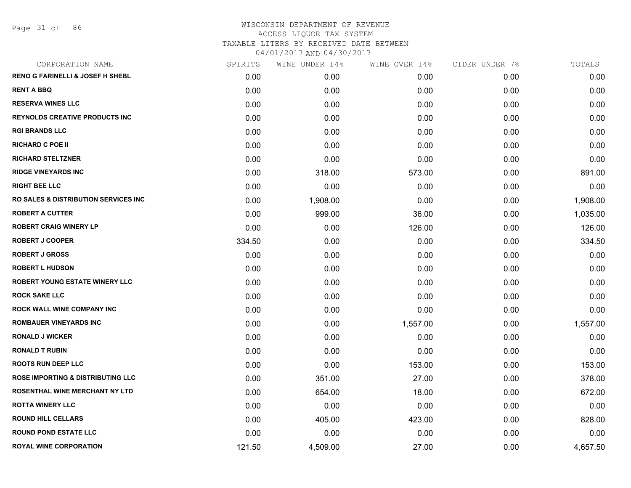| CORPORATION NAME                             | SPIRITS | WINE UNDER 14% | WINE OVER 14% | CIDER UNDER 7% | TOTALS   |
|----------------------------------------------|---------|----------------|---------------|----------------|----------|
| <b>RENO G FARINELLI &amp; JOSEF H SHEBL</b>  | 0.00    | 0.00           | 0.00          | 0.00           | 0.00     |
| <b>RENT A BBQ</b>                            | 0.00    | 0.00           | 0.00          | 0.00           | 0.00     |
| <b>RESERVA WINES LLC</b>                     | 0.00    | 0.00           | 0.00          | 0.00           | 0.00     |
| <b>REYNOLDS CREATIVE PRODUCTS INC</b>        | 0.00    | 0.00           | 0.00          | 0.00           | 0.00     |
| <b>RGI BRANDS LLC</b>                        | 0.00    | 0.00           | 0.00          | 0.00           | 0.00     |
| <b>RICHARD C POE II</b>                      | 0.00    | 0.00           | 0.00          | 0.00           | 0.00     |
| <b>RICHARD STELTZNER</b>                     | 0.00    | 0.00           | 0.00          | 0.00           | 0.00     |
| <b>RIDGE VINEYARDS INC</b>                   | 0.00    | 318.00         | 573.00        | 0.00           | 891.00   |
| <b>RIGHT BEE LLC</b>                         | 0.00    | 0.00           | 0.00          | 0.00           | 0.00     |
| RO SALES & DISTRIBUTION SERVICES INC         | 0.00    | 1,908.00       | 0.00          | 0.00           | 1,908.00 |
| <b>ROBERT A CUTTER</b>                       | 0.00    | 999.00         | 36.00         | 0.00           | 1,035.00 |
| <b>ROBERT CRAIG WINERY LP</b>                | 0.00    | 0.00           | 126.00        | 0.00           | 126.00   |
| <b>ROBERT J COOPER</b>                       | 334.50  | 0.00           | 0.00          | 0.00           | 334.50   |
| <b>ROBERT J GROSS</b>                        | 0.00    | 0.00           | 0.00          | 0.00           | 0.00     |
| <b>ROBERT L HUDSON</b>                       | 0.00    | 0.00           | 0.00          | 0.00           | 0.00     |
| <b>ROBERT YOUNG ESTATE WINERY LLC</b>        | 0.00    | 0.00           | 0.00          | 0.00           | 0.00     |
| <b>ROCK SAKE LLC</b>                         | 0.00    | 0.00           | 0.00          | 0.00           | 0.00     |
| ROCK WALL WINE COMPANY INC                   | 0.00    | 0.00           | 0.00          | 0.00           | 0.00     |
| <b>ROMBAUER VINEYARDS INC</b>                | 0.00    | 0.00           | 1,557.00      | 0.00           | 1,557.00 |
| <b>RONALD J WICKER</b>                       | 0.00    | 0.00           | 0.00          | 0.00           | 0.00     |
| <b>RONALD T RUBIN</b>                        | 0.00    | 0.00           | 0.00          | 0.00           | 0.00     |
| <b>ROOTS RUN DEEP LLC</b>                    | 0.00    | 0.00           | 153.00        | 0.00           | 153.00   |
| <b>ROSE IMPORTING &amp; DISTRIBUTING LLC</b> | 0.00    | 351.00         | 27.00         | 0.00           | 378.00   |
| <b>ROSENTHAL WINE MERCHANT NY LTD</b>        | 0.00    | 654.00         | 18.00         | 0.00           | 672.00   |
| <b>ROTTA WINERY LLC</b>                      | 0.00    | 0.00           | 0.00          | 0.00           | 0.00     |
| <b>ROUND HILL CELLARS</b>                    | 0.00    | 405.00         | 423.00        | 0.00           | 828.00   |
| <b>ROUND POND ESTATE LLC</b>                 | 0.00    | 0.00           | 0.00          | 0.00           | 0.00     |
| <b>ROYAL WINE CORPORATION</b>                | 121.50  | 4,509.00       | 27.00         | 0.00           | 4,657.50 |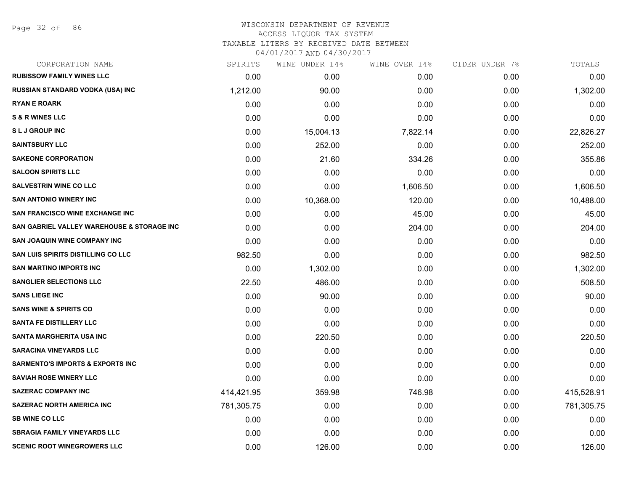# WISCONSIN DEPARTMENT OF REVENUE ACCESS LIQUOR TAX SYSTEM

TAXABLE LITERS BY RECEIVED DATE BETWEEN

| CORPORATION NAME                            | SPIRITS    | WINE UNDER 14% | WINE OVER 14% | CIDER UNDER 7% | TOTALS     |
|---------------------------------------------|------------|----------------|---------------|----------------|------------|
| <b>RUBISSOW FAMILY WINES LLC</b>            | 0.00       | 0.00           | 0.00          | 0.00           | 0.00       |
| RUSSIAN STANDARD VODKA (USA) INC            | 1,212.00   | 90.00          | 0.00          | 0.00           | 1,302.00   |
| <b>RYAN E ROARK</b>                         | 0.00       | 0.00           | 0.00          | 0.00           | 0.00       |
| <b>S &amp; R WINES LLC</b>                  | 0.00       | 0.00           | 0.00          | 0.00           | 0.00       |
| <b>SLJ GROUP INC</b>                        | 0.00       | 15,004.13      | 7,822.14      | 0.00           | 22,826.27  |
| <b>SAINTSBURY LLC</b>                       | 0.00       | 252.00         | 0.00          | 0.00           | 252.00     |
| <b>SAKEONE CORPORATION</b>                  | 0.00       | 21.60          | 334.26        | 0.00           | 355.86     |
| <b>SALOON SPIRITS LLC</b>                   | 0.00       | 0.00           | 0.00          | 0.00           | 0.00       |
| <b>SALVESTRIN WINE CO LLC</b>               | 0.00       | 0.00           | 1,606.50      | 0.00           | 1,606.50   |
| <b>SAN ANTONIO WINERY INC</b>               | 0.00       | 10,368.00      | 120.00        | 0.00           | 10,488.00  |
| <b>SAN FRANCISCO WINE EXCHANGE INC</b>      | 0.00       | 0.00           | 45.00         | 0.00           | 45.00      |
| SAN GABRIEL VALLEY WAREHOUSE & STORAGE INC  | 0.00       | 0.00           | 204.00        | 0.00           | 204.00     |
| <b>SAN JOAQUIN WINE COMPANY INC</b>         | 0.00       | 0.00           | 0.00          | 0.00           | 0.00       |
| <b>SAN LUIS SPIRITS DISTILLING CO LLC</b>   | 982.50     | 0.00           | 0.00          | 0.00           | 982.50     |
| <b>SAN MARTINO IMPORTS INC</b>              | 0.00       | 1,302.00       | 0.00          | 0.00           | 1,302.00   |
| <b>SANGLIER SELECTIONS LLC</b>              | 22.50      | 486.00         | 0.00          | 0.00           | 508.50     |
| <b>SANS LIEGE INC</b>                       | 0.00       | 90.00          | 0.00          | 0.00           | 90.00      |
| <b>SANS WINE &amp; SPIRITS CO</b>           | 0.00       | 0.00           | 0.00          | 0.00           | 0.00       |
| <b>SANTA FE DISTILLERY LLC</b>              | 0.00       | 0.00           | 0.00          | 0.00           | 0.00       |
| SANTA MARGHERITA USA INC                    | 0.00       | 220.50         | 0.00          | 0.00           | 220.50     |
| <b>SARACINA VINEYARDS LLC</b>               | 0.00       | 0.00           | 0.00          | 0.00           | 0.00       |
| <b>SARMENTO'S IMPORTS &amp; EXPORTS INC</b> | 0.00       | 0.00           | 0.00          | 0.00           | 0.00       |
| <b>SAVIAH ROSE WINERY LLC</b>               | 0.00       | 0.00           | 0.00          | 0.00           | 0.00       |
| <b>SAZERAC COMPANY INC</b>                  | 414,421.95 | 359.98         | 746.98        | 0.00           | 415,528.91 |
| <b>SAZERAC NORTH AMERICA INC</b>            | 781,305.75 | 0.00           | 0.00          | 0.00           | 781,305.75 |
| <b>SB WINE CO LLC</b>                       | 0.00       | 0.00           | 0.00          | 0.00           | 0.00       |
| <b>SBRAGIA FAMILY VINEYARDS LLC</b>         | 0.00       | 0.00           | 0.00          | 0.00           | 0.00       |
| <b>SCENIC ROOT WINEGROWERS LLC</b>          | 0.00       | 126.00         | 0.00          | 0.00           | 126.00     |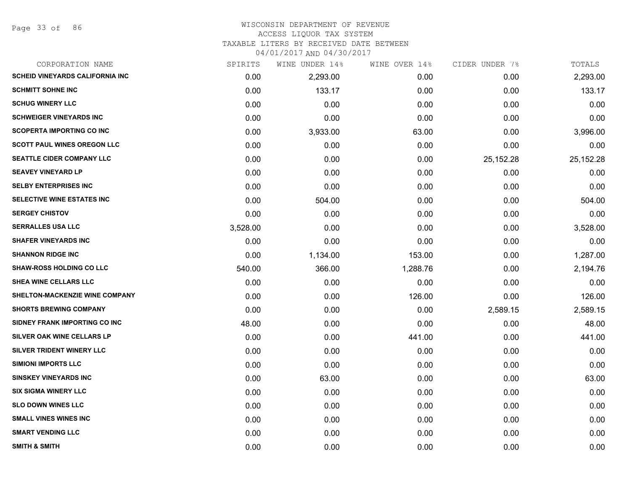Page 33 of 86

| CORPORATION NAME                        | SPIRITS  | WINE UNDER 14% | WINE OVER 14% | CIDER UNDER 7% | TOTALS    |
|-----------------------------------------|----------|----------------|---------------|----------------|-----------|
| <b>SCHEID VINEYARDS CALIFORNIA INC.</b> | 0.00     | 2,293.00       | 0.00          | 0.00           | 2,293.00  |
| <b>SCHMITT SOHNE INC</b>                | 0.00     | 133.17         | 0.00          | 0.00           | 133.17    |
| <b>SCHUG WINERY LLC</b>                 | 0.00     | 0.00           | 0.00          | 0.00           | 0.00      |
| <b>SCHWEIGER VINEYARDS INC</b>          | 0.00     | 0.00           | 0.00          | 0.00           | 0.00      |
| <b>SCOPERTA IMPORTING CO INC</b>        | 0.00     | 3,933.00       | 63.00         | 0.00           | 3,996.00  |
| <b>SCOTT PAUL WINES OREGON LLC</b>      | 0.00     | 0.00           | 0.00          | 0.00           | 0.00      |
| SEATTLE CIDER COMPANY LLC               | 0.00     | 0.00           | 0.00          | 25, 152. 28    | 25,152.28 |
| <b>SEAVEY VINEYARD LP</b>               | 0.00     | 0.00           | 0.00          | 0.00           | 0.00      |
| <b>SELBY ENTERPRISES INC</b>            | 0.00     | 0.00           | 0.00          | 0.00           | 0.00      |
| <b>SELECTIVE WINE ESTATES INC</b>       | 0.00     | 504.00         | 0.00          | 0.00           | 504.00    |
| <b>SERGEY CHISTOV</b>                   | 0.00     | 0.00           | 0.00          | 0.00           | 0.00      |
| <b>SERRALLES USA LLC</b>                | 3,528.00 | 0.00           | 0.00          | 0.00           | 3,528.00  |
| <b>SHAFER VINEYARDS INC</b>             | 0.00     | 0.00           | 0.00          | 0.00           | 0.00      |
| <b>SHANNON RIDGE INC</b>                | 0.00     | 1,134.00       | 153.00        | 0.00           | 1,287.00  |
| <b>SHAW-ROSS HOLDING CO LLC</b>         | 540.00   | 366.00         | 1,288.76      | 0.00           | 2,194.76  |
| SHEA WINE CELLARS LLC                   | 0.00     | 0.00           | 0.00          | 0.00           | 0.00      |
| SHELTON-MACKENZIE WINE COMPANY          | 0.00     | 0.00           | 126.00        | 0.00           | 126.00    |
| <b>SHORTS BREWING COMPANY</b>           | 0.00     | 0.00           | 0.00          | 2,589.15       | 2,589.15  |
| SIDNEY FRANK IMPORTING CO INC           | 48.00    | 0.00           | 0.00          | 0.00           | 48.00     |
| SILVER OAK WINE CELLARS LP              | 0.00     | 0.00           | 441.00        | 0.00           | 441.00    |
| SILVER TRIDENT WINERY LLC               | 0.00     | 0.00           | 0.00          | 0.00           | 0.00      |
| <b>SIMIONI IMPORTS LLC</b>              | 0.00     | 0.00           | 0.00          | 0.00           | 0.00      |
| <b>SINSKEY VINEYARDS INC</b>            | 0.00     | 63.00          | 0.00          | 0.00           | 63.00     |
| <b>SIX SIGMA WINERY LLC</b>             | 0.00     | 0.00           | 0.00          | 0.00           | 0.00      |
| <b>SLO DOWN WINES LLC</b>               | 0.00     | 0.00           | 0.00          | 0.00           | 0.00      |
| <b>SMALL VINES WINES INC</b>            | 0.00     | 0.00           | 0.00          | 0.00           | 0.00      |
| <b>SMART VENDING LLC</b>                | 0.00     | 0.00           | 0.00          | 0.00           | 0.00      |
| <b>SMITH &amp; SMITH</b>                | 0.00     | 0.00           | 0.00          | 0.00           | 0.00      |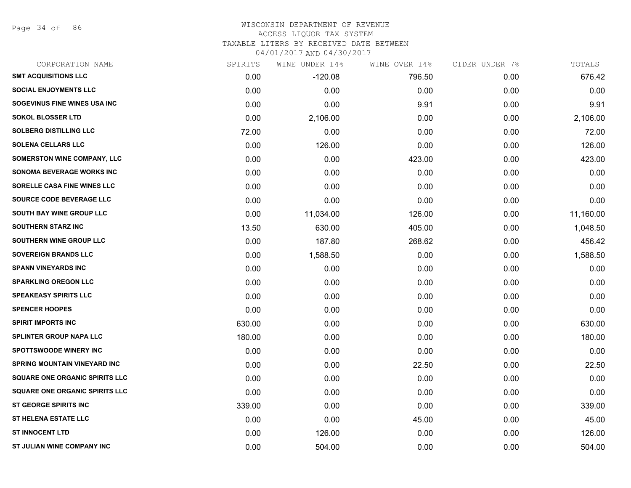Page 34 of 86

# WISCONSIN DEPARTMENT OF REVENUE ACCESS LIQUOR TAX SYSTEM TAXABLE LITERS BY RECEIVED DATE BETWEEN

| CORPORATION NAME                      | SPIRITS | WINE UNDER 14% | WINE OVER 14% | CIDER UNDER 7% | TOTALS    |
|---------------------------------------|---------|----------------|---------------|----------------|-----------|
| <b>SMT ACQUISITIONS LLC</b>           | 0.00    | $-120.08$      | 796.50        | 0.00           | 676.42    |
| <b>SOCIAL ENJOYMENTS LLC</b>          | 0.00    | 0.00           | 0.00          | 0.00           | 0.00      |
| SOGEVINUS FINE WINES USA INC          | 0.00    | 0.00           | 9.91          | 0.00           | 9.91      |
| <b>SOKOL BLOSSER LTD</b>              | 0.00    | 2,106.00       | 0.00          | 0.00           | 2,106.00  |
| <b>SOLBERG DISTILLING LLC</b>         | 72.00   | 0.00           | 0.00          | 0.00           | 72.00     |
| <b>SOLENA CELLARS LLC</b>             | 0.00    | 126.00         | 0.00          | 0.00           | 126.00    |
| <b>SOMERSTON WINE COMPANY, LLC</b>    | 0.00    | 0.00           | 423.00        | 0.00           | 423.00    |
| <b>SONOMA BEVERAGE WORKS INC</b>      | 0.00    | 0.00           | 0.00          | 0.00           | 0.00      |
| SORELLE CASA FINE WINES LLC           | 0.00    | 0.00           | 0.00          | 0.00           | 0.00      |
| SOURCE CODE BEVERAGE LLC              | 0.00    | 0.00           | 0.00          | 0.00           | 0.00      |
| SOUTH BAY WINE GROUP LLC              | 0.00    | 11,034.00      | 126.00        | 0.00           | 11,160.00 |
| <b>SOUTHERN STARZ INC</b>             | 13.50   | 630.00         | 405.00        | 0.00           | 1,048.50  |
| SOUTHERN WINE GROUP LLC               | 0.00    | 187.80         | 268.62        | 0.00           | 456.42    |
| <b>SOVEREIGN BRANDS LLC</b>           | 0.00    | 1,588.50       | 0.00          | 0.00           | 1,588.50  |
| <b>SPANN VINEYARDS INC</b>            | 0.00    | 0.00           | 0.00          | 0.00           | 0.00      |
| <b>SPARKLING OREGON LLC</b>           | 0.00    | 0.00           | 0.00          | 0.00           | 0.00      |
| <b>SPEAKEASY SPIRITS LLC</b>          | 0.00    | 0.00           | 0.00          | 0.00           | 0.00      |
| <b>SPENCER HOOPES</b>                 | 0.00    | 0.00           | 0.00          | 0.00           | 0.00      |
| <b>SPIRIT IMPORTS INC</b>             | 630.00  | 0.00           | 0.00          | 0.00           | 630.00    |
| <b>SPLINTER GROUP NAPA LLC</b>        | 180.00  | 0.00           | 0.00          | 0.00           | 180.00    |
| <b>SPOTTSWOODE WINERY INC</b>         | 0.00    | 0.00           | 0.00          | 0.00           | 0.00      |
| <b>SPRING MOUNTAIN VINEYARD INC</b>   | 0.00    | 0.00           | 22.50         | 0.00           | 22.50     |
| <b>SQUARE ONE ORGANIC SPIRITS LLC</b> | 0.00    | 0.00           | 0.00          | 0.00           | 0.00      |
| <b>SQUARE ONE ORGANIC SPIRITS LLC</b> | 0.00    | 0.00           | 0.00          | 0.00           | 0.00      |
| <b>ST GEORGE SPIRITS INC</b>          | 339.00  | 0.00           | 0.00          | 0.00           | 339.00    |
| <b>ST HELENA ESTATE LLC</b>           | 0.00    | 0.00           | 45.00         | 0.00           | 45.00     |
| <b>ST INNOCENT LTD</b>                | 0.00    | 126.00         | 0.00          | 0.00           | 126.00    |
| ST JULIAN WINE COMPANY INC            | 0.00    | 504.00         | 0.00          | 0.00           | 504.00    |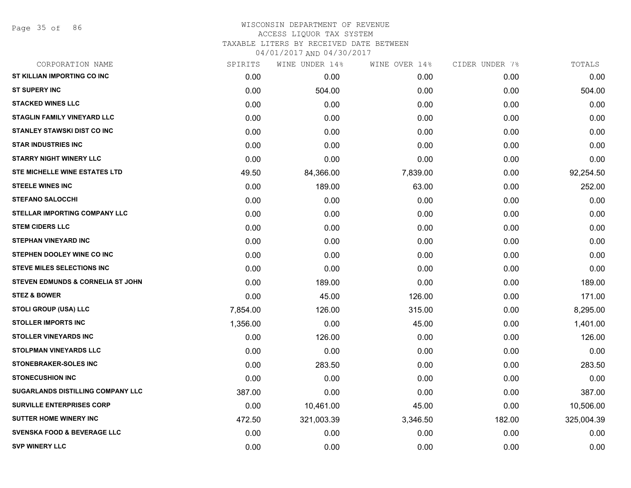| CORPORATION NAME                             | SPIRITS  | WINE UNDER 14% | WINE OVER 14% | CIDER UNDER 7% | TOTALS     |
|----------------------------------------------|----------|----------------|---------------|----------------|------------|
| ST KILLIAN IMPORTING CO INC                  | 0.00     | 0.00           | 0.00          | 0.00           | 0.00       |
| <b>ST SUPERY INC</b>                         | 0.00     | 504.00         | 0.00          | 0.00           | 504.00     |
| <b>STACKED WINES LLC</b>                     | 0.00     | 0.00           | 0.00          | 0.00           | 0.00       |
| <b>STAGLIN FAMILY VINEYARD LLC</b>           | 0.00     | 0.00           | 0.00          | 0.00           | 0.00       |
| STANLEY STAWSKI DIST CO INC                  | 0.00     | 0.00           | 0.00          | 0.00           | 0.00       |
| <b>STAR INDUSTRIES INC</b>                   | 0.00     | 0.00           | 0.00          | 0.00           | 0.00       |
| <b>STARRY NIGHT WINERY LLC</b>               | 0.00     | 0.00           | 0.00          | 0.00           | 0.00       |
| STE MICHELLE WINE ESTATES LTD                | 49.50    | 84,366.00      | 7,839.00      | 0.00           | 92,254.50  |
| <b>STEELE WINES INC</b>                      | 0.00     | 189.00         | 63.00         | 0.00           | 252.00     |
| <b>STEFANO SALOCCHI</b>                      | 0.00     | 0.00           | 0.00          | 0.00           | 0.00       |
| STELLAR IMPORTING COMPANY LLC                | 0.00     | 0.00           | 0.00          | 0.00           | 0.00       |
| <b>STEM CIDERS LLC</b>                       | 0.00     | 0.00           | 0.00          | 0.00           | 0.00       |
| <b>STEPHAN VINEYARD INC</b>                  | 0.00     | 0.00           | 0.00          | 0.00           | 0.00       |
| STEPHEN DOOLEY WINE CO INC                   | 0.00     | 0.00           | 0.00          | 0.00           | 0.00       |
| <b>STEVE MILES SELECTIONS INC</b>            | 0.00     | 0.00           | 0.00          | 0.00           | 0.00       |
| <b>STEVEN EDMUNDS &amp; CORNELIA ST JOHN</b> | 0.00     | 189.00         | 0.00          | 0.00           | 189.00     |
| <b>STEZ &amp; BOWER</b>                      | 0.00     | 45.00          | 126.00        | 0.00           | 171.00     |
| <b>STOLI GROUP (USA) LLC</b>                 | 7,854.00 | 126.00         | 315.00        | 0.00           | 8,295.00   |
| <b>STOLLER IMPORTS INC</b>                   | 1,356.00 | 0.00           | 45.00         | 0.00           | 1,401.00   |
| <b>STOLLER VINEYARDS INC</b>                 | 0.00     | 126.00         | 0.00          | 0.00           | 126.00     |
| <b>STOLPMAN VINEYARDS LLC</b>                | 0.00     | 0.00           | 0.00          | 0.00           | 0.00       |
| <b>STONEBRAKER-SOLES INC</b>                 | 0.00     | 283.50         | 0.00          | 0.00           | 283.50     |
| <b>STONECUSHION INC</b>                      | 0.00     | 0.00           | 0.00          | 0.00           | 0.00       |
| <b>SUGARLANDS DISTILLING COMPANY LLC</b>     | 387.00   | 0.00           | 0.00          | 0.00           | 387.00     |
| <b>SURVILLE ENTERPRISES CORP</b>             | 0.00     | 10,461.00      | 45.00         | 0.00           | 10,506.00  |
| <b>SUTTER HOME WINERY INC</b>                | 472.50   | 321,003.39     | 3,346.50      | 182.00         | 325,004.39 |
| <b>SVENSKA FOOD &amp; BEVERAGE LLC</b>       | 0.00     | 0.00           | 0.00          | 0.00           | 0.00       |
| <b>SVP WINERY LLC</b>                        | 0.00     | 0.00           | 0.00          | 0.00           | 0.00       |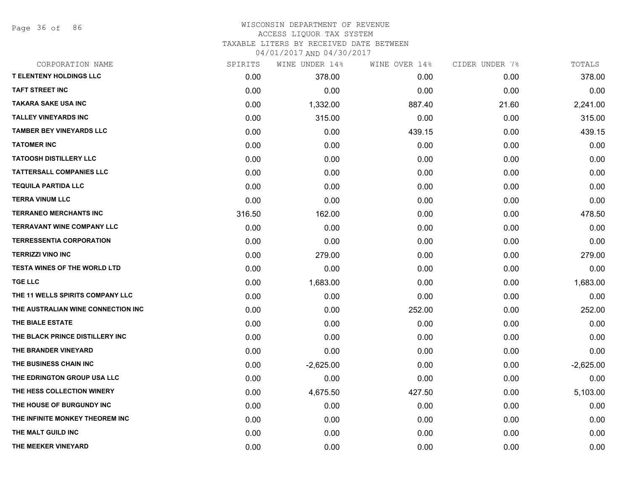Page 36 of 86

# WISCONSIN DEPARTMENT OF REVENUE ACCESS LIQUOR TAX SYSTEM TAXABLE LITERS BY RECEIVED DATE BETWEEN

| CORPORATION NAME                    | SPIRITS | WINE UNDER 14% | WINE OVER 14% | CIDER UNDER 7% | TOTALS      |
|-------------------------------------|---------|----------------|---------------|----------------|-------------|
| <b>T ELENTENY HOLDINGS LLC</b>      | 0.00    | 378.00         | 0.00          | 0.00           | 378.00      |
| <b>TAFT STREET INC</b>              | 0.00    | 0.00           | 0.00          | 0.00           | 0.00        |
| <b>TAKARA SAKE USA INC</b>          | 0.00    | 1,332.00       | 887.40        | 21.60          | 2,241.00    |
| <b>TALLEY VINEYARDS INC</b>         | 0.00    | 315.00         | 0.00          | 0.00           | 315.00      |
| <b>TAMBER BEY VINEYARDS LLC</b>     | 0.00    | 0.00           | 439.15        | 0.00           | 439.15      |
| <b>TATOMER INC</b>                  | 0.00    | 0.00           | 0.00          | 0.00           | 0.00        |
| <b>TATOOSH DISTILLERY LLC</b>       | 0.00    | 0.00           | 0.00          | 0.00           | 0.00        |
| <b>TATTERSALL COMPANIES LLC</b>     | 0.00    | 0.00           | 0.00          | 0.00           | 0.00        |
| <b>TEQUILA PARTIDA LLC</b>          | 0.00    | 0.00           | 0.00          | 0.00           | 0.00        |
| <b>TERRA VINUM LLC</b>              | 0.00    | 0.00           | 0.00          | 0.00           | 0.00        |
| <b>TERRANEO MERCHANTS INC</b>       | 316.50  | 162.00         | 0.00          | 0.00           | 478.50      |
| <b>TERRAVANT WINE COMPANY LLC</b>   | 0.00    | 0.00           | 0.00          | 0.00           | 0.00        |
| <b>TERRESSENTIA CORPORATION</b>     | 0.00    | 0.00           | 0.00          | 0.00           | 0.00        |
| <b>TERRIZZI VINO INC</b>            | 0.00    | 279.00         | 0.00          | 0.00           | 279.00      |
| <b>TESTA WINES OF THE WORLD LTD</b> | 0.00    | 0.00           | 0.00          | 0.00           | 0.00        |
| <b>TGE LLC</b>                      | 0.00    | 1,683.00       | 0.00          | 0.00           | 1,683.00    |
| THE 11 WELLS SPIRITS COMPANY LLC    | 0.00    | 0.00           | 0.00          | 0.00           | 0.00        |
| THE AUSTRALIAN WINE CONNECTION INC  | 0.00    | 0.00           | 252.00        | 0.00           | 252.00      |
| THE BIALE ESTATE                    | 0.00    | 0.00           | 0.00          | 0.00           | 0.00        |
| THE BLACK PRINCE DISTILLERY INC     | 0.00    | 0.00           | 0.00          | 0.00           | 0.00        |
| THE BRANDER VINEYARD                | 0.00    | 0.00           | 0.00          | 0.00           | 0.00        |
| THE BUSINESS CHAIN INC              | 0.00    | $-2,625.00$    | 0.00          | 0.00           | $-2,625.00$ |
| THE EDRINGTON GROUP USA LLC         | 0.00    | 0.00           | 0.00          | 0.00           | 0.00        |
| THE HESS COLLECTION WINERY          | 0.00    | 4,675.50       | 427.50        | 0.00           | 5,103.00    |
| THE HOUSE OF BURGUNDY INC           | 0.00    | 0.00           | 0.00          | 0.00           | 0.00        |
| THE INFINITE MONKEY THEOREM INC     | 0.00    | 0.00           | 0.00          | 0.00           | 0.00        |
| THE MALT GUILD INC                  | 0.00    | 0.00           | 0.00          | 0.00           | 0.00        |
| THE MEEKER VINEYARD                 | 0.00    | 0.00           | 0.00          | 0.00           | 0.00        |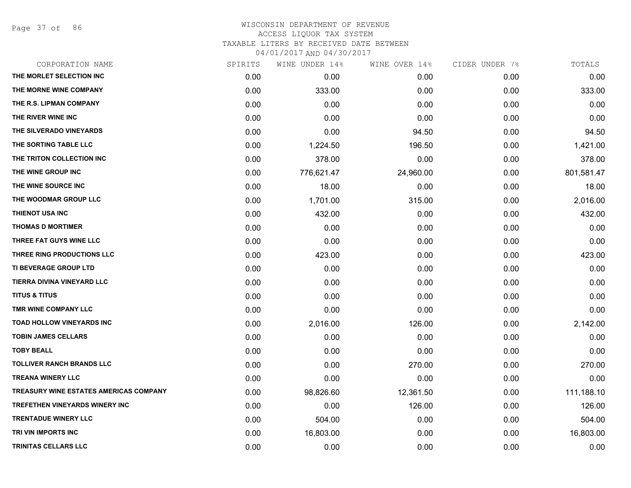Page 37 of 86

| CORPORATION NAME                              | SPIRITS | WINE UNDER 14% | WINE OVER 14% | CIDER UNDER 7% | TOTALS     |
|-----------------------------------------------|---------|----------------|---------------|----------------|------------|
| THE MORLET SELECTION INC                      | 0.00    | 0.00           | 0.00          | 0.00           | 0.00       |
| THE MORNE WINE COMPANY                        | 0.00    | 333.00         | 0.00          | 0.00           | 333.00     |
| THE R.S. LIPMAN COMPANY                       | 0.00    | 0.00           | 0.00          | 0.00           | 0.00       |
| THE RIVER WINE INC                            | 0.00    | 0.00           | 0.00          | 0.00           | 0.00       |
| THE SILVERADO VINEYARDS                       | 0.00    | 0.00           | 94.50         | 0.00           | 94.50      |
| THE SORTING TABLE LLC                         | 0.00    | 1,224.50       | 196.50        | 0.00           | 1,421.00   |
| THE TRITON COLLECTION INC                     | 0.00    | 378.00         | 0.00          | 0.00           | 378.00     |
| THE WINE GROUP INC                            | 0.00    | 776,621.47     | 24,960.00     | 0.00           | 801,581.47 |
| THE WINE SOURCE INC                           | 0.00    | 18.00          | 0.00          | 0.00           | 18.00      |
| THE WOODMAR GROUP LLC                         | 0.00    | 1,701.00       | 315.00        | 0.00           | 2,016.00   |
| THIENOT USA INC                               | 0.00    | 432.00         | 0.00          | 0.00           | 432.00     |
| <b>THOMAS D MORTIMER</b>                      | 0.00    | 0.00           | 0.00          | 0.00           | 0.00       |
| THREE FAT GUYS WINE LLC                       | 0.00    | 0.00           | 0.00          | 0.00           | 0.00       |
| THREE RING PRODUCTIONS LLC                    | 0.00    | 423.00         | 0.00          | 0.00           | 423.00     |
| <b>TI BEVERAGE GROUP LTD</b>                  | 0.00    | 0.00           | 0.00          | 0.00           | 0.00       |
| TIERRA DIVINA VINEYARD LLC                    | 0.00    | 0.00           | 0.00          | 0.00           | 0.00       |
| <b>TITUS &amp; TITUS</b>                      | 0.00    | 0.00           | 0.00          | 0.00           | 0.00       |
| TMR WINE COMPANY LLC                          | 0.00    | 0.00           | 0.00          | 0.00           | 0.00       |
| <b>TOAD HOLLOW VINEYARDS INC</b>              | 0.00    | 2,016.00       | 126.00        | 0.00           | 2,142.00   |
| <b>TOBIN JAMES CELLARS</b>                    | 0.00    | 0.00           | 0.00          | 0.00           | 0.00       |
| <b>TOBY BEALL</b>                             | 0.00    | 0.00           | 0.00          | 0.00           | 0.00       |
| <b>TOLLIVER RANCH BRANDS LLC</b>              | 0.00    | 0.00           | 270.00        | 0.00           | 270.00     |
| <b>TREANA WINERY LLC</b>                      | 0.00    | 0.00           | 0.00          | 0.00           | 0.00       |
| <b>TREASURY WINE ESTATES AMERICAS COMPANY</b> | 0.00    | 98,826.60      | 12,361.50     | 0.00           | 111,188.10 |
| <b>TREFETHEN VINEYARDS WINERY INC</b>         | 0.00    | 0.00           | 126.00        | 0.00           | 126.00     |
| <b>TRENTADUE WINERY LLC</b>                   | 0.00    | 504.00         | 0.00          | 0.00           | 504.00     |
| TRI VIN IMPORTS INC                           | 0.00    | 16,803.00      | 0.00          | 0.00           | 16,803.00  |
| TRINITAS CELLARS LLC                          | 0.00    | 0.00           | 0.00          | 0.00           | 0.00       |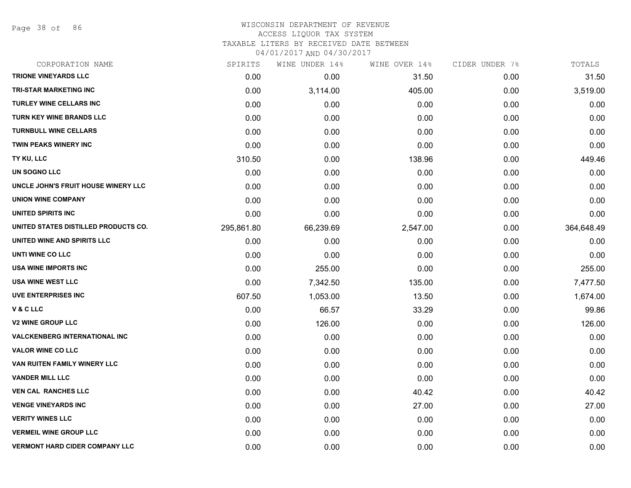Page 38 of 86

#### WISCONSIN DEPARTMENT OF REVENUE ACCESS LIQUOR TAX SYSTEM TAXABLE LITERS BY RECEIVED DATE BETWEEN

| CORPORATION NAME                      | SPIRITS    | WINE UNDER 14% | WINE OVER 14% | CIDER UNDER 7% | TOTALS     |
|---------------------------------------|------------|----------------|---------------|----------------|------------|
| <b>TRIONE VINEYARDS LLC</b>           | 0.00       | 0.00           | 31.50         | 0.00           | 31.50      |
| <b>TRI-STAR MARKETING INC</b>         | 0.00       | 3,114.00       | 405.00        | 0.00           | 3,519.00   |
| <b>TURLEY WINE CELLARS INC</b>        | 0.00       | 0.00           | 0.00          | 0.00           | 0.00       |
| TURN KEY WINE BRANDS LLC              | 0.00       | 0.00           | 0.00          | 0.00           | 0.00       |
| <b>TURNBULL WINE CELLARS</b>          | 0.00       | 0.00           | 0.00          | 0.00           | 0.00       |
| <b>TWIN PEAKS WINERY INC</b>          | 0.00       | 0.00           | 0.00          | 0.00           | 0.00       |
| TY KU, LLC                            | 310.50     | 0.00           | 138.96        | 0.00           | 449.46     |
| UN SOGNO LLC                          | 0.00       | 0.00           | 0.00          | 0.00           | 0.00       |
| UNCLE JOHN'S FRUIT HOUSE WINERY LLC   | 0.00       | 0.00           | 0.00          | 0.00           | 0.00       |
| <b>UNION WINE COMPANY</b>             | 0.00       | 0.00           | 0.00          | 0.00           | 0.00       |
| UNITED SPIRITS INC                    | 0.00       | 0.00           | 0.00          | 0.00           | 0.00       |
| UNITED STATES DISTILLED PRODUCTS CO.  | 295,861.80 | 66,239.69      | 2,547.00      | 0.00           | 364,648.49 |
| UNITED WINE AND SPIRITS LLC           | 0.00       | 0.00           | 0.00          | 0.00           | 0.00       |
| UNTI WINE CO LLC                      | 0.00       | 0.00           | 0.00          | 0.00           | 0.00       |
| USA WINE IMPORTS INC                  | 0.00       | 255.00         | 0.00          | 0.00           | 255.00     |
| <b>USA WINE WEST LLC</b>              | 0.00       | 7,342.50       | 135.00        | 0.00           | 7,477.50   |
| <b>UVE ENTERPRISES INC</b>            | 607.50     | 1,053.00       | 13.50         | 0.00           | 1,674.00   |
| V & C LLC                             | 0.00       | 66.57          | 33.29         | 0.00           | 99.86      |
| <b>V2 WINE GROUP LLC</b>              | 0.00       | 126.00         | 0.00          | 0.00           | 126.00     |
| <b>VALCKENBERG INTERNATIONAL INC</b>  | 0.00       | 0.00           | 0.00          | 0.00           | 0.00       |
| <b>VALOR WINE CO LLC</b>              | 0.00       | 0.00           | 0.00          | 0.00           | 0.00       |
| VAN RUITEN FAMILY WINERY LLC          | 0.00       | 0.00           | 0.00          | 0.00           | 0.00       |
| <b>VANDER MILL LLC</b>                | 0.00       | 0.00           | 0.00          | 0.00           | 0.00       |
| <b>VEN CAL RANCHES LLC</b>            | 0.00       | 0.00           | 40.42         | 0.00           | 40.42      |
| <b>VENGE VINEYARDS INC</b>            | 0.00       | 0.00           | 27.00         | 0.00           | 27.00      |
| <b>VERITY WINES LLC</b>               | 0.00       | 0.00           | 0.00          | 0.00           | 0.00       |
| <b>VERMEIL WINE GROUP LLC</b>         | 0.00       | 0.00           | 0.00          | 0.00           | 0.00       |
| <b>VERMONT HARD CIDER COMPANY LLC</b> | 0.00       | 0.00           | 0.00          | 0.00           | 0.00       |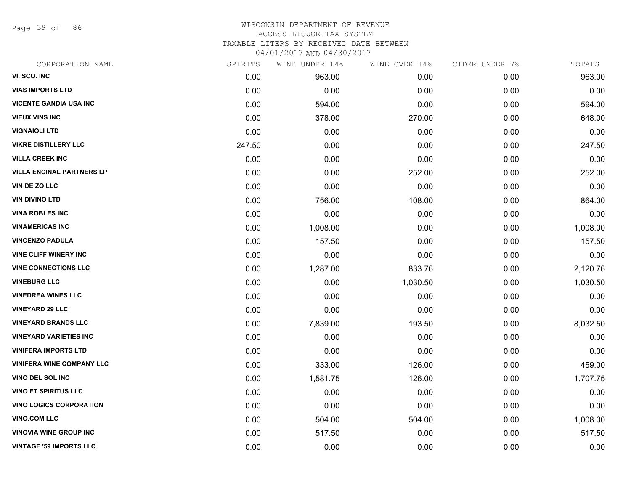Page 39 of 86

#### WISCONSIN DEPARTMENT OF REVENUE ACCESS LIQUOR TAX SYSTEM TAXABLE LITERS BY RECEIVED DATE BETWEEN

| CORPORATION NAME                 | SPIRITS | WINE UNDER 14% | WINE OVER 14% | CIDER UNDER 7% | TOTALS   |
|----------------------------------|---------|----------------|---------------|----------------|----------|
| VI. SCO. INC                     | 0.00    | 963.00         | 0.00          | 0.00           | 963.00   |
| <b>VIAS IMPORTS LTD</b>          | 0.00    | 0.00           | 0.00          | 0.00           | 0.00     |
| <b>VICENTE GANDIA USA INC</b>    | 0.00    | 594.00         | 0.00          | 0.00           | 594.00   |
| <b>VIEUX VINS INC</b>            | 0.00    | 378.00         | 270.00        | 0.00           | 648.00   |
| <b>VIGNAIOLI LTD</b>             | 0.00    | 0.00           | 0.00          | 0.00           | 0.00     |
| <b>VIKRE DISTILLERY LLC</b>      | 247.50  | 0.00           | 0.00          | 0.00           | 247.50   |
| <b>VILLA CREEK INC</b>           | 0.00    | 0.00           | 0.00          | 0.00           | 0.00     |
| <b>VILLA ENCINAL PARTNERS LP</b> | 0.00    | 0.00           | 252.00        | 0.00           | 252.00   |
| VIN DE ZO LLC                    | 0.00    | 0.00           | 0.00          | 0.00           | 0.00     |
| <b>VIN DIVINO LTD</b>            | 0.00    | 756.00         | 108.00        | 0.00           | 864.00   |
| <b>VINA ROBLES INC</b>           | 0.00    | 0.00           | 0.00          | 0.00           | 0.00     |
| <b>VINAMERICAS INC</b>           | 0.00    | 1,008.00       | 0.00          | 0.00           | 1,008.00 |
| <b>VINCENZO PADULA</b>           | 0.00    | 157.50         | 0.00          | 0.00           | 157.50   |
| <b>VINE CLIFF WINERY INC</b>     | 0.00    | 0.00           | 0.00          | 0.00           | 0.00     |
| <b>VINE CONNECTIONS LLC</b>      | 0.00    | 1,287.00       | 833.76        | 0.00           | 2,120.76 |
| <b>VINEBURG LLC</b>              | 0.00    | 0.00           | 1,030.50      | 0.00           | 1,030.50 |
| <b>VINEDREA WINES LLC</b>        | 0.00    | 0.00           | 0.00          | 0.00           | 0.00     |
| <b>VINEYARD 29 LLC</b>           | 0.00    | 0.00           | 0.00          | 0.00           | 0.00     |
| <b>VINEYARD BRANDS LLC</b>       | 0.00    | 7,839.00       | 193.50        | 0.00           | 8,032.50 |
| <b>VINEYARD VARIETIES INC</b>    | 0.00    | 0.00           | 0.00          | 0.00           | 0.00     |
| <b>VINIFERA IMPORTS LTD</b>      | 0.00    | 0.00           | 0.00          | 0.00           | 0.00     |
| <b>VINIFERA WINE COMPANY LLC</b> | 0.00    | 333.00         | 126.00        | 0.00           | 459.00   |
| VINO DEL SOL INC                 | 0.00    | 1,581.75       | 126.00        | 0.00           | 1,707.75 |
| <b>VINO ET SPIRITUS LLC</b>      | 0.00    | 0.00           | 0.00          | 0.00           | 0.00     |
| <b>VINO LOGICS CORPORATION</b>   | 0.00    | 0.00           | 0.00          | 0.00           | 0.00     |
| <b>VINO.COM LLC</b>              | 0.00    | 504.00         | 504.00        | 0.00           | 1,008.00 |
| <b>VINOVIA WINE GROUP INC</b>    | 0.00    | 517.50         | 0.00          | 0.00           | 517.50   |
| <b>VINTAGE '59 IMPORTS LLC</b>   | 0.00    | 0.00           | 0.00          | 0.00           | 0.00     |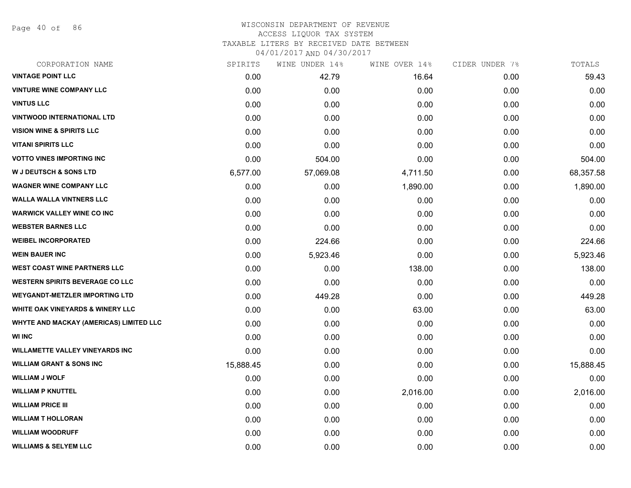Page 40 of 86

## WISCONSIN DEPARTMENT OF REVENUE ACCESS LIQUOR TAX SYSTEM TAXABLE LITERS BY RECEIVED DATE BETWEEN

| CORPORATION NAME                        | SPIRITS   | WINE UNDER 14% | WINE OVER 14% | CIDER UNDER 7% | TOTALS    |
|-----------------------------------------|-----------|----------------|---------------|----------------|-----------|
| <b>VINTAGE POINT LLC</b>                | 0.00      | 42.79          | 16.64         | 0.00           | 59.43     |
| <b>VINTURE WINE COMPANY LLC</b>         | 0.00      | 0.00           | 0.00          | 0.00           | 0.00      |
| <b>VINTUS LLC</b>                       | 0.00      | 0.00           | 0.00          | 0.00           | 0.00      |
| <b>VINTWOOD INTERNATIONAL LTD</b>       | 0.00      | 0.00           | 0.00          | 0.00           | 0.00      |
| <b>VISION WINE &amp; SPIRITS LLC</b>    | 0.00      | 0.00           | 0.00          | 0.00           | 0.00      |
| <b>VITANI SPIRITS LLC</b>               | 0.00      | 0.00           | 0.00          | 0.00           | 0.00      |
| <b>VOTTO VINES IMPORTING INC</b>        | 0.00      | 504.00         | 0.00          | 0.00           | 504.00    |
| <b>W J DEUTSCH &amp; SONS LTD</b>       | 6,577.00  | 57,069.08      | 4,711.50      | 0.00           | 68,357.58 |
| <b>WAGNER WINE COMPANY LLC</b>          | 0.00      | 0.00           | 1,890.00      | 0.00           | 1,890.00  |
| <b>WALLA WALLA VINTNERS LLC</b>         | 0.00      | 0.00           | 0.00          | 0.00           | 0.00      |
| <b>WARWICK VALLEY WINE CO INC</b>       | 0.00      | 0.00           | 0.00          | 0.00           | 0.00      |
| <b>WEBSTER BARNES LLC</b>               | 0.00      | 0.00           | 0.00          | 0.00           | 0.00      |
| <b>WEIBEL INCORPORATED</b>              | 0.00      | 224.66         | 0.00          | 0.00           | 224.66    |
| <b>WEIN BAUER INC</b>                   | 0.00      | 5,923.46       | 0.00          | 0.00           | 5,923.46  |
| <b>WEST COAST WINE PARTNERS LLC</b>     | 0.00      | 0.00           | 138.00        | 0.00           | 138.00    |
| <b>WESTERN SPIRITS BEVERAGE CO LLC</b>  | 0.00      | 0.00           | 0.00          | 0.00           | 0.00      |
| <b>WEYGANDT-METZLER IMPORTING LTD</b>   | 0.00      | 449.28         | 0.00          | 0.00           | 449.28    |
| WHITE OAK VINEYARDS & WINERY LLC        | 0.00      | 0.00           | 63.00         | 0.00           | 63.00     |
| WHYTE AND MACKAY (AMERICAS) LIMITED LLC | 0.00      | 0.00           | 0.00          | 0.00           | 0.00      |
| <b>WI INC</b>                           | 0.00      | 0.00           | 0.00          | 0.00           | 0.00      |
| <b>WILLAMETTE VALLEY VINEYARDS INC</b>  | 0.00      | 0.00           | 0.00          | 0.00           | 0.00      |
| <b>WILLIAM GRANT &amp; SONS INC</b>     | 15,888.45 | 0.00           | 0.00          | 0.00           | 15,888.45 |
| <b>WILLIAM J WOLF</b>                   | 0.00      | 0.00           | 0.00          | 0.00           | 0.00      |
| <b>WILLIAM P KNUTTEL</b>                | 0.00      | 0.00           | 2,016.00      | 0.00           | 2,016.00  |
| <b>WILLIAM PRICE III</b>                | 0.00      | 0.00           | 0.00          | 0.00           | 0.00      |
| <b>WILLIAM T HOLLORAN</b>               | 0.00      | 0.00           | 0.00          | 0.00           | 0.00      |
| <b>WILLIAM WOODRUFF</b>                 | 0.00      | 0.00           | 0.00          | 0.00           | 0.00      |
| <b>WILLIAMS &amp; SELYEM LLC</b>        | 0.00      | 0.00           | 0.00          | 0.00           | 0.00      |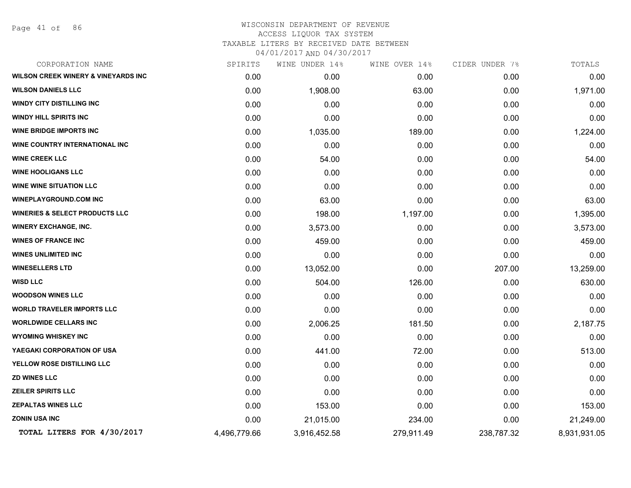Page 41 of 86

| CORPORATION NAME                               | SPIRITS      | WINE UNDER 14% | WINE OVER 14% | CIDER UNDER 7% | TOTALS       |
|------------------------------------------------|--------------|----------------|---------------|----------------|--------------|
| <b>WILSON CREEK WINERY &amp; VINEYARDS INC</b> | 0.00         | 0.00           | 0.00          | 0.00           | 0.00         |
| <b>WILSON DANIELS LLC</b>                      | 0.00         | 1,908.00       | 63.00         | 0.00           | 1,971.00     |
| <b>WINDY CITY DISTILLING INC</b>               | 0.00         | 0.00           | 0.00          | 0.00           | 0.00         |
| <b>WINDY HILL SPIRITS INC</b>                  | 0.00         | 0.00           | 0.00          | 0.00           | 0.00         |
| <b>WINE BRIDGE IMPORTS INC</b>                 | 0.00         | 1,035.00       | 189.00        | 0.00           | 1,224.00     |
| WINE COUNTRY INTERNATIONAL INC                 | 0.00         | 0.00           | 0.00          | 0.00           | 0.00         |
| <b>WINE CREEK LLC</b>                          | 0.00         | 54.00          | 0.00          | 0.00           | 54.00        |
| <b>WINE HOOLIGANS LLC</b>                      | 0.00         | 0.00           | 0.00          | 0.00           | 0.00         |
| <b>WINE WINE SITUATION LLC</b>                 | 0.00         | 0.00           | 0.00          | 0.00           | 0.00         |
| <b>WINEPLAYGROUND.COM INC</b>                  | 0.00         | 63.00          | 0.00          | 0.00           | 63.00        |
| <b>WINERIES &amp; SELECT PRODUCTS LLC</b>      | 0.00         | 198.00         | 1,197.00      | 0.00           | 1,395.00     |
| <b>WINERY EXCHANGE, INC.</b>                   | 0.00         | 3,573.00       | 0.00          | 0.00           | 3,573.00     |
| <b>WINES OF FRANCE INC</b>                     | 0.00         | 459.00         | 0.00          | 0.00           | 459.00       |
| <b>WINES UNLIMITED INC</b>                     | 0.00         | 0.00           | 0.00          | 0.00           | 0.00         |
| <b>WINESELLERS LTD</b>                         | 0.00         | 13,052.00      | 0.00          | 207.00         | 13,259.00    |
| <b>WISD LLC</b>                                | 0.00         | 504.00         | 126.00        | 0.00           | 630.00       |
| <b>WOODSON WINES LLC</b>                       | 0.00         | 0.00           | 0.00          | 0.00           | 0.00         |
| <b>WORLD TRAVELER IMPORTS LLC</b>              | 0.00         | 0.00           | 0.00          | 0.00           | 0.00         |
| <b>WORLDWIDE CELLARS INC</b>                   | 0.00         | 2,006.25       | 181.50        | 0.00           | 2,187.75     |
| <b>WYOMING WHISKEY INC</b>                     | 0.00         | 0.00           | 0.00          | 0.00           | 0.00         |
| YAEGAKI CORPORATION OF USA                     | 0.00         | 441.00         | 72.00         | 0.00           | 513.00       |
| YELLOW ROSE DISTILLING LLC                     | 0.00         | 0.00           | 0.00          | 0.00           | 0.00         |
| <b>ZD WINES LLC</b>                            | 0.00         | 0.00           | 0.00          | 0.00           | 0.00         |
| <b>ZEILER SPIRITS LLC</b>                      | 0.00         | 0.00           | 0.00          | 0.00           | 0.00         |
| <b>ZEPALTAS WINES LLC</b>                      | 0.00         | 153.00         | 0.00          | 0.00           | 153.00       |
| <b>ZONIN USA INC</b>                           | 0.00         | 21,015.00      | 234.00        | 0.00           | 21,249.00    |
| TOTAL LITERS FOR 4/30/2017                     | 4,496,779.66 | 3,916,452.58   | 279,911.49    | 238,787.32     | 8,931,931.05 |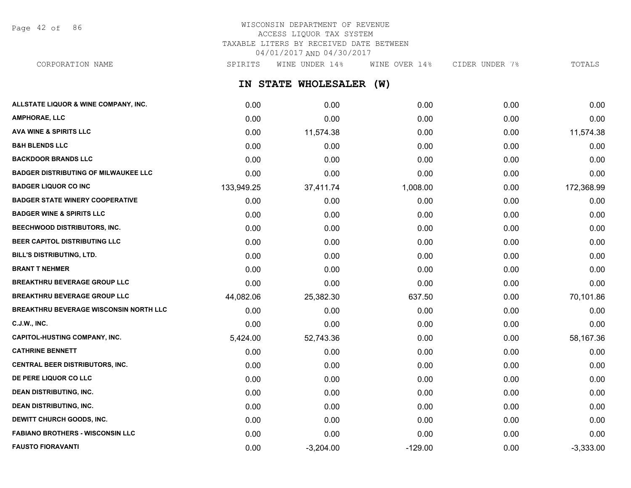Page 42 of 86

# WISCONSIN DEPARTMENT OF REVENUE ACCESS LIQUOR TAX SYSTEM TAXABLE LITERS BY RECEIVED DATE BETWEEN 04/01/2017 AND 04/30/2017

**IN STATE WHOLESALER (W) ALLSTATE LIQUOR & WINE COMPANY, INC.** 0.00 0.00 0.00 0.00 0.00 **AMPHORAE, LLC** 0.00 0.00 0.00 0.00 0.00 **AVA WINE & SPIRITS LLC** 0.00 11,574.38 0.00 0.00 11,574.38 CORPORATION NAME SPIRITS WINE UNDER 14% WINE OVER 14% CIDER UNDER 7% TOTALS

**B&H BLENDS LLC** 0.00 0.00 0.00 0.00 0.00 **BACKDOOR BRANDS LLC** 0.00 0.00 0.00 0.00 0.00 **BADGER DISTRIBUTING OF MILWAUKEE LLC** 0.00 0.00 0.00 0.00 0.00 **BADGER LIQUOR CO INC** 133,949.25 37,411.74 1,008.00 0.00 172,368.99 **BADGER STATE WINERY COOPERATIVE** 0.00 0.00 0.00 0.00 0.00 **BADGER WINE & SPIRITS LLC** 0.00 0.00 0.00 0.00 0.00 **BEECHWOOD DISTRIBUTORS, INC.** 0.00 0.00 0.00 0.00 0.00 **BEER CAPITOL DISTRIBUTING LLC** 0.00 0.00 0.00 0.00 0.00 **BILL'S DISTRIBUTING, LTD.** 0.00 0.00 0.00 0.00 0.00 **BRANT T NEHMER** 0.00 0.00 0.00 0.00 0.00 **BREAKTHRU BEVERAGE GROUP LLC**  $0.00$   $0.00$   $0.00$   $0.00$   $0.00$   $0.00$   $0.00$   $0.00$   $0.00$   $0.00$   $0.00$   $0.00$ **BREAKTHRU BEVERAGE GROUP LLC** 44,082.06 25,382.30 637.50 0.00 70,101.86 **BREAKTHRU BEVERAGE WISCONSIN NORTH LLC** 0.00 0.00 0.00 0.00 0.00 **C.J.W., INC.** 6.00 **0.00 0.00 0.00 0.00 0.00 0.00 0.00 0.00 0.00 0.00 0.00 0.00 0.00 CAPITOL-HUSTING COMPANY, INC.** 68,167.36 5.424.00 5.424.00 52.743.36 5.52.743.36 5.58,167.36 **CATHRINE BENNETT** 0.00 0.00 0.00 0.00 0.00 **CENTRAL BEER DISTRIBUTORS, INC.** 0.00 0.00 0.00 0.00 0.00 **DE PERE LIQUOR CO LLC** 0.00 0.00 0.00 0.00 0.00 **DEAN DISTRIBUTING, INC.** 0.00 0.00 0.00 0.00 0.00 **DEAN DISTRIBUTING, INC.** 0.00 0.00 0.00 0.00 0.00 **DEWITT CHURCH GOODS, INC.** 0.00 0.00 0.00 0.00 0.00 **FABIANO BROTHERS - WISCONSIN LLC** 0.00 0.00 0.00 0.00 0.00 **FAUSTO FIORAVANTI** 0.00 -3,204.00 -129.00 0.00 -3,333.00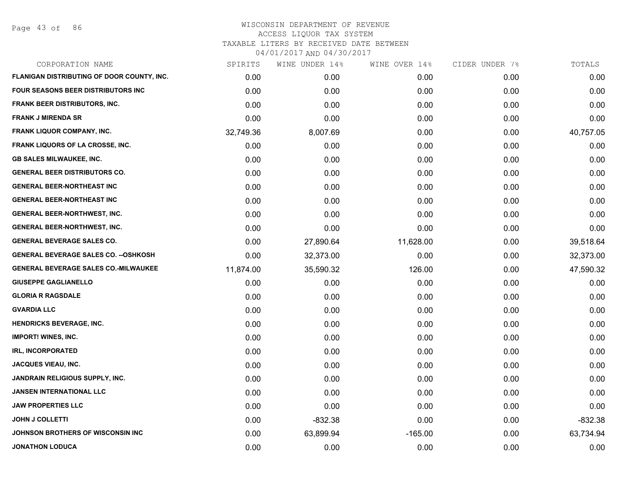Page 43 of 86

| SPIRITS   | WINE UNDER 14% | WINE OVER 14% | CIDER UNDER 7% | TOTALS    |
|-----------|----------------|---------------|----------------|-----------|
| 0.00      | 0.00           | 0.00          | 0.00           | 0.00      |
| 0.00      | 0.00           | 0.00          | 0.00           | 0.00      |
| 0.00      | 0.00           | 0.00          | 0.00           | 0.00      |
| 0.00      | 0.00           | 0.00          | 0.00           | 0.00      |
| 32,749.36 | 8,007.69       | 0.00          | 0.00           | 40,757.05 |
| 0.00      | 0.00           | 0.00          | 0.00           | 0.00      |
| 0.00      | 0.00           | 0.00          | 0.00           | 0.00      |
| 0.00      | 0.00           | 0.00          | 0.00           | 0.00      |
| 0.00      | 0.00           | 0.00          | 0.00           | 0.00      |
| 0.00      | 0.00           | 0.00          | 0.00           | 0.00      |
| 0.00      | 0.00           | 0.00          | 0.00           | 0.00      |
| 0.00      | 0.00           | 0.00          | 0.00           | 0.00      |
| 0.00      | 27,890.64      | 11,628.00     | 0.00           | 39,518.64 |
| 0.00      | 32,373.00      | 0.00          | 0.00           | 32,373.00 |
| 11,874.00 | 35,590.32      | 126.00        | 0.00           | 47,590.32 |
| 0.00      | 0.00           | 0.00          | 0.00           | 0.00      |
| 0.00      | 0.00           | 0.00          | 0.00           | 0.00      |
| 0.00      | 0.00           | 0.00          | 0.00           | 0.00      |
| 0.00      | 0.00           | 0.00          | 0.00           | 0.00      |
| 0.00      | 0.00           | 0.00          | 0.00           | 0.00      |
| 0.00      | 0.00           | 0.00          | 0.00           | 0.00      |
| 0.00      | 0.00           | 0.00          | 0.00           | 0.00      |
| 0.00      | 0.00           | 0.00          | 0.00           | 0.00      |
| 0.00      | 0.00           | 0.00          | 0.00           | 0.00      |
| 0.00      | 0.00           | 0.00          | 0.00           | 0.00      |
| 0.00      | $-832.38$      | 0.00          | 0.00           | $-832.38$ |
| 0.00      | 63,899.94      | $-165.00$     | 0.00           | 63,734.94 |
| 0.00      | 0.00           | 0.00          | 0.00           | 0.00      |
|           |                |               |                |           |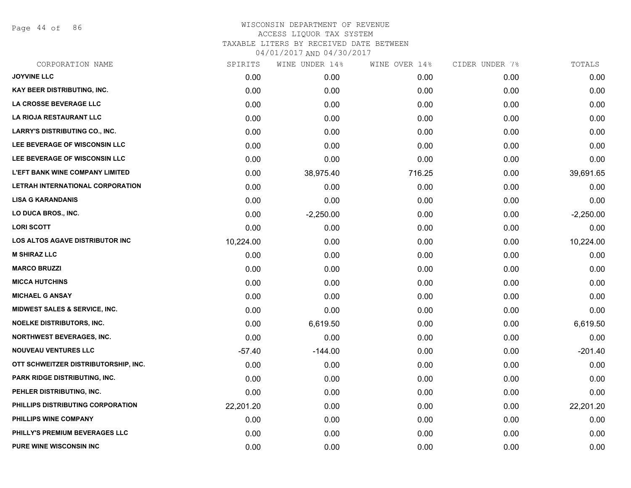Page 44 of 86

| CORPORATION NAME                         | SPIRITS   | WINE UNDER 14% | WINE OVER 14% | CIDER UNDER 7% | TOTALS      |
|------------------------------------------|-----------|----------------|---------------|----------------|-------------|
| <b>JOYVINE LLC</b>                       | 0.00      | 0.00           | 0.00          | 0.00           | 0.00        |
| <b>KAY BEER DISTRIBUTING, INC.</b>       | 0.00      | 0.00           | 0.00          | 0.00           | 0.00        |
| LA CROSSE BEVERAGE LLC                   | 0.00      | 0.00           | 0.00          | 0.00           | 0.00        |
| LA RIOJA RESTAURANT LLC                  | 0.00      | 0.00           | 0.00          | 0.00           | 0.00        |
| <b>LARRY'S DISTRIBUTING CO., INC.</b>    | 0.00      | 0.00           | 0.00          | 0.00           | 0.00        |
| LEE BEVERAGE OF WISCONSIN LLC            | 0.00      | 0.00           | 0.00          | 0.00           | 0.00        |
| LEE BEVERAGE OF WISCONSIN LLC            | 0.00      | 0.00           | 0.00          | 0.00           | 0.00        |
| <b>L'EFT BANK WINE COMPANY LIMITED</b>   | 0.00      | 38,975.40      | 716.25        | 0.00           | 39,691.65   |
| LETRAH INTERNATIONAL CORPORATION         | 0.00      | 0.00           | 0.00          | 0.00           | 0.00        |
| <b>LISA G KARANDANIS</b>                 | 0.00      | 0.00           | 0.00          | 0.00           | 0.00        |
| LO DUCA BROS., INC.                      | 0.00      | $-2,250.00$    | 0.00          | 0.00           | $-2,250.00$ |
| <b>LORI SCOTT</b>                        | 0.00      | 0.00           | 0.00          | 0.00           | 0.00        |
| <b>LOS ALTOS AGAVE DISTRIBUTOR INC</b>   | 10,224.00 | 0.00           | 0.00          | 0.00           | 10,224.00   |
| <b>M SHIRAZ LLC</b>                      | 0.00      | 0.00           | 0.00          | 0.00           | 0.00        |
| <b>MARCO BRUZZI</b>                      | 0.00      | 0.00           | 0.00          | 0.00           | 0.00        |
| <b>MICCA HUTCHINS</b>                    | 0.00      | 0.00           | 0.00          | 0.00           | 0.00        |
| <b>MICHAEL G ANSAY</b>                   | 0.00      | 0.00           | 0.00          | 0.00           | 0.00        |
| <b>MIDWEST SALES &amp; SERVICE, INC.</b> | 0.00      | 0.00           | 0.00          | 0.00           | 0.00        |
| <b>NOELKE DISTRIBUTORS, INC.</b>         | 0.00      | 6,619.50       | 0.00          | 0.00           | 6,619.50    |
| <b>NORTHWEST BEVERAGES, INC.</b>         | 0.00      | 0.00           | 0.00          | 0.00           | 0.00        |
| <b>NOUVEAU VENTURES LLC</b>              | $-57.40$  | $-144.00$      | 0.00          | 0.00           | $-201.40$   |
| OTT SCHWEITZER DISTRIBUTORSHIP, INC.     | 0.00      | 0.00           | 0.00          | 0.00           | 0.00        |
| PARK RIDGE DISTRIBUTING, INC.            | 0.00      | 0.00           | 0.00          | 0.00           | 0.00        |
| PEHLER DISTRIBUTING, INC.                | 0.00      | 0.00           | 0.00          | 0.00           | 0.00        |
| PHILLIPS DISTRIBUTING CORPORATION        | 22,201.20 | 0.00           | 0.00          | 0.00           | 22,201.20   |
| PHILLIPS WINE COMPANY                    | 0.00      | 0.00           | 0.00          | 0.00           | 0.00        |
| PHILLY'S PREMIUM BEVERAGES LLC           | 0.00      | 0.00           | 0.00          | 0.00           | 0.00        |
| <b>PURE WINE WISCONSIN INC</b>           | 0.00      | 0.00           | 0.00          | 0.00           | 0.00        |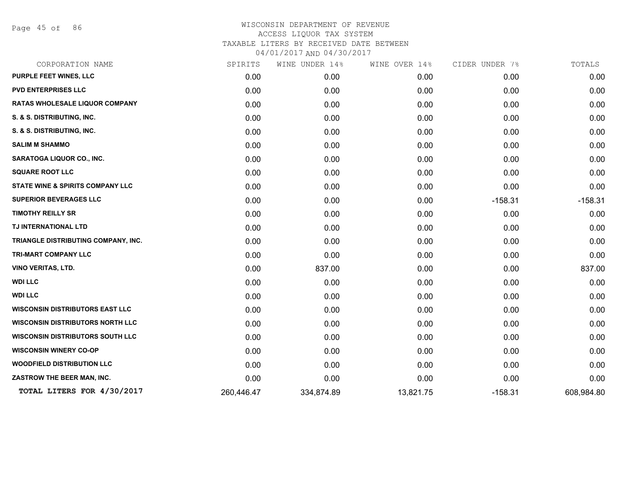Page 45 of 86

| CORPORATION NAME                            | SPIRITS    | WINE UNDER 14% | WINE OVER 14% | CIDER UNDER 7% | TOTALS     |
|---------------------------------------------|------------|----------------|---------------|----------------|------------|
| <b>PURPLE FEET WINES, LLC</b>               | 0.00       | 0.00           | 0.00          | 0.00           | 0.00       |
| <b>PVD ENTERPRISES LLC</b>                  | 0.00       | 0.00           | 0.00          | 0.00           | 0.00       |
| <b>RATAS WHOLESALE LIQUOR COMPANY</b>       | 0.00       | 0.00           | 0.00          | 0.00           | 0.00       |
| S. & S. DISTRIBUTING, INC.                  | 0.00       | 0.00           | 0.00          | 0.00           | 0.00       |
| S. & S. DISTRIBUTING, INC.                  | 0.00       | 0.00           | 0.00          | 0.00           | 0.00       |
| <b>SALIM M SHAMMO</b>                       | 0.00       | 0.00           | 0.00          | 0.00           | 0.00       |
| SARATOGA LIQUOR CO., INC.                   | 0.00       | 0.00           | 0.00          | 0.00           | 0.00       |
| <b>SQUARE ROOT LLC</b>                      | 0.00       | 0.00           | 0.00          | 0.00           | 0.00       |
| <b>STATE WINE &amp; SPIRITS COMPANY LLC</b> | 0.00       | 0.00           | 0.00          | 0.00           | 0.00       |
| <b>SUPERIOR BEVERAGES LLC</b>               | 0.00       | 0.00           | 0.00          | $-158.31$      | $-158.31$  |
| <b>TIMOTHY REILLY SR</b>                    | 0.00       | 0.00           | 0.00          | 0.00           | 0.00       |
| TJ INTERNATIONAL LTD                        | 0.00       | 0.00           | 0.00          | 0.00           | 0.00       |
| TRIANGLE DISTRIBUTING COMPANY, INC.         | 0.00       | 0.00           | 0.00          | 0.00           | 0.00       |
| <b>TRI-MART COMPANY LLC</b>                 | 0.00       | 0.00           | 0.00          | 0.00           | 0.00       |
| <b>VINO VERITAS, LTD.</b>                   | 0.00       | 837.00         | 0.00          | 0.00           | 837.00     |
| <b>WDI LLC</b>                              | 0.00       | 0.00           | 0.00          | 0.00           | 0.00       |
| <b>WDI LLC</b>                              | 0.00       | 0.00           | 0.00          | 0.00           | 0.00       |
| <b>WISCONSIN DISTRIBUTORS EAST LLC</b>      | 0.00       | 0.00           | 0.00          | 0.00           | 0.00       |
| <b>WISCONSIN DISTRIBUTORS NORTH LLC</b>     | 0.00       | 0.00           | 0.00          | 0.00           | 0.00       |
| <b>WISCONSIN DISTRIBUTORS SOUTH LLC</b>     | 0.00       | 0.00           | 0.00          | 0.00           | 0.00       |
| <b>WISCONSIN WINERY CO-OP</b>               | 0.00       | 0.00           | 0.00          | 0.00           | 0.00       |
| <b>WOODFIELD DISTRIBUTION LLC</b>           | 0.00       | 0.00           | 0.00          | 0.00           | 0.00       |
| ZASTROW THE BEER MAN, INC.                  | 0.00       | 0.00           | 0.00          | 0.00           | 0.00       |
| TOTAL LITERS FOR 4/30/2017                  | 260,446.47 | 334,874.89     | 13,821.75     | $-158.31$      | 608,984.80 |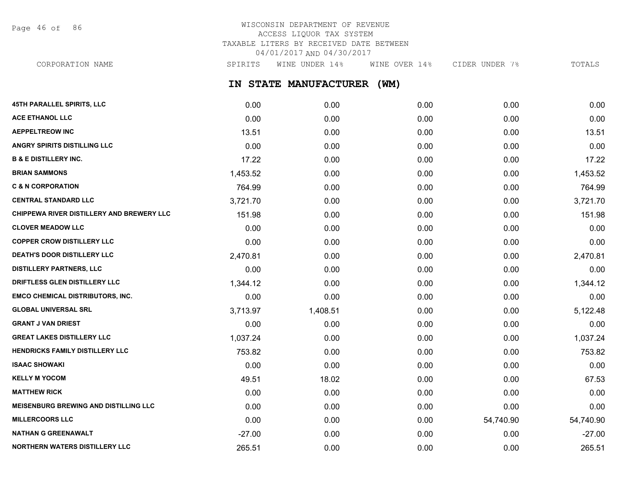Page 46 of 86

# WISCONSIN DEPARTMENT OF REVENUE ACCESS LIQUOR TAX SYSTEM TAXABLE LITERS BY RECEIVED DATE BETWEEN 04/01/2017 AND 04/30/2017

CORPORATION NAME SPIRITS WINE UNDER 14% WINE OVER 14% CIDER UNDER 7% TOTALS

**IN STATE MANUFACTURER (WM)**

| 45TH PARALLEL SPIRITS, LLC                   | 0.00     | 0.00     | 0.00 | 0.00      | 0.00      |
|----------------------------------------------|----------|----------|------|-----------|-----------|
| <b>ACE ETHANOL LLC</b>                       | 0.00     | 0.00     | 0.00 | 0.00      | 0.00      |
| <b>AEPPELTREOW INC</b>                       | 13.51    | 0.00     | 0.00 | 0.00      | 13.51     |
| <b>ANGRY SPIRITS DISTILLING LLC</b>          | 0.00     | 0.00     | 0.00 | 0.00      | 0.00      |
| <b>B &amp; E DISTILLERY INC.</b>             | 17.22    | 0.00     | 0.00 | 0.00      | 17.22     |
| <b>BRIAN SAMMONS</b>                         | 1,453.52 | 0.00     | 0.00 | 0.00      | 1,453.52  |
| <b>C &amp; N CORPORATION</b>                 | 764.99   | 0.00     | 0.00 | 0.00      | 764.99    |
| <b>CENTRAL STANDARD LLC</b>                  | 3,721.70 | 0.00     | 0.00 | 0.00      | 3,721.70  |
| CHIPPEWA RIVER DISTILLERY AND BREWERY LLC    | 151.98   | 0.00     | 0.00 | 0.00      | 151.98    |
| <b>CLOVER MEADOW LLC</b>                     | 0.00     | 0.00     | 0.00 | 0.00      | 0.00      |
| <b>COPPER CROW DISTILLERY LLC</b>            | 0.00     | 0.00     | 0.00 | 0.00      | 0.00      |
| DEATH'S DOOR DISTILLERY LLC                  | 2,470.81 | 0.00     | 0.00 | 0.00      | 2,470.81  |
| <b>DISTILLERY PARTNERS, LLC</b>              | 0.00     | 0.00     | 0.00 | 0.00      | 0.00      |
| DRIFTLESS GLEN DISTILLERY LLC                | 1,344.12 | 0.00     | 0.00 | 0.00      | 1,344.12  |
| <b>EMCO CHEMICAL DISTRIBUTORS, INC.</b>      | 0.00     | 0.00     | 0.00 | 0.00      | 0.00      |
| <b>GLOBAL UNIVERSAL SRL</b>                  | 3,713.97 | 1,408.51 | 0.00 | 0.00      | 5,122.48  |
| <b>GRANT J VAN DRIEST</b>                    | 0.00     | 0.00     | 0.00 | 0.00      | 0.00      |
| <b>GREAT LAKES DISTILLERY LLC</b>            | 1,037.24 | 0.00     | 0.00 | 0.00      | 1,037.24  |
| HENDRICKS FAMILY DISTILLERY LLC              | 753.82   | 0.00     | 0.00 | 0.00      | 753.82    |
| <b>ISAAC SHOWAKI</b>                         | 0.00     | 0.00     | 0.00 | 0.00      | 0.00      |
| <b>KELLY M YOCOM</b>                         | 49.51    | 18.02    | 0.00 | 0.00      | 67.53     |
| <b>MATTHEW RICK</b>                          | 0.00     | 0.00     | 0.00 | 0.00      | 0.00      |
| <b>MEISENBURG BREWING AND DISTILLING LLC</b> | 0.00     | 0.00     | 0.00 | 0.00      | 0.00      |
| <b>MILLERCOORS LLC</b>                       | 0.00     | 0.00     | 0.00 | 54,740.90 | 54,740.90 |
| <b>NATHAN G GREENAWALT</b>                   | $-27.00$ | 0.00     | 0.00 | 0.00      | $-27.00$  |
| NORTHERN WATERS DISTILLERY LLC               | 265.51   | 0.00     | 0.00 | 0.00      | 265.51    |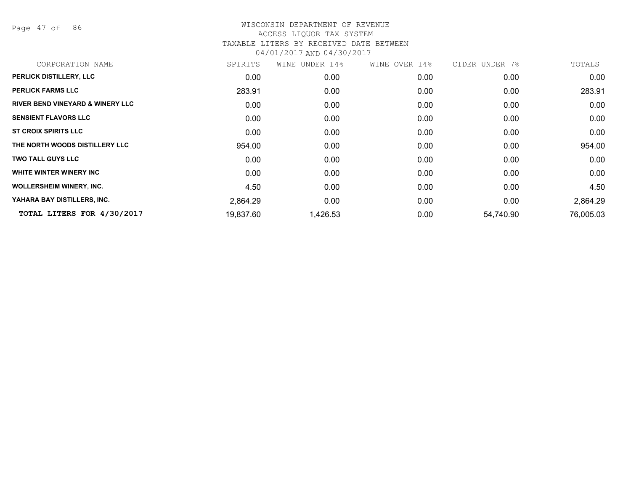Page 47 of 86

| CORPORATION NAME                            | SPIRITS   | WINE UNDER 14% | WINE OVER 14% | CIDER UNDER 7% | TOTALS    |
|---------------------------------------------|-----------|----------------|---------------|----------------|-----------|
| PERLICK DISTILLERY, LLC                     | 0.00      | 0.00           | 0.00          | 0.00           | 0.00      |
| <b>PERLICK FARMS LLC</b>                    | 283.91    | 0.00           | 0.00          | 0.00           | 283.91    |
| <b>RIVER BEND VINEYARD &amp; WINERY LLC</b> | 0.00      | 0.00           | 0.00          | 0.00           | 0.00      |
| <b>SENSIENT FLAVORS LLC</b>                 | 0.00      | 0.00           | 0.00          | 0.00           | 0.00      |
| <b>ST CROIX SPIRITS LLC</b>                 | 0.00      | 0.00           | 0.00          | 0.00           | 0.00      |
| THE NORTH WOODS DISTILLERY LLC              | 954.00    | 0.00           | 0.00          | 0.00           | 954.00    |
| <b>TWO TALL GUYS LLC</b>                    | 0.00      | 0.00           | 0.00          | 0.00           | 0.00      |
| WHITE WINTER WINERY INC                     | 0.00      | 0.00           | 0.00          | 0.00           | 0.00      |
| <b>WOLLERSHEIM WINERY, INC.</b>             | 4.50      | 0.00           | 0.00          | 0.00           | 4.50      |
| YAHARA BAY DISTILLERS, INC.                 | 2,864.29  | 0.00           | 0.00          | 0.00           | 2,864.29  |
| TOTAL LITERS FOR 4/30/2017                  | 19,837.60 | 1,426.53       | 0.00          | 54,740.90      | 76,005.03 |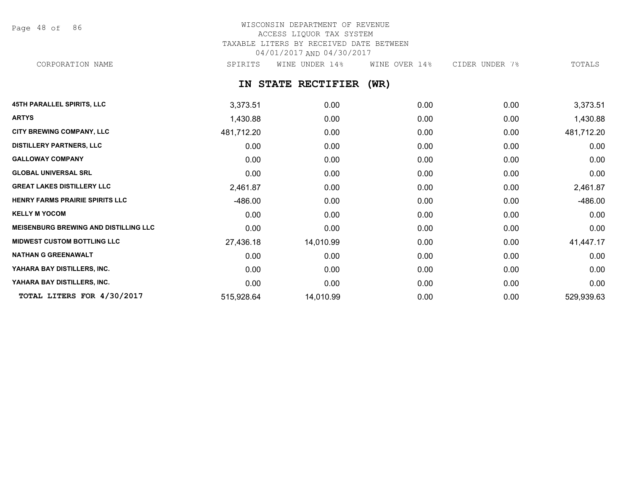Page 48 of 86

# WISCONSIN DEPARTMENT OF REVENUE ACCESS LIQUOR TAX SYSTEM TAXABLE LITERS BY RECEIVED DATE BETWEEN 04/01/2017 AND 04/30/2017

CORPORATION NAME SPIRITS WINE UNDER 14% WINE OVER 14% CIDER UNDER 7% TOTALS

**IN STATE RECTIFIER (WR)**

| <b>45TH PARALLEL SPIRITS, LLC</b>            | 3,373.51   | 0.00      | 0.00 | 0.00 | 3,373.51   |
|----------------------------------------------|------------|-----------|------|------|------------|
| <b>ARTYS</b>                                 | 1,430.88   | 0.00      | 0.00 | 0.00 | 1,430.88   |
| CITY BREWING COMPANY, LLC                    | 481,712.20 | 0.00      | 0.00 | 0.00 | 481,712.20 |
| <b>DISTILLERY PARTNERS, LLC</b>              | 0.00       | 0.00      | 0.00 | 0.00 | 0.00       |
| <b>GALLOWAY COMPANY</b>                      | 0.00       | 0.00      | 0.00 | 0.00 | 0.00       |
| <b>GLOBAL UNIVERSAL SRL</b>                  | 0.00       | 0.00      | 0.00 | 0.00 | 0.00       |
| <b>GREAT LAKES DISTILLERY LLC</b>            | 2,461.87   | 0.00      | 0.00 | 0.00 | 2,461.87   |
| HENRY FARMS PRAIRIE SPIRITS LLC              | $-486.00$  | 0.00      | 0.00 | 0.00 | -486.00    |
| <b>KELLY M YOCOM</b>                         | 0.00       | 0.00      | 0.00 | 0.00 | 0.00       |
| <b>MEISENBURG BREWING AND DISTILLING LLC</b> | 0.00       | 0.00      | 0.00 | 0.00 | 0.00       |
| <b>MIDWEST CUSTOM BOTTLING LLC</b>           | 27,436.18  | 14,010.99 | 0.00 | 0.00 | 41,447.17  |
| <b>NATHAN G GREENAWALT</b>                   | 0.00       | 0.00      | 0.00 | 0.00 | 0.00       |
| YAHARA BAY DISTILLERS, INC.                  | 0.00       | 0.00      | 0.00 | 0.00 | 0.00       |
| YAHARA BAY DISTILLERS, INC.                  | 0.00       | 0.00      | 0.00 | 0.00 | 0.00       |
| TOTAL LITERS FOR 4/30/2017                   | 515,928.64 | 14,010.99 | 0.00 | 0.00 | 529,939.63 |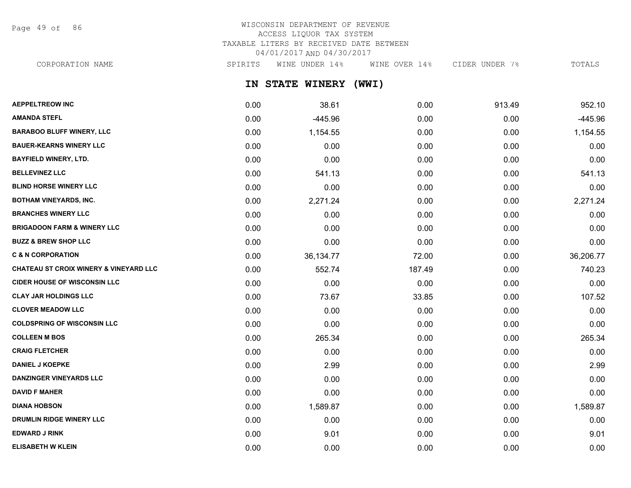Page 49 of 86

# WISCONSIN DEPARTMENT OF REVENUE ACCESS LIQUOR TAX SYSTEM TAXABLE LITERS BY RECEIVED DATE BETWEEN 04/01/2017 AND 04/30/2017

**IN STATE WINERY (WWI) AEPPELTREOW INC** 0.00 38.61 0.00 913.49 952.10 **AMANDA STEFL** 0.00 -445.96 0.00 0.00 -445.96 **BARABOO BLUFF WINERY, LLC** 0.00 0.00 1,154.55 0.00 0.00 0.00 0.00 0.00 0.00 1,154.55 **BAUER-KEARNS WINERY LLC** 0.00 0.00 0.00 0.00 0.00 **BAYFIELD WINERY, LTD.** 0.00 0.00 0.00 0.00 0.00 CORPORATION NAME SPIRITS WINE UNDER 14% WINE OVER 14% CIDER UNDER 7% TOTALS

| <b>BELLEVINEZ LLC</b>                             | 0.00 | 541.13    | 0.00   | 0.00 | 541.13    |
|---------------------------------------------------|------|-----------|--------|------|-----------|
| <b>BLIND HORSE WINERY LLC</b>                     | 0.00 | 0.00      | 0.00   | 0.00 | 0.00      |
| <b>BOTHAM VINEYARDS, INC.</b>                     | 0.00 | 2,271.24  | 0.00   | 0.00 | 2,271.24  |
| <b>BRANCHES WINERY LLC</b>                        | 0.00 | 0.00      | 0.00   | 0.00 | 0.00      |
| <b>BRIGADOON FARM &amp; WINERY LLC</b>            | 0.00 | 0.00      | 0.00   | 0.00 | 0.00      |
| <b>BUZZ &amp; BREW SHOP LLC</b>                   | 0.00 | 0.00      | 0.00   | 0.00 | 0.00      |
| <b>C &amp; N CORPORATION</b>                      | 0.00 | 36,134.77 | 72.00  | 0.00 | 36,206.77 |
| <b>CHATEAU ST CROIX WINERY &amp; VINEYARD LLC</b> | 0.00 | 552.74    | 187.49 | 0.00 | 740.23    |
| <b>CIDER HOUSE OF WISCONSIN LLC</b>               | 0.00 | 0.00      | 0.00   | 0.00 | 0.00      |
| <b>CLAY JAR HOLDINGS LLC</b>                      | 0.00 | 73.67     | 33.85  | 0.00 | 107.52    |
| <b>CLOVER MEADOW LLC</b>                          | 0.00 | 0.00      | 0.00   | 0.00 | 0.00      |
| <b>COLDSPRING OF WISCONSIN LLC</b>                | 0.00 | 0.00      | 0.00   | 0.00 | 0.00      |
| <b>COLLEEN M BOS</b>                              | 0.00 | 265.34    | 0.00   | 0.00 | 265.34    |
| <b>CRAIG FLETCHER</b>                             | 0.00 | 0.00      | 0.00   | 0.00 | 0.00      |
| <b>DANIEL J KOEPKE</b>                            | 0.00 | 2.99      | 0.00   | 0.00 | 2.99      |
| <b>DANZINGER VINEYARDS LLC</b>                    | 0.00 | 0.00      | 0.00   | 0.00 | 0.00      |
| <b>DAVID F MAHER</b>                              | 0.00 | 0.00      | 0.00   | 0.00 | 0.00      |
| <b>DIANA HOBSON</b>                               | 0.00 | 1,589.87  | 0.00   | 0.00 | 1,589.87  |
| <b>DRUMLIN RIDGE WINERY LLC</b>                   | 0.00 | 0.00      | 0.00   | 0.00 | 0.00      |
| <b>EDWARD J RINK</b>                              | 0.00 | 9.01      | 0.00   | 0.00 | 9.01      |
| <b>ELISABETH W KLEIN</b>                          | 0.00 | 0.00      | 0.00   | 0.00 | 0.00      |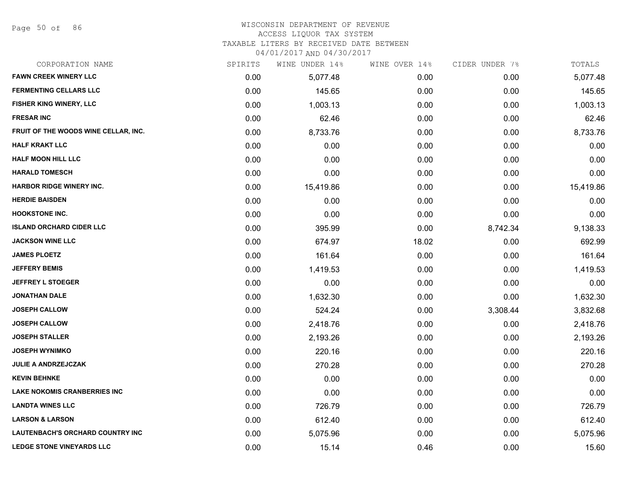Page 50 of 86

## WISCONSIN DEPARTMENT OF REVENUE

#### ACCESS LIQUOR TAX SYSTEM

TAXABLE LITERS BY RECEIVED DATE BETWEEN

| CORPORATION NAME                     | SPIRITS | WINE UNDER 14% | WINE OVER 14% | CIDER UNDER 7% | TOTALS    |
|--------------------------------------|---------|----------------|---------------|----------------|-----------|
| <b>FAWN CREEK WINERY LLC</b>         | 0.00    | 5,077.48       | 0.00          | 0.00           | 5,077.48  |
| <b>FERMENTING CELLARS LLC</b>        | 0.00    | 145.65         | 0.00          | 0.00           | 145.65    |
| FISHER KING WINERY, LLC              | 0.00    | 1,003.13       | 0.00          | 0.00           | 1,003.13  |
| <b>FRESAR INC</b>                    | 0.00    | 62.46          | 0.00          | 0.00           | 62.46     |
| FRUIT OF THE WOODS WINE CELLAR, INC. | 0.00    | 8,733.76       | 0.00          | 0.00           | 8,733.76  |
| <b>HALF KRAKT LLC</b>                | 0.00    | 0.00           | 0.00          | 0.00           | 0.00      |
| <b>HALF MOON HILL LLC</b>            | 0.00    | 0.00           | 0.00          | 0.00           | 0.00      |
| <b>HARALD TOMESCH</b>                | 0.00    | 0.00           | 0.00          | 0.00           | 0.00      |
| <b>HARBOR RIDGE WINERY INC.</b>      | 0.00    | 15,419.86      | 0.00          | 0.00           | 15,419.86 |
| <b>HERDIE BAISDEN</b>                | 0.00    | 0.00           | 0.00          | 0.00           | 0.00      |
| <b>HOOKSTONE INC.</b>                | 0.00    | 0.00           | 0.00          | 0.00           | 0.00      |
| <b>ISLAND ORCHARD CIDER LLC</b>      | 0.00    | 395.99         | 0.00          | 8,742.34       | 9,138.33  |
| <b>JACKSON WINE LLC</b>              | 0.00    | 674.97         | 18.02         | 0.00           | 692.99    |
| <b>JAMES PLOETZ</b>                  | 0.00    | 161.64         | 0.00          | 0.00           | 161.64    |
| <b>JEFFERY BEMIS</b>                 | 0.00    | 1,419.53       | 0.00          | 0.00           | 1,419.53  |
| <b>JEFFREY L STOEGER</b>             | 0.00    | 0.00           | 0.00          | 0.00           | 0.00      |
| <b>JONATHAN DALE</b>                 | 0.00    | 1,632.30       | 0.00          | 0.00           | 1,632.30  |
| <b>JOSEPH CALLOW</b>                 | 0.00    | 524.24         | 0.00          | 3,308.44       | 3,832.68  |
| <b>JOSEPH CALLOW</b>                 | 0.00    | 2,418.76       | 0.00          | 0.00           | 2,418.76  |
| <b>JOSEPH STALLER</b>                | 0.00    | 2,193.26       | 0.00          | 0.00           | 2,193.26  |
| <b>JOSEPH WYNIMKO</b>                | 0.00    | 220.16         | 0.00          | 0.00           | 220.16    |
| <b>JULIE A ANDRZEJCZAK</b>           | 0.00    | 270.28         | 0.00          | 0.00           | 270.28    |
| <b>KEVIN BEHNKE</b>                  | 0.00    | 0.00           | 0.00          | 0.00           | 0.00      |
| <b>LAKE NOKOMIS CRANBERRIES INC</b>  | 0.00    | 0.00           | 0.00          | 0.00           | 0.00      |
| <b>LANDTA WINES LLC</b>              | 0.00    | 726.79         | 0.00          | 0.00           | 726.79    |
| <b>LARSON &amp; LARSON</b>           | 0.00    | 612.40         | 0.00          | 0.00           | 612.40    |
| LAUTENBACH'S ORCHARD COUNTRY INC     | 0.00    | 5,075.96       | 0.00          | 0.00           | 5,075.96  |
| <b>LEDGE STONE VINEYARDS LLC</b>     | 0.00    | 15.14          | 0.46          | 0.00           | 15.60     |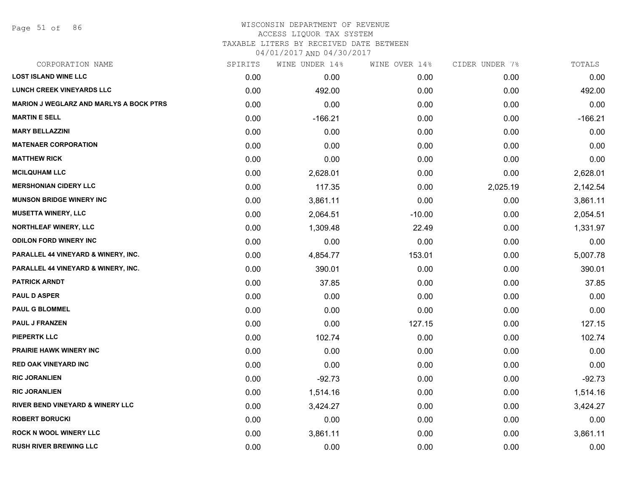Page 51 of 86

#### WISCONSIN DEPARTMENT OF REVENUE ACCESS LIQUOR TAX SYSTEM TAXABLE LITERS BY RECEIVED DATE BETWEEN

| CORPORATION NAME                               | SPIRITS | WINE UNDER 14% | WINE OVER 14% | CIDER UNDER 7% | TOTALS    |
|------------------------------------------------|---------|----------------|---------------|----------------|-----------|
| <b>LOST ISLAND WINE LLC</b>                    | 0.00    | 0.00           | 0.00          | 0.00           | 0.00      |
| <b>LUNCH CREEK VINEYARDS LLC</b>               | 0.00    | 492.00         | 0.00          | 0.00           | 492.00    |
| <b>MARION J WEGLARZ AND MARLYS A BOCK PTRS</b> | 0.00    | 0.00           | 0.00          | 0.00           | 0.00      |
| <b>MARTIN E SELL</b>                           | 0.00    | $-166.21$      | 0.00          | 0.00           | $-166.21$ |
| <b>MARY BELLAZZINI</b>                         | 0.00    | 0.00           | 0.00          | 0.00           | 0.00      |
| <b>MATENAER CORPORATION</b>                    | 0.00    | 0.00           | 0.00          | 0.00           | 0.00      |
| <b>MATTHEW RICK</b>                            | 0.00    | 0.00           | 0.00          | 0.00           | 0.00      |
| <b>MCILQUHAM LLC</b>                           | 0.00    | 2,628.01       | 0.00          | 0.00           | 2,628.01  |
| <b>MERSHONIAN CIDERY LLC</b>                   | 0.00    | 117.35         | 0.00          | 2,025.19       | 2,142.54  |
| <b>MUNSON BRIDGE WINERY INC</b>                | 0.00    | 3,861.11       | 0.00          | 0.00           | 3,861.11  |
| <b>MUSETTA WINERY, LLC</b>                     | 0.00    | 2,064.51       | $-10.00$      | 0.00           | 2,054.51  |
| <b>NORTHLEAF WINERY, LLC</b>                   | 0.00    | 1,309.48       | 22.49         | 0.00           | 1,331.97  |
| <b>ODILON FORD WINERY INC</b>                  | 0.00    | 0.00           | 0.00          | 0.00           | 0.00      |
| <b>PARALLEL 44 VINEYARD &amp; WINERY, INC.</b> | 0.00    | 4,854.77       | 153.01        | 0.00           | 5,007.78  |
| <b>PARALLEL 44 VINEYARD &amp; WINERY, INC.</b> | 0.00    | 390.01         | 0.00          | 0.00           | 390.01    |
| <b>PATRICK ARNDT</b>                           | 0.00    | 37.85          | 0.00          | 0.00           | 37.85     |
| <b>PAUL D ASPER</b>                            | 0.00    | 0.00           | 0.00          | 0.00           | 0.00      |
| <b>PAUL G BLOMMEL</b>                          | 0.00    | 0.00           | 0.00          | 0.00           | 0.00      |
| <b>PAUL J FRANZEN</b>                          | 0.00    | 0.00           | 127.15        | 0.00           | 127.15    |
| <b>PIEPERTK LLC</b>                            | 0.00    | 102.74         | 0.00          | 0.00           | 102.74    |
| <b>PRAIRIE HAWK WINERY INC</b>                 | 0.00    | 0.00           | 0.00          | 0.00           | 0.00      |
| <b>RED OAK VINEYARD INC</b>                    | 0.00    | 0.00           | 0.00          | 0.00           | 0.00      |
| <b>RIC JORANLIEN</b>                           | 0.00    | $-92.73$       | 0.00          | 0.00           | $-92.73$  |
| <b>RIC JORANLIEN</b>                           | 0.00    | 1,514.16       | 0.00          | 0.00           | 1,514.16  |
| RIVER BEND VINEYARD & WINERY LLC               | 0.00    | 3,424.27       | 0.00          | 0.00           | 3,424.27  |
| <b>ROBERT BORUCKI</b>                          | 0.00    | 0.00           | 0.00          | 0.00           | 0.00      |
| <b>ROCK N WOOL WINERY LLC</b>                  | 0.00    | 3,861.11       | 0.00          | 0.00           | 3,861.11  |
| <b>RUSH RIVER BREWING LLC</b>                  | 0.00    | 0.00           | 0.00          | 0.00           | 0.00      |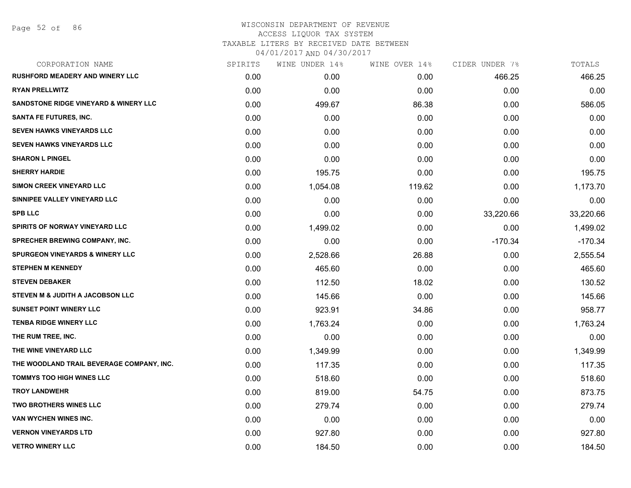| CORPORATION NAME                                 | SPIRITS | WINE UNDER 14% | WINE OVER 14% | CIDER UNDER 7% | TOTALS    |
|--------------------------------------------------|---------|----------------|---------------|----------------|-----------|
| <b>RUSHFORD MEADERY AND WINERY LLC</b>           | 0.00    | 0.00           | 0.00          | 466.25         | 466.25    |
| <b>RYAN PRELLWITZ</b>                            | 0.00    | 0.00           | 0.00          | 0.00           | 0.00      |
| <b>SANDSTONE RIDGE VINEYARD &amp; WINERY LLC</b> | 0.00    | 499.67         | 86.38         | 0.00           | 586.05    |
| <b>SANTA FE FUTURES, INC.</b>                    | 0.00    | 0.00           | 0.00          | 0.00           | 0.00      |
| <b>SEVEN HAWKS VINEYARDS LLC</b>                 | 0.00    | 0.00           | 0.00          | 0.00           | 0.00      |
| SEVEN HAWKS VINEYARDS LLC                        | 0.00    | 0.00           | 0.00          | 0.00           | 0.00      |
| <b>SHARON L PINGEL</b>                           | 0.00    | 0.00           | 0.00          | 0.00           | 0.00      |
| <b>SHERRY HARDIE</b>                             | 0.00    | 195.75         | 0.00          | 0.00           | 195.75    |
| SIMON CREEK VINEYARD LLC                         | 0.00    | 1,054.08       | 119.62        | 0.00           | 1,173.70  |
| SINNIPEE VALLEY VINEYARD LLC                     | 0.00    | 0.00           | 0.00          | 0.00           | 0.00      |
| <b>SPB LLC</b>                                   | 0.00    | 0.00           | 0.00          | 33,220.66      | 33,220.66 |
| <b>SPIRITS OF NORWAY VINEYARD LLC</b>            | 0.00    | 1,499.02       | 0.00          | 0.00           | 1,499.02  |
| SPRECHER BREWING COMPANY, INC.                   | 0.00    | 0.00           | 0.00          | $-170.34$      | $-170.34$ |
| <b>SPURGEON VINEYARDS &amp; WINERY LLC</b>       | 0.00    | 2,528.66       | 26.88         | 0.00           | 2,555.54  |
| <b>STEPHEN M KENNEDY</b>                         | 0.00    | 465.60         | 0.00          | 0.00           | 465.60    |
| <b>STEVEN DEBAKER</b>                            | 0.00    | 112.50         | 18.02         | 0.00           | 130.52    |
| STEVEN M & JUDITH A JACOBSON LLC                 | 0.00    | 145.66         | 0.00          | 0.00           | 145.66    |
| <b>SUNSET POINT WINERY LLC</b>                   | 0.00    | 923.91         | 34.86         | 0.00           | 958.77    |
| <b>TENBA RIDGE WINERY LLC</b>                    | 0.00    | 1,763.24       | 0.00          | 0.00           | 1,763.24  |
| THE RUM TREE, INC.                               | 0.00    | 0.00           | 0.00          | 0.00           | 0.00      |
| THE WINE VINEYARD LLC                            | 0.00    | 1,349.99       | 0.00          | 0.00           | 1,349.99  |
| THE WOODLAND TRAIL BEVERAGE COMPANY, INC.        | 0.00    | 117.35         | 0.00          | 0.00           | 117.35    |
| <b>TOMMYS TOO HIGH WINES LLC</b>                 | 0.00    | 518.60         | 0.00          | 0.00           | 518.60    |
| <b>TROY LANDWEHR</b>                             | 0.00    | 819.00         | 54.75         | 0.00           | 873.75    |
| TWO BROTHERS WINES LLC                           | 0.00    | 279.74         | 0.00          | 0.00           | 279.74    |
| VAN WYCHEN WINES INC.                            | 0.00    | 0.00           | 0.00          | 0.00           | 0.00      |
| <b>VERNON VINEYARDS LTD</b>                      | 0.00    | 927.80         | 0.00          | 0.00           | 927.80    |
| <b>VETRO WINERY LLC</b>                          | 0.00    | 184.50         | 0.00          | 0.00           | 184.50    |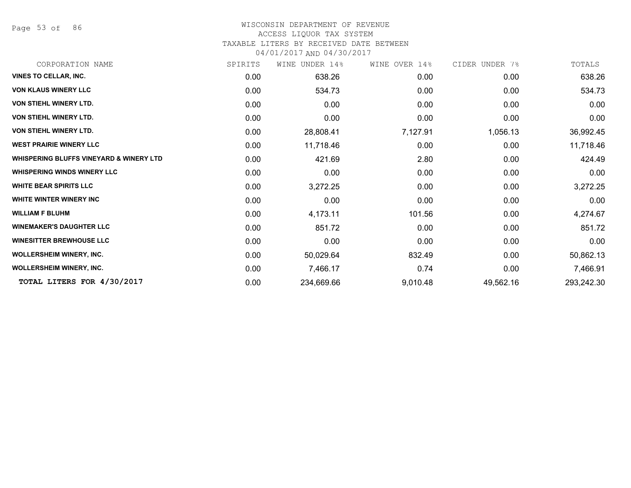Page 53 of 86

#### WISCONSIN DEPARTMENT OF REVENUE

#### ACCESS LIQUOR TAX SYSTEM

TAXABLE LITERS BY RECEIVED DATE BETWEEN

| CORPORATION NAME                                   | SPIRITS | UNDER 14%<br>WINE | WINE OVER 14% | CIDER UNDER 7% | TOTALS     |
|----------------------------------------------------|---------|-------------------|---------------|----------------|------------|
| <b>VINES TO CELLAR, INC.</b>                       | 0.00    | 638.26            | 0.00          | 0.00           | 638.26     |
| <b>VON KLAUS WINERY LLC</b>                        | 0.00    | 534.73            | 0.00          | 0.00           | 534.73     |
| <b>VON STIEHL WINERY LTD.</b>                      | 0.00    | 0.00              | 0.00          | 0.00           | 0.00       |
| <b>VON STIEHL WINERY LTD.</b>                      | 0.00    | 0.00              | 0.00          | 0.00           | 0.00       |
| <b>VON STIEHL WINERY LTD.</b>                      | 0.00    | 28,808.41         | 7,127.91      | 1,056.13       | 36,992.45  |
| <b>WEST PRAIRIE WINERY LLC</b>                     | 0.00    | 11,718.46         | 0.00          | 0.00           | 11,718.46  |
| <b>WHISPERING BLUFFS VINEYARD &amp; WINERY LTD</b> | 0.00    | 421.69            | 2.80          | 0.00           | 424.49     |
| <b>WHISPERING WINDS WINERY LLC</b>                 | 0.00    | 0.00              | 0.00          | 0.00           | 0.00       |
| <b>WHITE BEAR SPIRITS LLC</b>                      | 0.00    | 3,272.25          | 0.00          | 0.00           | 3,272.25   |
| <b>WHITE WINTER WINERY INC</b>                     | 0.00    | 0.00              | 0.00          | 0.00           | 0.00       |
| <b>WILLIAM F BLUHM</b>                             | 0.00    | 4,173.11          | 101.56        | 0.00           | 4,274.67   |
| <b>WINEMAKER'S DAUGHTER LLC</b>                    | 0.00    | 851.72            | 0.00          | 0.00           | 851.72     |
| <b>WINESITTER BREWHOUSE LLC</b>                    | 0.00    | 0.00              | 0.00          | 0.00           | 0.00       |
| <b>WOLLERSHEIM WINERY, INC.</b>                    | 0.00    | 50,029.64         | 832.49        | 0.00           | 50,862.13  |
| <b>WOLLERSHEIM WINERY, INC.</b>                    | 0.00    | 7,466.17          | 0.74          | 0.00           | 7,466.91   |
| TOTAL LITERS FOR 4/30/2017                         | 0.00    | 234,669.66        | 9,010.48      | 49,562.16      | 293,242.30 |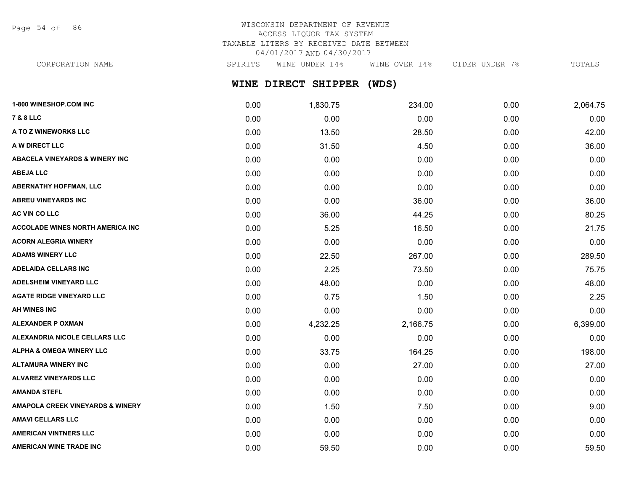Page 54 of 86

# WISCONSIN DEPARTMENT OF REVENUE ACCESS LIQUOR TAX SYSTEM TAXABLE LITERS BY RECEIVED DATE BETWEEN 04/01/2017 AND 04/30/2017

CORPORATION NAME SPIRITS WINE UNDER 14% WINE OVER 14% CIDER UNDER 7% TOTALS

**WINE DIRECT SHIPPER (WDS)**

| 1-800 WINESHOP.COM INC                      | 0.00 | 1,830.75 | 234.00   | 0.00 | 2,064.75 |
|---------------------------------------------|------|----------|----------|------|----------|
| <b>7 &amp; 8 LLC</b>                        | 0.00 | 0.00     | 0.00     | 0.00 | 0.00     |
| A TO Z WINEWORKS LLC                        | 0.00 | 13.50    | 28.50    | 0.00 | 42.00    |
| A W DIRECT LLC                              | 0.00 | 31.50    | 4.50     | 0.00 | 36.00    |
| <b>ABACELA VINEYARDS &amp; WINERY INC</b>   | 0.00 | 0.00     | 0.00     | 0.00 | 0.00     |
| <b>ABEJA LLC</b>                            | 0.00 | 0.00     | 0.00     | 0.00 | 0.00     |
| <b>ABERNATHY HOFFMAN, LLC</b>               | 0.00 | 0.00     | 0.00     | 0.00 | 0.00     |
| <b>ABREU VINEYARDS INC</b>                  | 0.00 | 0.00     | 36.00    | 0.00 | 36.00    |
| AC VIN CO LLC                               | 0.00 | 36.00    | 44.25    | 0.00 | 80.25    |
| <b>ACCOLADE WINES NORTH AMERICA INC</b>     | 0.00 | 5.25     | 16.50    | 0.00 | 21.75    |
| <b>ACORN ALEGRIA WINERY</b>                 | 0.00 | 0.00     | 0.00     | 0.00 | 0.00     |
| <b>ADAMS WINERY LLC</b>                     | 0.00 | 22.50    | 267.00   | 0.00 | 289.50   |
| <b>ADELAIDA CELLARS INC</b>                 | 0.00 | 2.25     | 73.50    | 0.00 | 75.75    |
| <b>ADELSHEIM VINEYARD LLC</b>               | 0.00 | 48.00    | 0.00     | 0.00 | 48.00    |
| <b>AGATE RIDGE VINEYARD LLC</b>             | 0.00 | 0.75     | 1.50     | 0.00 | 2.25     |
| <b>AH WINES INC</b>                         | 0.00 | 0.00     | 0.00     | 0.00 | 0.00     |
| <b>ALEXANDER P OXMAN</b>                    | 0.00 | 4,232.25 | 2,166.75 | 0.00 | 6,399.00 |
| ALEXANDRIA NICOLE CELLARS LLC               | 0.00 | 0.00     | 0.00     | 0.00 | 0.00     |
| <b>ALPHA &amp; OMEGA WINERY LLC</b>         | 0.00 | 33.75    | 164.25   | 0.00 | 198.00   |
| <b>ALTAMURA WINERY INC</b>                  | 0.00 | 0.00     | 27.00    | 0.00 | 27.00    |
| <b>ALVAREZ VINEYARDS LLC</b>                | 0.00 | 0.00     | 0.00     | 0.00 | 0.00     |
| <b>AMANDA STEFL</b>                         | 0.00 | 0.00     | 0.00     | 0.00 | 0.00     |
| <b>AMAPOLA CREEK VINEYARDS &amp; WINERY</b> | 0.00 | 1.50     | 7.50     | 0.00 | 9.00     |
| <b>AMAVI CELLARS LLC</b>                    | 0.00 | 0.00     | 0.00     | 0.00 | 0.00     |
| <b>AMERICAN VINTNERS LLC</b>                | 0.00 | 0.00     | 0.00     | 0.00 | 0.00     |
| AMERICAN WINE TRADE INC                     | 0.00 | 59.50    | 0.00     | 0.00 | 59.50    |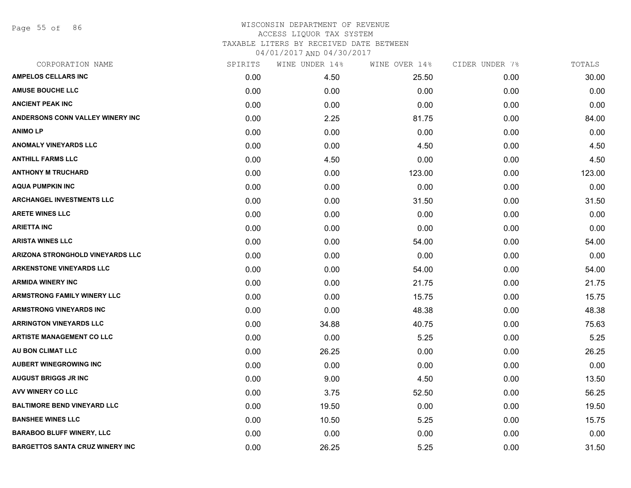Page 55 of 86

| CORPORATION NAME                       | SPIRITS | WINE UNDER 14% | WINE OVER 14% | CIDER UNDER 7% | TOTALS |
|----------------------------------------|---------|----------------|---------------|----------------|--------|
| <b>AMPELOS CELLARS INC</b>             | 0.00    | 4.50           | 25.50         | 0.00           | 30.00  |
| <b>AMUSE BOUCHE LLC</b>                | 0.00    | 0.00           | 0.00          | 0.00           | 0.00   |
| <b>ANCIENT PEAK INC</b>                | 0.00    | 0.00           | 0.00          | 0.00           | 0.00   |
| ANDERSONS CONN VALLEY WINERY INC       | 0.00    | 2.25           | 81.75         | 0.00           | 84.00  |
| <b>ANIMOLP</b>                         | 0.00    | 0.00           | 0.00          | 0.00           | 0.00   |
| <b>ANOMALY VINEYARDS LLC</b>           | 0.00    | 0.00           | 4.50          | 0.00           | 4.50   |
| <b>ANTHILL FARMS LLC</b>               | 0.00    | 4.50           | 0.00          | 0.00           | 4.50   |
| <b>ANTHONY M TRUCHARD</b>              | 0.00    | 0.00           | 123.00        | 0.00           | 123.00 |
| <b>AQUA PUMPKIN INC</b>                | 0.00    | 0.00           | 0.00          | 0.00           | 0.00   |
| <b>ARCHANGEL INVESTMENTS LLC</b>       | 0.00    | 0.00           | 31.50         | 0.00           | 31.50  |
| <b>ARETE WINES LLC</b>                 | 0.00    | 0.00           | 0.00          | 0.00           | 0.00   |
| <b>ARIETTA INC</b>                     | 0.00    | 0.00           | 0.00          | 0.00           | 0.00   |
| <b>ARISTA WINES LLC</b>                | 0.00    | 0.00           | 54.00         | 0.00           | 54.00  |
| ARIZONA STRONGHOLD VINEYARDS LLC       | 0.00    | 0.00           | 0.00          | 0.00           | 0.00   |
| <b>ARKENSTONE VINEYARDS LLC</b>        | 0.00    | 0.00           | 54.00         | 0.00           | 54.00  |
| <b>ARMIDA WINERY INC</b>               | 0.00    | 0.00           | 21.75         | 0.00           | 21.75  |
| <b>ARMSTRONG FAMILY WINERY LLC</b>     | 0.00    | 0.00           | 15.75         | 0.00           | 15.75  |
| <b>ARMSTRONG VINEYARDS INC</b>         | 0.00    | 0.00           | 48.38         | 0.00           | 48.38  |
| <b>ARRINGTON VINEYARDS LLC</b>         | 0.00    | 34.88          | 40.75         | 0.00           | 75.63  |
| <b>ARTISTE MANAGEMENT CO LLC</b>       | 0.00    | 0.00           | 5.25          | 0.00           | 5.25   |
| AU BON CLIMAT LLC                      | 0.00    | 26.25          | 0.00          | 0.00           | 26.25  |
| <b>AUBERT WINEGROWING INC</b>          | 0.00    | 0.00           | 0.00          | 0.00           | 0.00   |
| <b>AUGUST BRIGGS JR INC</b>            | 0.00    | 9.00           | 4.50          | 0.00           | 13.50  |
| AVV WINERY CO LLC                      | 0.00    | 3.75           | 52.50         | 0.00           | 56.25  |
| <b>BALTIMORE BEND VINEYARD LLC</b>     | 0.00    | 19.50          | 0.00          | 0.00           | 19.50  |
| <b>BANSHEE WINES LLC</b>               | 0.00    | 10.50          | 5.25          | 0.00           | 15.75  |
| <b>BARABOO BLUFF WINERY, LLC</b>       | 0.00    | 0.00           | 0.00          | 0.00           | 0.00   |
| <b>BARGETTOS SANTA CRUZ WINERY INC</b> | 0.00    | 26.25          | 5.25          | 0.00           | 31.50  |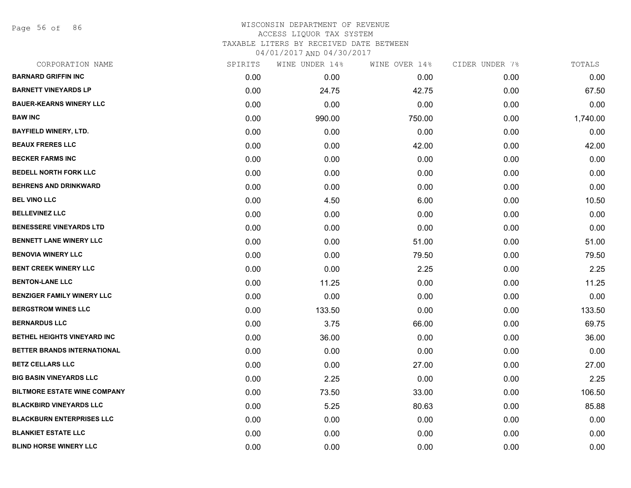Page 56 of 86

| CORPORATION NAME                    | SPIRITS | WINE UNDER 14% | WINE OVER 14% | CIDER UNDER 7% | TOTALS   |
|-------------------------------------|---------|----------------|---------------|----------------|----------|
| <b>BARNARD GRIFFIN INC</b>          | 0.00    | 0.00           | 0.00          | 0.00           | 0.00     |
| <b>BARNETT VINEYARDS LP</b>         | 0.00    | 24.75          | 42.75         | 0.00           | 67.50    |
| <b>BAUER-KEARNS WINERY LLC</b>      | 0.00    | 0.00           | 0.00          | 0.00           | 0.00     |
| <b>BAW INC</b>                      | 0.00    | 990.00         | 750.00        | 0.00           | 1,740.00 |
| <b>BAYFIELD WINERY, LTD.</b>        | 0.00    | 0.00           | 0.00          | 0.00           | 0.00     |
| <b>BEAUX FRERES LLC</b>             | 0.00    | 0.00           | 42.00         | 0.00           | 42.00    |
| <b>BECKER FARMS INC</b>             | 0.00    | 0.00           | 0.00          | 0.00           | 0.00     |
| <b>BEDELL NORTH FORK LLC</b>        | 0.00    | 0.00           | 0.00          | 0.00           | 0.00     |
| <b>BEHRENS AND DRINKWARD</b>        | 0.00    | 0.00           | 0.00          | 0.00           | 0.00     |
| <b>BEL VINO LLC</b>                 | 0.00    | 4.50           | 6.00          | 0.00           | 10.50    |
| <b>BELLEVINEZ LLC</b>               | 0.00    | 0.00           | 0.00          | 0.00           | 0.00     |
| <b>BENESSERE VINEYARDS LTD</b>      | 0.00    | 0.00           | 0.00          | 0.00           | 0.00     |
| <b>BENNETT LANE WINERY LLC</b>      | 0.00    | 0.00           | 51.00         | 0.00           | 51.00    |
| <b>BENOVIA WINERY LLC</b>           | 0.00    | 0.00           | 79.50         | 0.00           | 79.50    |
| <b>BENT CREEK WINERY LLC</b>        | 0.00    | 0.00           | 2.25          | 0.00           | 2.25     |
| <b>BENTON-LANE LLC</b>              | 0.00    | 11.25          | 0.00          | 0.00           | 11.25    |
| <b>BENZIGER FAMILY WINERY LLC</b>   | 0.00    | 0.00           | 0.00          | 0.00           | 0.00     |
| <b>BERGSTROM WINES LLC</b>          | 0.00    | 133.50         | 0.00          | 0.00           | 133.50   |
| <b>BERNARDUS LLC</b>                | 0.00    | 3.75           | 66.00         | 0.00           | 69.75    |
| BETHEL HEIGHTS VINEYARD INC         | 0.00    | 36.00          | 0.00          | 0.00           | 36.00    |
| BETTER BRANDS INTERNATIONAL         | 0.00    | 0.00           | 0.00          | 0.00           | 0.00     |
| <b>BETZ CELLARS LLC</b>             | 0.00    | 0.00           | 27.00         | 0.00           | 27.00    |
| <b>BIG BASIN VINEYARDS LLC</b>      | 0.00    | 2.25           | 0.00          | 0.00           | 2.25     |
| <b>BILTMORE ESTATE WINE COMPANY</b> | 0.00    | 73.50          | 33.00         | 0.00           | 106.50   |
| <b>BLACKBIRD VINEYARDS LLC</b>      | 0.00    | 5.25           | 80.63         | 0.00           | 85.88    |
| <b>BLACKBURN ENTERPRISES LLC</b>    | 0.00    | 0.00           | 0.00          | 0.00           | 0.00     |
| <b>BLANKIET ESTATE LLC</b>          | 0.00    | 0.00           | 0.00          | 0.00           | 0.00     |
| <b>BLIND HORSE WINERY LLC</b>       | 0.00    | 0.00           | 0.00          | 0.00           | 0.00     |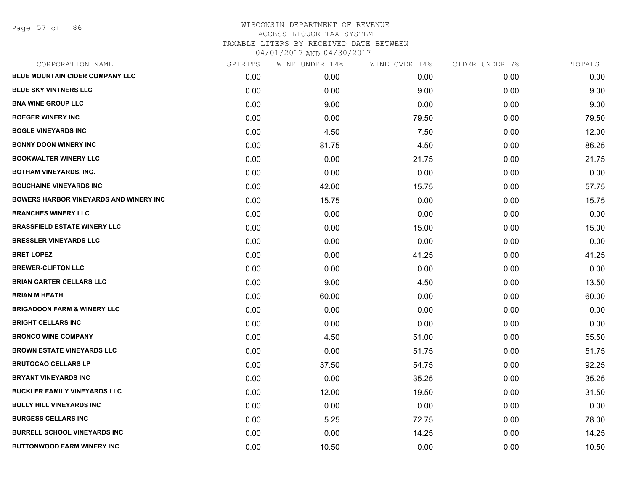Page 57 of 86

| CORPORATION NAME                              | SPIRITS | WINE UNDER 14% | WINE OVER 14% | CIDER UNDER 7% | TOTALS |
|-----------------------------------------------|---------|----------------|---------------|----------------|--------|
| BLUE MOUNTAIN CIDER COMPANY LLC               | 0.00    | 0.00           | 0.00          | 0.00           | 0.00   |
| <b>BLUE SKY VINTNERS LLC</b>                  | 0.00    | 0.00           | 9.00          | 0.00           | 9.00   |
| <b>BNA WINE GROUP LLC</b>                     | 0.00    | 9.00           | 0.00          | 0.00           | 9.00   |
| <b>BOEGER WINERY INC</b>                      | 0.00    | 0.00           | 79.50         | 0.00           | 79.50  |
| <b>BOGLE VINEYARDS INC</b>                    | 0.00    | 4.50           | 7.50          | 0.00           | 12.00  |
| <b>BONNY DOON WINERY INC</b>                  | 0.00    | 81.75          | 4.50          | 0.00           | 86.25  |
| <b>BOOKWALTER WINERY LLC</b>                  | 0.00    | 0.00           | 21.75         | 0.00           | 21.75  |
| <b>BOTHAM VINEYARDS, INC.</b>                 | 0.00    | 0.00           | 0.00          | 0.00           | 0.00   |
| <b>BOUCHAINE VINEYARDS INC</b>                | 0.00    | 42.00          | 15.75         | 0.00           | 57.75  |
| <b>BOWERS HARBOR VINEYARDS AND WINERY INC</b> | 0.00    | 15.75          | 0.00          | 0.00           | 15.75  |
| <b>BRANCHES WINERY LLC</b>                    | 0.00    | 0.00           | 0.00          | 0.00           | 0.00   |
| <b>BRASSFIELD ESTATE WINERY LLC</b>           | 0.00    | 0.00           | 15.00         | 0.00           | 15.00  |
| <b>BRESSLER VINEYARDS LLC</b>                 | 0.00    | 0.00           | 0.00          | 0.00           | 0.00   |
| <b>BRET LOPEZ</b>                             | 0.00    | 0.00           | 41.25         | 0.00           | 41.25  |
| <b>BREWER-CLIFTON LLC</b>                     | 0.00    | 0.00           | 0.00          | 0.00           | 0.00   |
| <b>BRIAN CARTER CELLARS LLC</b>               | 0.00    | 9.00           | 4.50          | 0.00           | 13.50  |
| <b>BRIAN M HEATH</b>                          | 0.00    | 60.00          | 0.00          | 0.00           | 60.00  |
| <b>BRIGADOON FARM &amp; WINERY LLC</b>        | 0.00    | 0.00           | 0.00          | 0.00           | 0.00   |
| <b>BRIGHT CELLARS INC</b>                     | 0.00    | 0.00           | 0.00          | 0.00           | 0.00   |
| <b>BRONCO WINE COMPANY</b>                    | 0.00    | 4.50           | 51.00         | 0.00           | 55.50  |
| <b>BROWN ESTATE VINEYARDS LLC</b>             | 0.00    | 0.00           | 51.75         | 0.00           | 51.75  |
| <b>BRUTOCAO CELLARS LP</b>                    | 0.00    | 37.50          | 54.75         | 0.00           | 92.25  |
| <b>BRYANT VINEYARDS INC</b>                   | 0.00    | 0.00           | 35.25         | 0.00           | 35.25  |
| <b>BUCKLER FAMILY VINEYARDS LLC</b>           | 0.00    | 12.00          | 19.50         | 0.00           | 31.50  |
| <b>BULLY HILL VINEYARDS INC</b>               | 0.00    | 0.00           | 0.00          | 0.00           | 0.00   |
| <b>BURGESS CELLARS INC</b>                    | 0.00    | 5.25           | 72.75         | 0.00           | 78.00  |
| <b>BURRELL SCHOOL VINEYARDS INC</b>           | 0.00    | 0.00           | 14.25         | 0.00           | 14.25  |
| <b>BUTTONWOOD FARM WINERY INC</b>             | 0.00    | 10.50          | 0.00          | 0.00           | 10.50  |
|                                               |         |                |               |                |        |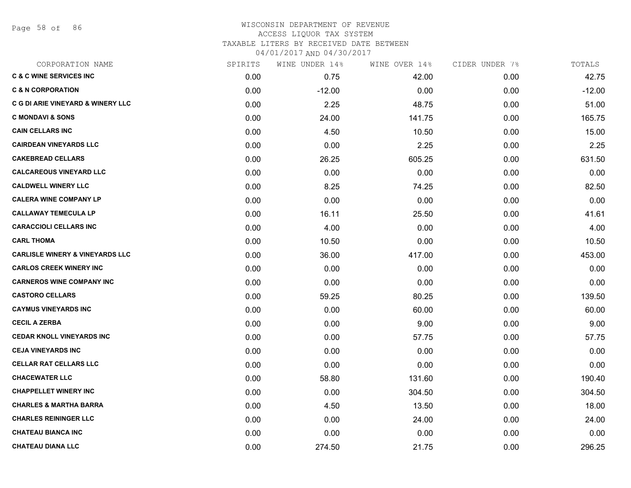Page 58 of 86

| CORPORATION NAME                             | SPIRITS | WINE UNDER 14% | WINE OVER 14% | CIDER UNDER 7% | TOTALS   |
|----------------------------------------------|---------|----------------|---------------|----------------|----------|
| <b>C &amp; C WINE SERVICES INC</b>           | 0.00    | 0.75           | 42.00         | 0.00           | 42.75    |
| <b>C &amp; N CORPORATION</b>                 | 0.00    | $-12.00$       | 0.00          | 0.00           | $-12.00$ |
| <b>C G DI ARIE VINEYARD &amp; WINERY LLC</b> | 0.00    | 2.25           | 48.75         | 0.00           | 51.00    |
| <b>C MONDAVI &amp; SONS</b>                  | 0.00    | 24.00          | 141.75        | 0.00           | 165.75   |
| <b>CAIN CELLARS INC</b>                      | 0.00    | 4.50           | 10.50         | 0.00           | 15.00    |
| <b>CAIRDEAN VINEYARDS LLC</b>                | 0.00    | 0.00           | 2.25          | 0.00           | 2.25     |
| <b>CAKEBREAD CELLARS</b>                     | 0.00    | 26.25          | 605.25        | 0.00           | 631.50   |
| <b>CALCAREOUS VINEYARD LLC</b>               | 0.00    | 0.00           | 0.00          | 0.00           | 0.00     |
| <b>CALDWELL WINERY LLC</b>                   | 0.00    | 8.25           | 74.25         | 0.00           | 82.50    |
| <b>CALERA WINE COMPANY LP</b>                | 0.00    | 0.00           | 0.00          | 0.00           | 0.00     |
| <b>CALLAWAY TEMECULA LP</b>                  | 0.00    | 16.11          | 25.50         | 0.00           | 41.61    |
| <b>CARACCIOLI CELLARS INC</b>                | 0.00    | 4.00           | 0.00          | 0.00           | 4.00     |
| <b>CARL THOMA</b>                            | 0.00    | 10.50          | 0.00          | 0.00           | 10.50    |
| <b>CARLISLE WINERY &amp; VINEYARDS LLC</b>   | 0.00    | 36.00          | 417.00        | 0.00           | 453.00   |
| <b>CARLOS CREEK WINERY INC</b>               | 0.00    | 0.00           | 0.00          | 0.00           | 0.00     |
| <b>CARNEROS WINE COMPANY INC</b>             | 0.00    | 0.00           | 0.00          | 0.00           | 0.00     |
| <b>CASTORO CELLARS</b>                       | 0.00    | 59.25          | 80.25         | 0.00           | 139.50   |
| <b>CAYMUS VINEYARDS INC</b>                  | 0.00    | 0.00           | 60.00         | 0.00           | 60.00    |
| <b>CECIL A ZERBA</b>                         | 0.00    | 0.00           | 9.00          | 0.00           | 9.00     |
| <b>CEDAR KNOLL VINEYARDS INC</b>             | 0.00    | 0.00           | 57.75         | 0.00           | 57.75    |
| <b>CEJA VINEYARDS INC</b>                    | 0.00    | 0.00           | 0.00          | 0.00           | 0.00     |
| <b>CELLAR RAT CELLARS LLC</b>                | 0.00    | 0.00           | 0.00          | 0.00           | 0.00     |
| <b>CHACEWATER LLC</b>                        | 0.00    | 58.80          | 131.60        | 0.00           | 190.40   |
| <b>CHAPPELLET WINERY INC</b>                 | 0.00    | 0.00           | 304.50        | 0.00           | 304.50   |
| <b>CHARLES &amp; MARTHA BARRA</b>            | 0.00    | 4.50           | 13.50         | 0.00           | 18.00    |
| <b>CHARLES REININGER LLC</b>                 | 0.00    | 0.00           | 24.00         | 0.00           | 24.00    |
| <b>CHATEAU BIANCA INC</b>                    | 0.00    | 0.00           | 0.00          | 0.00           | 0.00     |
| <b>CHATEAU DIANA LLC</b>                     | 0.00    | 274.50         | 21.75         | 0.00           | 296.25   |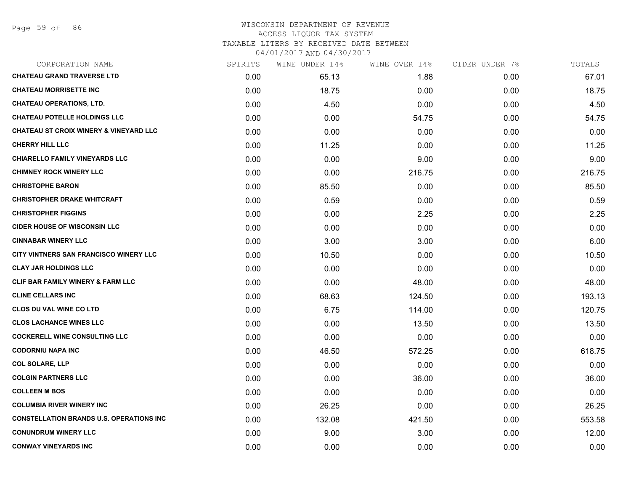# WISCONSIN DEPARTMENT OF REVENUE ACCESS LIQUOR TAX SYSTEM

TAXABLE LITERS BY RECEIVED DATE BETWEEN

| CORPORATION NAME                                  | SPIRITS | WINE UNDER 14% | WINE OVER 14% | CIDER UNDER 7% | TOTALS |
|---------------------------------------------------|---------|----------------|---------------|----------------|--------|
| <b>CHATEAU GRAND TRAVERSE LTD</b>                 | 0.00    | 65.13          | 1.88          | 0.00           | 67.01  |
| <b>CHATEAU MORRISETTE INC</b>                     | 0.00    | 18.75          | 0.00          | 0.00           | 18.75  |
| <b>CHATEAU OPERATIONS, LTD.</b>                   | 0.00    | 4.50           | 0.00          | 0.00           | 4.50   |
| <b>CHATEAU POTELLE HOLDINGS LLC</b>               | 0.00    | 0.00           | 54.75         | 0.00           | 54.75  |
| <b>CHATEAU ST CROIX WINERY &amp; VINEYARD LLC</b> | 0.00    | 0.00           | 0.00          | 0.00           | 0.00   |
| <b>CHERRY HILL LLC</b>                            | 0.00    | 11.25          | 0.00          | 0.00           | 11.25  |
| <b>CHIARELLO FAMILY VINEYARDS LLC</b>             | 0.00    | 0.00           | 9.00          | 0.00           | 9.00   |
| <b>CHIMNEY ROCK WINERY LLC</b>                    | 0.00    | 0.00           | 216.75        | 0.00           | 216.75 |
| <b>CHRISTOPHE BARON</b>                           | 0.00    | 85.50          | 0.00          | 0.00           | 85.50  |
| <b>CHRISTOPHER DRAKE WHITCRAFT</b>                | 0.00    | 0.59           | 0.00          | 0.00           | 0.59   |
| <b>CHRISTOPHER FIGGINS</b>                        | 0.00    | 0.00           | 2.25          | 0.00           | 2.25   |
| <b>CIDER HOUSE OF WISCONSIN LLC</b>               | 0.00    | 0.00           | 0.00          | 0.00           | 0.00   |
| <b>CINNABAR WINERY LLC</b>                        | 0.00    | 3.00           | 3.00          | 0.00           | 6.00   |
| CITY VINTNERS SAN FRANCISCO WINERY LLC            | 0.00    | 10.50          | 0.00          | 0.00           | 10.50  |
| <b>CLAY JAR HOLDINGS LLC</b>                      | 0.00    | 0.00           | 0.00          | 0.00           | 0.00   |
| <b>CLIF BAR FAMILY WINERY &amp; FARM LLC</b>      | 0.00    | 0.00           | 48.00         | 0.00           | 48.00  |
| <b>CLINE CELLARS INC</b>                          | 0.00    | 68.63          | 124.50        | 0.00           | 193.13 |
| <b>CLOS DU VAL WINE CO LTD</b>                    | 0.00    | 6.75           | 114.00        | 0.00           | 120.75 |
| <b>CLOS LACHANCE WINES LLC</b>                    | 0.00    | 0.00           | 13.50         | 0.00           | 13.50  |
| <b>COCKERELL WINE CONSULTING LLC</b>              | 0.00    | 0.00           | 0.00          | 0.00           | 0.00   |
| <b>CODORNIU NAPA INC</b>                          | 0.00    | 46.50          | 572.25        | 0.00           | 618.75 |
| <b>COL SOLARE, LLP</b>                            | 0.00    | 0.00           | 0.00          | 0.00           | 0.00   |
| <b>COLGIN PARTNERS LLC</b>                        | 0.00    | 0.00           | 36.00         | 0.00           | 36.00  |
| <b>COLLEEN M BOS</b>                              | 0.00    | 0.00           | 0.00          | 0.00           | 0.00   |
| <b>COLUMBIA RIVER WINERY INC</b>                  | 0.00    | 26.25          | 0.00          | 0.00           | 26.25  |
| <b>CONSTELLATION BRANDS U.S. OPERATIONS INC.</b>  | 0.00    | 132.08         | 421.50        | 0.00           | 553.58 |
| <b>CONUNDRUM WINERY LLC</b>                       | 0.00    | 9.00           | 3.00          | 0.00           | 12.00  |
| <b>CONWAY VINEYARDS INC</b>                       | 0.00    | 0.00           | 0.00          | 0.00           | 0.00   |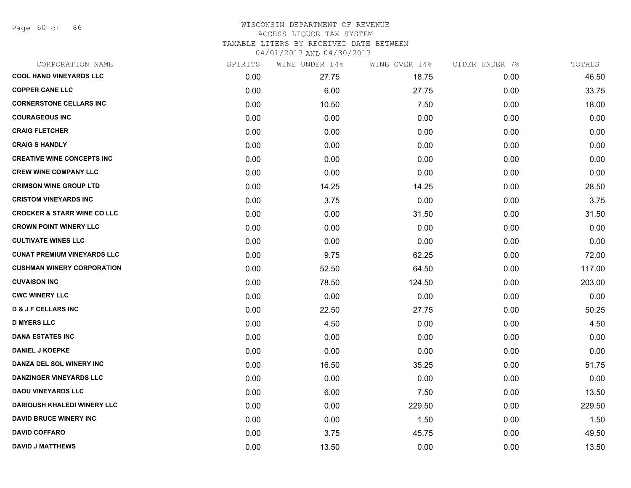Page 60 of 86

| CORPORATION NAME                       | SPIRITS | WINE UNDER 14% | WINE OVER 14% | CIDER UNDER 7% | TOTALS |
|----------------------------------------|---------|----------------|---------------|----------------|--------|
| <b>COOL HAND VINEYARDS LLC</b>         | 0.00    | 27.75          | 18.75         | 0.00           | 46.50  |
| <b>COPPER CANE LLC</b>                 | 0.00    | 6.00           | 27.75         | 0.00           | 33.75  |
| <b>CORNERSTONE CELLARS INC</b>         | 0.00    | 10.50          | 7.50          | 0.00           | 18.00  |
| <b>COURAGEOUS INC</b>                  | 0.00    | 0.00           | 0.00          | 0.00           | 0.00   |
| <b>CRAIG FLETCHER</b>                  | 0.00    | 0.00           | 0.00          | 0.00           | 0.00   |
| <b>CRAIG S HANDLY</b>                  | 0.00    | 0.00           | 0.00          | 0.00           | 0.00   |
| <b>CREATIVE WINE CONCEPTS INC</b>      | 0.00    | 0.00           | 0.00          | 0.00           | 0.00   |
| <b>CREW WINE COMPANY LLC</b>           | 0.00    | 0.00           | 0.00          | 0.00           | 0.00   |
| <b>CRIMSON WINE GROUP LTD</b>          | 0.00    | 14.25          | 14.25         | 0.00           | 28.50  |
| <b>CRISTOM VINEYARDS INC</b>           | 0.00    | 3.75           | 0.00          | 0.00           | 3.75   |
| <b>CROCKER &amp; STARR WINE CO LLC</b> | 0.00    | 0.00           | 31.50         | 0.00           | 31.50  |
| <b>CROWN POINT WINERY LLC</b>          | 0.00    | 0.00           | 0.00          | 0.00           | 0.00   |
| <b>CULTIVATE WINES LLC</b>             | 0.00    | 0.00           | 0.00          | 0.00           | 0.00   |
| <b>CUNAT PREMIUM VINEYARDS LLC</b>     | 0.00    | 9.75           | 62.25         | 0.00           | 72.00  |
| <b>CUSHMAN WINERY CORPORATION</b>      | 0.00    | 52.50          | 64.50         | 0.00           | 117.00 |
| <b>CUVAISON INC</b>                    | 0.00    | 78.50          | 124.50        | 0.00           | 203.00 |
| <b>CWC WINERY LLC</b>                  | 0.00    | 0.00           | 0.00          | 0.00           | 0.00   |
| <b>D &amp; J F CELLARS INC</b>         | 0.00    | 22.50          | 27.75         | 0.00           | 50.25  |
| <b>D MYERS LLC</b>                     | 0.00    | 4.50           | 0.00          | 0.00           | 4.50   |
| <b>DANA ESTATES INC</b>                | 0.00    | 0.00           | 0.00          | 0.00           | 0.00   |
| <b>DANIEL J KOEPKE</b>                 | 0.00    | 0.00           | 0.00          | 0.00           | 0.00   |
| DANZA DEL SOL WINERY INC               | 0.00    | 16.50          | 35.25         | 0.00           | 51.75  |
| <b>DANZINGER VINEYARDS LLC</b>         | 0.00    | 0.00           | 0.00          | 0.00           | 0.00   |
| <b>DAOU VINEYARDS LLC</b>              | 0.00    | 6.00           | 7.50          | 0.00           | 13.50  |
| <b>DARIOUSH KHALEDI WINERY LLC</b>     | 0.00    | 0.00           | 229.50        | 0.00           | 229.50 |
| <b>DAVID BRUCE WINERY INC</b>          | 0.00    | 0.00           | 1.50          | 0.00           | 1.50   |
| <b>DAVID COFFARO</b>                   | 0.00    | 3.75           | 45.75         | 0.00           | 49.50  |
| <b>DAVID J MATTHEWS</b>                | 0.00    | 13.50          | 0.00          | 0.00           | 13.50  |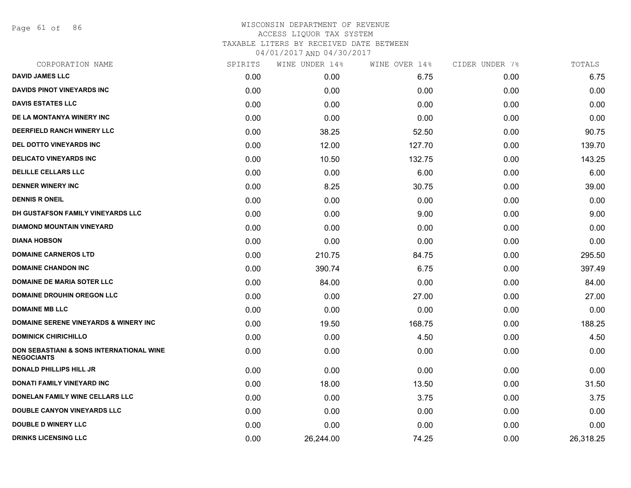Page 61 of 86

|      | WINE UNDER 14% |        | CIDER UNDER 7% | TOTALS    |
|------|----------------|--------|----------------|-----------|
| 0.00 | 0.00           | 6.75   | 0.00           | 6.75      |
| 0.00 | 0.00           | 0.00   | 0.00           | 0.00      |
| 0.00 | 0.00           | 0.00   | 0.00           | 0.00      |
| 0.00 | 0.00           | 0.00   | 0.00           | 0.00      |
| 0.00 | 38.25          | 52.50  | 0.00           | 90.75     |
| 0.00 | 12.00          | 127.70 | 0.00           | 139.70    |
| 0.00 | 10.50          | 132.75 | 0.00           | 143.25    |
| 0.00 | 0.00           | 6.00   | 0.00           | 6.00      |
| 0.00 | 8.25           | 30.75  | 0.00           | 39.00     |
| 0.00 | 0.00           | 0.00   | 0.00           | 0.00      |
| 0.00 | 0.00           | 9.00   | 0.00           | 9.00      |
| 0.00 | 0.00           | 0.00   | 0.00           | 0.00      |
| 0.00 | 0.00           | 0.00   | 0.00           | 0.00      |
| 0.00 | 210.75         | 84.75  | 0.00           | 295.50    |
| 0.00 | 390.74         | 6.75   | 0.00           | 397.49    |
| 0.00 | 84.00          | 0.00   | 0.00           | 84.00     |
| 0.00 | 0.00           | 27.00  | 0.00           | 27.00     |
| 0.00 | 0.00           | 0.00   | 0.00           | 0.00      |
| 0.00 | 19.50          | 168.75 | 0.00           | 188.25    |
| 0.00 | 0.00           | 4.50   | 0.00           | 4.50      |
| 0.00 | 0.00           | 0.00   | 0.00           | 0.00      |
| 0.00 | 0.00           | 0.00   | 0.00           | 0.00      |
| 0.00 | 18.00          | 13.50  | 0.00           | 31.50     |
| 0.00 | 0.00           | 3.75   | 0.00           | 3.75      |
| 0.00 | 0.00           | 0.00   | 0.00           | 0.00      |
| 0.00 | 0.00           | 0.00   | 0.00           | 0.00      |
| 0.00 | 26,244.00      | 74.25  | 0.00           | 26,318.25 |
|      | SPIRITS        |        | WINE OVER 14%  |           |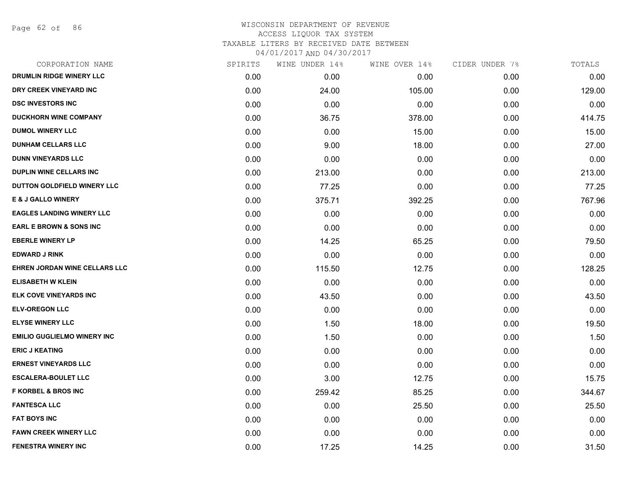Page 62 of 86

| CORPORATION NAME                   | SPIRITS | WINE UNDER 14% | WINE OVER 14% | CIDER UNDER 7% | TOTALS |
|------------------------------------|---------|----------------|---------------|----------------|--------|
| DRUMLIN RIDGE WINERY LLC           | 0.00    | 0.00           | 0.00          | 0.00           | 0.00   |
| DRY CREEK VINEYARD INC             | 0.00    | 24.00          | 105.00        | 0.00           | 129.00 |
| <b>DSC INVESTORS INC</b>           | 0.00    | 0.00           | 0.00          | 0.00           | 0.00   |
| <b>DUCKHORN WINE COMPANY</b>       | 0.00    | 36.75          | 378.00        | 0.00           | 414.75 |
| <b>DUMOL WINERY LLC</b>            | 0.00    | 0.00           | 15.00         | 0.00           | 15.00  |
| <b>DUNHAM CELLARS LLC</b>          | 0.00    | 9.00           | 18.00         | 0.00           | 27.00  |
| <b>DUNN VINEYARDS LLC</b>          | 0.00    | 0.00           | 0.00          | 0.00           | 0.00   |
| <b>DUPLIN WINE CELLARS INC</b>     | 0.00    | 213.00         | 0.00          | 0.00           | 213.00 |
| DUTTON GOLDFIELD WINERY LLC        | 0.00    | 77.25          | 0.00          | 0.00           | 77.25  |
| <b>E &amp; J GALLO WINERY</b>      | 0.00    | 375.71         | 392.25        | 0.00           | 767.96 |
| <b>EAGLES LANDING WINERY LLC</b>   | 0.00    | 0.00           | 0.00          | 0.00           | 0.00   |
| <b>EARL E BROWN &amp; SONS INC</b> | 0.00    | 0.00           | 0.00          | 0.00           | 0.00   |
| <b>EBERLE WINERY LP</b>            | 0.00    | 14.25          | 65.25         | 0.00           | 79.50  |
| <b>EDWARD J RINK</b>               | 0.00    | 0.00           | 0.00          | 0.00           | 0.00   |
| EHREN JORDAN WINE CELLARS LLC      | 0.00    | 115.50         | 12.75         | 0.00           | 128.25 |
| <b>ELISABETH W KLEIN</b>           | 0.00    | 0.00           | 0.00          | 0.00           | 0.00   |
| ELK COVE VINEYARDS INC             | 0.00    | 43.50          | 0.00          | 0.00           | 43.50  |
| <b>ELV-OREGON LLC</b>              | 0.00    | 0.00           | 0.00          | 0.00           | 0.00   |
| <b>ELYSE WINERY LLC</b>            | 0.00    | 1.50           | 18.00         | 0.00           | 19.50  |
| <b>EMILIO GUGLIELMO WINERY INC</b> | 0.00    | 1.50           | 0.00          | 0.00           | 1.50   |
| <b>ERIC J KEATING</b>              | 0.00    | 0.00           | 0.00          | 0.00           | 0.00   |
| <b>ERNEST VINEYARDS LLC</b>        | 0.00    | 0.00           | 0.00          | 0.00           | 0.00   |
| <b>ESCALERA-BOULET LLC</b>         | 0.00    | 3.00           | 12.75         | 0.00           | 15.75  |
| <b>F KORBEL &amp; BROS INC</b>     | 0.00    | 259.42         | 85.25         | 0.00           | 344.67 |
| <b>FANTESCA LLC</b>                | 0.00    | 0.00           | 25.50         | 0.00           | 25.50  |
| <b>FAT BOYS INC</b>                | 0.00    | 0.00           | 0.00          | 0.00           | 0.00   |
| <b>FAWN CREEK WINERY LLC</b>       | 0.00    | 0.00           | 0.00          | 0.00           | 0.00   |
| FENESTRA WINERY INC                | 0.00    | 17.25          | 14.25         | 0.00           | 31.50  |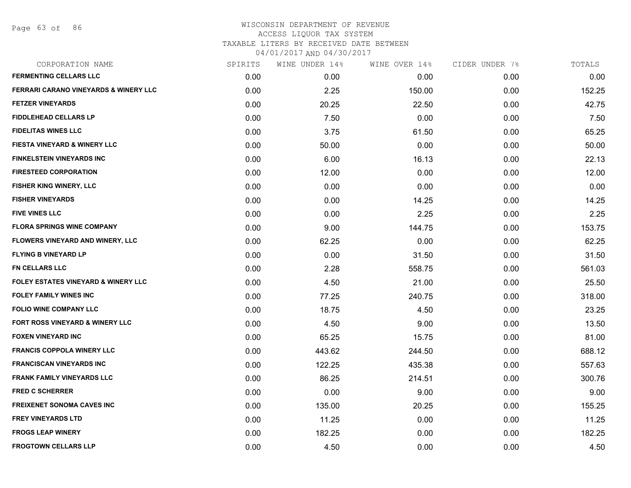Page 63 of 86

| CORPORATION NAME                                 | SPIRITS | WINE UNDER 14% | WINE OVER 14% | CIDER UNDER 7% | TOTALS |
|--------------------------------------------------|---------|----------------|---------------|----------------|--------|
| <b>FERMENTING CELLARS LLC</b>                    | 0.00    | 0.00           | 0.00          | 0.00           | 0.00   |
| <b>FERRARI CARANO VINEYARDS &amp; WINERY LLC</b> | 0.00    | 2.25           | 150.00        | 0.00           | 152.25 |
| <b>FETZER VINEYARDS</b>                          | 0.00    | 20.25          | 22.50         | 0.00           | 42.75  |
| <b>FIDDLEHEAD CELLARS LP</b>                     | 0.00    | 7.50           | 0.00          | 0.00           | 7.50   |
| <b>FIDELITAS WINES LLC</b>                       | 0.00    | 3.75           | 61.50         | 0.00           | 65.25  |
| <b>FIESTA VINEYARD &amp; WINERY LLC</b>          | 0.00    | 50.00          | 0.00          | 0.00           | 50.00  |
| <b>FINKELSTEIN VINEYARDS INC</b>                 | 0.00    | 6.00           | 16.13         | 0.00           | 22.13  |
| <b>FIRESTEED CORPORATION</b>                     | 0.00    | 12.00          | 0.00          | 0.00           | 12.00  |
| FISHER KING WINERY, LLC                          | 0.00    | 0.00           | 0.00          | 0.00           | 0.00   |
| <b>FISHER VINEYARDS</b>                          | 0.00    | 0.00           | 14.25         | 0.00           | 14.25  |
| <b>FIVE VINES LLC</b>                            | 0.00    | 0.00           | 2.25          | 0.00           | 2.25   |
| <b>FLORA SPRINGS WINE COMPANY</b>                | 0.00    | 9.00           | 144.75        | 0.00           | 153.75 |
| FLOWERS VINEYARD AND WINERY, LLC                 | 0.00    | 62.25          | 0.00          | 0.00           | 62.25  |
| <b>FLYING B VINEYARD LP</b>                      | 0.00    | 0.00           | 31.50         | 0.00           | 31.50  |
| FN CELLARS LLC                                   | 0.00    | 2.28           | 558.75        | 0.00           | 561.03 |
| <b>FOLEY ESTATES VINEYARD &amp; WINERY LLC</b>   | 0.00    | 4.50           | 21.00         | 0.00           | 25.50  |
| <b>FOLEY FAMILY WINES INC</b>                    | 0.00    | 77.25          | 240.75        | 0.00           | 318.00 |
| <b>FOLIO WINE COMPANY LLC</b>                    | 0.00    | 18.75          | 4.50          | 0.00           | 23.25  |
| FORT ROSS VINEYARD & WINERY LLC                  | 0.00    | 4.50           | 9.00          | 0.00           | 13.50  |
| <b>FOXEN VINEYARD INC</b>                        | 0.00    | 65.25          | 15.75         | 0.00           | 81.00  |
| <b>FRANCIS COPPOLA WINERY LLC</b>                | 0.00    | 443.62         | 244.50        | 0.00           | 688.12 |
| <b>FRANCISCAN VINEYARDS INC</b>                  | 0.00    | 122.25         | 435.38        | 0.00           | 557.63 |
| <b>FRANK FAMILY VINEYARDS LLC</b>                | 0.00    | 86.25          | 214.51        | 0.00           | 300.76 |
| <b>FRED C SCHERRER</b>                           | 0.00    | 0.00           | 9.00          | 0.00           | 9.00   |
| <b>FREIXENET SONOMA CAVES INC</b>                | 0.00    | 135.00         | 20.25         | 0.00           | 155.25 |
| <b>FREY VINEYARDS LTD</b>                        | 0.00    | 11.25          | 0.00          | 0.00           | 11.25  |
| <b>FROGS LEAP WINERY</b>                         | 0.00    | 182.25         | 0.00          | 0.00           | 182.25 |
| <b>FROGTOWN CELLARS LLP</b>                      | 0.00    | 4.50           | 0.00          | 0.00           | 4.50   |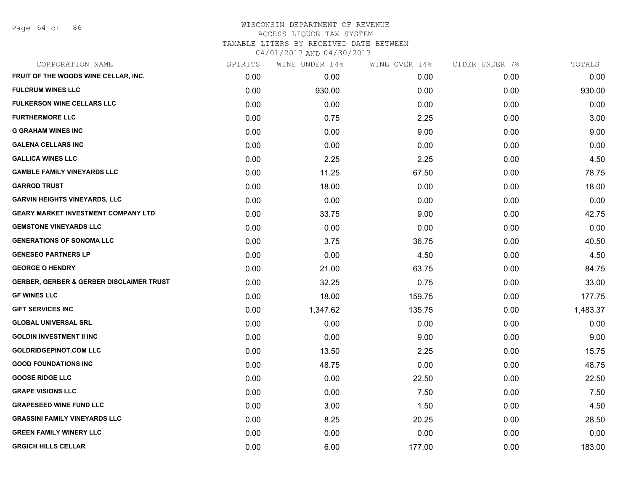Page 64 of 86

| CORPORATION NAME                           | SPIRITS | WINE UNDER 14% | WINE OVER 14% | CIDER UNDER 7% | TOTALS   |
|--------------------------------------------|---------|----------------|---------------|----------------|----------|
| FRUIT OF THE WOODS WINE CELLAR, INC.       | 0.00    | 0.00           | 0.00          | 0.00           | 0.00     |
| <b>FULCRUM WINES LLC</b>                   | 0.00    | 930.00         | 0.00          | 0.00           | 930.00   |
| <b>FULKERSON WINE CELLARS LLC</b>          | 0.00    | 0.00           | 0.00          | 0.00           | 0.00     |
| <b>FURTHERMORE LLC</b>                     | 0.00    | 0.75           | 2.25          | 0.00           | 3.00     |
| <b>G GRAHAM WINES INC</b>                  | 0.00    | 0.00           | 9.00          | 0.00           | 9.00     |
| <b>GALENA CELLARS INC</b>                  | 0.00    | 0.00           | 0.00          | 0.00           | 0.00     |
| <b>GALLICA WINES LLC</b>                   | 0.00    | 2.25           | 2.25          | 0.00           | 4.50     |
| <b>GAMBLE FAMILY VINEYARDS LLC</b>         | 0.00    | 11.25          | 67.50         | 0.00           | 78.75    |
| <b>GARROD TRUST</b>                        | 0.00    | 18.00          | 0.00          | 0.00           | 18.00    |
| <b>GARVIN HEIGHTS VINEYARDS, LLC</b>       | 0.00    | 0.00           | 0.00          | 0.00           | 0.00     |
| <b>GEARY MARKET INVESTMENT COMPANY LTD</b> | 0.00    | 33.75          | 9.00          | 0.00           | 42.75    |
| <b>GEMSTONE VINEYARDS LLC</b>              | 0.00    | 0.00           | 0.00          | 0.00           | 0.00     |
| <b>GENERATIONS OF SONOMA LLC</b>           | 0.00    | 3.75           | 36.75         | 0.00           | 40.50    |
| <b>GENESEO PARTNERS LP</b>                 | 0.00    | 0.00           | 4.50          | 0.00           | 4.50     |
| <b>GEORGE O HENDRY</b>                     | 0.00    | 21.00          | 63.75         | 0.00           | 84.75    |
| GERBER, GERBER & GERBER DISCLAIMER TRUST   | 0.00    | 32.25          | 0.75          | 0.00           | 33.00    |
| <b>GF WINES LLC</b>                        | 0.00    | 18.00          | 159.75        | 0.00           | 177.75   |
| <b>GIFT SERVICES INC</b>                   | 0.00    | 1,347.62       | 135.75        | 0.00           | 1,483.37 |
| <b>GLOBAL UNIVERSAL SRL</b>                | 0.00    | 0.00           | 0.00          | 0.00           | 0.00     |
| <b>GOLDIN INVESTMENT II INC</b>            | 0.00    | 0.00           | 9.00          | 0.00           | 9.00     |
| <b>GOLDRIDGEPINOT.COM LLC</b>              | 0.00    | 13.50          | 2.25          | 0.00           | 15.75    |
| <b>GOOD FOUNDATIONS INC</b>                | 0.00    | 48.75          | 0.00          | 0.00           | 48.75    |
| <b>GOOSE RIDGE LLC</b>                     | 0.00    | 0.00           | 22.50         | 0.00           | 22.50    |
| <b>GRAPE VISIONS LLC</b>                   | 0.00    | 0.00           | 7.50          | 0.00           | 7.50     |
| <b>GRAPESEED WINE FUND LLC</b>             | 0.00    | 3.00           | 1.50          | 0.00           | 4.50     |
| <b>GRASSINI FAMILY VINEYARDS LLC</b>       | 0.00    | 8.25           | 20.25         | 0.00           | 28.50    |
| <b>GREEN FAMILY WINERY LLC</b>             | 0.00    | 0.00           | 0.00          | 0.00           | 0.00     |
| <b>GRGICH HILLS CELLAR</b>                 | 0.00    | 6.00           | 177.00        | 0.00           | 183.00   |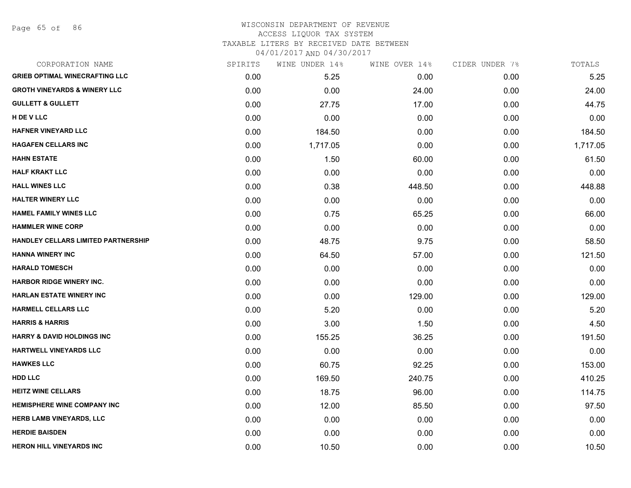Page 65 of 86

#### WISCONSIN DEPARTMENT OF REVENUE ACCESS LIQUOR TAX SYSTEM TAXABLE LITERS BY RECEIVED DATE BETWEEN

| CORPORATION NAME                        | SPIRITS | WINE UNDER 14% | WINE OVER 14% | CIDER UNDER 7% | TOTALS   |
|-----------------------------------------|---------|----------------|---------------|----------------|----------|
| <b>GRIEB OPTIMAL WINECRAFTING LLC</b>   | 0.00    | 5.25           | 0.00          | 0.00           | 5.25     |
| <b>GROTH VINEYARDS &amp; WINERY LLC</b> | 0.00    | 0.00           | 24.00         | 0.00           | 24.00    |
| <b>GULLETT &amp; GULLETT</b>            | 0.00    | 27.75          | 17.00         | 0.00           | 44.75    |
| H DE V LLC                              | 0.00    | 0.00           | 0.00          | 0.00           | 0.00     |
| <b>HAFNER VINEYARD LLC</b>              | 0.00    | 184.50         | 0.00          | 0.00           | 184.50   |
| <b>HAGAFEN CELLARS INC</b>              | 0.00    | 1,717.05       | 0.00          | 0.00           | 1,717.05 |
| <b>HAHN ESTATE</b>                      | 0.00    | 1.50           | 60.00         | 0.00           | 61.50    |
| <b>HALF KRAKT LLC</b>                   | 0.00    | 0.00           | 0.00          | 0.00           | 0.00     |
| <b>HALL WINES LLC</b>                   | 0.00    | 0.38           | 448.50        | 0.00           | 448.88   |
| <b>HALTER WINERY LLC</b>                | 0.00    | 0.00           | 0.00          | 0.00           | 0.00     |
| <b>HAMEL FAMILY WINES LLC</b>           | 0.00    | 0.75           | 65.25         | 0.00           | 66.00    |
| <b>HAMMLER WINE CORP</b>                | 0.00    | 0.00           | 0.00          | 0.00           | 0.00     |
| HANDLEY CELLARS LIMITED PARTNERSHIP     | 0.00    | 48.75          | 9.75          | 0.00           | 58.50    |
| <b>HANNA WINERY INC</b>                 | 0.00    | 64.50          | 57.00         | 0.00           | 121.50   |
| <b>HARALD TOMESCH</b>                   | 0.00    | 0.00           | 0.00          | 0.00           | 0.00     |
| <b>HARBOR RIDGE WINERY INC.</b>         | 0.00    | 0.00           | 0.00          | 0.00           | 0.00     |
| <b>HARLAN ESTATE WINERY INC</b>         | 0.00    | 0.00           | 129.00        | 0.00           | 129.00   |
| <b>HARMELL CELLARS LLC</b>              | 0.00    | 5.20           | 0.00          | 0.00           | 5.20     |
| <b>HARRIS &amp; HARRIS</b>              | 0.00    | 3.00           | 1.50          | 0.00           | 4.50     |
| <b>HARRY &amp; DAVID HOLDINGS INC</b>   | 0.00    | 155.25         | 36.25         | 0.00           | 191.50   |
| <b>HARTWELL VINEYARDS LLC</b>           | 0.00    | 0.00           | 0.00          | 0.00           | 0.00     |
| <b>HAWKES LLC</b>                       | 0.00    | 60.75          | 92.25         | 0.00           | 153.00   |
| <b>HDD LLC</b>                          | 0.00    | 169.50         | 240.75        | 0.00           | 410.25   |
| <b>HEITZ WINE CELLARS</b>               | 0.00    | 18.75          | 96.00         | 0.00           | 114.75   |
| <b>HEMISPHERE WINE COMPANY INC</b>      | 0.00    | 12.00          | 85.50         | 0.00           | 97.50    |
| <b>HERB LAMB VINEYARDS, LLC</b>         | 0.00    | 0.00           | 0.00          | 0.00           | 0.00     |
| <b>HERDIE BAISDEN</b>                   | 0.00    | 0.00           | 0.00          | 0.00           | 0.00     |
| <b>HERON HILL VINEYARDS INC</b>         | 0.00    | 10.50          | 0.00          | 0.00           | 10.50    |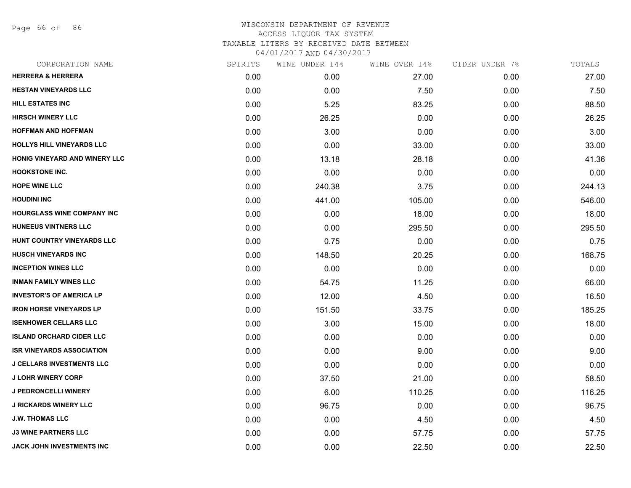Page 66 of 86

| <b>HERRERA &amp; HERRERA</b><br>0.00<br>0.00<br>27.00<br>0.00<br><b>HESTAN VINEYARDS LLC</b><br>0.00<br>0.00<br>7.50<br>0.00<br><b>HILL ESTATES INC</b><br>0.00<br>5.25<br>83.25<br>0.00<br><b>HIRSCH WINERY LLC</b><br>0.00<br>26.25<br>0.00<br>0.00<br><b>HOFFMAN AND HOFFMAN</b><br>3.00<br>0.00<br>0.00<br>0.00<br><b>HOLLYS HILL VINEYARDS LLC</b><br>0.00<br>0.00<br>33.00<br>0.00<br><b>HONIG VINEYARD AND WINERY LLC</b><br>0.00<br>13.18<br>28.18<br>0.00<br><b>HOOKSTONE INC.</b><br>0.00<br>0.00<br>0.00<br>0.00<br><b>HOPE WINE LLC</b><br>0.00<br>240.38<br>3.75<br>0.00<br><b>HOUDINI INC</b><br>0.00<br>441.00<br>105.00<br>0.00<br><b>HOURGLASS WINE COMPANY INC</b><br>0.00<br>0.00<br>18.00<br>0.00<br><b>HUNEEUS VINTNERS LLC</b><br>0.00<br>0.00<br>295.50<br>0.00<br>HUNT COUNTRY VINEYARDS LLC<br>0.00<br>0.75<br>0.00<br>0.00<br><b>HUSCH VINEYARDS INC</b><br>0.00<br>148.50<br>20.25<br>0.00<br><b>INCEPTION WINES LLC</b><br>0.00<br>0.00<br>0.00<br>0.00<br><b>INMAN FAMILY WINES LLC</b><br>0.00<br>54.75<br>11.25<br>0.00<br><b>INVESTOR'S OF AMERICA LP</b><br>0.00<br>12.00<br>4.50<br>0.00<br><b>IRON HORSE VINEYARDS LP</b><br>0.00<br>151.50<br>33.75<br>0.00<br><b>ISENHOWER CELLARS LLC</b><br>0.00<br>3.00<br>15.00<br>0.00<br><b>ISLAND ORCHARD CIDER LLC</b><br>0.00<br>0.00<br>0.00<br>0.00<br><b>ISR VINEYARDS ASSOCIATION</b><br>0.00<br>0.00<br>9.00<br>0.00<br><b>J CELLARS INVESTMENTS LLC</b><br>0.00<br>0.00<br>0.00<br>0.00<br><b>J LOHR WINERY CORP</b><br>0.00<br>37.50<br>21.00<br>0.00<br><b>J PEDRONCELLI WINERY</b><br>0.00<br>6.00<br>110.25<br>0.00<br><b>J RICKARDS WINERY LLC</b><br>0.00<br>96.75<br>0.00<br>0.00<br><b>J.W. THOMAS LLC</b><br>0.00<br>0.00<br>4.50<br>0.00<br><b>J3 WINE PARTNERS LLC</b><br>0.00<br>0.00<br>57.75<br>0.00<br>JACK JOHN INVESTMENTS INC<br>0.00<br>0.00<br>22.50<br>0.00 | CORPORATION NAME | SPIRITS | WINE UNDER 14% | WINE OVER 14% | CIDER UNDER 7% | TOTALS |
|----------------------------------------------------------------------------------------------------------------------------------------------------------------------------------------------------------------------------------------------------------------------------------------------------------------------------------------------------------------------------------------------------------------------------------------------------------------------------------------------------------------------------------------------------------------------------------------------------------------------------------------------------------------------------------------------------------------------------------------------------------------------------------------------------------------------------------------------------------------------------------------------------------------------------------------------------------------------------------------------------------------------------------------------------------------------------------------------------------------------------------------------------------------------------------------------------------------------------------------------------------------------------------------------------------------------------------------------------------------------------------------------------------------------------------------------------------------------------------------------------------------------------------------------------------------------------------------------------------------------------------------------------------------------------------------------------------------------------------------------------------------------------------------------------------------------------------------------------------------------|------------------|---------|----------------|---------------|----------------|--------|
|                                                                                                                                                                                                                                                                                                                                                                                                                                                                                                                                                                                                                                                                                                                                                                                                                                                                                                                                                                                                                                                                                                                                                                                                                                                                                                                                                                                                                                                                                                                                                                                                                                                                                                                                                                                                                                                                      |                  |         |                |               |                | 27.00  |
|                                                                                                                                                                                                                                                                                                                                                                                                                                                                                                                                                                                                                                                                                                                                                                                                                                                                                                                                                                                                                                                                                                                                                                                                                                                                                                                                                                                                                                                                                                                                                                                                                                                                                                                                                                                                                                                                      |                  |         |                |               |                | 7.50   |
|                                                                                                                                                                                                                                                                                                                                                                                                                                                                                                                                                                                                                                                                                                                                                                                                                                                                                                                                                                                                                                                                                                                                                                                                                                                                                                                                                                                                                                                                                                                                                                                                                                                                                                                                                                                                                                                                      |                  |         |                |               |                | 88.50  |
|                                                                                                                                                                                                                                                                                                                                                                                                                                                                                                                                                                                                                                                                                                                                                                                                                                                                                                                                                                                                                                                                                                                                                                                                                                                                                                                                                                                                                                                                                                                                                                                                                                                                                                                                                                                                                                                                      |                  |         |                |               |                | 26.25  |
|                                                                                                                                                                                                                                                                                                                                                                                                                                                                                                                                                                                                                                                                                                                                                                                                                                                                                                                                                                                                                                                                                                                                                                                                                                                                                                                                                                                                                                                                                                                                                                                                                                                                                                                                                                                                                                                                      |                  |         |                |               |                | 3.00   |
|                                                                                                                                                                                                                                                                                                                                                                                                                                                                                                                                                                                                                                                                                                                                                                                                                                                                                                                                                                                                                                                                                                                                                                                                                                                                                                                                                                                                                                                                                                                                                                                                                                                                                                                                                                                                                                                                      |                  |         |                |               |                | 33.00  |
|                                                                                                                                                                                                                                                                                                                                                                                                                                                                                                                                                                                                                                                                                                                                                                                                                                                                                                                                                                                                                                                                                                                                                                                                                                                                                                                                                                                                                                                                                                                                                                                                                                                                                                                                                                                                                                                                      |                  |         |                |               |                | 41.36  |
|                                                                                                                                                                                                                                                                                                                                                                                                                                                                                                                                                                                                                                                                                                                                                                                                                                                                                                                                                                                                                                                                                                                                                                                                                                                                                                                                                                                                                                                                                                                                                                                                                                                                                                                                                                                                                                                                      |                  |         |                |               |                | 0.00   |
|                                                                                                                                                                                                                                                                                                                                                                                                                                                                                                                                                                                                                                                                                                                                                                                                                                                                                                                                                                                                                                                                                                                                                                                                                                                                                                                                                                                                                                                                                                                                                                                                                                                                                                                                                                                                                                                                      |                  |         |                |               |                | 244.13 |
|                                                                                                                                                                                                                                                                                                                                                                                                                                                                                                                                                                                                                                                                                                                                                                                                                                                                                                                                                                                                                                                                                                                                                                                                                                                                                                                                                                                                                                                                                                                                                                                                                                                                                                                                                                                                                                                                      |                  |         |                |               |                | 546.00 |
|                                                                                                                                                                                                                                                                                                                                                                                                                                                                                                                                                                                                                                                                                                                                                                                                                                                                                                                                                                                                                                                                                                                                                                                                                                                                                                                                                                                                                                                                                                                                                                                                                                                                                                                                                                                                                                                                      |                  |         |                |               |                | 18.00  |
|                                                                                                                                                                                                                                                                                                                                                                                                                                                                                                                                                                                                                                                                                                                                                                                                                                                                                                                                                                                                                                                                                                                                                                                                                                                                                                                                                                                                                                                                                                                                                                                                                                                                                                                                                                                                                                                                      |                  |         |                |               |                | 295.50 |
|                                                                                                                                                                                                                                                                                                                                                                                                                                                                                                                                                                                                                                                                                                                                                                                                                                                                                                                                                                                                                                                                                                                                                                                                                                                                                                                                                                                                                                                                                                                                                                                                                                                                                                                                                                                                                                                                      |                  |         |                |               |                | 0.75   |
|                                                                                                                                                                                                                                                                                                                                                                                                                                                                                                                                                                                                                                                                                                                                                                                                                                                                                                                                                                                                                                                                                                                                                                                                                                                                                                                                                                                                                                                                                                                                                                                                                                                                                                                                                                                                                                                                      |                  |         |                |               |                | 168.75 |
|                                                                                                                                                                                                                                                                                                                                                                                                                                                                                                                                                                                                                                                                                                                                                                                                                                                                                                                                                                                                                                                                                                                                                                                                                                                                                                                                                                                                                                                                                                                                                                                                                                                                                                                                                                                                                                                                      |                  |         |                |               |                | 0.00   |
|                                                                                                                                                                                                                                                                                                                                                                                                                                                                                                                                                                                                                                                                                                                                                                                                                                                                                                                                                                                                                                                                                                                                                                                                                                                                                                                                                                                                                                                                                                                                                                                                                                                                                                                                                                                                                                                                      |                  |         |                |               |                | 66.00  |
|                                                                                                                                                                                                                                                                                                                                                                                                                                                                                                                                                                                                                                                                                                                                                                                                                                                                                                                                                                                                                                                                                                                                                                                                                                                                                                                                                                                                                                                                                                                                                                                                                                                                                                                                                                                                                                                                      |                  |         |                |               |                | 16.50  |
|                                                                                                                                                                                                                                                                                                                                                                                                                                                                                                                                                                                                                                                                                                                                                                                                                                                                                                                                                                                                                                                                                                                                                                                                                                                                                                                                                                                                                                                                                                                                                                                                                                                                                                                                                                                                                                                                      |                  |         |                |               |                | 185.25 |
|                                                                                                                                                                                                                                                                                                                                                                                                                                                                                                                                                                                                                                                                                                                                                                                                                                                                                                                                                                                                                                                                                                                                                                                                                                                                                                                                                                                                                                                                                                                                                                                                                                                                                                                                                                                                                                                                      |                  |         |                |               |                | 18.00  |
|                                                                                                                                                                                                                                                                                                                                                                                                                                                                                                                                                                                                                                                                                                                                                                                                                                                                                                                                                                                                                                                                                                                                                                                                                                                                                                                                                                                                                                                                                                                                                                                                                                                                                                                                                                                                                                                                      |                  |         |                |               |                | 0.00   |
|                                                                                                                                                                                                                                                                                                                                                                                                                                                                                                                                                                                                                                                                                                                                                                                                                                                                                                                                                                                                                                                                                                                                                                                                                                                                                                                                                                                                                                                                                                                                                                                                                                                                                                                                                                                                                                                                      |                  |         |                |               |                | 9.00   |
|                                                                                                                                                                                                                                                                                                                                                                                                                                                                                                                                                                                                                                                                                                                                                                                                                                                                                                                                                                                                                                                                                                                                                                                                                                                                                                                                                                                                                                                                                                                                                                                                                                                                                                                                                                                                                                                                      |                  |         |                |               |                | 0.00   |
|                                                                                                                                                                                                                                                                                                                                                                                                                                                                                                                                                                                                                                                                                                                                                                                                                                                                                                                                                                                                                                                                                                                                                                                                                                                                                                                                                                                                                                                                                                                                                                                                                                                                                                                                                                                                                                                                      |                  |         |                |               |                | 58.50  |
|                                                                                                                                                                                                                                                                                                                                                                                                                                                                                                                                                                                                                                                                                                                                                                                                                                                                                                                                                                                                                                                                                                                                                                                                                                                                                                                                                                                                                                                                                                                                                                                                                                                                                                                                                                                                                                                                      |                  |         |                |               |                | 116.25 |
|                                                                                                                                                                                                                                                                                                                                                                                                                                                                                                                                                                                                                                                                                                                                                                                                                                                                                                                                                                                                                                                                                                                                                                                                                                                                                                                                                                                                                                                                                                                                                                                                                                                                                                                                                                                                                                                                      |                  |         |                |               |                | 96.75  |
|                                                                                                                                                                                                                                                                                                                                                                                                                                                                                                                                                                                                                                                                                                                                                                                                                                                                                                                                                                                                                                                                                                                                                                                                                                                                                                                                                                                                                                                                                                                                                                                                                                                                                                                                                                                                                                                                      |                  |         |                |               |                | 4.50   |
|                                                                                                                                                                                                                                                                                                                                                                                                                                                                                                                                                                                                                                                                                                                                                                                                                                                                                                                                                                                                                                                                                                                                                                                                                                                                                                                                                                                                                                                                                                                                                                                                                                                                                                                                                                                                                                                                      |                  |         |                |               |                | 57.75  |
|                                                                                                                                                                                                                                                                                                                                                                                                                                                                                                                                                                                                                                                                                                                                                                                                                                                                                                                                                                                                                                                                                                                                                                                                                                                                                                                                                                                                                                                                                                                                                                                                                                                                                                                                                                                                                                                                      |                  |         |                |               |                | 22.50  |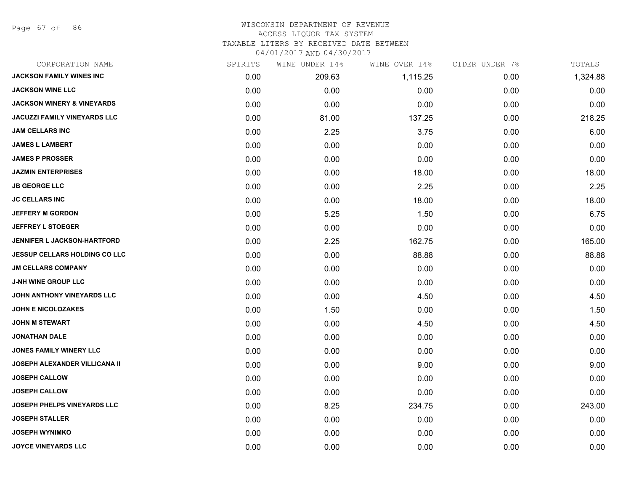Page 67 of 86

| CORPORATION NAME                      | SPIRITS | WINE UNDER 14% | WINE OVER 14% | CIDER UNDER 7% | TOTALS   |
|---------------------------------------|---------|----------------|---------------|----------------|----------|
| <b>JACKSON FAMILY WINES INC</b>       | 0.00    | 209.63         | 1,115.25      | 0.00           | 1,324.88 |
| <b>JACKSON WINE LLC</b>               | 0.00    | 0.00           | 0.00          | 0.00           | 0.00     |
| <b>JACKSON WINERY &amp; VINEYARDS</b> | 0.00    | 0.00           | 0.00          | 0.00           | 0.00     |
| <b>JACUZZI FAMILY VINEYARDS LLC</b>   | 0.00    | 81.00          | 137.25        | 0.00           | 218.25   |
| <b>JAM CELLARS INC</b>                | 0.00    | 2.25           | 3.75          | 0.00           | 6.00     |
| <b>JAMES L LAMBERT</b>                | 0.00    | 0.00           | 0.00          | 0.00           | 0.00     |
| <b>JAMES P PROSSER</b>                | 0.00    | 0.00           | 0.00          | 0.00           | 0.00     |
| <b>JAZMIN ENTERPRISES</b>             | 0.00    | 0.00           | 18.00         | 0.00           | 18.00    |
| <b>JB GEORGE LLC</b>                  | 0.00    | 0.00           | 2.25          | 0.00           | 2.25     |
| <b>JC CELLARS INC</b>                 | 0.00    | 0.00           | 18.00         | 0.00           | 18.00    |
| <b>JEFFERY M GORDON</b>               | 0.00    | 5.25           | 1.50          | 0.00           | 6.75     |
| <b>JEFFREY L STOEGER</b>              | 0.00    | 0.00           | 0.00          | 0.00           | 0.00     |
| <b>JENNIFER L JACKSON-HARTFORD</b>    | 0.00    | 2.25           | 162.75        | 0.00           | 165.00   |
| <b>JESSUP CELLARS HOLDING CO LLC</b>  | 0.00    | 0.00           | 88.88         | 0.00           | 88.88    |
| <b>JM CELLARS COMPANY</b>             | 0.00    | 0.00           | 0.00          | 0.00           | 0.00     |
| <b>J-NH WINE GROUP LLC</b>            | 0.00    | 0.00           | 0.00          | 0.00           | 0.00     |
| JOHN ANTHONY VINEYARDS LLC            | 0.00    | 0.00           | 4.50          | 0.00           | 4.50     |
| <b>JOHN E NICOLOZAKES</b>             | 0.00    | 1.50           | 0.00          | 0.00           | 1.50     |
| <b>JOHN M STEWART</b>                 | 0.00    | 0.00           | 4.50          | 0.00           | 4.50     |
| <b>JONATHAN DALE</b>                  | 0.00    | 0.00           | 0.00          | 0.00           | 0.00     |
| <b>JONES FAMILY WINERY LLC</b>        | 0.00    | 0.00           | 0.00          | 0.00           | 0.00     |
| <b>JOSEPH ALEXANDER VILLICANA II</b>  | 0.00    | 0.00           | 9.00          | 0.00           | 9.00     |
| <b>JOSEPH CALLOW</b>                  | 0.00    | 0.00           | 0.00          | 0.00           | 0.00     |
| <b>JOSEPH CALLOW</b>                  | 0.00    | 0.00           | 0.00          | 0.00           | 0.00     |
| JOSEPH PHELPS VINEYARDS LLC           | 0.00    | 8.25           | 234.75        | 0.00           | 243.00   |
| <b>JOSEPH STALLER</b>                 | 0.00    | 0.00           | 0.00          | 0.00           | 0.00     |
| <b>JOSEPH WYNIMKO</b>                 | 0.00    | 0.00           | 0.00          | 0.00           | 0.00     |
| <b>JOYCE VINEYARDS LLC</b>            | 0.00    | 0.00           | 0.00          | 0.00           | 0.00     |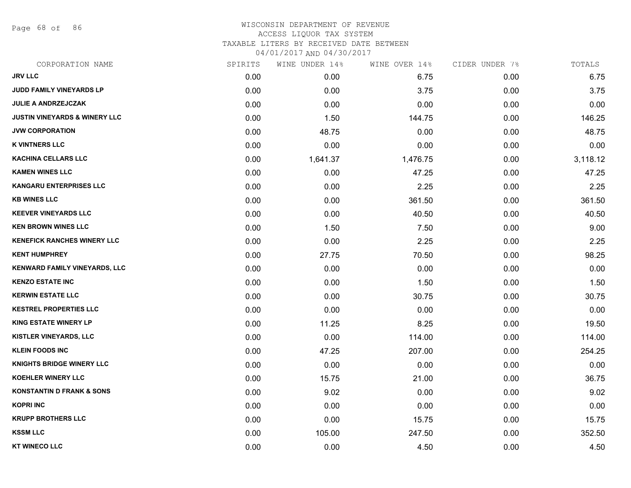Page 68 of 86

# WISCONSIN DEPARTMENT OF REVENUE ACCESS LIQUOR TAX SYSTEM TAXABLE LITERS BY RECEIVED DATE BETWEEN

| CORPORATION NAME                         | SPIRITS | WINE UNDER 14% | WINE OVER 14% | CIDER UNDER 7% | TOTALS   |
|------------------------------------------|---------|----------------|---------------|----------------|----------|
| <b>JRV LLC</b>                           | 0.00    | 0.00           | 6.75          | 0.00           | 6.75     |
| JUDD FAMILY VINEYARDS LP                 | 0.00    | 0.00           | 3.75          | 0.00           | 3.75     |
| JULIE A ANDRZEJCZAK                      | 0.00    | 0.00           | 0.00          | 0.00           | 0.00     |
| <b>JUSTIN VINEYARDS &amp; WINERY LLC</b> | 0.00    | 1.50           | 144.75        | 0.00           | 146.25   |
| <b>JVW CORPORATION</b>                   | 0.00    | 48.75          | 0.00          | 0.00           | 48.75    |
| <b>K VINTNERS LLC</b>                    | 0.00    | 0.00           | 0.00          | 0.00           | 0.00     |
| <b>KACHINA CELLARS LLC</b>               | 0.00    | 1,641.37       | 1,476.75      | 0.00           | 3,118.12 |
| <b>KAMEN WINES LLC</b>                   | 0.00    | 0.00           | 47.25         | 0.00           | 47.25    |
| <b>KANGARU ENTERPRISES LLC</b>           | 0.00    | 0.00           | 2.25          | 0.00           | 2.25     |
| <b>KB WINES LLC</b>                      | 0.00    | 0.00           | 361.50        | 0.00           | 361.50   |
| <b>KEEVER VINEYARDS LLC</b>              | 0.00    | 0.00           | 40.50         | 0.00           | 40.50    |
| <b>KEN BROWN WINES LLC</b>               | 0.00    | 1.50           | 7.50          | 0.00           | 9.00     |
| <b>KENEFICK RANCHES WINERY LLC</b>       | 0.00    | 0.00           | 2.25          | 0.00           | 2.25     |
| <b>KENT HUMPHREY</b>                     | 0.00    | 27.75          | 70.50         | 0.00           | 98.25    |
| KENWARD FAMILY VINEYARDS, LLC            | 0.00    | 0.00           | 0.00          | 0.00           | 0.00     |
| <b>KENZO ESTATE INC</b>                  | 0.00    | 0.00           | 1.50          | 0.00           | 1.50     |
| <b>KERWIN ESTATE LLC</b>                 | 0.00    | 0.00           | 30.75         | 0.00           | 30.75    |
| <b>KESTREL PROPERTIES LLC</b>            | 0.00    | 0.00           | 0.00          | 0.00           | 0.00     |
| <b>KING ESTATE WINERY LP</b>             | 0.00    | 11.25          | 8.25          | 0.00           | 19.50    |
| KISTLER VINEYARDS, LLC                   | 0.00    | 0.00           | 114.00        | 0.00           | 114.00   |
| <b>KLEIN FOODS INC</b>                   | 0.00    | 47.25          | 207.00        | 0.00           | 254.25   |
| <b>KNIGHTS BRIDGE WINERY LLC</b>         | 0.00    | 0.00           | 0.00          | 0.00           | 0.00     |
| <b>KOEHLER WINERY LLC</b>                | 0.00    | 15.75          | 21.00         | 0.00           | 36.75    |
| <b>KONSTANTIN D FRANK &amp; SONS</b>     | 0.00    | 9.02           | 0.00          | 0.00           | 9.02     |
| <b>KOPRI INC</b>                         | 0.00    | 0.00           | 0.00          | 0.00           | 0.00     |
| <b>KRUPP BROTHERS LLC</b>                | 0.00    | 0.00           | 15.75         | 0.00           | 15.75    |
| <b>KSSM LLC</b>                          | 0.00    | 105.00         | 247.50        | 0.00           | 352.50   |
| <b>KT WINECO LLC</b>                     | 0.00    | 0.00           | 4.50          | 0.00           | 4.50     |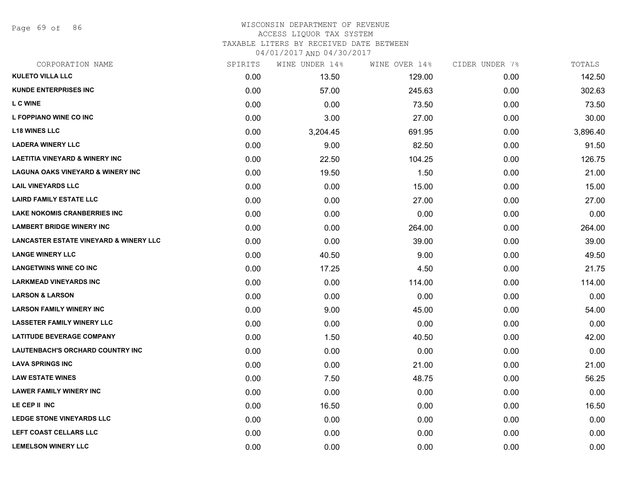Page 69 of 86

#### WISCONSIN DEPARTMENT OF REVENUE ACCESS LIQUOR TAX SYSTEM TAXABLE LITERS BY RECEIVED DATE BETWEEN

| CORPORATION NAME                                  | SPIRITS | WINE UNDER 14% | WINE OVER 14% | CIDER UNDER 7% | TOTALS   |
|---------------------------------------------------|---------|----------------|---------------|----------------|----------|
| <b>KULETO VILLA LLC</b>                           | 0.00    | 13.50          | 129.00        | 0.00           | 142.50   |
| <b>KUNDE ENTERPRISES INC.</b>                     | 0.00    | 57.00          | 245.63        | 0.00           | 302.63   |
| <b>LC WINE</b>                                    | 0.00    | 0.00           | 73.50         | 0.00           | 73.50    |
| L FOPPIANO WINE CO INC                            | 0.00    | 3.00           | 27.00         | 0.00           | 30.00    |
| <b>L18 WINES LLC</b>                              | 0.00    | 3,204.45       | 691.95        | 0.00           | 3,896.40 |
| <b>LADERA WINERY LLC</b>                          | 0.00    | 9.00           | 82.50         | 0.00           | 91.50    |
| <b>LAETITIA VINEYARD &amp; WINERY INC</b>         | 0.00    | 22.50          | 104.25        | 0.00           | 126.75   |
| <b>LAGUNA OAKS VINEYARD &amp; WINERY INC</b>      | 0.00    | 19.50          | 1.50          | 0.00           | 21.00    |
| <b>LAIL VINEYARDS LLC</b>                         | 0.00    | 0.00           | 15.00         | 0.00           | 15.00    |
| <b>LAIRD FAMILY ESTATE LLC</b>                    | 0.00    | 0.00           | 27.00         | 0.00           | 27.00    |
| <b>LAKE NOKOMIS CRANBERRIES INC</b>               | 0.00    | 0.00           | 0.00          | 0.00           | 0.00     |
| <b>LAMBERT BRIDGE WINERY INC</b>                  | 0.00    | 0.00           | 264.00        | 0.00           | 264.00   |
| <b>LANCASTER ESTATE VINEYARD &amp; WINERY LLC</b> | 0.00    | 0.00           | 39.00         | 0.00           | 39.00    |
| <b>LANGE WINERY LLC</b>                           | 0.00    | 40.50          | 9.00          | 0.00           | 49.50    |
| <b>LANGETWINS WINE CO INC</b>                     | 0.00    | 17.25          | 4.50          | 0.00           | 21.75    |
| <b>LARKMEAD VINEYARDS INC</b>                     | 0.00    | 0.00           | 114.00        | 0.00           | 114.00   |
| <b>LARSON &amp; LARSON</b>                        | 0.00    | 0.00           | 0.00          | 0.00           | 0.00     |
| <b>LARSON FAMILY WINERY INC</b>                   | 0.00    | 9.00           | 45.00         | 0.00           | 54.00    |
| <b>LASSETER FAMILY WINERY LLC</b>                 | 0.00    | 0.00           | 0.00          | 0.00           | 0.00     |
| <b>LATITUDE BEVERAGE COMPANY</b>                  | 0.00    | 1.50           | 40.50         | 0.00           | 42.00    |
| LAUTENBACH'S ORCHARD COUNTRY INC                  | 0.00    | 0.00           | 0.00          | 0.00           | 0.00     |
| <b>LAVA SPRINGS INC</b>                           | 0.00    | 0.00           | 21.00         | 0.00           | 21.00    |
| <b>LAW ESTATE WINES</b>                           | 0.00    | 7.50           | 48.75         | 0.00           | 56.25    |
| <b>LAWER FAMILY WINERY INC</b>                    | 0.00    | 0.00           | 0.00          | 0.00           | 0.00     |
| LE CEP II INC                                     | 0.00    | 16.50          | 0.00          | 0.00           | 16.50    |
| <b>LEDGE STONE VINEYARDS LLC</b>                  | 0.00    | 0.00           | 0.00          | 0.00           | 0.00     |
| LEFT COAST CELLARS LLC                            | 0.00    | 0.00           | 0.00          | 0.00           | 0.00     |
| <b>LEMELSON WINERY LLC</b>                        | 0.00    | 0.00           | 0.00          | 0.00           | 0.00     |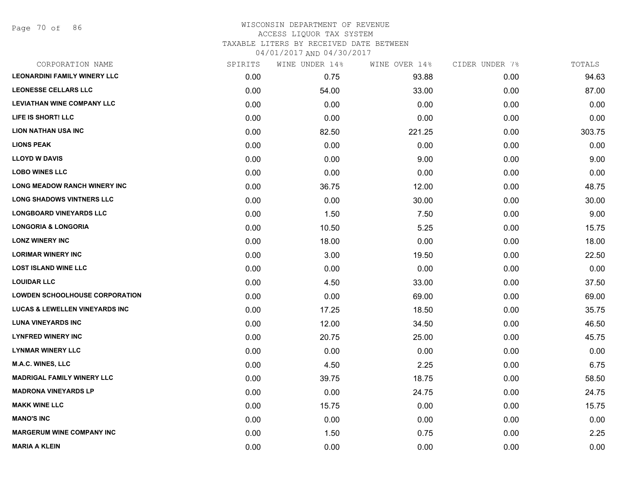Page 70 of 86

# WISCONSIN DEPARTMENT OF REVENUE ACCESS LIQUOR TAX SYSTEM TAXABLE LITERS BY RECEIVED DATE BETWEEN

| CORPORATION NAME                          | SPIRITS | WINE UNDER 14% | WINE OVER 14% | CIDER UNDER 7% | TOTALS |
|-------------------------------------------|---------|----------------|---------------|----------------|--------|
| <b>LEONARDINI FAMILY WINERY LLC</b>       | 0.00    | 0.75           | 93.88         | 0.00           | 94.63  |
| <b>LEONESSE CELLARS LLC</b>               | 0.00    | 54.00          | 33.00         | 0.00           | 87.00  |
| <b>LEVIATHAN WINE COMPANY LLC</b>         | 0.00    | 0.00           | 0.00          | 0.00           | 0.00   |
| LIFE IS SHORT! LLC                        | 0.00    | 0.00           | 0.00          | 0.00           | 0.00   |
| <b>LION NATHAN USA INC</b>                | 0.00    | 82.50          | 221.25        | 0.00           | 303.75 |
| <b>LIONS PEAK</b>                         | 0.00    | 0.00           | 0.00          | 0.00           | 0.00   |
| <b>LLOYD W DAVIS</b>                      | 0.00    | 0.00           | 9.00          | 0.00           | 9.00   |
| <b>LOBO WINES LLC</b>                     | 0.00    | 0.00           | 0.00          | 0.00           | 0.00   |
| LONG MEADOW RANCH WINERY INC              | 0.00    | 36.75          | 12.00         | 0.00           | 48.75  |
| <b>LONG SHADOWS VINTNERS LLC</b>          | 0.00    | 0.00           | 30.00         | 0.00           | 30.00  |
| <b>LONGBOARD VINEYARDS LLC</b>            | 0.00    | 1.50           | 7.50          | 0.00           | 9.00   |
| <b>LONGORIA &amp; LONGORIA</b>            | 0.00    | 10.50          | 5.25          | 0.00           | 15.75  |
| <b>LONZ WINERY INC</b>                    | 0.00    | 18.00          | 0.00          | 0.00           | 18.00  |
| <b>LORIMAR WINERY INC</b>                 | 0.00    | 3.00           | 19.50         | 0.00           | 22.50  |
| <b>LOST ISLAND WINE LLC</b>               | 0.00    | 0.00           | 0.00          | 0.00           | 0.00   |
| <b>LOUIDAR LLC</b>                        | 0.00    | 4.50           | 33.00         | 0.00           | 37.50  |
| <b>LOWDEN SCHOOLHOUSE CORPORATION</b>     | 0.00    | 0.00           | 69.00         | 0.00           | 69.00  |
| <b>LUCAS &amp; LEWELLEN VINEYARDS INC</b> | 0.00    | 17.25          | 18.50         | 0.00           | 35.75  |
| <b>LUNA VINEYARDS INC</b>                 | 0.00    | 12.00          | 34.50         | 0.00           | 46.50  |
| <b>LYNFRED WINERY INC</b>                 | 0.00    | 20.75          | 25.00         | 0.00           | 45.75  |
| <b>LYNMAR WINERY LLC</b>                  | 0.00    | 0.00           | 0.00          | 0.00           | 0.00   |
| <b>M.A.C. WINES, LLC</b>                  | 0.00    | 4.50           | 2.25          | 0.00           | 6.75   |
| <b>MADRIGAL FAMILY WINERY LLC</b>         | 0.00    | 39.75          | 18.75         | 0.00           | 58.50  |
| <b>MADRONA VINEYARDS LP</b>               | 0.00    | 0.00           | 24.75         | 0.00           | 24.75  |
| <b>MAKK WINE LLC</b>                      | 0.00    | 15.75          | 0.00          | 0.00           | 15.75  |
| <b>MANO'S INC</b>                         | 0.00    | 0.00           | 0.00          | 0.00           | 0.00   |
| <b>MARGERUM WINE COMPANY INC</b>          | 0.00    | 1.50           | 0.75          | 0.00           | 2.25   |
| <b>MARIA A KLEIN</b>                      | 0.00    | 0.00           | 0.00          | 0.00           | 0.00   |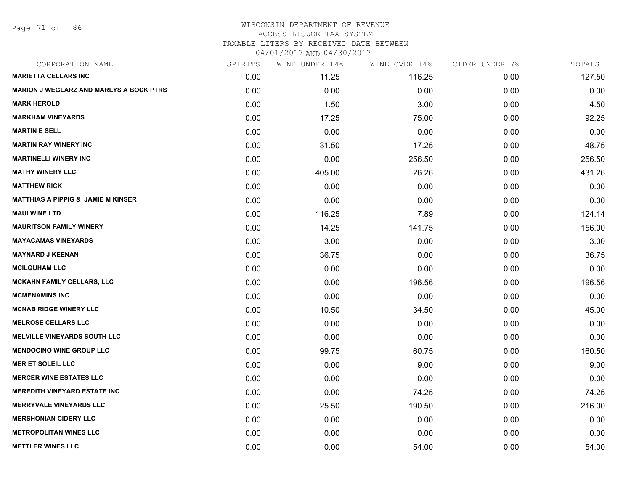Page 71 of 86

#### WISCONSIN DEPARTMENT OF REVENUE ACCESS LIQUOR TAX SYSTEM TAXABLE LITERS BY RECEIVED DATE BETWEEN

| CORPORATION NAME                               | SPIRITS | WINE UNDER 14% | WINE OVER 14% | CIDER UNDER 7% | TOTALS |
|------------------------------------------------|---------|----------------|---------------|----------------|--------|
| <b>MARIETTA CELLARS INC</b>                    | 0.00    | 11.25          | 116.25        | 0.00           | 127.50 |
| <b>MARION J WEGLARZ AND MARLYS A BOCK PTRS</b> | 0.00    | 0.00           | 0.00          | 0.00           | 0.00   |
| <b>MARK HEROLD</b>                             | 0.00    | 1.50           | 3.00          | 0.00           | 4.50   |
| <b>MARKHAM VINEYARDS</b>                       | 0.00    | 17.25          | 75.00         | 0.00           | 92.25  |
| <b>MARTIN E SELL</b>                           | 0.00    | 0.00           | 0.00          | 0.00           | 0.00   |
| <b>MARTIN RAY WINERY INC</b>                   | 0.00    | 31.50          | 17.25         | 0.00           | 48.75  |
| <b>MARTINELLI WINERY INC</b>                   | 0.00    | 0.00           | 256.50        | 0.00           | 256.50 |
| <b>MATHY WINERY LLC</b>                        | 0.00    | 405.00         | 26.26         | 0.00           | 431.26 |
| <b>MATTHEW RICK</b>                            | 0.00    | 0.00           | 0.00          | 0.00           | 0.00   |
| <b>MATTHIAS A PIPPIG &amp; JAMIE M KINSER</b>  | 0.00    | 0.00           | 0.00          | 0.00           | 0.00   |
| <b>MAUI WINE LTD</b>                           | 0.00    | 116.25         | 7.89          | 0.00           | 124.14 |
| <b>MAURITSON FAMILY WINERY</b>                 | 0.00    | 14.25          | 141.75        | 0.00           | 156.00 |
| <b>MAYACAMAS VINEYARDS</b>                     | 0.00    | 3.00           | 0.00          | 0.00           | 3.00   |
| <b>MAYNARD J KEENAN</b>                        | 0.00    | 36.75          | 0.00          | 0.00           | 36.75  |
| <b>MCILQUHAM LLC</b>                           | 0.00    | 0.00           | 0.00          | 0.00           | 0.00   |
| MCKAHN FAMILY CELLARS, LLC                     | 0.00    | 0.00           | 196.56        | 0.00           | 196.56 |
| <b>MCMENAMINS INC</b>                          | 0.00    | 0.00           | 0.00          | 0.00           | 0.00   |
| <b>MCNAB RIDGE WINERY LLC</b>                  | 0.00    | 10.50          | 34.50         | 0.00           | 45.00  |
| <b>MELROSE CELLARS LLC</b>                     | 0.00    | 0.00           | 0.00          | 0.00           | 0.00   |
| <b>MELVILLE VINEYARDS SOUTH LLC</b>            | 0.00    | 0.00           | 0.00          | 0.00           | 0.00   |
| <b>MENDOCINO WINE GROUP LLC</b>                | 0.00    | 99.75          | 60.75         | 0.00           | 160.50 |
| <b>MER ET SOLEIL LLC</b>                       | 0.00    | 0.00           | 9.00          | 0.00           | 9.00   |
| <b>MERCER WINE ESTATES LLC</b>                 | 0.00    | 0.00           | 0.00          | 0.00           | 0.00   |
| <b>MEREDITH VINEYARD ESTATE INC</b>            | 0.00    | 0.00           | 74.25         | 0.00           | 74.25  |
| <b>MERRYVALE VINEYARDS LLC</b>                 | 0.00    | 25.50          | 190.50        | 0.00           | 216.00 |
| <b>MERSHONIAN CIDERY LLC</b>                   | 0.00    | 0.00           | 0.00          | 0.00           | 0.00   |
| <b>METROPOLITAN WINES LLC</b>                  | 0.00    | 0.00           | 0.00          | 0.00           | 0.00   |
| <b>METTLER WINES LLC</b>                       | 0.00    | 0.00           | 54.00         | 0.00           | 54.00  |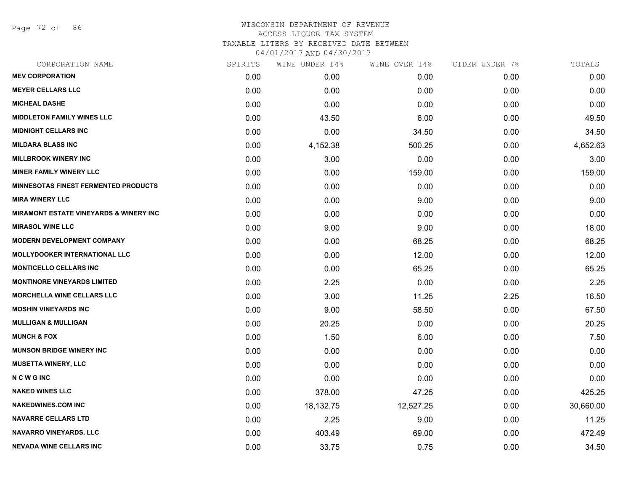Page 72 of 86

| CORPORATION NAME                                   | SPIRITS | WINE UNDER 14% | WINE OVER 14% | CIDER UNDER 7% | TOTALS    |
|----------------------------------------------------|---------|----------------|---------------|----------------|-----------|
| <b>MEV CORPORATION</b>                             | 0.00    | 0.00           | 0.00          | 0.00           | 0.00      |
| <b>MEYER CELLARS LLC</b>                           | 0.00    | 0.00           | 0.00          | 0.00           | 0.00      |
| <b>MICHEAL DASHE</b>                               | 0.00    | 0.00           | 0.00          | 0.00           | 0.00      |
| <b>MIDDLETON FAMILY WINES LLC</b>                  | 0.00    | 43.50          | 6.00          | 0.00           | 49.50     |
| <b>MIDNIGHT CELLARS INC</b>                        | 0.00    | 0.00           | 34.50         | 0.00           | 34.50     |
| <b>MILDARA BLASS INC</b>                           | 0.00    | 4,152.38       | 500.25        | 0.00           | 4,652.63  |
| <b>MILLBROOK WINERY INC</b>                        | 0.00    | 3.00           | 0.00          | 0.00           | 3.00      |
| <b>MINER FAMILY WINERY LLC</b>                     | 0.00    | 0.00           | 159.00        | 0.00           | 159.00    |
| <b>MINNESOTAS FINEST FERMENTED PRODUCTS</b>        | 0.00    | 0.00           | 0.00          | 0.00           | 0.00      |
| <b>MIRA WINERY LLC</b>                             | 0.00    | 0.00           | 9.00          | 0.00           | 9.00      |
| <b>MIRAMONT ESTATE VINEYARDS &amp; WINERY INC.</b> | 0.00    | 0.00           | 0.00          | 0.00           | 0.00      |
| <b>MIRASOL WINE LLC</b>                            | 0.00    | 9.00           | 9.00          | 0.00           | 18.00     |
| <b>MODERN DEVELOPMENT COMPANY</b>                  | 0.00    | 0.00           | 68.25         | 0.00           | 68.25     |
| <b>MOLLYDOOKER INTERNATIONAL LLC</b>               | 0.00    | 0.00           | 12.00         | 0.00           | 12.00     |
| <b>MONTICELLO CELLARS INC</b>                      | 0.00    | 0.00           | 65.25         | 0.00           | 65.25     |
| <b>MONTINORE VINEYARDS LIMITED</b>                 | 0.00    | 2.25           | 0.00          | 0.00           | 2.25      |
| <b>MORCHELLA WINE CELLARS LLC</b>                  | 0.00    | 3.00           | 11.25         | 2.25           | 16.50     |
| <b>MOSHIN VINEYARDS INC</b>                        | 0.00    | 9.00           | 58.50         | 0.00           | 67.50     |
| <b>MULLIGAN &amp; MULLIGAN</b>                     | 0.00    | 20.25          | 0.00          | 0.00           | 20.25     |
| <b>MUNCH &amp; FOX</b>                             | 0.00    | 1.50           | 6.00          | 0.00           | 7.50      |
| <b>MUNSON BRIDGE WINERY INC</b>                    | 0.00    | 0.00           | 0.00          | 0.00           | 0.00      |
| <b>MUSETTA WINERY, LLC</b>                         | 0.00    | 0.00           | 0.00          | 0.00           | 0.00      |
| <b>NCWGINC</b>                                     | 0.00    | 0.00           | 0.00          | 0.00           | 0.00      |
| <b>NAKED WINES LLC</b>                             | 0.00    | 378.00         | 47.25         | 0.00           | 425.25    |
| <b>NAKEDWINES.COM INC</b>                          | 0.00    | 18,132.75      | 12,527.25     | 0.00           | 30,660.00 |
| <b>NAVARRE CELLARS LTD</b>                         | 0.00    | 2.25           | 9.00          | 0.00           | 11.25     |
| <b>NAVARRO VINEYARDS, LLC</b>                      | 0.00    | 403.49         | 69.00         | 0.00           | 472.49    |
| <b>NEVADA WINE CELLARS INC</b>                     | 0.00    | 33.75          | 0.75          | 0.00           | 34.50     |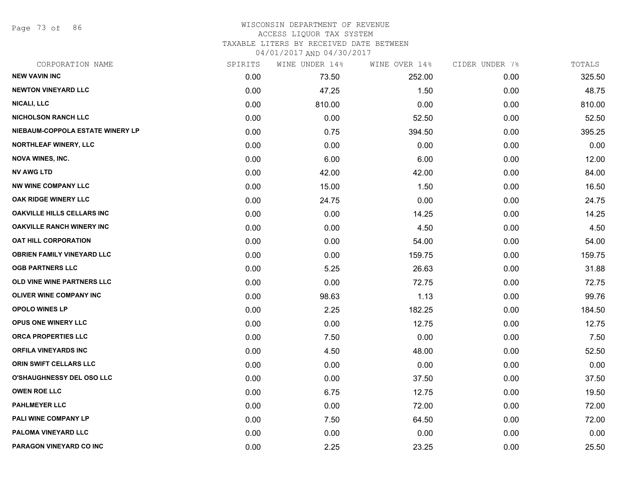Page 73 of 86

#### WISCONSIN DEPARTMENT OF REVENUE ACCESS LIQUOR TAX SYSTEM

TAXABLE LITERS BY RECEIVED DATE BETWEEN

04/01/2017 AND 04/30/2017

| CORPORATION NAME                  | SPIRITS | WINE UNDER 14% | WINE OVER 14% | CIDER UNDER 7% | TOTALS |
|-----------------------------------|---------|----------------|---------------|----------------|--------|
| <b>NEW VAVIN INC</b>              | 0.00    | 73.50          | 252.00        | 0.00           | 325.50 |
| <b>NEWTON VINEYARD LLC</b>        | 0.00    | 47.25          | 1.50          | 0.00           | 48.75  |
| <b>NICALI, LLC</b>                | 0.00    | 810.00         | 0.00          | 0.00           | 810.00 |
| <b>NICHOLSON RANCH LLC</b>        | 0.00    | 0.00           | 52.50         | 0.00           | 52.50  |
| NIEBAUM-COPPOLA ESTATE WINERY LP  | 0.00    | 0.75           | 394.50        | 0.00           | 395.25 |
| <b>NORTHLEAF WINERY, LLC</b>      | 0.00    | 0.00           | 0.00          | 0.00           | 0.00   |
| <b>NOVA WINES, INC.</b>           | 0.00    | 6.00           | 6.00          | 0.00           | 12.00  |
| <b>NV AWG LTD</b>                 | 0.00    | 42.00          | 42.00         | 0.00           | 84.00  |
| <b>NW WINE COMPANY LLC</b>        | 0.00    | 15.00          | 1.50          | 0.00           | 16.50  |
| OAK RIDGE WINERY LLC              | 0.00    | 24.75          | 0.00          | 0.00           | 24.75  |
| <b>OAKVILLE HILLS CELLARS INC</b> | 0.00    | 0.00           | 14.25         | 0.00           | 14.25  |
| <b>OAKVILLE RANCH WINERY INC</b>  | 0.00    | 0.00           | 4.50          | 0.00           | 4.50   |
| <b>OAT HILL CORPORATION</b>       | 0.00    | 0.00           | 54.00         | 0.00           | 54.00  |
| <b>OBRIEN FAMILY VINEYARD LLC</b> | 0.00    | 0.00           | 159.75        | 0.00           | 159.75 |
| <b>OGB PARTNERS LLC</b>           | 0.00    | 5.25           | 26.63         | 0.00           | 31.88  |
| OLD VINE WINE PARTNERS LLC        | 0.00    | 0.00           | 72.75         | 0.00           | 72.75  |
| <b>OLIVER WINE COMPANY INC</b>    | 0.00    | 98.63          | 1.13          | 0.00           | 99.76  |
| <b>OPOLO WINES LP</b>             | 0.00    | 2.25           | 182.25        | 0.00           | 184.50 |
| <b>OPUS ONE WINERY LLC</b>        | 0.00    | 0.00           | 12.75         | 0.00           | 12.75  |
| <b>ORCA PROPERTIES LLC</b>        | 0.00    | 7.50           | 0.00          | 0.00           | 7.50   |
| <b>ORFILA VINEYARDS INC</b>       | 0.00    | 4.50           | 48.00         | 0.00           | 52.50  |
| ORIN SWIFT CELLARS LLC            | 0.00    | 0.00           | 0.00          | 0.00           | 0.00   |
| <b>O'SHAUGHNESSY DEL OSO LLC</b>  | 0.00    | 0.00           | 37.50         | 0.00           | 37.50  |
| <b>OWEN ROE LLC</b>               | 0.00    | 6.75           | 12.75         | 0.00           | 19.50  |
| <b>PAHLMEYER LLC</b>              | 0.00    | 0.00           | 72.00         | 0.00           | 72.00  |
| PALI WINE COMPANY LP              | 0.00    | 7.50           | 64.50         | 0.00           | 72.00  |
| PALOMA VINEYARD LLC               | 0.00    | 0.00           | 0.00          | 0.00           | 0.00   |
| PARAGON VINEYARD CO INC           | 0.00    | 2.25           | 23.25         | 0.00           | 25.50  |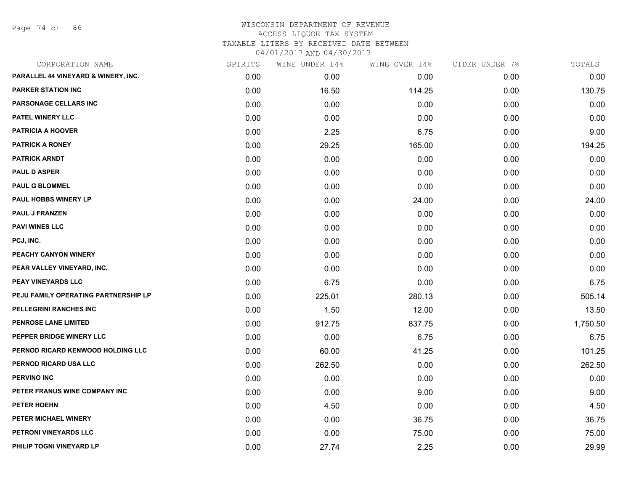Page 74 of 86

| CORPORATION NAME                     | SPIRITS | WINE UNDER 14% | WINE OVER 14% | CIDER UNDER 7% | TOTALS   |
|--------------------------------------|---------|----------------|---------------|----------------|----------|
| PARALLEL 44 VINEYARD & WINERY, INC.  | 0.00    | 0.00           | 0.00          | 0.00           | 0.00     |
| <b>PARKER STATION INC</b>            | 0.00    | 16.50          | 114.25        | 0.00           | 130.75   |
| PARSONAGE CELLARS INC                | 0.00    | 0.00           | 0.00          | 0.00           | 0.00     |
| PATEL WINERY LLC                     | 0.00    | 0.00           | 0.00          | 0.00           | 0.00     |
| <b>PATRICIA A HOOVER</b>             | 0.00    | 2.25           | 6.75          | 0.00           | 9.00     |
| <b>PATRICK A RONEY</b>               | 0.00    | 29.25          | 165.00        | 0.00           | 194.25   |
| <b>PATRICK ARNDT</b>                 | 0.00    | 0.00           | 0.00          | 0.00           | 0.00     |
| <b>PAUL D ASPER</b>                  | 0.00    | 0.00           | 0.00          | 0.00           | 0.00     |
| <b>PAUL G BLOMMEL</b>                | 0.00    | 0.00           | 0.00          | 0.00           | 0.00     |
| PAUL HOBBS WINERY LP                 | 0.00    | 0.00           | 24.00         | 0.00           | 24.00    |
| <b>PAUL J FRANZEN</b>                | 0.00    | 0.00           | 0.00          | 0.00           | 0.00     |
| <b>PAVI WINES LLC</b>                | 0.00    | 0.00           | 0.00          | 0.00           | 0.00     |
| PCJ, INC.                            | 0.00    | 0.00           | 0.00          | 0.00           | 0.00     |
| PEACHY CANYON WINERY                 | 0.00    | 0.00           | 0.00          | 0.00           | 0.00     |
| PEAR VALLEY VINEYARD, INC.           | 0.00    | 0.00           | 0.00          | 0.00           | 0.00     |
| PEAY VINEYARDS LLC                   | 0.00    | 6.75           | 0.00          | 0.00           | 6.75     |
| PEJU FAMILY OPERATING PARTNERSHIP LP | 0.00    | 225.01         | 280.13        | 0.00           | 505.14   |
| PELLEGRINI RANCHES INC               | 0.00    | 1.50           | 12.00         | 0.00           | 13.50    |
| PENROSE LANE LIMITED                 | 0.00    | 912.75         | 837.75        | 0.00           | 1,750.50 |
| PEPPER BRIDGE WINERY LLC             | 0.00    | 0.00           | 6.75          | 0.00           | 6.75     |
| PERNOD RICARD KENWOOD HOLDING LLC    | 0.00    | 60.00          | 41.25         | 0.00           | 101.25   |
| PERNOD RICARD USA LLC                | 0.00    | 262.50         | 0.00          | 0.00           | 262.50   |
| <b>PERVINO INC</b>                   | 0.00    | 0.00           | 0.00          | 0.00           | 0.00     |
| PETER FRANUS WINE COMPANY INC        | 0.00    | 0.00           | 9.00          | 0.00           | 9.00     |
| PETER HOEHN                          | 0.00    | 4.50           | 0.00          | 0.00           | 4.50     |
| PETER MICHAEL WINERY                 | 0.00    | 0.00           | 36.75         | 0.00           | 36.75    |
| PETRONI VINEYARDS LLC                | 0.00    | 0.00           | 75.00         | 0.00           | 75.00    |
| PHILIP TOGNI VINEYARD LP             | 0.00    | 27.74          | 2.25          | 0.00           | 29.99    |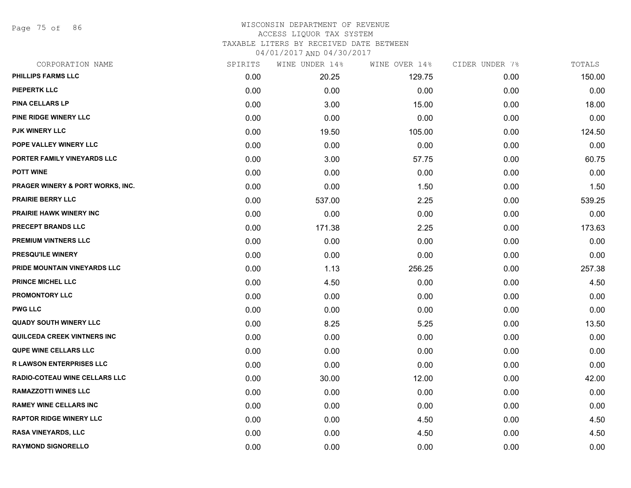Page 75 of 86

## WISCONSIN DEPARTMENT OF REVENUE ACCESS LIQUOR TAX SYSTEM TAXABLE LITERS BY RECEIVED DATE BETWEEN

04/01/2017 AND 04/30/2017

| CORPORATION NAME                   | SPIRITS | WINE UNDER 14% | WINE OVER 14% | CIDER UNDER 7% | TOTALS |
|------------------------------------|---------|----------------|---------------|----------------|--------|
| PHILLIPS FARMS LLC                 | 0.00    | 20.25          | 129.75        | 0.00           | 150.00 |
| <b>PIEPERTK LLC</b>                | 0.00    | 0.00           | 0.00          | 0.00           | 0.00   |
| <b>PINA CELLARS LP</b>             | 0.00    | 3.00           | 15.00         | 0.00           | 18.00  |
| PINE RIDGE WINERY LLC              | 0.00    | 0.00           | 0.00          | 0.00           | 0.00   |
| PJK WINERY LLC                     | 0.00    | 19.50          | 105.00        | 0.00           | 124.50 |
| POPE VALLEY WINERY LLC             | 0.00    | 0.00           | 0.00          | 0.00           | 0.00   |
| PORTER FAMILY VINEYARDS LLC        | 0.00    | 3.00           | 57.75         | 0.00           | 60.75  |
| <b>POTT WINE</b>                   | 0.00    | 0.00           | 0.00          | 0.00           | 0.00   |
| PRAGER WINERY & PORT WORKS, INC.   | 0.00    | 0.00           | 1.50          | 0.00           | 1.50   |
| <b>PRAIRIE BERRY LLC</b>           | 0.00    | 537.00         | 2.25          | 0.00           | 539.25 |
| PRAIRIE HAWK WINERY INC            | 0.00    | 0.00           | 0.00          | 0.00           | 0.00   |
| PRECEPT BRANDS LLC                 | 0.00    | 171.38         | 2.25          | 0.00           | 173.63 |
| <b>PREMIUM VINTNERS LLC</b>        | 0.00    | 0.00           | 0.00          | 0.00           | 0.00   |
| <b>PRESQU'ILE WINERY</b>           | 0.00    | 0.00           | 0.00          | 0.00           | 0.00   |
| PRIDE MOUNTAIN VINEYARDS LLC       | 0.00    | 1.13           | 256.25        | 0.00           | 257.38 |
| <b>PRINCE MICHEL LLC</b>           | 0.00    | 4.50           | 0.00          | 0.00           | 4.50   |
| <b>PROMONTORY LLC</b>              | 0.00    | 0.00           | 0.00          | 0.00           | 0.00   |
| <b>PWG LLC</b>                     | 0.00    | 0.00           | 0.00          | 0.00           | 0.00   |
| <b>QUADY SOUTH WINERY LLC</b>      | 0.00    | 8.25           | 5.25          | 0.00           | 13.50  |
| <b>QUILCEDA CREEK VINTNERS INC</b> | 0.00    | 0.00           | 0.00          | 0.00           | 0.00   |
| <b>QUPE WINE CELLARS LLC</b>       | 0.00    | 0.00           | 0.00          | 0.00           | 0.00   |
| <b>R LAWSON ENTERPRISES LLC</b>    | 0.00    | 0.00           | 0.00          | 0.00           | 0.00   |
| RADIO-COTEAU WINE CELLARS LLC      | 0.00    | 30.00          | 12.00         | 0.00           | 42.00  |
| <b>RAMAZZOTTI WINES LLC</b>        | 0.00    | 0.00           | 0.00          | 0.00           | 0.00   |
| <b>RAMEY WINE CELLARS INC</b>      | 0.00    | 0.00           | 0.00          | 0.00           | 0.00   |
| <b>RAPTOR RIDGE WINERY LLC</b>     | 0.00    | 0.00           | 4.50          | 0.00           | 4.50   |
| <b>RASA VINEYARDS, LLC</b>         | 0.00    | 0.00           | 4.50          | 0.00           | 4.50   |
| <b>RAYMOND SIGNORELLO</b>          | 0.00    | 0.00           | 0.00          | 0.00           | 0.00   |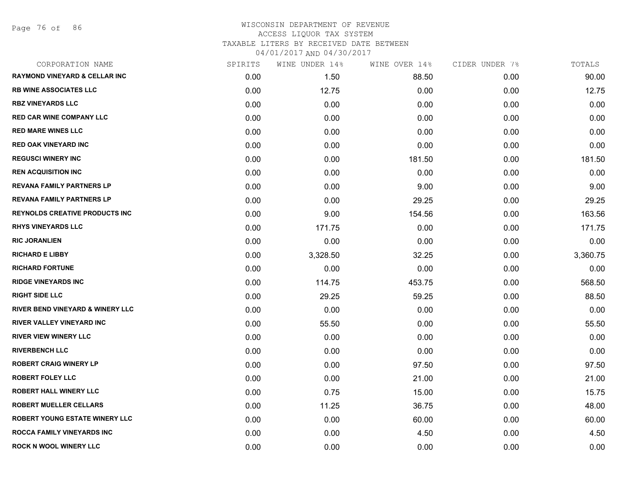Page 76 of 86

| CORPORATION NAME                            | SPIRITS | WINE UNDER 14% | WINE OVER 14% | CIDER UNDER 7% | TOTALS   |
|---------------------------------------------|---------|----------------|---------------|----------------|----------|
| <b>RAYMOND VINEYARD &amp; CELLAR INC</b>    | 0.00    | 1.50           | 88.50         | 0.00           | 90.00    |
| <b>RB WINE ASSOCIATES LLC</b>               | 0.00    | 12.75          | 0.00          | 0.00           | 12.75    |
| <b>RBZ VINEYARDS LLC</b>                    | 0.00    | 0.00           | 0.00          | 0.00           | 0.00     |
| RED CAR WINE COMPANY LLC                    | 0.00    | 0.00           | 0.00          | 0.00           | 0.00     |
| <b>RED MARE WINES LLC</b>                   | 0.00    | 0.00           | 0.00          | 0.00           | 0.00     |
| <b>RED OAK VINEYARD INC</b>                 | 0.00    | 0.00           | 0.00          | 0.00           | 0.00     |
| <b>REGUSCI WINERY INC</b>                   | 0.00    | 0.00           | 181.50        | 0.00           | 181.50   |
| <b>REN ACQUISITION INC</b>                  | 0.00    | 0.00           | 0.00          | 0.00           | 0.00     |
| <b>REVANA FAMILY PARTNERS LP</b>            | 0.00    | 0.00           | 9.00          | 0.00           | 9.00     |
| <b>REVANA FAMILY PARTNERS LP</b>            | 0.00    | 0.00           | 29.25         | 0.00           | 29.25    |
| <b>REYNOLDS CREATIVE PRODUCTS INC</b>       | 0.00    | 9.00           | 154.56        | 0.00           | 163.56   |
| <b>RHYS VINEYARDS LLC</b>                   | 0.00    | 171.75         | 0.00          | 0.00           | 171.75   |
| <b>RIC JORANLIEN</b>                        | 0.00    | 0.00           | 0.00          | 0.00           | 0.00     |
| <b>RICHARD E LIBBY</b>                      | 0.00    | 3,328.50       | 32.25         | 0.00           | 3,360.75 |
| <b>RICHARD FORTUNE</b>                      | 0.00    | 0.00           | 0.00          | 0.00           | 0.00     |
| <b>RIDGE VINEYARDS INC</b>                  | 0.00    | 114.75         | 453.75        | 0.00           | 568.50   |
| <b>RIGHT SIDE LLC</b>                       | 0.00    | 29.25          | 59.25         | 0.00           | 88.50    |
| <b>RIVER BEND VINEYARD &amp; WINERY LLC</b> | 0.00    | 0.00           | 0.00          | 0.00           | 0.00     |
| RIVER VALLEY VINEYARD INC                   | 0.00    | 55.50          | 0.00          | 0.00           | 55.50    |
| <b>RIVER VIEW WINERY LLC</b>                | 0.00    | 0.00           | 0.00          | 0.00           | 0.00     |
| <b>RIVERBENCH LLC</b>                       | 0.00    | 0.00           | 0.00          | 0.00           | 0.00     |
| <b>ROBERT CRAIG WINERY LP</b>               | 0.00    | 0.00           | 97.50         | 0.00           | 97.50    |
| <b>ROBERT FOLEY LLC</b>                     | 0.00    | 0.00           | 21.00         | 0.00           | 21.00    |
| <b>ROBERT HALL WINERY LLC</b>               | 0.00    | 0.75           | 15.00         | 0.00           | 15.75    |
| <b>ROBERT MUELLER CELLARS</b>               | 0.00    | 11.25          | 36.75         | 0.00           | 48.00    |
| ROBERT YOUNG ESTATE WINERY LLC              | 0.00    | 0.00           | 60.00         | 0.00           | 60.00    |
| <b>ROCCA FAMILY VINEYARDS INC</b>           | 0.00    | 0.00           | 4.50          | 0.00           | 4.50     |
| ROCK N WOOL WINERY LLC                      | 0.00    | 0.00           | 0.00          | 0.00           | 0.00     |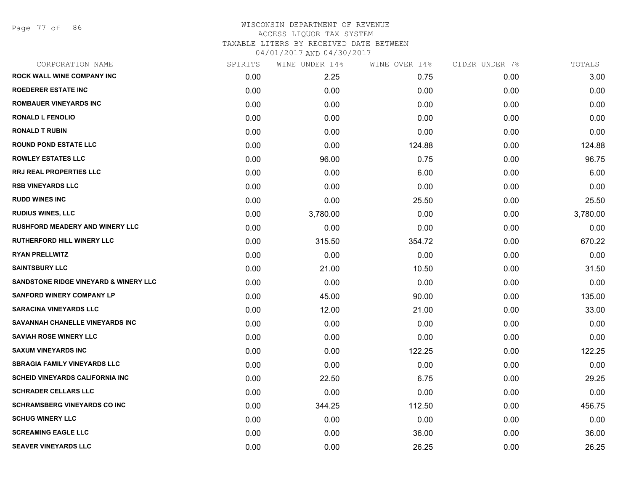Page 77 of 86

| CORPORATION NAME                        | SPIRITS | WINE UNDER 14% | WINE OVER 14% | CIDER UNDER 7% | TOTALS   |
|-----------------------------------------|---------|----------------|---------------|----------------|----------|
| <b>ROCK WALL WINE COMPANY INC</b>       | 0.00    | 2.25           | 0.75          | 0.00           | 3.00     |
| <b>ROEDERER ESTATE INC</b>              | 0.00    | 0.00           | 0.00          | 0.00           | 0.00     |
| <b>ROMBAUER VINEYARDS INC</b>           | 0.00    | 0.00           | 0.00          | 0.00           | 0.00     |
| <b>RONALD L FENOLIO</b>                 | 0.00    | 0.00           | 0.00          | 0.00           | 0.00     |
| <b>RONALD T RUBIN</b>                   | 0.00    | 0.00           | 0.00          | 0.00           | 0.00     |
| <b>ROUND POND ESTATE LLC</b>            | 0.00    | 0.00           | 124.88        | 0.00           | 124.88   |
| <b>ROWLEY ESTATES LLC</b>               | 0.00    | 96.00          | 0.75          | 0.00           | 96.75    |
| <b>RRJ REAL PROPERTIES LLC</b>          | 0.00    | 0.00           | 6.00          | 0.00           | 6.00     |
| <b>RSB VINEYARDS LLC</b>                | 0.00    | 0.00           | 0.00          | 0.00           | 0.00     |
| <b>RUDD WINES INC</b>                   | 0.00    | 0.00           | 25.50         | 0.00           | 25.50    |
| <b>RUDIUS WINES, LLC</b>                | 0.00    | 3,780.00       | 0.00          | 0.00           | 3,780.00 |
| <b>RUSHFORD MEADERY AND WINERY LLC</b>  | 0.00    | 0.00           | 0.00          | 0.00           | 0.00     |
| <b>RUTHERFORD HILL WINERY LLC</b>       | 0.00    | 315.50         | 354.72        | 0.00           | 670.22   |
| <b>RYAN PRELLWITZ</b>                   | 0.00    | 0.00           | 0.00          | 0.00           | 0.00     |
| <b>SAINTSBURY LLC</b>                   | 0.00    | 21.00          | 10.50         | 0.00           | 31.50    |
| SANDSTONE RIDGE VINEYARD & WINERY LLC   | 0.00    | 0.00           | 0.00          | 0.00           | 0.00     |
| <b>SANFORD WINERY COMPANY LP</b>        | 0.00    | 45.00          | 90.00         | 0.00           | 135.00   |
| <b>SARACINA VINEYARDS LLC</b>           | 0.00    | 12.00          | 21.00         | 0.00           | 33.00    |
| SAVANNAH CHANELLE VINEYARDS INC         | 0.00    | 0.00           | 0.00          | 0.00           | 0.00     |
| <b>SAVIAH ROSE WINERY LLC</b>           | 0.00    | 0.00           | 0.00          | 0.00           | 0.00     |
| <b>SAXUM VINEYARDS INC</b>              | 0.00    | 0.00           | 122.25        | 0.00           | 122.25   |
| <b>SBRAGIA FAMILY VINEYARDS LLC</b>     | 0.00    | 0.00           | 0.00          | 0.00           | 0.00     |
| <b>SCHEID VINEYARDS CALIFORNIA INC.</b> | 0.00    | 22.50          | 6.75          | 0.00           | 29.25    |
| <b>SCHRADER CELLARS LLC</b>             | 0.00    | 0.00           | 0.00          | 0.00           | 0.00     |
| <b>SCHRAMSBERG VINEYARDS CO INC</b>     | 0.00    | 344.25         | 112.50        | 0.00           | 456.75   |
| <b>SCHUG WINERY LLC</b>                 | 0.00    | 0.00           | 0.00          | 0.00           | 0.00     |
| <b>SCREAMING EAGLE LLC</b>              | 0.00    | 0.00           | 36.00         | 0.00           | 36.00    |
| <b>SEAVER VINEYARDS LLC</b>             | 0.00    | 0.00           | 26.25         | 0.00           | 26.25    |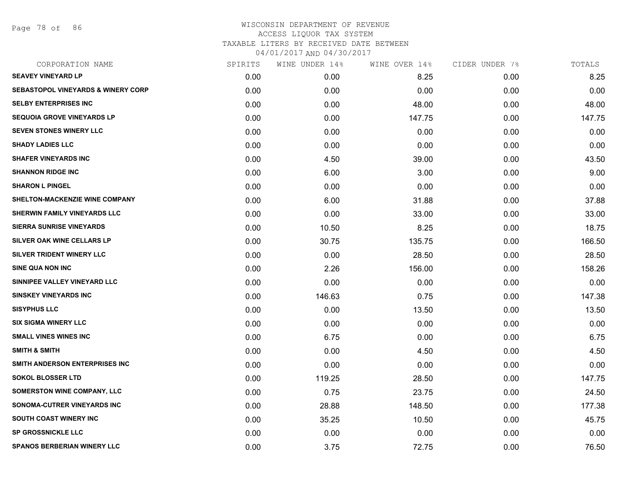Page 78 of 86

| SPIRITS | WINE UNDER 14% |        |               | TOTALS         |
|---------|----------------|--------|---------------|----------------|
| 0.00    | 0.00           | 8.25   | 0.00          | 8.25           |
| 0.00    | 0.00           | 0.00   | 0.00          | 0.00           |
| 0.00    | 0.00           | 48.00  | 0.00          | 48.00          |
| 0.00    | 0.00           | 147.75 | 0.00          | 147.75         |
| 0.00    | 0.00           | 0.00   | 0.00          | 0.00           |
| 0.00    | 0.00           | 0.00   | 0.00          | 0.00           |
| 0.00    | 4.50           | 39.00  | 0.00          | 43.50          |
| 0.00    | 6.00           | 3.00   | 0.00          | 9.00           |
| 0.00    | 0.00           | 0.00   | 0.00          | 0.00           |
| 0.00    | 6.00           | 31.88  | 0.00          | 37.88          |
| 0.00    | 0.00           | 33.00  | 0.00          | 33.00          |
| 0.00    | 10.50          | 8.25   | 0.00          | 18.75          |
| 0.00    | 30.75          | 135.75 | 0.00          | 166.50         |
| 0.00    | 0.00           | 28.50  | 0.00          | 28.50          |
| 0.00    | 2.26           | 156.00 | 0.00          | 158.26         |
| 0.00    | 0.00           | 0.00   | 0.00          | 0.00           |
| 0.00    | 146.63         | 0.75   | 0.00          | 147.38         |
| 0.00    | 0.00           | 13.50  | 0.00          | 13.50          |
| 0.00    | 0.00           | 0.00   | 0.00          | 0.00           |
| 0.00    | 6.75           | 0.00   | 0.00          | 6.75           |
| 0.00    | 0.00           | 4.50   | 0.00          | 4.50           |
| 0.00    | 0.00           | 0.00   | 0.00          | 0.00           |
| 0.00    | 119.25         | 28.50  | 0.00          | 147.75         |
| 0.00    | 0.75           | 23.75  | 0.00          | 24.50          |
| 0.00    | 28.88          | 148.50 | 0.00          | 177.38         |
| 0.00    | 35.25          | 10.50  | 0.00          | 45.75          |
| 0.00    | 0.00           | 0.00   | 0.00          | 0.00           |
| 0.00    | 3.75           | 72.75  | 0.00          | 76.50          |
|         |                |        | WINE OVER 14% | CIDER UNDER 7% |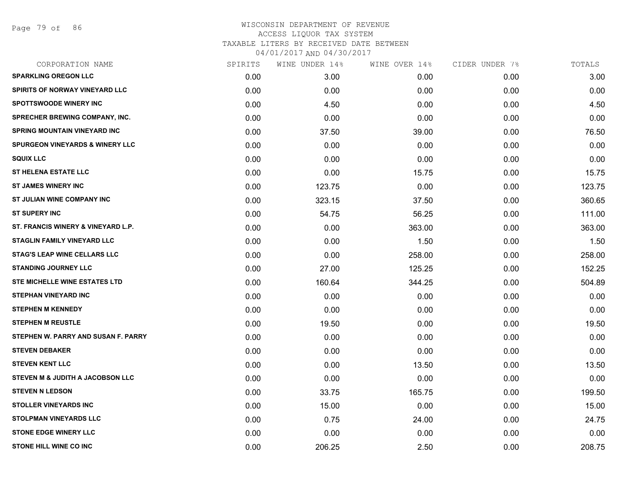Page 79 of 86

| CORPORATION NAME                           | SPIRITS | WINE UNDER 14% | WINE OVER 14% | CIDER UNDER 7% | TOTALS |
|--------------------------------------------|---------|----------------|---------------|----------------|--------|
| <b>SPARKLING OREGON LLC</b>                | 0.00    | 3.00           | 0.00          | 0.00           | 3.00   |
| SPIRITS OF NORWAY VINEYARD LLC             | 0.00    | 0.00           | 0.00          | 0.00           | 0.00   |
| <b>SPOTTSWOODE WINERY INC</b>              | 0.00    | 4.50           | 0.00          | 0.00           | 4.50   |
| <b>SPRECHER BREWING COMPANY, INC.</b>      | 0.00    | 0.00           | 0.00          | 0.00           | 0.00   |
| SPRING MOUNTAIN VINEYARD INC               | 0.00    | 37.50          | 39.00         | 0.00           | 76.50  |
| <b>SPURGEON VINEYARDS &amp; WINERY LLC</b> | 0.00    | 0.00           | 0.00          | 0.00           | 0.00   |
| <b>SQUIX LLC</b>                           | 0.00    | 0.00           | 0.00          | 0.00           | 0.00   |
| <b>ST HELENA ESTATE LLC</b>                | 0.00    | 0.00           | 15.75         | 0.00           | 15.75  |
| <b>ST JAMES WINERY INC</b>                 | 0.00    | 123.75         | 0.00          | 0.00           | 123.75 |
| ST JULIAN WINE COMPANY INC                 | 0.00    | 323.15         | 37.50         | 0.00           | 360.65 |
| <b>ST SUPERY INC</b>                       | 0.00    | 54.75          | 56.25         | 0.00           | 111.00 |
| ST. FRANCIS WINERY & VINEYARD L.P.         | 0.00    | 0.00           | 363.00        | 0.00           | 363.00 |
| STAGLIN FAMILY VINEYARD LLC                | 0.00    | 0.00           | 1.50          | 0.00           | 1.50   |
| <b>STAG'S LEAP WINE CELLARS LLC</b>        | 0.00    | 0.00           | 258.00        | 0.00           | 258.00 |
| <b>STANDING JOURNEY LLC</b>                | 0.00    | 27.00          | 125.25        | 0.00           | 152.25 |
| <b>STE MICHELLE WINE ESTATES LTD</b>       | 0.00    | 160.64         | 344.25        | 0.00           | 504.89 |
| STEPHAN VINEYARD INC                       | 0.00    | 0.00           | 0.00          | 0.00           | 0.00   |
| <b>STEPHEN M KENNEDY</b>                   | 0.00    | 0.00           | 0.00          | 0.00           | 0.00   |
| <b>STEPHEN M REUSTLE</b>                   | 0.00    | 19.50          | 0.00          | 0.00           | 19.50  |
| STEPHEN W. PARRY AND SUSAN F. PARRY        | 0.00    | 0.00           | 0.00          | 0.00           | 0.00   |
| <b>STEVEN DEBAKER</b>                      | 0.00    | 0.00           | 0.00          | 0.00           | 0.00   |
| <b>STEVEN KENT LLC</b>                     | 0.00    | 0.00           | 13.50         | 0.00           | 13.50  |
| STEVEN M & JUDITH A JACOBSON LLC           | 0.00    | 0.00           | 0.00          | 0.00           | 0.00   |
| <b>STEVEN N LEDSON</b>                     | 0.00    | 33.75          | 165.75        | 0.00           | 199.50 |
| <b>STOLLER VINEYARDS INC</b>               | 0.00    | 15.00          | 0.00          | 0.00           | 15.00  |
| <b>STOLPMAN VINEYARDS LLC</b>              | 0.00    | 0.75           | 24.00         | 0.00           | 24.75  |
| <b>STONE EDGE WINERY LLC</b>               | 0.00    | 0.00           | 0.00          | 0.00           | 0.00   |
| <b>STONE HILL WINE CO INC</b>              | 0.00    | 206.25         | 2.50          | 0.00           | 208.75 |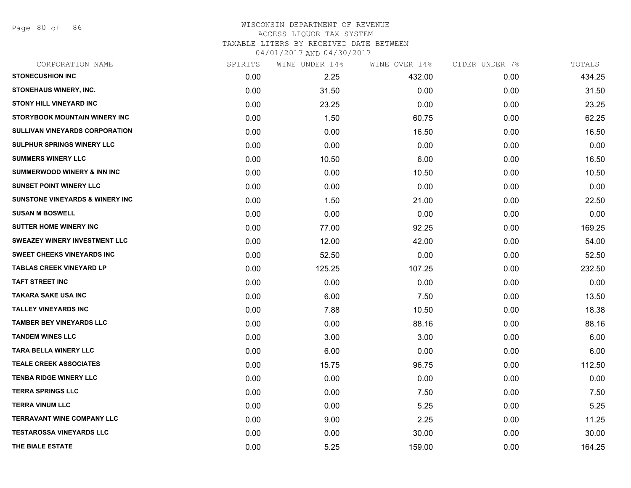Page 80 of 86

| CORPORATION NAME                            | SPIRITS | WINE UNDER 14% | WINE OVER 14% | CIDER UNDER 7% | TOTALS |
|---------------------------------------------|---------|----------------|---------------|----------------|--------|
| <b>STONECUSHION INC</b>                     | 0.00    | 2.25           | 432.00        | 0.00           | 434.25 |
| STONEHAUS WINERY, INC.                      | 0.00    | 31.50          | 0.00          | 0.00           | 31.50  |
| <b>STONY HILL VINEYARD INC</b>              | 0.00    | 23.25          | 0.00          | 0.00           | 23.25  |
| STORYBOOK MOUNTAIN WINERY INC               | 0.00    | 1.50           | 60.75         | 0.00           | 62.25  |
| <b>SULLIVAN VINEYARDS CORPORATION</b>       | 0.00    | 0.00           | 16.50         | 0.00           | 16.50  |
| <b>SULPHUR SPRINGS WINERY LLC</b>           | 0.00    | 0.00           | 0.00          | 0.00           | 0.00   |
| <b>SUMMERS WINERY LLC</b>                   | 0.00    | 10.50          | 6.00          | 0.00           | 16.50  |
| <b>SUMMERWOOD WINERY &amp; INN INC</b>      | 0.00    | 0.00           | 10.50         | 0.00           | 10.50  |
| <b>SUNSET POINT WINERY LLC</b>              | 0.00    | 0.00           | 0.00          | 0.00           | 0.00   |
| <b>SUNSTONE VINEYARDS &amp; WINERY INC.</b> | 0.00    | 1.50           | 21.00         | 0.00           | 22.50  |
| <b>SUSAN M BOSWELL</b>                      | 0.00    | 0.00           | 0.00          | 0.00           | 0.00   |
| <b>SUTTER HOME WINERY INC</b>               | 0.00    | 77.00          | 92.25         | 0.00           | 169.25 |
| <b>SWEAZEY WINERY INVESTMENT LLC</b>        | 0.00    | 12.00          | 42.00         | 0.00           | 54.00  |
| <b>SWEET CHEEKS VINEYARDS INC</b>           | 0.00    | 52.50          | 0.00          | 0.00           | 52.50  |
| <b>TABLAS CREEK VINEYARD LP</b>             | 0.00    | 125.25         | 107.25        | 0.00           | 232.50 |
| <b>TAFT STREET INC</b>                      | 0.00    | 0.00           | 0.00          | 0.00           | 0.00   |
| <b>TAKARA SAKE USA INC</b>                  | 0.00    | 6.00           | 7.50          | 0.00           | 13.50  |
| <b>TALLEY VINEYARDS INC</b>                 | 0.00    | 7.88           | 10.50         | 0.00           | 18.38  |
| <b>TAMBER BEY VINEYARDS LLC</b>             | 0.00    | 0.00           | 88.16         | 0.00           | 88.16  |
| <b>TANDEM WINES LLC</b>                     | 0.00    | 3.00           | 3.00          | 0.00           | 6.00   |
| <b>TARA BELLA WINERY LLC</b>                | 0.00    | 6.00           | 0.00          | 0.00           | 6.00   |
| <b>TEALE CREEK ASSOCIATES</b>               | 0.00    | 15.75          | 96.75         | 0.00           | 112.50 |
| <b>TENBA RIDGE WINERY LLC</b>               | 0.00    | 0.00           | 0.00          | 0.00           | 0.00   |
| <b>TERRA SPRINGS LLC</b>                    | 0.00    | 0.00           | 7.50          | 0.00           | 7.50   |
| <b>TERRA VINUM LLC</b>                      | 0.00    | 0.00           | 5.25          | 0.00           | 5.25   |
| <b>TERRAVANT WINE COMPANY LLC</b>           | 0.00    | 9.00           | 2.25          | 0.00           | 11.25  |
| <b>TESTAROSSA VINEYARDS LLC</b>             | 0.00    | 0.00           | 30.00         | 0.00           | 30.00  |
| THE BIALE ESTATE                            | 0.00    | 5.25           | 159.00        | 0.00           | 164.25 |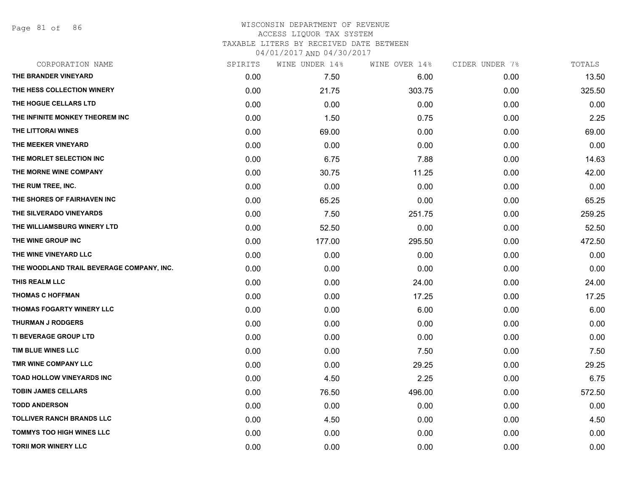Page 81 of 86

| CORPORATION NAME                          | SPIRITS | WINE UNDER 14% | WINE OVER 14% | CIDER UNDER 7% | TOTALS |
|-------------------------------------------|---------|----------------|---------------|----------------|--------|
| THE BRANDER VINEYARD                      | 0.00    | 7.50           | 6.00          | 0.00           | 13.50  |
| THE HESS COLLECTION WINERY                | 0.00    | 21.75          | 303.75        | 0.00           | 325.50 |
| THE HOGUE CELLARS LTD                     | 0.00    | 0.00           | 0.00          | 0.00           | 0.00   |
| THE INFINITE MONKEY THEOREM INC           | 0.00    | 1.50           | 0.75          | 0.00           | 2.25   |
| THE LITTORAI WINES                        | 0.00    | 69.00          | 0.00          | 0.00           | 69.00  |
| THE MEEKER VINEYARD                       | 0.00    | 0.00           | 0.00          | 0.00           | 0.00   |
| THE MORLET SELECTION INC                  | 0.00    | 6.75           | 7.88          | 0.00           | 14.63  |
| THE MORNE WINE COMPANY                    | 0.00    | 30.75          | 11.25         | 0.00           | 42.00  |
| THE RUM TREE, INC.                        | 0.00    | 0.00           | 0.00          | 0.00           | 0.00   |
| THE SHORES OF FAIRHAVEN INC               | 0.00    | 65.25          | 0.00          | 0.00           | 65.25  |
| THE SILVERADO VINEYARDS                   | 0.00    | 7.50           | 251.75        | 0.00           | 259.25 |
| THE WILLIAMSBURG WINERY LTD               | 0.00    | 52.50          | 0.00          | 0.00           | 52.50  |
| THE WINE GROUP INC                        | 0.00    | 177.00         | 295.50        | 0.00           | 472.50 |
| THE WINE VINEYARD LLC                     | 0.00    | 0.00           | 0.00          | 0.00           | 0.00   |
| THE WOODLAND TRAIL BEVERAGE COMPANY, INC. | 0.00    | 0.00           | 0.00          | 0.00           | 0.00   |
| THIS REALM LLC                            | 0.00    | 0.00           | 24.00         | 0.00           | 24.00  |
| <b>THOMAS C HOFFMAN</b>                   | 0.00    | 0.00           | 17.25         | 0.00           | 17.25  |
| <b>THOMAS FOGARTY WINERY LLC</b>          | 0.00    | 0.00           | 6.00          | 0.00           | 6.00   |
| <b>THURMAN J RODGERS</b>                  | 0.00    | 0.00           | 0.00          | 0.00           | 0.00   |
| TI BEVERAGE GROUP LTD                     | 0.00    | 0.00           | 0.00          | 0.00           | 0.00   |
| TIM BLUE WINES LLC                        | 0.00    | 0.00           | 7.50          | 0.00           | 7.50   |
| TMR WINE COMPANY LLC                      | 0.00    | 0.00           | 29.25         | 0.00           | 29.25  |
| <b>TOAD HOLLOW VINEYARDS INC</b>          | 0.00    | 4.50           | 2.25          | 0.00           | 6.75   |
| <b>TOBIN JAMES CELLARS</b>                | 0.00    | 76.50          | 496.00        | 0.00           | 572.50 |
| <b>TODD ANDERSON</b>                      | 0.00    | 0.00           | 0.00          | 0.00           | 0.00   |
| <b>TOLLIVER RANCH BRANDS LLC</b>          | 0.00    | 4.50           | 0.00          | 0.00           | 4.50   |
| <b>TOMMYS TOO HIGH WINES LLC</b>          | 0.00    | 0.00           | 0.00          | 0.00           | 0.00   |
| <b>TORII MOR WINERY LLC</b>               | 0.00    | 0.00           | 0.00          | 0.00           | 0.00   |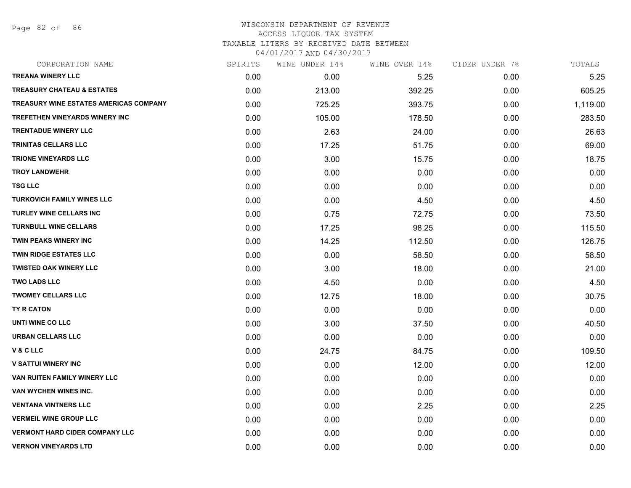Page 82 of 86

| CORPORATION NAME                       | SPIRITS | WINE UNDER 14% | WINE OVER 14% | CIDER UNDER 7% | TOTALS   |
|----------------------------------------|---------|----------------|---------------|----------------|----------|
| <b>TREANA WINERY LLC</b>               | 0.00    | 0.00           | 5.25          | 0.00           | 5.25     |
| <b>TREASURY CHATEAU &amp; ESTATES</b>  | 0.00    | 213.00         | 392.25        | 0.00           | 605.25   |
| TREASURY WINE ESTATES AMERICAS COMPANY | 0.00    | 725.25         | 393.75        | 0.00           | 1,119.00 |
| <b>TREFETHEN VINEYARDS WINERY INC</b>  | 0.00    | 105.00         | 178.50        | 0.00           | 283.50   |
| <b>TRENTADUE WINERY LLC</b>            | 0.00    | 2.63           | 24.00         | 0.00           | 26.63    |
| TRINITAS CELLARS LLC                   | 0.00    | 17.25          | 51.75         | 0.00           | 69.00    |
| TRIONE VINEYARDS LLC                   | 0.00    | 3.00           | 15.75         | 0.00           | 18.75    |
| <b>TROY LANDWEHR</b>                   | 0.00    | 0.00           | 0.00          | 0.00           | 0.00     |
| TSG LLC                                | 0.00    | 0.00           | 0.00          | 0.00           | 0.00     |
| <b>TURKOVICH FAMILY WINES LLC</b>      | 0.00    | 0.00           | 4.50          | 0.00           | 4.50     |
| <b>TURLEY WINE CELLARS INC</b>         | 0.00    | 0.75           | 72.75         | 0.00           | 73.50    |
| <b>TURNBULL WINE CELLARS</b>           | 0.00    | 17.25          | 98.25         | 0.00           | 115.50   |
| TWIN PEAKS WINERY INC                  | 0.00    | 14.25          | 112.50        | 0.00           | 126.75   |
| <b>TWIN RIDGE ESTATES LLC</b>          | 0.00    | 0.00           | 58.50         | 0.00           | 58.50    |
| <b>TWISTED OAK WINERY LLC</b>          | 0.00    | 3.00           | 18.00         | 0.00           | 21.00    |
| <b>TWO LADS LLC</b>                    | 0.00    | 4.50           | 0.00          | 0.00           | 4.50     |
| <b>TWOMEY CELLARS LLC</b>              | 0.00    | 12.75          | 18.00         | 0.00           | 30.75    |
| TY R CATON                             | 0.00    | 0.00           | 0.00          | 0.00           | 0.00     |
| UNTI WINE CO LLC                       | 0.00    | 3.00           | 37.50         | 0.00           | 40.50    |
| <b>URBAN CELLARS LLC</b>               | 0.00    | 0.00           | 0.00          | 0.00           | 0.00     |
| V & C LLC                              | 0.00    | 24.75          | 84.75         | 0.00           | 109.50   |
| <b>V SATTUI WINERY INC</b>             | 0.00    | 0.00           | 12.00         | 0.00           | 12.00    |
| <b>VAN RUITEN FAMILY WINERY LLC</b>    | 0.00    | 0.00           | 0.00          | 0.00           | 0.00     |
| VAN WYCHEN WINES INC.                  | 0.00    | 0.00           | 0.00          | 0.00           | 0.00     |
| <b>VENTANA VINTNERS LLC</b>            | 0.00    | 0.00           | 2.25          | 0.00           | 2.25     |
| <b>VERMEIL WINE GROUP LLC</b>          | 0.00    | 0.00           | 0.00          | 0.00           | 0.00     |
| <b>VERMONT HARD CIDER COMPANY LLC</b>  | 0.00    | 0.00           | 0.00          | 0.00           | 0.00     |
| <b>VERNON VINEYARDS LTD</b>            | 0.00    | 0.00           | 0.00          | 0.00           | 0.00     |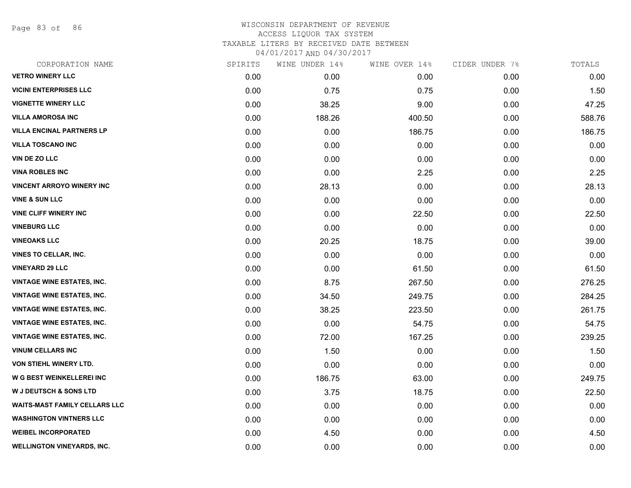Page 83 of 86

| CORPORATION NAME                     | SPIRITS | WINE UNDER 14% | WINE OVER 14% | CIDER UNDER 7% | TOTALS |
|--------------------------------------|---------|----------------|---------------|----------------|--------|
| <b>VETRO WINERY LLC</b>              | 0.00    | 0.00           | 0.00          | 0.00           | 0.00   |
| <b>VICINI ENTERPRISES LLC</b>        | 0.00    | 0.75           | 0.75          | 0.00           | 1.50   |
| <b>VIGNETTE WINERY LLC</b>           | 0.00    | 38.25          | 9.00          | 0.00           | 47.25  |
| <b>VILLA AMOROSA INC</b>             | 0.00    | 188.26         | 400.50        | 0.00           | 588.76 |
| <b>VILLA ENCINAL PARTNERS LP</b>     | 0.00    | 0.00           | 186.75        | 0.00           | 186.75 |
| <b>VILLA TOSCANO INC</b>             | 0.00    | 0.00           | 0.00          | 0.00           | 0.00   |
| <b>VIN DE ZO LLC</b>                 | 0.00    | 0.00           | 0.00          | 0.00           | 0.00   |
| <b>VINA ROBLES INC</b>               | 0.00    | 0.00           | 2.25          | 0.00           | 2.25   |
| <b>VINCENT ARROYO WINERY INC</b>     | 0.00    | 28.13          | 0.00          | 0.00           | 28.13  |
| <b>VINE &amp; SUN LLC</b>            | 0.00    | 0.00           | 0.00          | 0.00           | 0.00   |
| <b>VINE CLIFF WINERY INC</b>         | 0.00    | 0.00           | 22.50         | 0.00           | 22.50  |
| <b>VINEBURG LLC</b>                  | 0.00    | 0.00           | 0.00          | 0.00           | 0.00   |
| <b>VINEOAKS LLC</b>                  | 0.00    | 20.25          | 18.75         | 0.00           | 39.00  |
| <b>VINES TO CELLAR, INC.</b>         | 0.00    | 0.00           | 0.00          | 0.00           | 0.00   |
| <b>VINEYARD 29 LLC</b>               | 0.00    | 0.00           | 61.50         | 0.00           | 61.50  |
| <b>VINTAGE WINE ESTATES, INC.</b>    | 0.00    | 8.75           | 267.50        | 0.00           | 276.25 |
| <b>VINTAGE WINE ESTATES, INC.</b>    | 0.00    | 34.50          | 249.75        | 0.00           | 284.25 |
| <b>VINTAGE WINE ESTATES, INC.</b>    | 0.00    | 38.25          | 223.50        | 0.00           | 261.75 |
| <b>VINTAGE WINE ESTATES, INC.</b>    | 0.00    | 0.00           | 54.75         | 0.00           | 54.75  |
| <b>VINTAGE WINE ESTATES, INC.</b>    | 0.00    | 72.00          | 167.25        | 0.00           | 239.25 |
| <b>VINUM CELLARS INC</b>             | 0.00    | 1.50           | 0.00          | 0.00           | 1.50   |
| VON STIEHL WINERY LTD.               | 0.00    | 0.00           | 0.00          | 0.00           | 0.00   |
| W G BEST WEINKELLEREI INC            | 0.00    | 186.75         | 63.00         | 0.00           | 249.75 |
| <b>W J DEUTSCH &amp; SONS LTD</b>    | 0.00    | 3.75           | 18.75         | 0.00           | 22.50  |
| <b>WAITS-MAST FAMILY CELLARS LLC</b> | 0.00    | 0.00           | 0.00          | 0.00           | 0.00   |
| <b>WASHINGTON VINTNERS LLC</b>       | 0.00    | 0.00           | 0.00          | 0.00           | 0.00   |
| <b>WEIBEL INCORPORATED</b>           | 0.00    | 4.50           | 0.00          | 0.00           | 4.50   |
| <b>WELLINGTON VINEYARDS, INC.</b>    | 0.00    | 0.00           | 0.00          | 0.00           | 0.00   |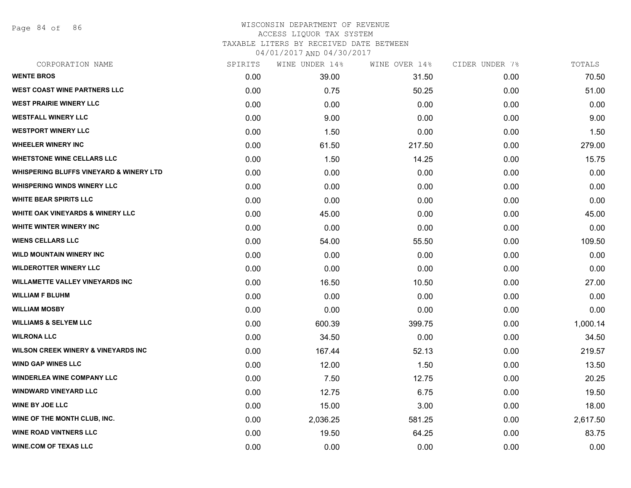Page 84 of 86

| CORPORATION NAME                               | SPIRITS | WINE UNDER 14% | WINE OVER 14% | CIDER UNDER 7% | TOTALS   |
|------------------------------------------------|---------|----------------|---------------|----------------|----------|
| <b>WENTE BROS</b>                              | 0.00    | 39.00          | 31.50         | 0.00           | 70.50    |
| <b>WEST COAST WINE PARTNERS LLC</b>            | 0.00    | 0.75           | 50.25         | 0.00           | 51.00    |
| <b>WEST PRAIRIE WINERY LLC</b>                 | 0.00    | 0.00           | 0.00          | 0.00           | 0.00     |
| <b>WESTFALL WINERY LLC</b>                     | 0.00    | 9.00           | 0.00          | 0.00           | 9.00     |
| <b>WESTPORT WINERY LLC</b>                     | 0.00    | 1.50           | 0.00          | 0.00           | 1.50     |
| <b>WHEELER WINERY INC</b>                      | 0.00    | 61.50          | 217.50        | 0.00           | 279.00   |
| <b>WHETSTONE WINE CELLARS LLC</b>              | 0.00    | 1.50           | 14.25         | 0.00           | 15.75    |
| WHISPERING BLUFFS VINEYARD & WINERY LTD        | 0.00    | 0.00           | 0.00          | 0.00           | 0.00     |
| <b>WHISPERING WINDS WINERY LLC</b>             | 0.00    | 0.00           | 0.00          | 0.00           | 0.00     |
| <b>WHITE BEAR SPIRITS LLC</b>                  | 0.00    | 0.00           | 0.00          | 0.00           | 0.00     |
| <b>WHITE OAK VINEYARDS &amp; WINERY LLC</b>    | 0.00    | 45.00          | 0.00          | 0.00           | 45.00    |
| WHITE WINTER WINERY INC                        | 0.00    | 0.00           | 0.00          | 0.00           | 0.00     |
| <b>WIENS CELLARS LLC</b>                       | 0.00    | 54.00          | 55.50         | 0.00           | 109.50   |
| <b>WILD MOUNTAIN WINERY INC</b>                | 0.00    | 0.00           | 0.00          | 0.00           | 0.00     |
| <b>WILDEROTTER WINERY LLC</b>                  | 0.00    | 0.00           | 0.00          | 0.00           | 0.00     |
| <b>WILLAMETTE VALLEY VINEYARDS INC</b>         | 0.00    | 16.50          | 10.50         | 0.00           | 27.00    |
| <b>WILLIAM F BLUHM</b>                         | 0.00    | 0.00           | 0.00          | 0.00           | 0.00     |
| <b>WILLIAM MOSBY</b>                           | 0.00    | 0.00           | 0.00          | 0.00           | 0.00     |
| <b>WILLIAMS &amp; SELYEM LLC</b>               | 0.00    | 600.39         | 399.75        | 0.00           | 1,000.14 |
| <b>WILRONA LLC</b>                             | 0.00    | 34.50          | 0.00          | 0.00           | 34.50    |
| <b>WILSON CREEK WINERY &amp; VINEYARDS INC</b> | 0.00    | 167.44         | 52.13         | 0.00           | 219.57   |
| <b>WIND GAP WINES LLC</b>                      | 0.00    | 12.00          | 1.50          | 0.00           | 13.50    |
| <b>WINDERLEA WINE COMPANY LLC</b>              | 0.00    | 7.50           | 12.75         | 0.00           | 20.25    |
| <b>WINDWARD VINEYARD LLC</b>                   | 0.00    | 12.75          | 6.75          | 0.00           | 19.50    |
| <b>WINE BY JOE LLC</b>                         | 0.00    | 15.00          | 3.00          | 0.00           | 18.00    |
| WINE OF THE MONTH CLUB, INC.                   | 0.00    | 2,036.25       | 581.25        | 0.00           | 2,617.50 |
| <b>WINE ROAD VINTNERS LLC</b>                  | 0.00    | 19.50          | 64.25         | 0.00           | 83.75    |
| <b>WINE.COM OF TEXAS LLC</b>                   | 0.00    | 0.00           | 0.00          | 0.00           | 0.00     |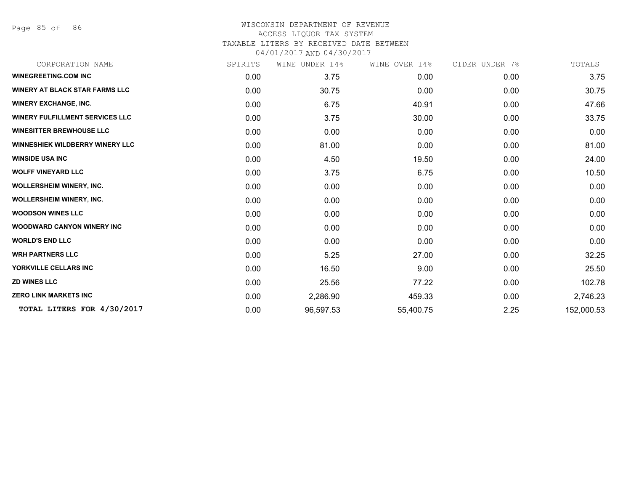Page 85 of 86

| CORPORATION NAME                       | SPIRITS | WINE UNDER 14% | WINE OVER 14% | CIDER UNDER 7% | TOTALS     |
|----------------------------------------|---------|----------------|---------------|----------------|------------|
| <b>WINEGREETING.COM INC</b>            | 0.00    | 3.75           | 0.00          | 0.00           | 3.75       |
| <b>WINERY AT BLACK STAR FARMS LLC</b>  | 0.00    | 30.75          | 0.00          | 0.00           | 30.75      |
| <b>WINERY EXCHANGE, INC.</b>           | 0.00    | 6.75           | 40.91         | 0.00           | 47.66      |
| <b>WINERY FULFILLMENT SERVICES LLC</b> | 0.00    | 3.75           | 30.00         | 0.00           | 33.75      |
| <b>WINESITTER BREWHOUSE LLC</b>        | 0.00    | 0.00           | 0.00          | 0.00           | 0.00       |
| <b>WINNESHIEK WILDBERRY WINERY LLC</b> | 0.00    | 81.00          | 0.00          | 0.00           | 81.00      |
| <b>WINSIDE USA INC</b>                 | 0.00    | 4.50           | 19.50         | 0.00           | 24.00      |
| <b>WOLFF VINEYARD LLC</b>              | 0.00    | 3.75           | 6.75          | 0.00           | 10.50      |
| <b>WOLLERSHEIM WINERY, INC.</b>        | 0.00    | 0.00           | 0.00          | 0.00           | 0.00       |
| <b>WOLLERSHEIM WINERY, INC.</b>        | 0.00    | 0.00           | 0.00          | 0.00           | 0.00       |
| <b>WOODSON WINES LLC</b>               | 0.00    | 0.00           | 0.00          | 0.00           | 0.00       |
| <b>WOODWARD CANYON WINERY INC</b>      | 0.00    | 0.00           | 0.00          | 0.00           | 0.00       |
| <b>WORLD'S END LLC</b>                 | 0.00    | 0.00           | 0.00          | 0.00           | 0.00       |
| <b>WRH PARTNERS LLC</b>                | 0.00    | 5.25           | 27.00         | 0.00           | 32.25      |
| YORKVILLE CELLARS INC                  | 0.00    | 16.50          | 9.00          | 0.00           | 25.50      |
| <b>ZD WINES LLC</b>                    | 0.00    | 25.56          | 77.22         | 0.00           | 102.78     |
| <b>ZERO LINK MARKETS INC</b>           | 0.00    | 2,286.90       | 459.33        | 0.00           | 2,746.23   |
| TOTAL LITERS FOR 4/30/2017             | 0.00    | 96,597.53      | 55,400.75     | 2.25           | 152,000.53 |